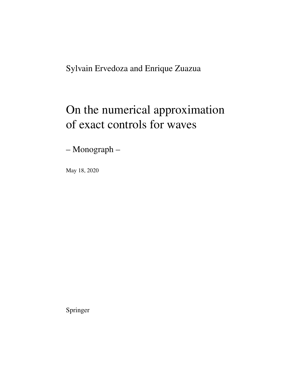Sylvain Ervedoza and Enrique Zuazua

# On the numerical approximation of exact controls for waves

– Monograph –

May 18, 2020

Springer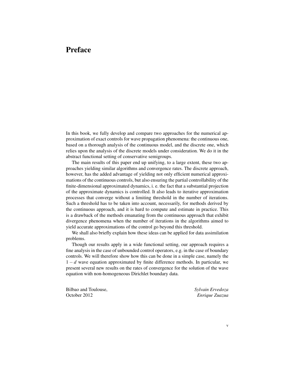# Preface

In this book, we fully develop and compare two approaches for the numerical approximation of exact controls for wave propagation phenomena: the continuous one, based on a thorough analysis of the continuous model, and the discrete one, which relies upon the analysis of the discrete models under consideration. We do it in the abstract functional setting of conservative semigroups.

The main results of this paper end up unifying, to a large extent, these two approaches yielding similar algorithms and convergence rates. The discrete approach, however, has the added advantage of yielding not only efficient numerical approximations of the continuous controls, but also ensuring the partial controllability of the finite-dimensional approximated dynamics, i. e. the fact that a substantial projection of the approximate dynamics is controlled. It also leads to iterative approximation processes that converge without a limiting threshold in the number of iterations. Such a threshold has to be taken into account, necessarily, for methods derived by the continuous approach, and it is hard to compute and estimate in practice. This is a drawback of the methods emanating from the continuous approach that exhibit divergence phenomena when the number of iterations in the algorithms aimed to yield accurate approximations of the control go beyond this threshold.

We shall also briefly explain how these ideas can be applied for data assimilation problems.

Though our results apply in a wide functional setting, our approach requires a fine analysis in the case of unbounded control operators, e.g. in the case of boundary controls. We will therefore show how this can be done in a simple case, namely the 1 − *d* wave equation approximated by finite difference methods. In particular, we present several new results on the rates of convergence for the solution of the wave equation with non-homogeneous Dirichlet boundary data.

Bilbao and Toulouse, *Sylvain Ervedoza* October 2012 *Enrique Zuazua*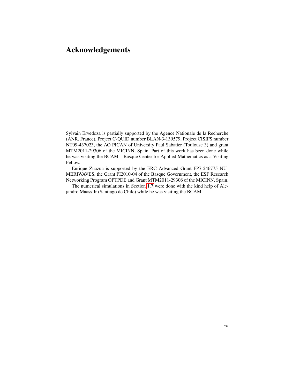# <span id="page-4-0"></span>Acknowledgements

Sylvain Ervedoza is partially supported by the Agence Nationale de la Recherche (ANR, France), Project C-QUID number BLAN-3-139579, Project CISIFS number NT09-437023, the AO PICAN of University Paul Sabatier (Toulouse 3) and grant MTM2011-29306 of the MICINN, Spain. Part of this work has been done while he was visiting the BCAM – Basque Center for Applied Mathematics as a Visiting Fellow.

Enrique Zuazua is supported by the ERC Advanced Grant FP7-246775 NU-MERIWAVES, the Grant PI2010-04 of the Basque Government, the ESF Research Networking Program OPTPDE and Grant MTM2011-29306 of the MICINN, Spain.

The numerical simulations in Section [1.7](#page-36-0) were done with the kind help of Alejandro Maass Jr (Santiago de Chile) while he was visiting the BCAM.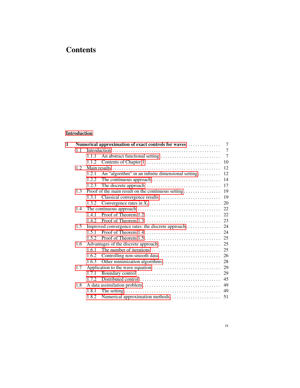# **Contents**

# [Introduction](#page-4-0)

| 1 |               |        | Numerical approximation of exact controls for waves                                   | 7              |
|---|---------------|--------|---------------------------------------------------------------------------------------|----------------|
|   | 1.1           |        |                                                                                       | 7              |
|   |               | 1.1.1  |                                                                                       | $\overline{7}$ |
|   |               | 1.1.2  |                                                                                       | 10             |
|   | 1.2.          |        |                                                                                       | 12             |
|   |               | 1.2.1  | An "algorithm" in an infinite dimensional setting                                     | 12             |
|   |               | 1.2.2  |                                                                                       | 14             |
|   |               | 1.2.3  |                                                                                       | 17             |
|   | 1.3           |        |                                                                                       | 19             |
|   |               | 1.3.1  |                                                                                       | 19             |
|   |               | 1.3.2  | Convergence rates in $X_s \dots \dots \dots \dots \dots \dots \dots \dots \dots$      | 20             |
|   | $1.4^{\circ}$ |        |                                                                                       | 22             |
|   |               | 1.4.1  |                                                                                       | 22             |
|   |               | 1.4.2. | Proof of Theorem $1.3 \ldots \ldots \ldots \ldots \ldots \ldots \ldots \ldots \ldots$ | 23             |
|   | 1.5           |        | Improved convergence rates: the discrete approach                                     | 24             |
|   |               | 1.5.1  |                                                                                       | 24             |
|   |               | 1.5.2. | Proof of Theorem $1.5 \ldots \ldots \ldots \ldots \ldots \ldots \ldots \ldots \ldots$ | 25             |
|   | 1.6           |        |                                                                                       |                |
|   |               | 1.6.1  |                                                                                       |                |
|   |               | 1.6.2  |                                                                                       | 26             |
|   |               | 1.6.3  |                                                                                       | 28             |
|   | 1.7           |        |                                                                                       | 29             |
|   |               | 1.7.1  |                                                                                       | 29             |
|   |               | 1.7.2. |                                                                                       | 45             |
|   | 1.8           |        |                                                                                       | 49             |
|   |               | 1.8.1  |                                                                                       | 49             |
|   |               | 1.8.2  |                                                                                       | 51             |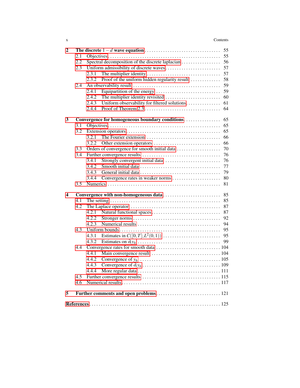| v.<br>л | Contents |
|---------|----------|
|         |          |

| 2 |     | 55                                                           |  |  |  |
|---|-----|--------------------------------------------------------------|--|--|--|
|   | 2.1 | 55                                                           |  |  |  |
|   | 2.2 | Spectral decomposition of the discrete laplacian<br>56       |  |  |  |
|   | 2.3 | 57                                                           |  |  |  |
|   |     | 57<br>2.3.1                                                  |  |  |  |
|   |     | 2.3.2<br>Proof of the uniform hidden regularity result<br>58 |  |  |  |
|   | 2.4 | 59                                                           |  |  |  |
|   |     | 2.4.1<br>59                                                  |  |  |  |
|   |     | 2.4.2<br>60                                                  |  |  |  |
|   |     | Uniform observability for filtered solutions<br>2.4.3<br>61  |  |  |  |
|   |     | 64<br>2.4.4                                                  |  |  |  |
|   |     |                                                              |  |  |  |
| 3 |     | Convergence for homogeneous boundary conditions<br>65        |  |  |  |
|   | 3.1 | 65                                                           |  |  |  |
|   | 3.2 | 65                                                           |  |  |  |
|   |     | 3.2.1<br>66                                                  |  |  |  |
|   |     | 3.2.2<br>66                                                  |  |  |  |
|   | 3.3 | Orders of convergence for smooth initial data<br>70          |  |  |  |
|   | 3.4 | 76                                                           |  |  |  |
|   |     | 3.4.1<br>76                                                  |  |  |  |
|   |     | 77<br>3.4.2                                                  |  |  |  |
|   |     | 3.4.3<br>79                                                  |  |  |  |
|   |     | 3.4.4<br>Convergence rates in weaker norms<br>80             |  |  |  |
|   | 3.5 | 81                                                           |  |  |  |
| 4 |     | 85                                                           |  |  |  |
|   | 4.1 |                                                              |  |  |  |
|   | 4.2 | 87                                                           |  |  |  |
|   |     | 4.2.1<br>87                                                  |  |  |  |
|   |     | 4.2.2<br>92                                                  |  |  |  |
|   |     | 4.2.3<br>94                                                  |  |  |  |
|   | 4.3 | 95                                                           |  |  |  |
|   |     | 4.3.1<br>95                                                  |  |  |  |
|   |     | 4.3.2<br>99                                                  |  |  |  |
|   | 4.4 |                                                              |  |  |  |
|   |     | 4.4.1                                                        |  |  |  |
|   |     | 4.4.2                                                        |  |  |  |
|   |     |                                                              |  |  |  |
|   |     | 4.4.4                                                        |  |  |  |
|   | 4.5 |                                                              |  |  |  |
|   | 4.6 |                                                              |  |  |  |
| 5 |     |                                                              |  |  |  |
|   |     |                                                              |  |  |  |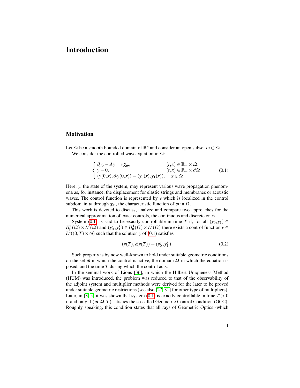# Introduction

#### Motivation

Let  $\Omega$  be a smooth bounded domain of  $\mathbb{R}^n$  and consider an open subset  $\omega \subset \Omega$ . We consider the controlled wave equation in  $\Omega$ :

<span id="page-8-0"></span>
$$
\begin{cases}\n\partial_{tt}y - \Delta y = v\chi_{\omega}, & (t, x) \in \mathbb{R}_+ \times \Omega, \\
y = 0, & (t, x) \in \mathbb{R}_+ \times \partial\Omega, \\
(y(0, x), \partial_t y(0, x)) = (y_0(x), y_1(x)), & x \in \Omega.\n\end{cases}
$$
\n(0.1)

Here, *y*, the state of the system, may represent various wave propagation phenomena as, for instance, the displacement for elastic strings and membranes or acoustic waves. The control function is represented by *v* which is localized in the control subdomain  $\omega$  through  $\chi_{\omega}$ , the characteristic function of  $\omega$  in  $\Omega$ .

This work is devoted to discuss, analyze and compare two approaches for the numerical approximation of exact controls, the continuous and discrete ones.

System [\(0.1\)](#page-8-0) is said to be exactly controllable in time *T* if, for all  $(y_0, y_1) \in$  $H_0^1(\Omega) \times L^2(\Omega)$  and  $(y_0^T, y_1^T) \in H_0^1(\Omega) \times L^2(\Omega)$  there exists a control function  $v \in$  $L^2((0,T) \times \omega)$  such that the solution *y* of [\(0.1\)](#page-8-0) satisfies

<span id="page-8-1"></span>
$$
(y(T), \partial_t y(T)) = (y_0^T, y_1^T). \tag{0.2}
$$

Such property is by now well-known to hold under suitable geometric conditions on the set  $\omega$  in which the control is active, the domain  $\Omega$  in which the equation is posed, and the time *T* during which the control acts.

In the seminal work of Lions [\[36\]](#page-133-0), in which the Hilbert Uniqueness Method (HUM) was introduced, the problem was reduced to that of the observability of the adjoint system and multiplier methods were derived for the later to be proved under suitable geometric restrictions (see also [\[27,](#page-133-1) [31\]](#page-133-2) for other type of multipliers). Later, in [\[3,](#page-132-1) [5\]](#page-132-2) it was shown that system  $(0.1)$  is exactly controllable in time  $T > 0$ if and only if  $(\omega, \Omega, T)$  satisfies the so-called Geometric Control Condition (GCC). Roughly speaking, this condition states that all rays of Geometric Optics -which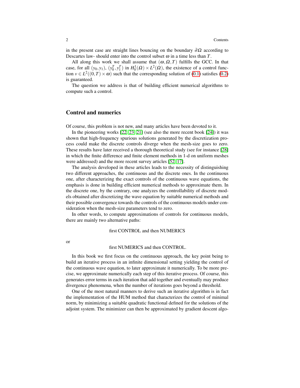in the present case are straight lines bouncing on the boundary  $\partial\Omega$  according to Descartes law- should enter into the control subset  $\omega$  in a time less than  $T$ .

All along this work we shall assume that  $(\omega, \Omega, T)$  fulfills the GCC. In that case, for all  $(y_0, y_1)$ ,  $(y_0^T, y_1^T)$  in  $H_0^1(\Omega) \times L^2(\Omega)$ , the existence of a control function  $v \in L^2((0,T) \times \omega)$  such that the corresponding solution of [\(0.1\)](#page-8-0) satisfies [\(0.2\)](#page-8-1) is guaranteed.

The question we address is that of building efficient numerical algorithms to compute such a control.

### Control and numerics

Of course, this problem is not new, and many articles have been devoted to it.

In the pioneering works [\[22,](#page-133-3) [23,](#page-133-4) [21\]](#page-133-5) (see also the more recent book [\[24\]](#page-133-6)) it was shown that high-frequency spurious solutions generated by the discretization process could make the discrete controls diverge when the mesh-size goes to zero. These results have later received a thorough theoretical study (see for instance [\[28\]](#page-133-7) in which the finite difference and finite element methods in 1-d on uniform meshes were addressed) and the more recent survey articles [\[52,](#page-134-0) [17\]](#page-133-8).

The analysis developed in these articles leads to the necessity of distinguishing two different approaches, the continuous and the discrete ones. In the continuous one, after characterizing the exact controls of the continuous wave equations, the emphasis is done in building efficient numerical methods to approximate them. In the discrete one, by the contrary, one analyzes the controllability of discrete models obtained after discretizing the wave equation by suitable numerical methods and their possible convergence towards the controls of the continuous models under consideration when the mesh-size parameters tend to zero.

In other words, to compute approximations of controls for continuous models, there are mainly two alternative paths:

first CONTROL and then NUMERICS

or

#### first NUMERICS and then CONTROL.

In this book we first focus on the continuous approach, the key point being to build an iterative process in an infinite dimensional setting yielding the control of the continuous wave equation, to later approximate it numerically. To be more precise, we approximate numerically each step of this iterative process. Of course, this generates error terms in each iteration that add together and eventually may produce divergence phenomena, when the number of iterations goes beyond a threshold.

One of the most natural manners to derive such an iterative algorithm is in fact the implementation of the HUM method that characterizes the control of minimal norm, by minimizing a suitable quadratic functional defined for the solutions of the adjoint system. The minimizer can then be approximated by gradient descent algo-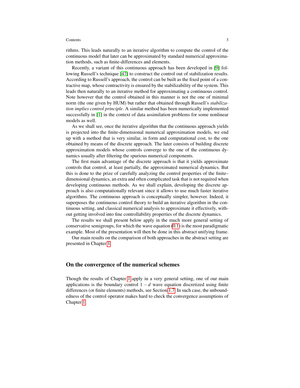#### Contents 3

rithms. This leads naturally to an iterative algorithm to compute the control of the continuous model that later can be approximated by standard numerical approximation methods, such as finite-differences and elements.

Recently, a variant of this continuous approach has been developed in [\[9\]](#page-132-3) following Russell's technique [\[47\]](#page-134-1) to construct the control out of stabilization results. According to Russell's approach, the control can be built as the fixed point of a contractive map, whose contractivity is ensured by the stabilizability of the system. This leads then naturally to an iterative method for approximating a continuous control. Note however that the control obtained in this manner is not the one of minimal norm (the one given by HUM) but rather that obtained through Russell's *stabilization implies control principle*. A similar method has been numerically implemented successfully in [\[1\]](#page-132-4) in the context of data assimilation problems for some nonlinear models as well.

As we shall see, once the iterative algorithm that the continuous approach yields is projected into the finite-dimensional numerical approximation models, we end up with a method that is very similar, in form and computational cost, to the one obtained by means of the discrete approach. The later consists of building discrete approximation models whose controls converge to the one of the continuous dynamics usually after filtering the spurious numerical components.

The first main advantage of the discrete approach is that it yields approximate controls that control, at least partially, the approximated numerical dynamics. But this is done to the prize of carefully analyzing the control properties of the finite– dimensional dynamics, an extra and often complicated task that is not required when developing continuous methods. As we shall explain, developing the discrete approach is also computationally relevant since it allows to use much faster iterative algorithms. The continuous approach is conceptually simpler, however. Indeed, it superposes the continuous control theory to build an iterative algorithm in the continuous setting, and classical numerical analysis to approximate it effectively, without getting involved into fine controllability properties of the discrete dynamics.

The results we shall present below apply in the much more general setting of conservative semigroups, for which the wave equation  $(0.1)$  is the most paradigmatic example. Most of the presentation will then be done in this abstract unifying frame.

Our main results on the comparison of both approaches in the abstract setting are presented in Chapter [1.](#page-14-0)

#### On the convergence of the numerical schemes

Though the results of Chapter [1](#page-14-0) apply in a very general setting, one of our main applications is the boundary control  $1 - d$  wave equation discretized using finite differences (or finite elements) methods, see Section [1.7.](#page-36-0) In such case, the unboundedness of the control operator makes hard to check the convergence assumptions of Chapter [1.](#page-14-0)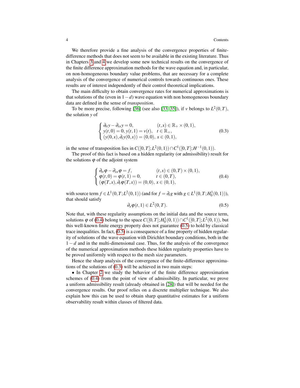We therefore provide a fine analysis of the convergence properties of finitedifference methods that does not seem to be available in the existing literature. Thus in Chapters [3](#page-72-0) and [4](#page-92-0) we develop some new technical results on the convergence of the finite difference approximation methods for the wave equation and, in particular, on non-homogeneous boundary value problems, that are necessary for a complete analysis of the convergence of numerical controls towards continuous ones. These results are of interest independently of their control theoretical implications.

The main difficulty to obtain convergence rates for numerical approximations is that solutions of the (even in 1−*d*) wave equation with non homogeneous boundary data are defined in the sense of *transposition*.

To be more precise, following [\[36\]](#page-133-0) (see also [\[33,](#page-133-9) [35\]](#page-133-10)), if *v* belongs to  $L^2(0,T)$ , the solution *y* of

<span id="page-11-2"></span>
$$
\begin{cases}\n\partial_{tt}y - \partial_{xx}y = 0, & (t, x) \in \mathbb{R}_+ \times (0, 1), \\
y(t, 0) = 0, y(t, 1) = v(t), & t \in \mathbb{R}_+, \\
(y(0, x), \partial_t y(0, x)) = (0, 0), x \in (0, 1),\n\end{cases}
$$
\n(0.3)

in the sense of transposition lies in  $C([0,T]; L^2(0,1)) ∩ C^1([0,T]; H^{-1}(0,1)).$ 

The proof of this fact is based on a hidden regularity (or admissibility) result for the solutions  $\varphi$  of the adjoint system

<span id="page-11-0"></span>
$$
\begin{cases} \n\partial_{tt} \varphi - \partial_{xx} \varphi = f, & (t, x) \in (0, T) \times (0, 1), \\ \n\varphi(t, 0) = \varphi(t, 1) = 0, & t \in (0, T), \\ \n(\varphi(T, x), \partial_t \varphi(T, x)) = (0, 0), & x \in (0, 1), \n\end{cases}
$$
\n(0.4)

with source term *f* ∈ *L*<sup>1</sup>(0,*T*;*L*<sup>2</sup>(0,1)) (and for *f* =  $\partial_t g$  with  $g \in L^1(0,T;H_0^1(0,1))$ ), that should satisfy

<span id="page-11-1"></span>
$$
\partial_x \varphi(t,1) \in L^2(0,T). \tag{0.5}
$$

Note that, with these regularity assumptions on the initial data and the source term, solutions *φ* of [\(0.4\)](#page-11-0) belong to the space  $C([0, T]; H_0^1(0, 1)) ∩ C^1([0, T]; L^2(0, 1)),$  but this well-known finite energy property does not guarantee [\(0.5\)](#page-11-1) to hold by classical trace inequalities. In fact, [\(0.5\)](#page-11-1) is a consequence of a fine property of hidden regularity of solutions of the wave equation with Dirichlet boundary conditions, both in the 1−*d* and in the multi-dimensional case. Thus, for the analysis of the convergence of the numerical approximation methods these hidden regularity properties have to be proved uniformly with respect to the mesh size parameters.

Hence the sharp analysis of the convergence of the finite-difference approximations of the solutions of [\(0.3\)](#page-11-2) will be achieved in two main steps:

• In Chapter [2](#page-62-0) we study the behavior of the finite difference approximation schemes of [\(0.4\)](#page-11-0) from the point of view of admissibility. In particular, we prove a uniform admissibility result (already obtained in [\[28\]](#page-133-7)) that will be needed for the convergence results. Our proof relies on a discrete multiplier technique. We also explain how this can be used to obtain sharp quantitative estimates for a uniform observability result within classes of filtered data.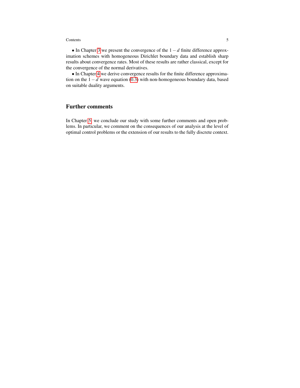#### Contents 5

• In Chapter [3](#page-72-0) we present the convergence of the 1−*d* finite difference approximation schemes with homogeneous Dirichlet boundary data and establish sharp results about convergence rates. Most of these results are rather classical, except for the convergence of the normal derivatives.

• In Chapter [4](#page-92-0) we derive convergence results for the finite difference approximation on the 1−*d* wave equation [\(0.3\)](#page-11-2) with non-homogeneous boundary data, based on suitable duality arguments.

# Further comments

In Chapter [5,](#page-128-0) we conclude our study with some further comments and open problems. In particular, we comment on the consequences of our analysis at the level of optimal control problems or the extension of our results to the fully discrete context.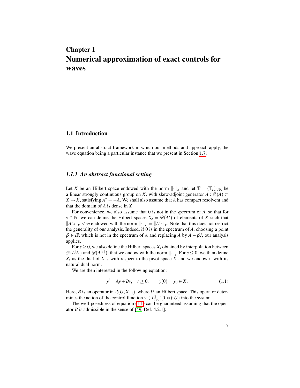# <span id="page-14-0"></span>Chapter 1 Numerical approximation of exact controls for waves

#### <span id="page-14-1"></span>1.1 Introduction

We present an abstract framework in which our methods and approach apply, the wave equation being a particular instance that we present in Section [1.7.](#page-36-0)

### <span id="page-14-2"></span>*1.1.1 An abstract functional setting*

Let *X* be an Hilbert space endowed with the norm  $\|\cdot\|_X$  and let  $\mathbb{T} = (\mathbb{T}_t)_{t \in \mathbb{R}}$  be a linear strongly continuous group on *X*, with skew-adjoint generator  $A : \mathscr{D}(A) \subset$  $X \rightarrow X$ , satisfying  $A^* = -A$ . We shall also assume that *A* has compact resolvent and that the domain of *A* is dense in *X*.

For convenience, we also assume that 0 is not in the spectrum of *A*, so that for  $s \in \mathbb{N}$ , we can define the Hilbert spaces  $X_s = \mathscr{D}(A^s)$  of elements of *X* such that  $||A^s x||_X < \infty$  endowed with the norm  $|| \cdot ||_s := ||A^s \cdot ||_X$ . Note that this does not restrict the generality of our analysis. Indeed, if 0 is in the spectrum of *A*, choosing a point  $\beta \in i\mathbb{R}$  which is not in the spectrum of *A* and replacing *A* by  $A - \beta I$ , our analysis applies.

For  $s \geq 0$ , we also define the Hilbert spaces  $X_s$  obtained by interpolation between  $\mathscr{D}(A^{[s]})$  and  $\mathscr{D}(A^{[s]})$ , that we endow with the norm  $\|\cdot\|_s$ . For  $s \le 0$ , we then define *X<sup>s</sup>* as the dual of *X*−*<sup>s</sup>* with respect to the pivot space *X* and we endow it with its natural dual norm.

We are then interested in the following equation:

<span id="page-14-3"></span>
$$
y' = Ay + Bv, \quad t \ge 0, \qquad y(0) = y_0 \in X. \tag{1.1}
$$

Here, *B* is an operator in  $\mathfrak{L}(U, X_{-1})$ , where *U* an Hilbert space. This operator determines the action of the control function  $v \in L^2_{loc}([0,\infty);U)$  into the system.

The well-posedness of equation [\(1.1\)](#page-14-3) can be guaranteed assuming that the operator *B* is admissible in the sense of [\[49,](#page-134-2) Def. 4.2.1]: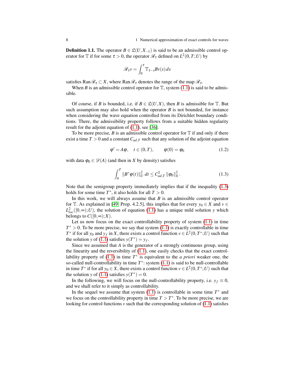**Definition 1.1.** The operator  $B \in \mathcal{L}(U, X_{-1})$  is said to be an admissible control operator for  $\mathbb T$  if for some  $\tau > 0$ , the operator  $\mathscr R_\tau$  defined on  $L^2(0,T;U)$  by

$$
\mathscr{R}_{\tau}v = \int_0^{\tau} \mathbb{T}_{\tau-s} Bv(s) ds
$$

satisfies Ran $\mathcal{R}_{\tau} \subset X$ , where Ran  $\mathcal{R}_{\tau}$  denotes the range of the map  $\mathcal{R}_{\tau}$ .

When *B* is an admissible control operator for  $\mathbb{T}$ , system [\(1.1\)](#page-14-3) is said to be admissible.

Of course, if *B* is bounded, i.e. if  $B \in \mathcal{L}(U,X)$ , then *B* is admissible for T. But such assumption may also hold when the operator  $B$  is not bounded, for instance when considering the wave equation controlled from its Dirichlet boundary conditions. There, the admissibility property follows from a suitable hidden regularity result for the adjoint equation of [\(1.1\)](#page-14-3), see [\[36\]](#page-133-0).

To be more precise,  $B$  is an admissible control operator for  $\mathbb T$  if and only if there exist a time  $T > 0$  and a constant  $C_{ad,T}$  such that any solution of the adjoint equation

<span id="page-15-1"></span>
$$
\varphi' = A\varphi, \quad t \in (0, T), \qquad \varphi(0) = \varphi_0 \tag{1.2}
$$

with data  $\varphi_0 \in \mathcal{D}(A)$  (and then in *X* by density) satisfies

<span id="page-15-0"></span>
$$
\int_0^T \|B^* \varphi(t)\|_U^2 dt \leq C_{ad,T}^2 \|\varphi_0\|_X^2.
$$
 (1.3)

Note that the semigroup property immediately implies that if the inequality [\(1.3\)](#page-15-0) holds for some time  $T^*$ , it also holds for all  $T > 0$ .

In this work, we will always assume that *B* is an admissible control operator for T. As explained in [\[49,](#page-134-2) Prop. 4.2.5], this implies that for every  $y_0 \in X$  and  $v \in Y$  $L_{loc}^2([0,\infty);U)$ , the solution of equation [\(1.1\)](#page-14-3) has a unique mild solution *y* which belongs to  $C([0,\infty);X)$ .

Let us now focus on the exact controllability property of system [\(1.1\)](#page-14-3) in time  $T^* > 0$ . To be more precise, we say that system  $(1.1)$  is exactly controllable in time *T*<sup>\*</sup> if for all *y*<sup>0</sup> and *y*<sup>*f*</sup> in *X*, there exists a control function  $v \in L^2(0, T^*; U)$  such that the solution *y* of [\(1.1\)](#page-14-3) satisfies  $y(T^*) = y_f$ .

Since we assumed that *A* is the generator of a strongly continuous group, using the linearity and the reversibility of [\(1.1\)](#page-14-3), one easily checks that the exact controllability property of [\(1.1\)](#page-14-3) in time *T* ∗ is equivalent to the *a priori* weaker one, the so-called null-controllability in time *T* ∗ : system [\(1.1\)](#page-14-3) is said to be null-controllable in time  $T^*$  if for all  $y_0 \in X$ , there exists a control function  $v \in L^2(0,T^*;U)$  such that the solution *y* of [\(1.1\)](#page-14-3) satisfies  $y(T^*) = 0$ .

In the following, we will focus on the null-controllability property, i.e.  $y_f \equiv 0$ , and we shall refer to it simply as controllability.

In the sequel we assume that system  $(1.1)$  is controllable in some time  $T^*$  and we focus on the controllability property in time  $T > T^*$ . To be more precise, we are looking for control functions  $\nu$  such that the corresponding solution of [\(1.1\)](#page-14-3) satisfies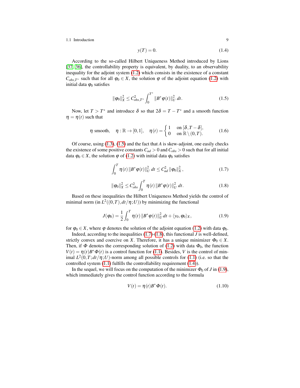#### 1.1 Introduction 9

<span id="page-16-3"></span>
$$
y(T) = 0.\tag{1.4}
$$

According to the so-called Hilbert Uniqueness Method introduced by Lions [\[37,](#page-133-11) [36\]](#page-133-0), the controllability property is equivalent, by duality, to an observability inequality for the adjoint system [\(1.2\)](#page-15-1) which consists in the existence of a constant  $C_{obs,T^*}$  such that for all  $\varphi_0 \in X$ , the solution  $\varphi$  of the adjoint equation [\(1.2\)](#page-15-1) with initial data  $\varphi_0$  satisfies

<span id="page-16-0"></span>
$$
\|\varphi_0\|_X^2 \le C_{obs,T^*}^2 \int_0^{T^*} \|B^*\varphi(t)\|_U^2 dt.
$$
 (1.5)

Now, let  $T > T^*$  and introduce  $\delta$  so that  $2\delta = T - T^*$  and a smooth function  $\eta = \eta(t)$  such that

<span id="page-16-5"></span>
$$
\eta \text{ smooth}, \quad \eta : \mathbb{R} \to [0, 1], \quad \eta(t) = \begin{cases} 1 & \text{on } [\delta, T - \delta], \\ 0 & \text{on } \mathbb{R} \setminus (0, T). \end{cases} \tag{1.6}
$$

Of course, using [\(1.3\)](#page-15-0), [\(1.5\)](#page-16-0) and the fact that *A* is skew-adjoint, one easily checks the existence of some positive constants  $C_{ad} > 0$  and  $C_{obs} > 0$  such that for all initial data  $\varphi_0 \in X$ , the solution  $\varphi$  of [\(1.2\)](#page-15-1) with initial data  $\varphi_0$  satisfies

<span id="page-16-1"></span>
$$
\int_0^T \eta(t) \|B^* \varphi(t)\|_{U}^2 dt \leq C_{ad}^2 \|\varphi_0\|_{X}^2, \qquad (1.7)
$$

<span id="page-16-2"></span>
$$
\|\varphi_0\|_X^2 \le C_{obs}^2 \int_0^T \eta(t) \|B^* \varphi(t)\|_U^2 dt.
$$
 (1.8)

Based on these inequalities the Hilbert Uniqueness Method yields the control of minimal norm (in  $L^2((0,T), dt/\eta; U)$ ) by minimizing the functional

<span id="page-16-4"></span>
$$
J(\varphi_0) = \frac{1}{2} \int_0^T \eta(t) \| B^* \varphi(t) \|_{U}^2 dt + \langle y_0, \varphi_0 \rangle_X,
$$
 (1.9)

for  $\varphi_0 \in X$ , where  $\varphi$  denotes the solution of the adjoint equation [\(1.2\)](#page-15-1) with data  $\varphi_0$ .

Indeed, according to the inequalities [\(1.7\)](#page-16-1)-[\(1.8\)](#page-16-2), this functional *J* is well-defined, strictly convex and coercive on *X*. Therefore, it has a unique minimizer  $\Phi_0 \in X$ . Then, if  $\Phi$  denotes the corresponding solution of [\(1.2\)](#page-15-1) with data  $\Phi_0$ , the function  $V(t) = \eta(t)B^*\Phi(t)$  is a control function for [\(1.1\)](#page-14-3). Besides, *V* is the control of minimal  $L^2(0,T;dt/\eta;U)$ -norm among all possible controls for [\(1.1\)](#page-14-3) (i.e. so that the controlled system [\(1.1\)](#page-14-3) fulfills the controllability requirement [\(1.4\)](#page-16-3)).

In the sequel, we will focus on the computation of the minimizer  $\Phi_0$  of *J* in [\(1.9\)](#page-16-4), which immediately gives the control function according to the formula

<span id="page-16-6"></span>
$$
V(t) = \eta(t)B^*\Phi(t). \tag{1.10}
$$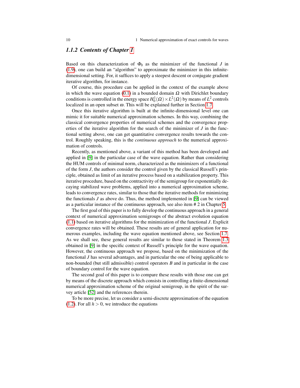# <span id="page-17-0"></span>*1.1.2 Contents of Chapter [1](#page-14-0)*

Based on this characterization of  $\Phi_0$  as the minimizer of the functional *J* in [\(1.9\)](#page-16-4), one can build an "algorithm" to approximate the minimizer in this infinitedimensional setting. For, it suffices to apply a steepest descent or conjugate gradient iterative algorithm, for instance.

Of course, this procedure can be applied in the context of the example above in which the wave equation [\(0.1\)](#page-8-0) in a bounded domain  $\Omega$  with Dirichlet boundary conditions is controlled in the energy space  $H_0^1(\Omega) \times L^2(\Omega)$  by means of  $L^2$  controls localized in an open subset ω. This will be explained further in Section [1.7.](#page-36-0)

Once this iterative algorithm is built at the infinite-dimensional level one can mimic it for suitable numerical approximation schemes. In this way, combining the classical convergence properties of numerical schemes and the convergence properties of the iterative algorithm for the search of the minimizer of *J* in the functional setting above, one can get quantitative convergence results towards the control. Roughly speaking, this is the *continuous approach* to the numerical approximation of controls.

Recently, as mentioned above, a variant of this method has been developed and applied in [\[9\]](#page-132-3) in the particular case of the wave equation. Rather than considering the HUM controls of minimal norm, characterized as the minimizers of a functional of the form *J*, the authors consider the control given by the classical Russell's principle, obtained as limit of an iterative process based on a stabilization property. This iterative procedure, based on the contractivity of the semigroup for exponentially decaying stabilized wave problems, applied into a numerical approximation scheme, leads to convergence rates, similar to those that the iterative methods for minimizing the functionals *J* as above do. Thus, the method implemented in [\[9\]](#page-132-3) can be viewed as a particular instance of the continuous approach, see also item # 2 in Chapter [5.](#page-128-0)

The first goal of this paper is to fully develop the continuous approach in a general context of numerical approximation semigroups of the abstract evolution equation [\(1.1\)](#page-14-3) based on iterative algorithms for the minimization of the functional *J*. Explicit convergence rates will be obtained. These results are of general application for numerous examples, including the wave equation mentioned above, see Section [1.7.](#page-36-0) As we shall see, these general results are similar to those stated in Theorem [1.3](#page-23-0) obtained in [\[9\]](#page-132-3) in the specific context of Russell's principle for the wave equation. However, the continuous approach we propose, based on the minimization of the functional *J* has several advantages, and in particular the one of being applicable to non-bounded (but still admissible) control operators *B* and in particular in the case of boundary control for the wave equation.

The second goal of this paper is to compare these results with those one can get by means of the discrete approach which consists in controlling a finite-dimensional numerical approximation scheme of the original semigroup, in the spirit of the survey article [\[52\]](#page-134-0) and the references therein.

To be more precise, let us consider a semi-discrete approximation of the equation [\(1.2\)](#page-15-1). For all  $h > 0$ , we introduce the equations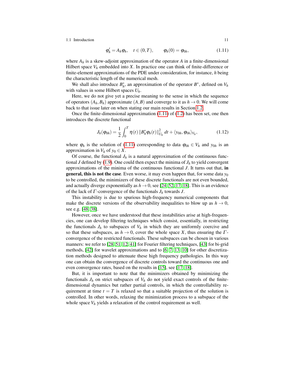#### 1.1 Introduction 11

<span id="page-18-0"></span>
$$
\varphi'_h = A_h \varphi_h, \quad t \in (0, T), \qquad \varphi_h(0) = \varphi_{0h}, \tag{1.11}
$$

where  $A_h$  is a skew-adjoint approximation of the operator  $A$  in a finite-dimensional Hilbert space  $V_h$  embedded into *X*. In practice one can think of finite-difference or finite-element approximations of the PDE under consideration, for instance, *h* being the characteristic length of the numerical mesh.

We shall also introduce  $B_h^*$ , an approximation of the operator  $B^*$ , defined on  $V_h$ with values in some Hilbert spaces *Uh*.

Here, we do not give yet a precise meaning to the sense in which the sequence of operators  $(A_h, B_h)$  approximate  $(A, B)$  and converge to it as  $h \to 0$ . We will come back to that issue later on when stating our main results in Section [1.2.](#page-19-0)

Once the finite-dimensional approximation  $(1.11)$  of  $(1.2)$  has been set, one then introduces the discrete functional

<span id="page-18-1"></span>
$$
J_h(\varphi_{0h}) = \frac{1}{2} \int_0^T \eta(t) \|B_h^* \varphi_h(t)\|_{U_h}^2 dt + \langle y_{0h}, \varphi_{0h} \rangle_{V_h},
$$
 (1.12)

where  $\varphi_h$  is the solution of [\(1.11\)](#page-18-0) corresponding to data  $\varphi_{0h} \in V_h$  and  $y_{0h}$  is an approximation in  $V_h$  of  $y_0 \in X$ .

Of course, the functional  $J_h$  is a natural approximation of the continuous functional *J* defined by [\(1.9\)](#page-16-4). One could then expect the minima of  $J_h$  to yield convergent approximations of the minima of the continuous functional *J*. It turns out that, in **general, this is not the case**. Even worse, it may even happen that, for some data  $y_0$ to be controlled, the minimizers of these discrete functionals are not even bounded, and actually diverge exponentially as  $h \rightarrow 0$ , see [\[24,](#page-133-6) [52,](#page-134-0) [17,](#page-133-8) [18\]](#page-133-12). This is an evidence of the lack of Γ -convergence of the functionals *J<sup>h</sup>* towards *J*.

This instability is due to spurious high-frequency numerical components that make the discrete versions of the observability inequalities to blow up as  $h \to 0$ , see e.g. [\[48,](#page-134-3) [38\]](#page-133-13).

However, once we have understood that these instabilities arise at high-frequencies, one can develop filtering techniques which consist, essentially, in restricting the functionals  $J_h$  to subspaces of  $V_h$  in which they are uniformly coercive and so that these subspaces, as  $h \to 0$ , cover the whole space *X*, thus ensuring the  $\Gamma$ convergence of the restricted functionals. These subspaces can be chosen in various manners: we refer to [\[28,](#page-133-7) [51,](#page-134-4) [12,](#page-132-5) [41\]](#page-134-5) for Fourier filtering techniques, [\[43\]](#page-134-6) for bi-grid methods, [\[42\]](#page-134-7) for wavelet approximations and to [\[6,](#page-132-6) [7,](#page-132-7) [13,](#page-132-8) [10\]](#page-132-9) for other discretization methods designed to attenuate these high frequency pathologies. In this way one can obtain the convergence of discrete controls toward the continuous one and even convergence rates, based on the results in [\[15\]](#page-132-10), see [\[17,](#page-133-8) [18\]](#page-133-12).

But, it is important to note that the minimizers obtained by minimizing the functionals  $J_h$  on strict subspaces of  $V_h$  do not yield exact controls of the finitedimensional dynamics but rather partial controls, in which the controllability requirement at time  $t = T$  is relaxed so that a suitable projection of the solution is controlled. In other words, relaxing the minimization process to a subspace of the whole space  $V_h$  yields a relaxation of the control requirement as well.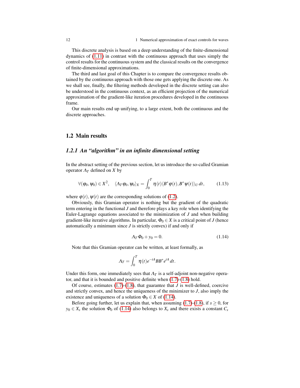This discrete analysis is based on a deep understanding of the finite-dimensional dynamics of [\(1.11\)](#page-18-0) in contrast with the continuous approach that uses simply the control results for the continuous system and the classical results on the convergence of finite-dimensional approximations.

The third and last goal of this Chapter is to compare the convergence results obtained by the continuous approach with those one gets applying the discrete one. As we shall see, finally, the filtering methods developed in the discrete setting can also be understood in the continuous context, as an efficient projection of the numerical approximation of the gradient-like iteration procedures developed in the continuous frame.

Our main results end up unifying, to a large extent, both the continuous and the discrete approaches.

#### <span id="page-19-0"></span>1.2 Main results

# <span id="page-19-1"></span>*1.2.1 An "algorithm" in an infinite dimensional setting*

In the abstract setting of the previous section, let us introduce the so-called Gramian operator Λ*<sup>T</sup>* defined on *X* by

$$
\forall (\varphi_0, \psi_0) \in X^2, \quad \langle \Lambda_T \varphi_0, \psi_0 \rangle_X = \int_0^T \eta(t) \langle B^* \varphi(t), B^* \psi(t) \rangle_U dt, \tag{1.13}
$$

where  $\varphi(t)$ ,  $\psi(t)$  are the corresponding solutions of [\(1.2\)](#page-15-1).

Obviously, this Gramian operator is nothing but the gradient of the quadratic term entering in the functional *J* and therefore plays a key role when identifying the Euler-Lagrange equations associated to the minimization of *J* and when building gradient-like iterative algorithms. In particular,  $\Phi_0 \in X$  is a critical point of *J* (hence automatically a minimum since *J* is strictly convex) if and only if

<span id="page-19-2"></span>
$$
A_T \Phi_0 + y_0 = 0. \t\t(1.14)
$$

Note that this Gramian operator can be written, at least formally, as

$$
\Lambda_T = \int_0^T \eta(t) e^{-tA} B B^* e^{tA} dt.
$$

Under this form, one immediately sees that  $\Lambda_T$  is a self-adjoint non-negative operator, and that it is bounded and positive definite when [\(1.7\)](#page-16-1)-[\(1.8\)](#page-16-2) hold.

Of course, estimates [\(1.7\)](#page-16-1)-[\(1.8\)](#page-16-2), that guarantee that *J* is well-defined, coercive and strictly convex, and hence the uniqueness of the minimizer to *J*, also imply the existence and uniqueness of a solution  $\Phi_0 \in X$  of [\(1.14\)](#page-19-2).

Before going further, let us explain that, when assuming  $(1.7)-(1.8)$  $(1.7)-(1.8)$  $(1.7)-(1.8)$ , if  $s \ge 0$ , for  $y_0 \in X_s$  the solution  $\Phi_0$  of [\(1.14\)](#page-19-2) also belongs to  $X_s$  and there exists a constant  $C_s$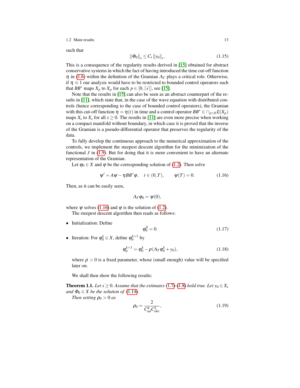1.2 Main results 13

such that

<span id="page-20-4"></span>
$$
\|\Phi_0\|_{s} \le C_s \|y_0\|_{s}.
$$
\n(1.15)

This is a consequence of the regularity results derived in [\[15\]](#page-132-10) obtained for abstract conservative systems in which the fact of having introduced the time cut-off function  $η$  in [\(1.6\)](#page-16-5) within the definition of the Gramian  $Λ_T$  plays a critical role. Otherwise, if  $\eta \equiv 1$  our analysis would have to be restricted to bounded control operators such that *BB*<sup>\*</sup> maps  $X_p$  to  $X_p$  for each  $p \in [0, \lceil s \rceil]$ , see [\[15\]](#page-132-10).

Note that the results in [\[15\]](#page-132-10) can also be seen as an abstract counterpart of the results in [\[11\]](#page-132-11), which state that, in the case of the wave equation with distributed controls (hence corresponding to the case of bounded control operators), the Gramian with this cut-off function  $\eta = \eta(t)$  in time and a control operator  $BB^* \in \bigcap_{p>0} \mathfrak{L}(X_p)$ maps  $X_s$  to  $X_s$  for all  $s \geq 0$ . The results in [\[11\]](#page-132-11) are even more precise when working on a compact manifold without boundary, in which case it is proved that the inverse of the Gramian is a pseudo-differential operator that preserves the regularity of the data.

To fully develop the continuous approach to the numerical approximation of the controls, we implement the steepest descent algorithm for the minimization of the functional *J* in [\(1.9\)](#page-16-4). But for doing that it is more convenient to have an alternate representation of the Gramian.

Let  $\varphi_0 \in X$  and  $\varphi$  be the corresponding solution of [\(1.2\)](#page-15-1). Then solve

<span id="page-20-0"></span>
$$
\psi' = A\psi - \eta BB^* \varphi, \quad t \in (0, T), \qquad \psi(T) = 0.
$$
 (1.16)

Then, as it can be easily seen,

$$
\Lambda_T \varphi_0 = \psi(0),
$$

<span id="page-20-1"></span>ϕ

where  $\psi$  solves [\(1.16\)](#page-20-0) and  $\varphi$  is the solution of [\(1.2\)](#page-15-1).

The steepest descent algorithm then reads as follows:

• Initialization: Define

$$
{}_{0}^{0}=0.\t\t(1.17)
$$

• Iteration: For  $\varphi_0^k \in X$ , define  $\varphi_0^{k+1}$  by

<span id="page-20-2"></span>
$$
\varphi_0^{k+1} = \varphi_0^k - \rho \left( \Lambda_T \varphi_0^k + y_0 \right), \tag{1.18}
$$

where  $\rho > 0$  is a fixed parameter, whose (small enough) value will be specified later on.

We shall then show the following results:

<span id="page-20-3"></span>**Theorem 1.1.** *Let*  $s \geq 0$ *. Assume that the estimates* [\(1.7\)](#page-16-1)-[\(1.8\)](#page-16-2) *hold true. Let*  $y_0 \in X_s$ *and*  $\Phi_0 \in X$  *be the solution of* [\(1.14\)](#page-19-2)*.* 

*Then setting*  $\rho_0 > 0$  *as* 

<span id="page-20-5"></span>
$$
\rho_0 = \frac{2}{C_{ad}^4 C_{obs}^2},\tag{1.19}
$$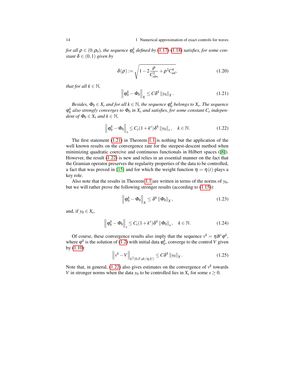*for all*  $\rho \in (0, \rho_0)$ , the sequence  $\varphi_0^k$  defined by [\(1.17\)](#page-20-1)-[\(1.18\)](#page-20-2) satisfies, for some con*stant*  $\delta \in (0,1)$  *given by* 

<span id="page-21-2"></span>
$$
\delta(\rho) := \sqrt{1 - 2\frac{\rho}{C_{obs}^2} + \rho^2 C_{ad}^4},\tag{1.20}
$$

*that for all*  $k \in \mathbb{N}$ *,* 

<span id="page-21-0"></span>
$$
\left\|\varphi_0^k - \Phi_0\right\|_X \le C\delta^k \left\|y_0\right\|_X. \tag{1.21}
$$

*Besides,*  $\Phi_0 \in X_s$  *and for all k*  $\in \mathbb{N}$ *, the sequence*  $\varphi_0^k$  *belongs to*  $X_s$ *. The sequence*  $\varphi_0^k$  also strongly converges to  $\Phi_0$  in  $X_s$  and satisfies, for some constant  $C_s$  indepen*dent of*  $\Phi_0 \in X_s$  *and*  $k \in \mathbb{N}$ *,* 

<span id="page-21-1"></span>
$$
\left\|\boldsymbol{\varphi}_0^k - \boldsymbol{\Phi}_0\right\|_s \le C_s (1 + k^s) \delta^k \left\|y_0\right\|_s, \quad k \in \mathbb{N}.
$$
 (1.22)

The first statement [\(1.21\)](#page-21-0) in Theorem [1.1](#page-20-3) is nothing but the application of the well known results on the convergence rate for the steepest-descent method when minimizing quadratic coercive and continuous functionals in Hilbert spaces ([\[8\]](#page-132-12)). However, the result [\(1.22\)](#page-21-1) is new and relies in an essential manner on the fact that the Gramian operator preserves the regularity properties of the data to be controlled, a fact that was proved in [\[15\]](#page-132-10) and for which the weight function  $\eta = \eta(t)$  plays a key role.

Also note that the results in Theorem [1.1](#page-20-3) are written in terms of the norms of  $y_0$ , but we will rather prove the following stronger results (according to [\(1.15\)](#page-20-4)):

<span id="page-21-3"></span>
$$
\left\|\boldsymbol{\varphi}_0^k - \boldsymbol{\Phi}_0\right\|_X \leq \delta^k \left\|\boldsymbol{\Phi}_0\right\|_X,\tag{1.23}
$$

and, if  $y_0 \in X_s$ ,

<span id="page-21-4"></span>
$$
\left\|\boldsymbol{\varphi}_0^k - \boldsymbol{\Phi}_0\right\|_s \le C_s (1 + k^s) \delta^k \left\|\boldsymbol{\varphi}_0\right\|_s, \quad k \in \mathbb{N}.
$$
 (1.24)

Of course, these convergence results also imply that the sequence  $v^k = \eta B^* \varphi^k$ , where  $\varphi^k$  is the solution of [\(1.2\)](#page-15-1) with initial data  $\varphi_0^k$ , converge to the control *V* given by [\(1.10\)](#page-16-6):

$$
\left\|v^k - V\right\|_{L^2(0,T;dt/\eta;U)} \le C\delta^k \left\|y_0\right\|_X. \tag{1.25}
$$

Note that, in general,  $(1.22)$  also gives estimates on the convergence of  $v<sup>k</sup>$  towards *V* in stronger norms when the data  $y_0$  to be controlled lies in  $X_s$  for some  $s \ge 0$ .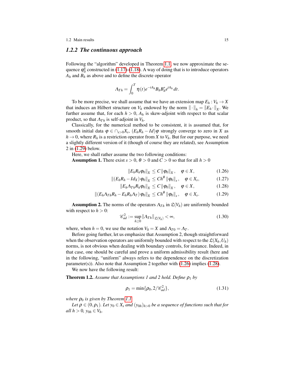#### <span id="page-22-0"></span>*1.2.2 The continuous approach*

Following the "algorithm" developed in Theorem [1.1,](#page-20-3) we now approximate the sequence  $\varphi_0^k$  constructed in [\(1.17\)](#page-20-1)-[\(1.18\)](#page-20-2). A way of doing that is to introduce operators *A<sup>h</sup>* and *B<sup>h</sup>* as above and to define the discrete operator

$$
\Lambda_{Th} = \int_0^T \eta(t) e^{-tA_h} B_h B_h^* e^{tA_h} dt.
$$

To be more precise, we shall assume that we have an extension map  $E_h: V_h \to X$ that induces an Hilbert structure on  $V_h$  endowed by the norm  $\|\cdot\|_h = \|E_h \cdot\|_X$ . We further assume that, for each  $h > 0$ ,  $A_h$  is skew-adjoint with respect to that scalar product, so that  $\Lambda_{Th}$  is self-adjoint in  $V_h$ .

Classically, for the numerical method to be consistent, it is assumed that, for smooth initial data  $\varphi \in \bigcap_{s>0} X_s$ ,  $(E_h R_h - Id)\varphi$  strongly converge to zero in *X* as  $h \to 0$ , where  $R_h$  is a restriction operator from *X* to  $V_h$ . But for our purpose, we need a slightly different version of it (though of course they are related), see Assumption 2 in [\(1.29\)](#page-22-2) below.

Here, we shall rather assume the two following conditions:

**Assumption 1.** There exist  $s > 0$ ,  $\theta > 0$  and  $C > 0$  so that for all  $h > 0$ 

<span id="page-22-2"></span>
$$
||E_h R_h \varphi_0||_X \leq C ||\varphi_0||_X, \quad \varphi \in X,
$$
 (1.26)

$$
\left\| \left( E_h R_h - I d_X \right) \varphi_0 \right\|_X \leq C h^{\theta} \left\| \varphi_0 \right\|_s, \quad \varphi \in X_s, \tag{1.27}
$$

$$
||E_h \Lambda_{Th} R_h \varphi_0||_X \le C ||\varphi_0||_X, \quad \varphi \in X,
$$
 (1.28)

$$
\left\| \left( E_h \Lambda_{Th} R_h - E_h R_h \Lambda_T \right) \varphi_0 \right\|_X \leq C h^{\theta} \left\| \varphi_0 \right\|_s, \quad \varphi \in X_s. \tag{1.29}
$$

**Assumption 2.** The norms of the operators  $\Lambda_{Th}$  in  $\mathcal{L}(V_h)$  are uniformly bounded with respect to  $h > 0$ :

$$
\mathscr{C}_{ad}^2 := \sup_{h \ge 0} \|\Lambda_{Th}\|_{\mathfrak{L}(V_h)} < \infty,\tag{1.30}
$$

where, when  $h = 0$ , we use the notation  $V_0 = X$  and  $\Lambda_{T0} = \Lambda_T$ .

Before going further, let us emphasize that Assumption 2, though straightforward when the observation operators are uniformly bounded with respect to the  $\mathfrak{L}(X_h, U_h)$ norms, is not obvious when dealing with boundary controls, for instance. Indeed, in that case, one should be careful and prove a uniform admissibility result (here and in the following, "uniform" always refers to the dependence on the discretization parameter(s)). Also note that Assumption 2 together with [\(1.26\)](#page-22-2) implies [\(1.28\)](#page-22-2).

We now have the following result:

**Theorem 1.2.** Assume that Assumptions 1 and 2 hold. Define  $\rho_1$  by

<span id="page-22-3"></span><span id="page-22-1"></span>
$$
\rho_1 = \min\{\rho_0, 2/\mathscr{C}_{ad}^2\},\tag{1.31}
$$

*where*  $\rho_0$  *is given by Theorem [1.1.](#page-20-3)* 

*Let*  $\rho \in (0,\rho_1)$ *. Let*  $y_0 \in X_s$  *and*  $(y_{0h})_{h>0}$  *be a sequence of functions such that for all*  $h > 0$ *, y*<sub>0</sub> $h \in V_h$ *.*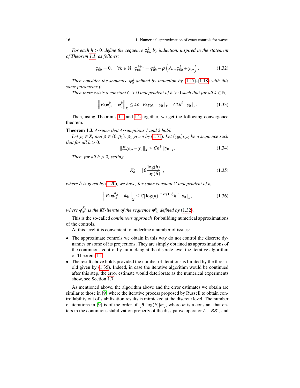*For each h*  $> 0$ , *define the sequence*  $\varphi_{0h}^k$  *by induction, inspired in the statement of Theorem [1.1,](#page-20-3) as follows:*

<span id="page-23-1"></span>
$$
\varphi_{0h}^0 = 0, \quad \forall k \in \mathbb{N}, \; \varphi_{0h}^{k+1} = \varphi_{0h}^k - \rho \left( \Lambda_{Th} \varphi_{0h}^k + y_{0h} \right). \tag{1.32}
$$

*Then consider the sequence*  $\varphi_0^k$  *defined by induction by* [\(1.17\)](#page-20-1)-[\(1.18\)](#page-20-2) *with this same parameter* ρ*.*

*Then there exists a constant*  $C > 0$  *independent of h*  $> 0$  *such that for all*  $k \in \mathbb{N}$ *,* 

<span id="page-23-5"></span>
$$
\left\| E_h \varphi_{0h}^k - \varphi_0^k \right\|_X \le k\rho \left\| E_h y_{0h} - y_0 \right\|_X + Ckh^\theta \left\| y_0 \right\|_s. \tag{1.33}
$$

<span id="page-23-0"></span>Then, using Theorems [1.1](#page-20-3) and [1.2](#page-22-1) together, we get the following convergence theorem.

Theorem 1.3. *Assume that Assumptions 1 and 2 hold.*

*Let*  $y_0 \in X_s$  *and*  $\rho \in (0, \rho_1)$ *,*  $\rho_1$  *given by* [\(1.31\)](#page-22-3)*. Let*  $(y_{0h})_{h>0}$  *be a sequence such that for all*  $h > 0$ *,* 

<span id="page-23-4"></span>
$$
||E_h y_{0h} - y_0||_X \le Ch^{\theta} ||y_0||_s.
$$
 (1.34)

*Then, for all*  $h > 0$ *, setting* 

<span id="page-23-2"></span>
$$
K_h^c = \lfloor \theta \frac{\log(h)}{\log(\delta)} \rfloor, \tag{1.35}
$$

*where* δ *is given by* [\(1.20\)](#page-21-2)*, we have, for some constant C independent of h,*

<span id="page-23-3"></span>
$$
\left\| E_h \varphi_{0h}^{K_h^c} - \Phi_0 \right\|_X \le C |\log(h)|^{\max\{1,s\}} h^{\theta} \|y_0\|_s, \tag{1.36}
$$

*where*  $\varphi_{0h}^{K_h^c}$  is the  $K_h^c$ -iterate of the sequence  $\varphi_{0h}^k$  defined by [\(1.32\)](#page-23-1).

This is the so-called *continuous approach* for building numerical approximations of the controls.

At this level it is convenient to underline a number of issues:

- The approximate controls we obtain in this way do not control the discrete dynamics or some of its projections. They are simply obtained as approximations of the continuous control by mimicking at the discrete level the iterative algorithm of Theorem [1.1.](#page-20-3)
- The result above holds provided the number of iterations is limited by the threshold given by [\(1.35\)](#page-23-2). Indeed, in case the iterative algorithm would be continued after this step, the error estimate would deteriorate as the numerical experiments show, see Section [1.7.](#page-36-0)

As mentioned above, the algorithm above and the error estimates we obtain are similar to those in [\[9\]](#page-132-3) where the iterative process proposed by Russell to obtain controllability out of stabilization results is mimicked at the discrete level. The number of iterations in [\[9\]](#page-132-3) is of the order of  $\vert \theta \vert \log(h)|m|$ , where *m* is a constant that enters in the continuous stabilization property of the dissipative operator *A*−*BB*<sup>∗</sup> , and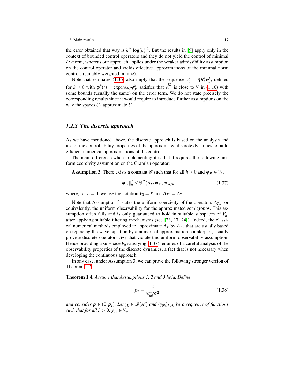#### 1.2 Main results 17

the error obtained that way is  $h^{\theta} |log(h)|^2$ . But the results in [\[9\]](#page-132-3) apply only in the context of bounded control operators and they do not yield the control of minimal *L* 2 -norm, whereas our approach applies under the weaker admissibility assumption on the control operator and yields effective approximations of the minimal norm controls (suitably weighted in time).

Note that estimates [\(1.36\)](#page-23-3) also imply that the sequence  $v_h^k = \eta B_h^* \varphi_h^k$ , defined for  $k \ge 0$  with  $\varphi_h^k(t) = \exp(tA_h)\varphi_{0h}^k$  satisfies that  $v_h^{K_h^c}$  is close to *V* in [\(1.10\)](#page-16-6) with some bounds (usually the same) on the error term. We do not state precisely the corresponding results since it would require to introduce further assumptions on the way the spaces  $U_h$  approximate  $U$ .

#### <span id="page-24-0"></span>*1.2.3 The discrete approach*

As we have mentioned above, the discrete approach is based on the analysis and use of the controllability properties of the approximated discrete dynamics to build efficient numerical approximations of the controls.

The main difference when implementing it is that it requires the following uniform coercivity assumption on the Gramian operator:

Assumption 3. There exists a constant  $\mathscr C$  such that for all  $h \geq 0$  and  $\varphi_{0h} \in V_h$ ,

<span id="page-24-2"></span>
$$
\|\varphi_{0h}\|_{h}^{2} \leq \mathscr{C}^{2} \langle \Lambda_{Th}\varphi_{0h}, \varphi_{0h} \rangle_{h}, \tag{1.37}
$$

where, for  $h = 0$ , we use the notation  $V_0 = X$  and  $\Lambda_{T0} = \Lambda_T$ .

Note that Assumption 3 states the uniform coercivity of the operators  $\Lambda_{Th}$ , or equivalently, the uniform observability for the approximated semigroups. This assumption often fails and is only guaranteed to hold in suitable subspaces of  $V_h$ , after applying suitable filtering mechanisms (see [\[23,](#page-133-4) [17,](#page-133-8) [24\]](#page-133-6)). Indeed, the classical numerical methods employed to approximate  $\Lambda_T$  by  $\Lambda_{Th}$  that are usually based on replacing the wave equation by a numerical approximation counterpart, usually provide discrete operators Λ*T h* that violate this uniform observability assumption. Hence providing a subspace  $V_h$  satisfying [\(1.37\)](#page-24-2) requires of a careful analysis of the observability properties of the discrete dynamics, a fact that is not necessary when developing the continuous approach.

In any case, under Assumption 3, we can prove the following stronger version of Theorem [1.2:](#page-22-1)

<span id="page-24-1"></span>Theorem 1.4. *Assume that Assumptions 1, 2 and 3 hold. Define*

<span id="page-24-3"></span>
$$
\rho_2 = \frac{2}{\mathcal{C}_{ad}^4 \mathcal{C}^2} \tag{1.38}
$$

*and consider*  $\rho \in (0, \rho_2)$ *. Let*  $y_0 \in \mathcal{D}(A^s)$  *and*  $(y_{0h})_{h>0}$  *be a sequence of functions such that for all*  $h > 0$ *,*  $y_{0h} \in V_h$ *.*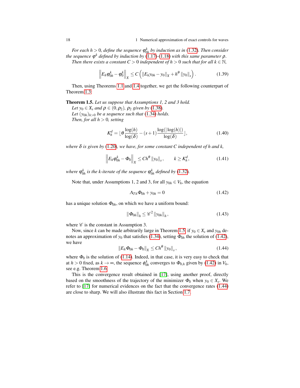*For each h*  $> 0$ , define the sequence  $\varphi_{0h}^k$  by induction as in [\(1.32\)](#page-23-1). Then consider *the sequence* ϕ *<sup>k</sup> defined by induction by* [\(1.17\)](#page-20-1)*-*[\(1.18\)](#page-20-2) *with this same parameter* ρ*. Then there exists a constant*  $C > 0$  *independent of h* > 0 *such that for all*  $k \in \mathbb{N}$ *,* 

<span id="page-25-3"></span>
$$
\left\|E_h\varphi_{0h}^k - \varphi_0^k\right\|_X \le C\left(\left\|E_hy_{0h} - y_0\right\|_X + h^\theta\left\|y_0\right\|_s\right). \tag{1.39}
$$

Then, using Theorems [1.1](#page-20-3) and [1.4](#page-24-1) together, we get the following counterpart of Theorem [1.3:](#page-23-0)

<span id="page-25-0"></span>Theorem 1.5. *Let us suppose that Assumptions 1, 2 and 3 hold. Let*  $y_0 \in X_s$  *and*  $\rho \in (0, \rho_2)$ *,*  $\rho_2$  *given by* [\(1.38\)](#page-24-3)*. Let*  $(y_{0h})_{h>0}$  *be a sequence such that* [\(1.34\)](#page-23-4) *holds.* 

*Then, for all*  $h > 0$ *, setting* 

<span id="page-25-4"></span>
$$
K_h^d = \lfloor \theta \frac{\log(h)}{\log(\delta)} - (s+1) \frac{\log(|\log(h)|)}{\log(\delta)} \rfloor, \tag{1.40}
$$

*where* δ *is given by* [\(1.20\)](#page-21-2)*, we have, for some constant C independent of h and k,*

$$
\left\| E_h \varphi_{0h}^k - \varphi_0 \right\|_X \le C h^{\theta} \left\| y_0 \right\|_s, \qquad k \ge K_h^d,
$$
\n(1.41)

*where*  $\varphi_{0h}^k$  is the k-iterate of the sequence  $\varphi_{0h}^k$  defined by [\(1.32\)](#page-23-1).

Note that, under Assumptions 1, 2 and 3, for all  $y_{0h} \in V_h$ , the equation

<span id="page-25-1"></span>
$$
\Lambda_{Th}\Phi_{0h} + y_{0h} = 0\tag{1.42}
$$

has a unique solution  $\Phi_{0h}$ , on which we have a uniform bound:

<span id="page-25-5"></span>
$$
\|\Phi_{0h}\|_h \le \mathscr{C}^2 \|y_{0h}\|_h, \tag{1.43}
$$

where  $\mathscr C$  is the constant in Assumption 3.

Now, since *k* can be made arbitrarily large in Theorem [1.5,](#page-25-0) if  $y_0 \in X_s$  and  $y_{0h}$  denotes an approximation of  $y_0$  that satisfies [\(1.34\)](#page-23-4), setting  $\Phi_{0h}$  the solution of [\(1.42\)](#page-25-1), we have

<span id="page-25-2"></span>
$$
||E_h \Phi_{0h} - \Phi_0||_X \le Ch^{\theta} ||y_0||_s, \qquad (1.44)
$$

where  $\Phi_0$  is the solution of [\(1.14\)](#page-19-2). Indeed, in that case, it is very easy to check that at *h* > 0 fixed, as *k* → ∞, the sequence  $\phi_{0h}^k$  converges to  $\Phi_{0,h}$  given by [\(1.42\)](#page-25-1) in  $V_h$ , see e.g. Theorem [1.6.](#page-34-1)

This is the convergence result obtained in [\[17\]](#page-133-8), using another proof, directly based on the smoothness of the trajectory of the minimizer  $\Phi_0$  when  $y_0 \in X_s$ . We refer to [\[17\]](#page-133-8) for numerical evidences on the fact that the convergence rates [\(1.44\)](#page-25-2) are close to sharp. We will also illustrate this fact in Section [1.7.](#page-36-0)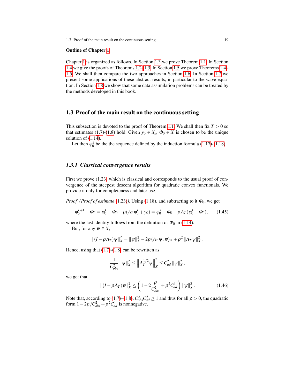#### Outline of Chapter [1](#page-14-0)

Chapter [1](#page-14-0) is organized as follows. In Section [1.3](#page-26-0) we prove Theorem [1.1.](#page-20-3) In Section [1.4](#page-29-0) we give the proofs of Theorems [1.2](#page-22-1)[–1.3.](#page-23-0) In Section [1.5](#page-31-1) we prove Theorems [1.4–](#page-24-1) [1.5.](#page-25-0) We shall then compare the two approaches in Section [1.6.](#page-32-1) In Section [1.7](#page-36-0) we present some applications of these abstract results, in particular to the wave equation. In Section [1.8](#page-57-0) we show that some data assimilation problems can be treated by the methods developed in this book.

#### <span id="page-26-0"></span>1.3 Proof of the main result on the continuous setting

This subsection is devoted to the proof of Theorem [1.1.](#page-20-3) We shall then fix  $T > 0$  so that estimates [\(1.7\)](#page-16-1)-[\(1.8\)](#page-16-2) hold. Given  $y_0 \in X_s$ ,  $\Phi_0 \in X$  is chosen to be the unique solution of [\(1.14\)](#page-19-2).

Let then  $\varphi_0^k$  be the the sequence defined by the induction formula [\(1.17\)](#page-20-1)-[\(1.18\)](#page-20-2).

#### <span id="page-26-1"></span>*1.3.1 Classical convergence results*

First we prove [\(1.23\)](#page-21-3) which is classical and corresponds to the usual proof of convergence of the steepest descent algorithm for quadratic convex functionals. We provide it only for completeness and later use.

*Proof (Proof of estimate* [\(1.23\)](#page-21-3)). Using [\(1.18\)](#page-20-2), and subtracting to it  $\Phi_0$ , we get

<span id="page-26-2"></span>
$$
\varphi_0^{k+1} - \Phi_0 = \varphi_0^k - \Phi_0 - \rho (\Lambda_T \varphi_0^k + y_0) = \varphi_0^k - \Phi_0 - \rho \Lambda_T (\varphi_0^k - \Phi_0), \qquad (1.45)
$$

where the last identity follows from the definition of  $\Phi_0$  in [\(1.14\)](#page-19-2).

But, for any  $\psi \in X$ ,

$$
\| (I - \rho \Lambda_T) \psi \|_X^2 = \| \psi \|_X^2 - 2\rho \langle \Lambda_T \psi, \psi \rangle_X + \rho^2 \| \Lambda_T \psi \|_X^2.
$$

Hence, using that  $(1.7)-(1.8)$  $(1.7)-(1.8)$  $(1.7)-(1.8)$  can be rewritten as

$$
\frac{1}{C_{obs}^2} \|\psi\|_X^2 \le \left\|\Lambda_T^{1/2} \psi\right\|_X^2 \le C_{ad}^2 \|\psi\|_X^2,
$$

we get that

$$
\| (I - \rho \Lambda_T) \psi \|_X^2 \le \left( 1 - 2 \frac{\rho}{C_{obs}^2} + \rho^2 C_{ad}^4 \right) \| \psi \|_X^2. \tag{1.46}
$$

Note that, according to [\(1.7\)](#page-16-1)–[\(1.8\)](#page-16-2),  $C_{obs}^2 C_{ad}^2 \ge 1$  and thus for all  $\rho > 0$ , the quadratic form  $1 - 2\rho / C_{obs}^2 + \rho^2 C_{ad}^4$  is nonnegative.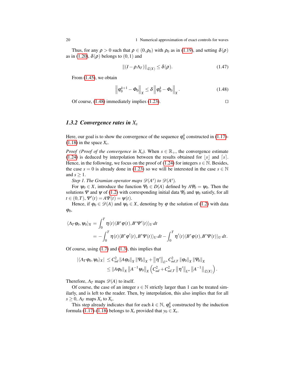Thus, for any  $\rho > 0$  such that  $\rho \in (0, \rho_0)$  with  $\rho_0$  as in [\(1.19\)](#page-20-5), and setting  $\delta(\rho)$ as in [\(1.20\)](#page-21-2),  $\delta(\rho)$  belongs to (0, 1) and

<span id="page-27-2"></span>
$$
||(I - \rho \Lambda_T)||_{\mathfrak{L}(X)} \le \delta(\rho). \tag{1.47}
$$

From [\(1.45\)](#page-26-2), we obtain

<span id="page-27-1"></span>
$$
\left\|\boldsymbol{\varphi}_0^{k+1} - \boldsymbol{\Phi}_0\right\|_X \le \delta \left\|\boldsymbol{\varphi}_0^k - \boldsymbol{\varphi}_0\right\|_X. \tag{1.48}
$$

Of course,  $(1.48)$  immediately implies  $(1.23)$ .

#### <span id="page-27-0"></span>*1.3.2 Convergence rates in X<sup>s</sup>*

Here, our goal is to show the convergence of the sequence  $\varphi_0^k$  constructed in [\(1.17\)](#page-20-1)- $(1.18)$  in the space  $X_s$ .

*Proof* (*Proof of the convergence in*  $X_s$ ). When  $s \in \mathbb{R}_+$ , the convergence estimate [\(1.24\)](#page-21-4) is deduced by interpolation between the results obtained for  $|s|$  and  $\lceil s \rceil$ . Hence, in the following, we focus on the proof of [\(1.24\)](#page-21-4) for integers  $s \in \mathbb{N}$ . Besides, the case  $s = 0$  is already done in [\(1.23\)](#page-21-3) so we will be interested in the case  $s \in \mathbb{N}$ and  $s \geq 1$ .

*Step 1. The Gramian operator maps*  $\mathscr{D}(A^s)$  *to*  $\mathscr{D}(A^s)$ *.* 

For  $\psi_0 \in X$ , introduce the function  $\Psi_0 \in D(A)$  defined by  $A\Psi_0 = \psi_0$ . Then the solutions Ψ and  $\psi$  of [\(1.2\)](#page-15-1) with corresponding initial data  $\Psi_0$  and  $\psi_0$  satisfy, for all  $t \in (0, T), \Psi'(t) = A \Psi(t) = \psi(t).$ 

Hence, if  $\varphi_0 \in \mathcal{D}(A)$  and  $\psi_0 \in X$ , denoting by  $\varphi$  the solution of [\(1.2\)](#page-15-1) with data  $\varphi_0$ ,

$$
\langle \Lambda_T \varphi_0, \psi_0 \rangle_X = \int_0^T \eta(t) \langle B^* \varphi(t), B^* \Psi'(t) \rangle_U dt
$$
  
= 
$$
- \int_0^T \eta(t) \langle B^* \varphi'(t), B^* \Psi(t) \rangle_U dt - \int_0^T \eta'(t) \langle B^* \varphi(t), B^* \Psi(t) \rangle_U dt.
$$

Of course, using [\(1.7\)](#page-16-1) and [\(1.3\)](#page-15-0), this implies that

$$
\begin{aligned} |\langle \Lambda_T \varphi_0, \psi_0 \rangle_X| &\leq C_{ad}^2 \|A \varphi_0\|_X \, \|\Psi_0\|_X + \|\eta'\|_{L^\infty} C_{ad,T}^2 \, \|\varphi_0\|_X \, \|\Psi_0\|_X \\ &\leq \|A \varphi_0\|_X \, \|A^{-1} \psi_0\|_X \left(C_{ad}^2 + C_{ad,T}^2 \, \| \eta'\|_{L^\infty} \, \|A^{-1}\|_{\mathfrak{L}(X)}\right). \end{aligned}
$$

Therefore,  $\Lambda_T$  maps  $\mathscr{D}(A)$  to itself.

Of course, the case of an integer  $s \in \mathbb{N}$  strictly larger than 1 can be treated similarly, and is left to the reader. Then, by interpolation, this also implies that for all  $s \geq 0$ ,  $\Lambda_T$  maps  $X_s$  to  $X_s$ .

This step already indicates that for each  $k \in \mathbb{N}$ ,  $\varphi_0^k$  constructed by the induction formula [\(1.17\)](#page-20-1)-[\(1.18\)](#page-20-2) belongs to  $X_s$  provided that  $y_0 \in X_s$ .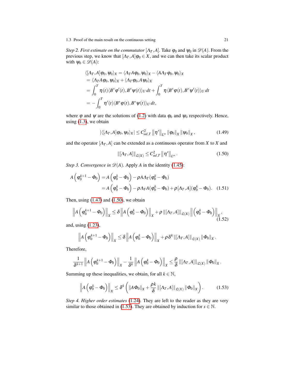*Step 2. First estimate on the commutator*  $[A_T, A]$ *. Take*  $\varphi_0$  *and*  $\psi_0$  *in*  $\mathscr{D}(A)$ *. From the* previous step, we know that  $[A_T, A]\varphi_0 \in X$ , and we can then take its scalar product with  $\psi_0 \in \mathscr{D}(A)$ :

$$
\langle [\Lambda_T, A] \varphi_0, \psi_0 \rangle_X = \langle \Lambda_T A \varphi_0, \psi_0 \rangle_X - \langle A \Lambda_T \varphi_0, \psi_0 \rangle_X
$$
  
=  $\langle \Lambda_T A \varphi_0, \psi_0 \rangle_X + \langle \Lambda_T \varphi_0, A \psi_0 \rangle_X$   
=  $\int_0^T \eta(t) \langle B^* \varphi'(t), B^* \psi(t) \rangle_U dt + \int_0^T \eta \langle B^* \varphi(t), B^* \psi'(t) \rangle_U dt$   
=  $-\int_0^T \eta'(t) \langle B^* \varphi(t), B^* \psi(t) \rangle_U dt$ ,

where  $\varphi$  and  $\psi$  are the solutions of [\(1.2\)](#page-15-1) with data  $\varphi_0$  and  $\psi_0$  respectively. Hence, using  $(1.3)$ , we obtain

$$
|\langle [A_T, A]\varphi_0, \psi_0 \rangle_X| \le C_{ad,T}^2 \| \eta' \|_{L^\infty} \| \varphi_0 \|_X \| \psi_0 \|_X, \qquad (1.49)
$$

and the operator  $[\Lambda_T, A]$  can be extended as a continuous operator from *X* to *X* and

<span id="page-28-0"></span>
$$
\left\| [A_T, A] \right\|_{\mathfrak{L}(X)} \leq C_{ad,T}^2 \left\| \eta' \right\|_{L^\infty}.
$$
 (1.50)

*Step 3. Convergence in*  $\mathcal{D}(A)$ *. Apply A in the identity [\(1.45\)](#page-26-2):* 

$$
A\left(\varphi_0^{k+1} - \Phi_0\right) = A\left(\varphi_0^k - \Phi_0\right) - \rho A \Lambda_T (\varphi_0^k - \Phi_0)
$$
  
= 
$$
A\left(\varphi_0^k - \Phi_0\right) - \rho \Lambda_T A(\varphi_0^k - \Phi_0) + \rho [\Lambda_T, A](\varphi_0^k - \Phi_0).
$$
 (1.51)

Then, using  $(1.47)$  and  $(1.50)$ , we obtain

$$
\left\|A\left(\varphi_0^{k+1}-\Phi_0\right)\right\|_X \leq \delta \left\|A\left(\varphi_0^k-\Phi_0\right)\right\|_X + \rho \left\|\left[A_T,A\right]\right\|_{\mathfrak{L}(X)} \left\|\left(\varphi_0^k-\Phi_0\right)\right\|_X,
$$
\n(1.52)

and, using [\(1.23\)](#page-21-3),

$$
\left\|A\left(\varphi_0^{k+1}-\varPhi_0\right)\right\|_X\leq \delta\left\|A\left(\varphi_0^k-\varPhi_0\right)\right\|_X+\rho\,\delta^k\left\|\left[A_T,A\right]\right\|_{\mathfrak{L}(X)}\left\|\varPhi_0\right\|_X.
$$

Therefore,

$$
\frac{1}{\delta^{k+1}}\left\|A\left(\varphi_0^{k+1}-\Phi_0\right)\right\|_X-\frac{1}{\delta^k}\left\|A\left(\varphi_0^k-\Phi_0\right)\right\|_X\leq\frac{\rho}{\delta}\left\|\left[A_T,A\right]\right\|_{\mathfrak{L}(X)}\left\|\Phi_0\right\|_X.
$$

Summing up these inequalities, we obtain, for all  $k \in \mathbb{N}$ ,

<span id="page-28-1"></span>
$$
\left\| A \left( \varphi_0^k - \Phi_0 \right) \right\|_X \leq \delta^k \left( \left\| A \Phi_0 \right\|_X + \frac{\rho k}{\delta} \left\| \left[ \Lambda_T, A \right] \right\|_{\mathfrak{L}(X)} \left\| \Phi_0 \right\|_X \right). \tag{1.53}
$$

*Step 4. Higher order estimates* [\(1.24\)](#page-21-4)*.* They are left to the reader as they are very similar to those obtained in [\(1.53\)](#page-28-1). They are obtained by induction for  $s \in \mathbb{N}$ .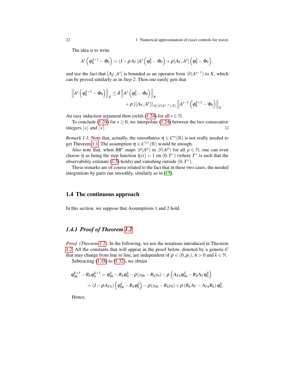The idea is to write

$$
A^{s}\left(\varphi_{0}^{k+1}-\varPhi_{0}\right)=(I-\rho\Lambda_{T})A^{s}\left(\varphi_{0}^{k}-\varPhi_{0}\right)+\rho\left[\Lambda_{T},A^{s}\right]\left(\varphi_{0}^{k}-\varPhi_{0}\right),
$$

and use the fact that  $[A_T, A^s]$  is bounded as an operator from  $\mathscr{D}(A^{s-1})$  to *X*, which can be proved similarly as in *Step 2*. Then one easily gets that

$$
\begin{aligned} \left\|A^{s}\left(\phi_{0}^{k+1}-\Phi_{0}\right)\right\|_{X} & \leq \delta\left\|A^{s}\left(\phi_{0}^{k}-\Phi_{0}\right)\right\|_{X} \\ & \left.+\rho\left\|[\Lambda_{T},A^{s}]\right\|_{\mathfrak{L}\left(\mathscr{D}\left(A^{s-1}\right),X\right)}\left\|A^{s-1}\left(\phi_{0}^{k+1}-\Phi_{0}\right)\right\|_{X}.\end{aligned}
$$

An easy induction argument then yields [\(1.24\)](#page-21-4) for all  $s \in \mathbb{N}$ .

To conclude [\(1.24\)](#page-21-4) for  $s \ge 0$ , we interpolate (1.24) between the two consecutive integers  $|s|$  and  $\lceil s \rceil$ .

*Remark 1.1.* Note that, actually, the smoothness  $\eta \in C^{\infty}(\mathbb{R})$  is not really needed to get Theorem [1.1.](#page-20-3) The assumption  $\eta \in C^{\lceil s \rceil}(\mathbb{R})$  would be enough.

Also note that, when  $BB^*$  maps  $\mathscr{D}(A^p)$  to  $\mathscr{D}(A^p)$  for all  $p \in \mathbb{N}$ , one can even choose  $\eta$  as being the step function  $\eta(t) = 1$  on  $(0, T^*)$  (where  $T^*$  is such that the observability estimate [\(1.5\)](#page-16-0) holds) and vanishing outside  $(0, T^*)$ .

These remarks are of course related to the fact that in these two cases, the needed integrations by parts run smoothly, similarly as in [\[15\]](#page-132-10).

## <span id="page-29-0"></span>1.4 The continuous approach

In this section, we suppose that Assumptions 1 and 2 hold.

### <span id="page-29-1"></span>*1.4.1 Proof of Theorem [1.2](#page-22-1)*

*Proof (Theorem [1.2\)](#page-22-1).* In the following, we use the notations introduced in Theorem [1.2.](#page-22-1) All the constants that will appear in the proof below, denoted by a generic *C* that may change from line to line, are independent of  $\rho \in (0, \rho_1)$ ,  $h > 0$  and  $k \in \mathbb{N}$ .

Subtracting  $(1.18)$  to  $(1.32)$ , we obtain

$$
\varphi_{0h}^{k+1} - R_h \varphi_0^{k+1} = \varphi_{0h}^k - R_h \varphi_0^k - \rho (y_{0h} - R_h y_0) - \rho \left( \Lambda_{Th} \varphi_{0h}^k - R_h \Lambda_T \varphi_0^k \right) = (I - \rho \Lambda_{Th}) \left( \varphi_{0h}^k - R_h \varphi_0^k \right) - \rho (y_{0h} - R_h y_0) + \rho (R_h \Lambda_T - \Lambda_{Th} R_h) \varphi_0^k
$$

.

Hence,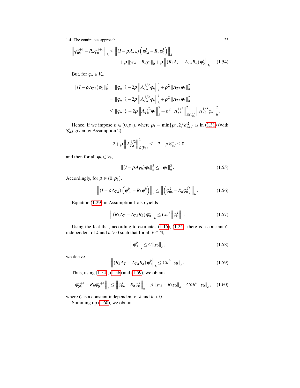1.4 The continuous approach 23

$$
\left\| \phi_{0h}^{k+1} - R_h \phi_0^{k+1} \right\|_h \le \left\| (I - \rho \Lambda_{Th}) \left( \phi_{0h}^k - R_h \phi_0^k \right) \right\|_h
$$
  
+  $\rho \left\| y_{0h} - R_h y_0 \right\|_h + \rho \left\| (R_h \Lambda_T - \Lambda_{Th} R_h) \phi_0^k \right\|_h$ . (1.54)

But, for  $\varphi_h \in V_h$ ,

$$
\begin{split} \left\| (I - \rho \Lambda_{Th}) \varphi_h \right\|_h^2 &= \left\| \varphi_h \right\|_h^2 - 2\rho \left\| \Lambda_{Th}^{1/2} \varphi_h \right\|_h^2 + \rho^2 \left\| \Lambda_{Th} \varphi_h \right\|_h^2 \\ &= \left\| \varphi_h \right\|_h^2 - 2\rho \left\| \Lambda_{Th}^{1/2} \varphi_h \right\|_h^2 + \rho^2 \left\| \Lambda_{Th} \varphi_h \right\|_h^2 \\ &\leq \left\| \varphi_h \right\|_X^2 - 2\rho \left\| \Lambda_{Th}^{1/2} \varphi_h \right\|_h^2 + \rho^2 \left\| \Lambda_{Th}^{1/2} \right\|_{\mathfrak{L}(V_h)}^2 \left\| \Lambda_{Th}^{1/2} \varphi_h \right\|_h^2. \end{split}
$$

Hence, if we impose  $\rho \in (0, \rho_1)$ , where  $\rho_1 = \min\{\rho_0, 2/\mathscr{C}_{ad}^2\}$  as in [\(1.31\)](#page-22-3) (with C*ad* given by Assumption 2),

<span id="page-30-0"></span>
$$
-2+\rho\left\|\Lambda_{Th}^{1/2}\right\|_{\mathfrak{L}(V_h)}^2\leq-2+\rho\mathscr{C}_{ad}^2\leq 0,
$$

and then for all  $\varphi_h \in V_h$ ,

<span id="page-30-5"></span>
$$
\|(I - \rho \Lambda_{Th})\varphi_h\|_h^2 \le \|\varphi_h\|_h^2. \tag{1.55}
$$

Accordingly, for  $\rho \in (0, \rho_1)$ ,

<span id="page-30-1"></span>
$$
\left\| (I - \rho \Lambda_{Th}) \left( \varphi_{0h}^k - R_h \varphi_0^k \right) \right\|_h \leq \left\| \left( \varphi_{0h}^k - R_h \varphi_0^k \right) \right\|_h. \tag{1.56}
$$

Equation [\(1.29\)](#page-22-2) in Assumption 1 also yields

$$
\left\| \left(R_h \Lambda_T - \Lambda_{Th} R_h\right) \varphi_0^k \right\|_h \leq C h^{\theta} \left\| \varphi_0^k \right\|_s. \tag{1.57}
$$

Using the fact that, according to estimates [\(1.15\)](#page-20-4), [\(1.24\)](#page-21-4), there is a constant *C* independent of *k* and  $h > 0$  such that for all  $k \in \mathbb{N}$ ,

<span id="page-30-4"></span>
$$
\left\| \boldsymbol{\varphi}_0^k \right\|_s \le C \left\| \boldsymbol{y}_0 \right\|_s, \tag{1.58}
$$

we derive

<span id="page-30-2"></span>
$$
\left\| \left( R_h \Lambda_T - \Lambda_{Th} R_h \right) \varphi_0^k \right\|_h \leq C h^{\theta} \left\| y_0 \right\|_s. \tag{1.59}
$$

Thus, using [\(1.54\)](#page-30-0), [\(1.56\)](#page-30-1) and [\(1.59\)](#page-30-2), we obtain

<span id="page-30-3"></span>
$$
\left\| \boldsymbol{\varphi}_{0h}^{k+1} - \boldsymbol{R}_h \boldsymbol{\varphi}_0^{k+1} \right\|_h \le \left\| \boldsymbol{\varphi}_{0h}^k - \boldsymbol{R}_h \boldsymbol{\varphi}_0^k \right\|_h + \rho \left\| y_{0h} - \boldsymbol{R}_h y_0 \right\|_h + C \rho h^{\theta} \left\| y_0 \right\|_s, \quad (1.60)
$$

where *C* is a constant independent of *k* and  $h > 0$ . Summing up [\(1.60\)](#page-30-3), we obtain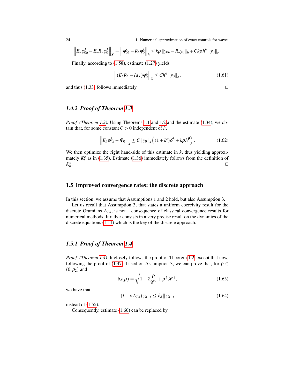24 1 Numerical approximation of exact controls for waves

$$
\left\|E_h \phi_{0h}^k - E_h R_h \phi_0^k\right\|_X = \left\|\phi_{0h}^k - R_h \phi_0^k\right\|_h \leq k\rho \left\|y_{0h} - R_h y_0\right\|_h + C k \rho h^{\theta} \left\|y_0\right\|_s.
$$

Finally, according to [\(1.58\)](#page-30-4), estimate [\(1.27\)](#page-22-2) yields

<span id="page-31-3"></span>
$$
\left\| (E_h R_h - I d_X) \varphi_0^k \right\|_X \leq C h^{\theta} \left\| y_0 \right\|_s, \tag{1.61}
$$

and thus [\(1.33\)](#page-23-5) follows immediately.  $\square$ 

# <span id="page-31-0"></span>*1.4.2 Proof of Theorem [1.3](#page-23-0)*

*Proof (Theorem [1.3\)](#page-23-0).* Using Theorems [1.1](#page-20-3) and [1.2](#page-22-1) and the estimate [\(1.34\)](#page-23-4), we obtain that, for some constant  $C > 0$  independent of  $h$ ,

<span id="page-31-4"></span>
$$
\left\| E_h \varphi_{0h}^k - \varphi_0 \right\|_X \le C \left\| y_0 \right\|_s \left( (1 + k^s) \delta^k + k \rho h^\theta \right). \tag{1.62}
$$

We then optimize the right hand-side of this estimate in *k*, thus yielding approximately  $K_h^c$  as in [\(1.35\)](#page-23-2). Estimate [\(1.36\)](#page-23-3) immediately follows from the definition of *K c h* . The contract of the contract of the contract of the contract of the contract of the contract of the contract of the contract of the contract of the contract of the contract of the contract of the contract of the contrac

#### <span id="page-31-1"></span>1.5 Improved convergence rates: the discrete approach

In this section, we assume that Assumptions 1 and 2 hold, but also Assumption 3.

Let us recall that Assumption 3, that states a uniform coercivity result for the discrete Gramians  $\Lambda_{Th}$ , is not a consequence of classical convergence results for numerical methods. It rather consists in a very precise result on the dynamics of the discrete equations [\(1.11\)](#page-18-0) which is the key of the discrete approach.

### <span id="page-31-2"></span>*1.5.1 Proof of Theorem [1.4](#page-24-1)*

*Proof (Theorem [1.4\)](#page-24-1).* It closely follows the proof of Theorem [1.2,](#page-22-1) except that now, following the proof of [\(1.47\)](#page-27-2), based on Assumption 3, we can prove that, for  $\rho \in$  $(0,\rho_2)$  and

<span id="page-31-5"></span>
$$
\delta_d(\rho) = \sqrt{1 - 2\frac{\rho}{\mathscr{C}^2} + \rho^2 \mathscr{K}^4},\tag{1.63}
$$

we have that

$$
\left\| (I - \rho \Lambda_{Th}) \varphi_h \right\|_h \le \delta_d \left\| \varphi_h \right\|_h. \tag{1.64}
$$

instead of [\(1.55\)](#page-30-5).

Consequently, estimate [\(1.60\)](#page-30-3) can be replaced by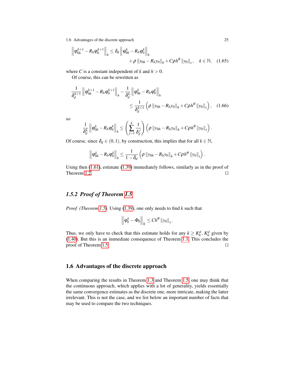1.6 Advantages of the discrete approach 25

$$
\left\| \varphi_{0h}^{k+1} - R_h \varphi_0^{k+1} \right\|_h \leq \delta_d \left\| \varphi_{0h}^k - R_h \varphi_0^k \right\|_h
$$
  
+  $\rho \left\| y_{0h} - R_h y_0 \right\|_h + C \rho h^{\theta} \left\| y_0 \right\|_s, \quad k \in \mathbb{N}, \quad (1.65)$ 

where *C* is a constant independent of *k* and  $h > 0$ .

Of course, this can be rewritten as

$$
\frac{1}{\delta_d^{k+1}} \left\| \varphi_{0h}^{k+1} - R_h \varphi_0^{k+1} \right\|_h - \frac{1}{\delta_d^k} \left\| \varphi_{0h}^k - R_h \varphi_0^k \right\|_h
$$
  

$$
\leq \frac{1}{\delta_d^{k+1}} \left( \rho \left\| y_{0h} - R_h y_0 \right\|_h + C \rho h^{\theta} \left\| y_0 \right\|_s \right), \quad (1.66)
$$

so

$$
\frac{1}{\delta_d^k}\left\|\varphi_{0h}^k-R_h\varphi_0^k\right\|_h\leq \left(\sum_{j=1}^k\frac{1}{\delta_d^j}\right)\left(\rho\left\|y_{0h}-R_hy_0\right\|_h+ C\rho h^\theta\left\|y_0\right\|_s\right).
$$

Of course, since  $\delta_d \in (0,1)$ , by construction, this implies that for all  $k \in \mathbb{N}$ ,

$$
\left\|\phi_{0h}^k-R_h\phi_0^k\right\|_h\leq \frac{1}{1-\delta_d}\left(\rho\left\|y_{0h}-R_hy_0\right\|_h+ C\rho h^\theta\left\|y_0\right\|_s\right).
$$

Using then [\(1.61\)](#page-31-3), estimate [\(1.39\)](#page-25-3) immediately follows, similarly as in the proof of Theorem [1.2.](#page-22-1)  $\Box$ 

# <span id="page-32-0"></span>*1.5.2 Proof of Theorem [1.5](#page-25-0)*

*Proof (Theorem [1.5\)](#page-25-0).* Using [\(1.39\)](#page-25-3), one only needs to find *k* such that

$$
\left\|\varphi_0^k-\varPhi_0\right\|_X\leq Ch^\theta\left\|y_0\right\|_s.
$$

Thus, we only have to check that this estimate holds for any  $k \geq K_h^d$ ,  $K_h^d$  given by [\(1.40\)](#page-25-4). But this is an immediate consequence of Theorem [1.1.](#page-20-3) This concludes the proof of Theorem [1.5.](#page-25-0)  $\Box$ 

#### <span id="page-32-1"></span>1.6 Advantages of the discrete approach

When comparing the results in Theorem [1.3](#page-23-0) and Theorem [1.5,](#page-25-0) one may think that the continuous approach, which applies with a lot of generality, yields essentially the same convergence estimates as the discrete one, more intricate, making the latter irrelevant. This is not the case, and we list below an important number of facts that may be used to compare the two techniques.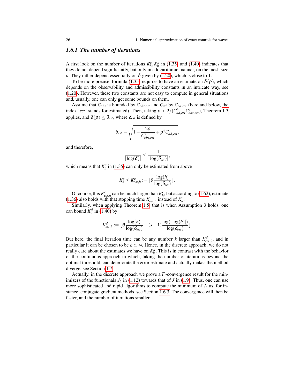#### <span id="page-33-0"></span>*1.6.1 The number of iterations*

A first look on the number of iterations  $K_h^c$ ,  $K_h^d$  in [\(1.35\)](#page-23-2) and [\(1.40\)](#page-25-4) indicates that they do not depend significantly, but only in a logarithmic manner, on the mesh size *h*. They rather depend essentially on  $\delta$  given by [\(1.20\)](#page-21-2), which is close to 1.

To be more precise, formula [\(1.35\)](#page-23-2) requires to have an estimate on  $\delta(\rho)$ , which depends on the observability and admissibility constants in an intricate way, see [\(1.20\)](#page-21-2). However, these two constants are not easy to compute in general situations and, usually, one can only get some bounds on them.

Assume that *Cobs* is bounded by *Cobs*,*est* and *Cad* by *Cad*,*est* (here and below, the index '*est*' stands for estimated). Then, taking  $\rho < 2/(C_{ad,est}^4 C_{obs,est}^2)$ , Theorem [1.3](#page-23-0) applies, and  $\delta(\rho) \leq \delta_{est}$ , where  $\delta_{est}$  is defined by

$$
\delta_{est} = \sqrt{1 - \frac{2\rho}{C_{obs,est}^2} + \rho^2 C_{ad,est}^4},
$$

and therefore,

$$
\frac{1}{|\log(\delta)|} \leq \frac{1}{|\log(\delta_{est})|},
$$

which means that  $K_h^c$  in [\(1.35\)](#page-23-2) can only be estimated from above

$$
K^c_h \leq K^c_{est,h} := \lfloor \theta \frac{\log(h)}{\log(\delta_{est})} \rfloor.
$$

Of course, this  $K_{est,h}^c$  can be much larger than  $K_h^c$ , but according to [\(1.62\)](#page-31-4), estimate [\(1.36\)](#page-23-3) also holds with that stopping time  $K_{est,h}^c$  instead of  $K_h^c$ .

Similarly, when applying Theorem [1.5,](#page-25-0) that is when Assumption 3 holds, one can bound  $K_h^d$  in [\(1.40\)](#page-25-4) by

$$
K_{est,h}^d := \lfloor \theta \frac{\log(h)}{\log(\delta_{est})} - (s+1) \frac{\log(|\log(h)|)}{\log(\delta_{est})} \rfloor.
$$

But here, the final iteration time can be any number *k* larger than  $K_{est,h}^d$ , and in particular it can be chosen to be  $k \simeq \infty$ . Hence, in the discrete approach, we do not really care about the estimates we have on  $K_h^d$ . This is in contrast with the behavior of the continuous approach in which, taking the number of iterations beyond the optimal threshold, can deteriorate the error estimate and actually makes the method diverge, see Section [1.7.](#page-36-0)

Actually, in the discrete approach we prove a  $\Gamma$ -convergence result for the minimizers of the functionals  $J_h$  in [\(1.12\)](#page-18-1) towards that of *J* in [\(1.9\)](#page-16-4). Thus, one can use more sophisticated and rapid algorithms to compute the minimum of  $J_h$  as, for instance, conjugate gradient methods, see Section [1.6.3.](#page-36-1) The convergence will then be faster, and the number of iterations smaller.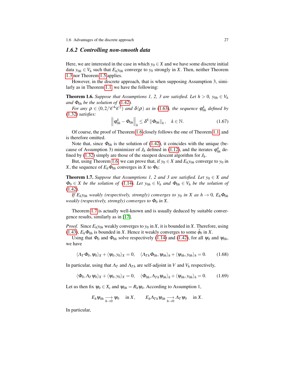#### <span id="page-34-0"></span>*1.6.2 Controlling non-smooth data*

Here, we are interested in the case in which  $y_0 \in X$  and we have some discrete initial data  $y_{0h} \in V_h$  such that  $E_h y_{0h}$  converge to  $y_0$  strongly in *X*. Then, neither Theorem [1.3](#page-23-0) nor Theorem [1.5](#page-25-0) applies.

However, in the discrete approach, that is when supposing Assumption 3, similarly as in Theorem [1.1,](#page-20-3) we have the following:

**Theorem 1.6.** *Suppose that Assumptions 1, 2, 3 are satisfied. Let*  $h > 0$ *,*  $y_{0h} \in V_h$ *and*  $\Phi_{0h}$  *be the solution of* [\(1.42\)](#page-25-1)*.* 

*For any*  $\rho \in (0, 2/\mathscr{C}^4 \mathscr{C}^2)$  *and*  $\delta(\rho)$  *as in* [\(1.63\)](#page-31-5)*, the sequence*  $\varphi_{0h}^k$  *defined by* [\(1.32\)](#page-23-1) *satisfies:*

<span id="page-34-1"></span>
$$
\left\|\boldsymbol{\varphi}_{0h}^k - \boldsymbol{\Phi}_{0h}\right\|_h \leq \delta^k \left\|\boldsymbol{\varPhi}_{0h}\right\|_h, \quad k \in \mathbb{N}.
$$
 (1.67)

Of course, the proof of Theorem [1.6](#page-34-1) closely follows the one of Theorem [1.1,](#page-20-3) and is therefore omitted.

Note that, since  $\Phi_{0h}$  is the solution of [\(1.42\)](#page-25-1), it coincides with the unique (because of Assumption 3) minimizer of  $J_h$  defined in [\(1.12\)](#page-18-1), and the iterates  $\varphi_{0h}^k$  de-fined by [\(1.32\)](#page-23-1) simply are those of the steepest descent algorithm for  $J_h$ .

But, using Theorem [1.6,](#page-34-1) we can prove that, if  $y_0 \in X$  and  $E_h y_{0h}$  converge to  $y_0$  in *X*, the sequence of  $E_h \Phi_{0h}$  converges in *X* to  $\Phi_0$ :

<span id="page-34-2"></span>**Theorem 1.7.** *Suppose that Assumptions 1, 2 and 3 are satisfied. Let*  $y_0 \in X$  *and*  $\Phi_0 \in X$  be the solution of [\(1.14\)](#page-19-2). Let  $y_{0h} \in V_h$  and  $\Phi_{0h} \in V_h$  be the solution of [\(1.42\)](#page-25-1)*.*

*If*  $E_h$ *y*<sub>0</sub>*h weakly (respectively, strongly) converges to*  $y_0$  *<i>in X as*  $h \to 0$ *,*  $E_h \Phi_{0h}$ *weakly (respectively, strongly) converges to*  $\Phi_0$  *in X*.

Theorem [1.7](#page-34-2) is actually well-known and is usually deduced by suitable convergence results, similarly as in [\[17\]](#page-133-8).

*Proof.* Since  $E_h y_{0h}$  weakly converges to  $y_0$  in *X*, it is bounded in *X*. Therefore, using [\(1.43\)](#page-25-5),  $E_h \Phi_{0h}$  is bounded in *X*. Hence it weakly converges to some  $\tilde{\phi}_0$  in *X*.

Using that  $\Phi_0$  and  $\Phi_{0h}$  solve respectively [\(1.14\)](#page-19-2) and [\(1.42\)](#page-25-1), for all  $\psi_0$  and  $\psi_{0h}$ , we have

$$
\langle \Lambda_T \Phi_0, \psi_0 \rangle_X + \langle \psi_0, \psi_0 \rangle_X = 0, \quad \langle \Lambda_{Th} \Phi_{0h}, \psi_{0h} \rangle_h + \langle \psi_{0h}, \psi_{0h} \rangle_h = 0. \quad (1.68)
$$

In particular, using that  $\Lambda_T$  and  $\Lambda_{Th}$  are self-adjoint in *V* and  $V_h$  respectively,

$$
\langle \Phi_0, \Lambda_T \, \psi_0 \rangle_X + \langle \psi_0, y_0 \rangle_X = 0, \quad \langle \Phi_{0h}, \Lambda_{Th} \, \psi_{0h} \rangle_h + \langle \psi_{0h}, y_{0h} \rangle_h = 0. \tag{1.69}
$$

Let us then fix  $\psi_0 \in X_s$  and  $\psi_{0h} = R_h \psi_0$ . According to Assumption 1,

$$
E_h \psi_{0h} \underset{h \to 0}{\longrightarrow} \psi_0 \quad \text{in } X, \qquad E_h \Lambda_{Th} \psi_{0h} \underset{h \to 0}{\longrightarrow} \Lambda_T \psi_0 \quad \text{in } X.
$$

In particular,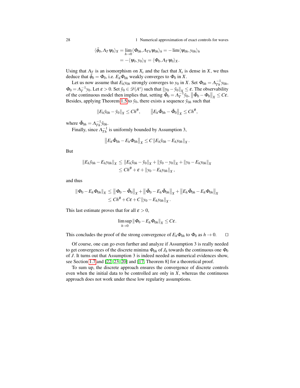28 1 Numerical approximation of exact controls for waves

$$
\langle \tilde{\phi}_0, \Lambda_T \psi_0 \rangle_X = \lim_{h \to 0} \langle \Phi_{0h}, \Lambda_{Th} \psi_{0h} \rangle_h = -\lim \langle \psi_{0h}, y_{0h} \rangle_h
$$
  
= -\langle \psi\_0, y\_0 \rangle\_X = \langle \Phi\_0, \Lambda\_T \psi\_0 \rangle\_X.

Using that  $\Lambda_T$  is an isomorphism on  $X_s$  and the fact that  $X_s$  is dense in  $X$ , we thus deduce that  $\tilde{\phi}_0 = \Phi_0$ , i.e.  $E_h \Phi_{0h}$  weakly converges to  $\Phi_0$  in X.

Let us now assume that  $E_h y_{0h}$  strongly converges to  $y_0$  in *X*. Set  $\Phi_{0h} = \Lambda_{Th}^{-1} y_{0h}$ ,  $\Phi_0 = \Lambda_T^{-1}$  *y*<sub>0</sub>. Let  $\varepsilon > 0$ . Set  $\tilde{y}_0 \in \mathscr{D}(A^s)$  such that  $||y_0 - \tilde{y}_0||_X \leq \varepsilon$ . The observability of the continuous model then implies that, setting  $\tilde{\Phi}_0 = \Lambda_T^{-1} \tilde{y}_0$ ,  $\|\tilde{\Phi}_0 - \Phi_0\|_X \leq C \varepsilon$ . Besides, applying Theorem [1.5](#page-25-0) to  $\tilde{y}_0$ , there exists a sequence  $\tilde{y}_{0h}$  such that

$$
\|E_h\tilde{y}_{0h}-\tilde{y}_0\|_X\leq Ch^{\theta},\qquad \left\|E_h\tilde{\Phi}_{0h}-\tilde{\Phi}_0\right\|_X\leq Ch^{\theta},
$$

where  $\tilde{\Phi}_{0h} = \Lambda_{Th}^{-1} \tilde{y}_{0h}$ .

Finally, since  $\Lambda_{Th}^{-1}$  is uniformly bounded by Assumption 3,

$$
\big\|E_h\tilde{\Phi}_{0h}-E_h\Phi_{0h}\big\|_X\leq C\,\|E_h\tilde{y}_{0h}-E_hy_{0h}\|_X\,.
$$

But

$$
||E_h \tilde{y}_{0h} - E_h y_{0h}||_X \le ||E_h \tilde{y}_{0h} - \tilde{y}_0||_X + ||\tilde{y}_0 - y_0||_X + ||y_0 - E_h y_{0h}||_X
$$
  
\n
$$
\le C h^{\theta} + \varepsilon + ||y_0 - E_h y_{0h}||_X,
$$

and thus

$$
\begin{aligned} \|\Phi_0 - E_h \Phi_{0h}\|_X &\leq \left\| \Phi_0 - \tilde{\Phi}_0 \right\|_X + \left\| \tilde{\Phi}_0 - E_h \tilde{\Phi}_{0h} \right\|_X + \left\| E_h \tilde{\Phi}_{0h} - E_h \Phi_{0h} \right\|_X \\ &\leq Ch^{\theta} + C\epsilon + C \left\| y_0 - E_h y_{0h} \right\|_X. \end{aligned}
$$

This last estimate proves that for all  $\varepsilon > 0$ ,

$$
\limsup_{h\to 0} \|\Phi_0 - E_h \Phi_{0h}\|_X \leq C \varepsilon.
$$

This concludes the proof of the strong convergence of  $E_h \Phi_{0h}$  to  $\Phi_0$  as  $h \to 0$ .  $\square$ 

Of course, one can go even further and analyze if Assumption 3 is really needed to get convergences of the discrete minima  $\Phi_{0h}$  of  $J_h$  towards the continuous one  $\Phi_0$ of *J*. It turns out that Assumption 3 is indeed needed as numerical evidences show, see Section [1.7](#page-36-0) and [\[22,](#page-133-3) [23,](#page-133-4) [20\]](#page-133-14) and [\[17,](#page-133-8) Theorem 8] for a theoretical proof.

To sum up, the discrete approach ensures the convergence of discrete controls even when the initial data to be controlled are only in *X*, whereas the continuous approach does not work under these low regularity assumptions.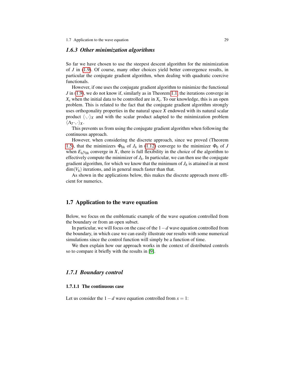#### <span id="page-36-0"></span>*1.6.3 Other minimization algorithms*

So far we have chosen to use the steepest descent algorithm for the minimization of *J* in [\(1.9\)](#page-16-0). Of course, many other choices yield better convergence results, in particular the conjugate gradient algorithm, when dealing with quadratic coercive functionals.

However, if one uses the conjugate gradient algorithm to minimize the functional *J* in [\(1.9\)](#page-16-0), we do not know if, similarly as in Theorem [1.1,](#page-20-0) the iterations converge in *X<sup>s</sup>* when the initial data to be controlled are in *X<sup>s</sup>* . To our knowledge, this is an open problem. This is related to the fact that the conjugate gradient algorithm strongly uses orthogonality properties in the natural space *X* endowed with its natural scalar product  $\langle \cdot, \cdot \rangle_X$  and with the scalar product adapted to the minimization problem  $\langle \Lambda_T \cdot, \cdot \rangle_X$ .

This prevents us from using the conjugate gradient algorithm when following the continuous approach.

However, when considering the discrete approach, since we proved (Theorem [1.5\)](#page-25-0), that the minimizers  $\Phi_{0h}$  of  $J_h$  in [\(1.12\)](#page-18-0) converge to the minimizer  $\Phi_0$  of  $J$ when  $E_h y_{0h}$  converge in *X*, there is full flexibility in the choice of the algorithm to effectively compute the minimizer of  $J<sub>h</sub>$ . In particular, we can then use the conjugate gradient algorithm, for which we know that the minimum of  $J_h$  is attained in at most  $\dim(V_h)$  iterations, and in general much faster than that.

As shown in the applications below, this makes the discrete approach more efficient for numerics.

### 1.7 Application to the wave equation

Below, we focus on the emblematic example of the wave equation controlled from the boundary or from an open subset.

In particular, we will focus on the case of the 1−*d* wave equation controlled from the boundary, in which case we can easily illustrate our results with some numerical simulations since the control function will simply be a function of time.

We then explain how our approach works in the context of distributed controls so to compare it briefly with the results in [\[9\]](#page-132-0).

### *1.7.1 Boundary control*

#### 1.7.1.1 The continuous case

Let us consider the  $1-d$  wave equation controlled from  $x = 1$ :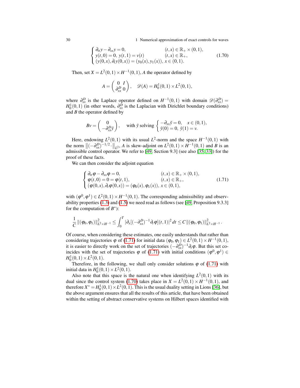30 1 Numerical approximation of exact controls for waves

<span id="page-37-1"></span>
$$
\begin{cases}\n\partial_{tt}y - \partial_{xx}y = 0, & (t, x) \in \mathbb{R}_+ \times (0, 1), \\
y(t, 0) = 0, y(t, 1) = v(t) & (t, x) \in \mathbb{R}_+, \\
(y(0, x), \partial_t y(0, x)) = (y_0(x), y_1(x)), x \in (0, 1).\n\end{cases}
$$
\n(1.70)

Then, set  $X = L^2(0,1) \times H^{-1}(0,1)$ , *A* the operator defined by

$$
A = \begin{pmatrix} 0 & I \\ \partial_{xx}^D & 0 \end{pmatrix}, \quad \mathscr{D}(A) = H_0^1(0,1) \times L^2(0,1),
$$

where  $\partial_{xx}^D$  is the Laplace operator defined on  $H^{-1}(0,1)$  with domain  $\mathscr{D}(\partial_{xx}^D)$  =  $H_0^1(0,1)$  (in other words,  $\partial_{xx}^D$  is the Laplacian with Dirichlet boundary conditions) and *B* the operator defined by

$$
Bv = \begin{pmatrix} 0 \\ -\partial_{xx}^D \tilde{y} \end{pmatrix}, \text{ with } \tilde{y} \text{ solving } \begin{cases} -\partial_{xx} \tilde{y} = 0, & x \in (0, 1), \\ \tilde{y}(0) = 0, & \tilde{y}(1) = v. \end{cases}
$$

Here, endowing  $L^2(0,1)$  with its usual  $L^2$ -norm and the space  $H^{-1}(0,1)$  with the norm  $\left\|(-\partial_{xx}^D)^{-1/2} \cdot \right\|_{L^2}$ , *A* is skew-adjoint on  $L^2(0,1) \times H^{-1}(0,1)$  and *B* is an admissible control operator. We refer to [\[49,](#page-134-0) Section 9.3] (see also [\[35,](#page-133-0) [33\]](#page-133-1)) for the proof of these facts.

We can then consider the adjoint equation

<span id="page-37-0"></span>
$$
\begin{cases} \n\partial_{tt} \varphi - \partial_{xx} \varphi = 0, & (t, x) \in \mathbb{R}_+ \times (0, 1), \\ \n\varphi(t, 0) = 0 = \varphi(t, 1), & (t, x) \in \mathbb{R}_+, \\ \n(\varphi(0, x), \partial_t \varphi(0, x)) = (\varphi_0(x), \varphi_1(x)), & x \in (0, 1), \n\end{cases}
$$
\n(1.71)

with  $(\varphi^0, \varphi^1) \in L^2(0,1) \times H^{-1}(0,1)$ . The corresponding admissibility and observability properties [\(1.3\)](#page-15-0) and [\(1.5\)](#page-16-1) we need read as follows (see [\[49,](#page-134-0) Proposition 9.3.3] for the computation of  $B^*$ ):

$$
\frac{1}{C} \|(\varphi_0, \varphi_1)\|_{L^2 \times H^{-1}}^2 \leq \int_0^T |\partial_x[ (-\partial_{xx}^D)^{-1}\partial_t \varphi](t,1)|^2 dt \leq C \|(\varphi_0, \varphi_1)\|_{L^2 \times H^{-1}}^2.
$$

Of course, when considering these estimates, one easily understands that rather than considering trajectories  $\varphi$  of [\(1.71\)](#page-37-0) for initial data  $(\varphi_0, \varphi_1) \in L^2(0,1) \times H^{-1}(0,1)$ , it is easier to directly work on the set of trajectories  $(-\partial_{xx}^D)^{-1}\partial_t\varphi$ . But this set coincides with the set of trajectories  $\varphi$  of [\(1.71\)](#page-37-0) with initial conditions  $(\varphi^0, \varphi^1) \in$  $H_0^1(0,1) \times L^2(0,1).$ 

Therefore, in the following, we shall only consider solutions  $\varphi$  of [\(1.71\)](#page-37-0) with initial data in  $H_0^1(0,1) \times L^2(0,1)$ .

Also note that this space is the natural one when identifying  $L^2(0,1)$  with its dual since the control system [\(1.70\)](#page-37-1) takes place in  $X = L^2(0,1) \times H^{-1}(0,1)$ , and therefore  $X^* = H_0^1(0,1) \times L^2(0,1)$ . This is the usual duality setting in Lions [\[36\]](#page-133-2), but the above argument ensures that all the results of this article, that have been obtained within the setting of abstract conservative systems on Hilbert spaces identified with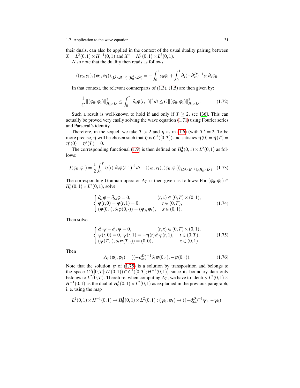#### 1.7 Application to the wave equation 31

their duals, can also be applied in the context of the usual duality pairing between  $X = L^2(0,1) \times H^{-1}(0,1)$  and  $X^* = H_0^1(0,1) \times L^2(0,1)$ . Also note that the duality then reads as follows:

$$
\langle (y_0,y_1),(\phi_0,\phi_1) \rangle_{(L^2 \times H^{-1}), (H^1_0 \times L^2)} = - \int_0^1 y_0 \phi_1 + \int_0^1 \partial_x (- \partial^D_{xx})^{-1} y_1 \partial_x \phi_0.
$$

In that context, the relevant counterparts of  $(1.3)$ ,  $(1.5)$  are then given by:

$$
\frac{1}{C} \|(\varphi_0, \varphi_1)\|_{H_0^1 \times L^2}^2 \le \int_0^T |\partial_x \varphi(t, 1)|^2 dt \le C \|(\varphi_0, \varphi_1)\|_{H_0^1 \times L^2}^2. \tag{1.72}
$$

Such a result is well-known to hold if and only if  $T \geq 2$ , see [\[36\]](#page-133-2). This can actually be proved very easily solving the wave equation [\(1.71\)](#page-37-0) using Fourier series and Parseval's identity.

Therefore, in the sequel, we take  $T > 2$  and  $\eta$  as in [\(1.6\)](#page-16-2) (with  $T^* = 2$ . To be more precise,  $\eta$  will be chosen such that  $\eta$  is  $C^1([0,T])$  and satisfies  $\eta(0)=\eta(T)=$  $\eta'(0) = \eta'(T) = 0.$ 

The corresponding functional [\(1.9\)](#page-16-0) is then defined on  $H_0^1(0,1) \times L^2(0,1)$  as follows:

<span id="page-38-2"></span>
$$
J(\varphi_0, \varphi_1) = \frac{1}{2} \int_0^T \eta(t) |\partial_x \varphi(t, 1)|^2 dt + \langle (y_0, y_1), (\varphi_0, \varphi_1) \rangle_{(L^2 \times H^{-1}), (H_0^1 \times L^2)}.
$$
 (1.73)

The corresponding Gramian operator  $\Lambda_T$  is then given as follows: For  $(\varphi_0, \varphi_1) \in$  $H_0^1(0,1) \times L^2(0,1)$ , solve

<span id="page-38-1"></span>
$$
\begin{cases} \n\partial_{tt} \varphi - \partial_{xx} \varphi = 0, & (t, x) \in (0, T) \times (0, 1), \\ \n\varphi(t, 0) = \varphi(t, 1) = 0, & t \in (0, T), \\ \n(\varphi(0, \cdot), \partial_t \varphi(0, \cdot)) = (\varphi_0, \varphi_1), & x \in (0, 1). \n\end{cases} \tag{1.74}
$$

Then solve

<span id="page-38-0"></span>
$$
\begin{cases} \partial_{tt} \psi - \partial_{xx} \psi = 0, & (t, x) \in (0, T) \times (0, 1), \\ \psi(t, 0) = 0, & \psi(t, 1) = -\eta(t) \partial_x \phi(t, 1), & t \in (0, T), \\ (\psi(T, \cdot), \partial_t \psi(T, \cdot)) = (0, 0), & x \in (0, 1). \end{cases}
$$
(1.75)

Then

$$
\Lambda_T(\varphi_0, \varphi_1) = ((-\partial_{xx}^D)^{-1} \partial_t \psi(0, \cdot), -\psi(0, \cdot)). \tag{1.76}
$$

Note that the solution  $\psi$  of [\(1.75\)](#page-38-0) is a solution by transposition and belongs to the space  $C^0([0,T]; L^2(0,1)) \cap C^1([0,T]; H^{-1}(0,1))$  since its boundary data only belongs to  $L^2(0,T)$ . Therefore, when computing  $\Lambda_T$ , we have to identify  $L^2(0,1)$   $\times$  $H^{-1}(0,1)$  as the dual of  $H_0^1(0,1) \times L^2(0,1)$  as explained in the previous paragraph, i. e. using the map

$$
L^2(0,1) \times H^{-1}(0,1) \to H_0^1(0,1) \times L^2(0,1): (\psi_0, \psi_1) \mapsto ((-\partial_{xx}^D)^{-1} \psi_1, -\psi_0).
$$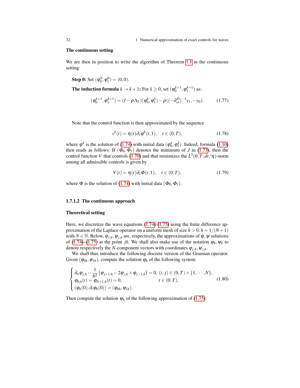#### The continuous setting

We are then in position to write the algorithm of Theorem [1.1](#page-20-0) in the continuous setting:

**Step 0:** Set  $(\varphi_0^0, \varphi_1^0) = (0, 0)$ .

**The induction formula**  $k \to k+1$ : For  $k \ge 0$ , set  $(\varphi_0^{k+1}, \varphi_1^{k+1})$  as:

$$
(\varphi_0^{k+1}, \varphi_1^{k+1}) = (I - \rho \Lambda_T)(\varphi_0^k, \varphi_1^k) - \rho ((-\partial_{xx}^D)^{-1} y_1, -y_0). \tag{1.77}
$$

Note that the control function is then approximated by the sequence

$$
v^{k}(t) = \eta(t)\partial_{x}\varphi^{k}(t,1), \quad t \in (0,T), \qquad (1.78)
$$

where  $\varphi^k$  is the solution of [\(1.74\)](#page-38-1) with initial data  $(\varphi_0^k, \varphi_1^k)$ . Indeed, formula [\(1.10\)](#page-16-3) then reads as follows: If  $(\Phi_0, \Phi_1)$  denotes the minimum of *J* in [\(1.73\)](#page-38-2), then the control function *V* that controls [\(1.70\)](#page-37-1) and that minimizes the  $L^2(0,T;dt/\eta)$ -norm among all admissible controls is given by

$$
V(t) = \eta(t)\partial_x \Phi(t,1), \quad t \in (0,T), \tag{1.79}
$$

where  $\Phi$  is the solution of [\(1.74\)](#page-38-1) with initial data ( $\Phi_0$ ,  $\Phi_1$ ).

#### 1.7.1.2 The continuous approach

#### Theoretical setting

Here, we discretize the wave equations  $(1.74)-(1.75)$  $(1.74)-(1.75)$  $(1.74)-(1.75)$  using the finite difference approximation of the Laplace operator on a uniform mesh of size  $h > 0$ ,  $h = 1/(N+1)$ with  $N \in \mathbb{N}$ . Below,  $\varphi_{j,h}, \psi_{j,h}$  are, respectively, the approximations of  $\varphi, \psi$  solutions of [\(1.74\)](#page-38-1)–[\(1.75\)](#page-38-0) at the point *jh*. We shall also make use of the notation  $\varphi_h$ ,  $\psi_h$  to denote respectively the *N*-component vectors with coordinates  $\varphi_{i,h}, \psi_{i,h}$ .

We shall thus introduce the following discrete version of the Gramian operator. Given  $(\varphi_{0h}, \varphi_{1h})$ , compute the solution  $\varphi_h$  of the following system:

<span id="page-39-0"></span>
$$
\begin{cases}\n\partial_{tt}\varphi_{j,h} - \frac{1}{h^2} \left( \varphi_{j+1,h} - 2\varphi_{j,h} + \varphi_{j-1,h} \right) = 0, (t,j) \in (0,T) \times \{1, \cdots, N\}, \\
\varphi_{0,h}(t) = \varphi_{N+1,h}(t) = 0, & t \in (0,T), \\
(\varphi_h(0), \partial_t \varphi_h(0)) = (\varphi_{0h}, \varphi_{1h}).\n\end{cases}
$$
\n(1.80)

Then compute the solution  $\psi_h$  of the following approximation of [\(1.75\)](#page-38-0):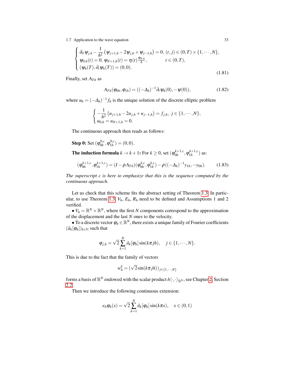1.7 Application to the wave equation 33

<span id="page-40-0"></span>
$$
\begin{cases}\n\partial_{tt}\psi_{j,h} - \frac{1}{h^2} \left( \psi_{j+1,h} - 2\psi_{j,h} + \psi_{j-1,h} \right) = 0, (t,j) \in (0,T) \times \{1, \dots, N\}, \\
\psi_{0,h}(t) = 0, \psi_{N+1,h}(t) = \eta(t) \frac{\varphi_{N,h}}{h}, \quad t \in (0,T), \\
(\psi_h(T), \partial_t \psi_h(T)) = (0,0).\n\end{cases}
$$
\n(1.81)

Finally, set  $\Lambda_{Th}$  as

$$
\Lambda_{Th}(\varphi_{0h}, \varphi_{1h}) = ((-\Delta_h)^{-1} \partial_t \psi_h(0), -\psi(0)), \qquad (1.82)
$$

where  $u_h = (-\Delta_h)^{-1} f_h$  is the unique solution of the discrete elliptic problem

$$
\begin{cases}\n-\frac{1}{h^2}(u_{j+1,h}-2u_{j,h}+u_{j-1,h})=f_{j,h}, \ j\in\{1,\cdots,N\},\\ u_{0,h}=u_{N+1,h}=0.\n\end{cases}
$$

The continuous approach then reads as follows:

**Step 0:** Set  $(\varphi_{0h}^{0,c})$  $\stackrel{0,c}{\phantom{}_{0h}},\phi_{1h}^{0,c}$  $f_{1h}^{0,c}$   $=$   $(0,0)$ .

**The induction formula**  $k \to k+1$ : For  $k \geq 0$ , set  $(\varphi_{0h}^{k+1,c})$  $\phi_{0h}^{k+1,c}, \varphi_{1h}^{k+1,c}$  $\binom{k+1}{1h}$  as:

$$
(\varphi_{0h}^{k+1,c}, \varphi_{1h}^{k+1,c}) = (I - \rho \Lambda_{Th})(\varphi_{0h}^{k,c}, \varphi_{1h}^{k,c}) - \rho ((-\Delta_h)^{-1} y_{1h}, -y_{0h}).
$$
 (1.83)

*The superscript c is here to emphasize that this is the sequence computed by the continuous approach.*

Let us check that this scheme fits the abstract setting of Theorem [1.3.](#page-23-0) In partic-ular, to use Theorem [1.3,](#page-23-0)  $V_h$ ,  $E_h$ ,  $R_h$  need to be defined and Assumptions 1 and 2 verified.

•  $V_h = \mathbb{R}^N \times \mathbb{R}^N$ , where the first *N* components correspond to the approximation of the displacement and the last *N* ones to the velocity.

• To a discrete vector  $\varphi_h \in \mathbb{R}^N$ , there exists a unique family of Fourier coefficients  $(\hat{a}_k[\varphi_h])_{k \in \mathbb{N}}$  such that

$$
\varphi_{j,h}=\sqrt{2}\sum_{k=1}^N\hat{a}_k[\varphi_h]\sin(k\pi jh),\quad j\in\{1,\cdots,N\}.
$$

This is due to the fact that the family of vectors

$$
w_h^k = (\sqrt{2}\sin(k\pi jh))_{j\in\{1,\cdots,N\}}
$$

forms a basis of  $\mathbb{R}^N$  endowed with the scalar product  $h\langle\cdot,\cdot\rangle_{\mathbb{R}^N}$ , see Chapter [2,](#page-62-0) Section [2.2.](#page-63-0)

Then we introduce the following continuous extension:

*k*

$$
e_h \varphi_h(x) = \sqrt{2} \sum_{k=1}^N \hat{a}_k[\varphi_h] \sin(k\pi x), \quad x \in (0,1)
$$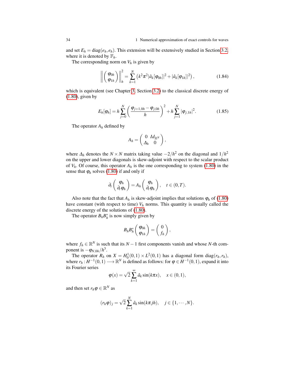and set  $E_h = \text{diag}(e_h, e_h)$ . This extension will be extensively studied in Section [3.2,](#page-72-0) where it is denoted by  $\mathbb{F}_h$ .

The corresponding norm on  $V_h$  is given by

<span id="page-41-0"></span>
$$
\left\| \left( \begin{array}{c} \varphi_{0h} \\ \varphi_{1h} \end{array} \right) \right\|_{h}^{2} = \sum_{k=1}^{N} \left( k^{2} \pi^{2} |\hat{a}_{k}[\varphi_{0h}]|^{2} + |\hat{a}_{k}[\varphi_{1h}]|^{2} \right), \tag{1.84}
$$

which is equivalent (see Chapter [3,](#page-72-1) Section [3.2\)](#page-72-0) to the classical discrete energy of [\(1.80\)](#page-39-0), given by

$$
E_h[\varphi_h] = h \sum_{j=0}^N \left( \frac{\varphi_{j+1,0h} - \varphi_{j,0h}}{h} \right)^2 + h \sum_{j=1}^N |\varphi_{j,1h}|^2.
$$
 (1.85)

The operator *A<sup>h</sup>* defined by

$$
A_h = \left(\begin{array}{cc} 0 & Id_{\mathbb{R}^N} \\ \Delta_h & 0 \end{array}\right),
$$

where  $\Delta_h$  denotes the *N* × *N* matrix taking value  $-2/h^2$  on the diagonal and  $1/h^2$ on the upper and lower diagonals is skew-adjoint with respect to the scalar product of  $V_h$ . Of course, this operator  $A_h$  is the one corresponding to system [\(1.80\)](#page-39-0) in the sense that  $\varphi_h$  solves [\(1.80\)](#page-39-0) if and only if

$$
\partial_t \begin{pmatrix} \varphi_h \\ \partial_t \varphi_h \end{pmatrix} = A_h \begin{pmatrix} \varphi_h \\ \partial_t \varphi_h \end{pmatrix}, \quad t \in (0, T).
$$

Also note that the fact that  $A_h$  is skew-adjoint implies that solutions  $\varphi_h$  of [\(1.80\)](#page-39-0) have constant (with respect to time)  $V_h$  norms. This quantity is usually called the discrete energy of the solutions of [\(1.80\)](#page-39-0).

The operator  $B_h B_h^*$  is now simply given by

$$
B_h B_h^* \left( \begin{array}{c} \varphi_{0h} \\ \varphi_{1h} \end{array} \right) = \left( \begin{array}{c} 0 \\ f_h \end{array} \right),
$$

where  $f_h \in \mathbb{R}^N$  is such that its  $N-1$  first components vanish and whose N-th component is  $-\varphi_{N,0h}/h^3$ .

The operator  $R_h$  on  $X = H_0^1(0,1) \times L^2(0,1)$  has a diagonal form diag( $r_h$ , $r_h$ ), where  $r_h : H^{-1}(0,1) \longrightarrow \mathbb{R}^N$  is defined as follows: for  $\varphi \in H^{-1}(0,1)$ , expand it into its Fourier series

$$
\varphi(x) = \sqrt{2} \sum_{k=1}^{\infty} \hat{a}_k \sin(k\pi x), \quad x \in (0,1),
$$

and then set  $r_h \varphi \in \mathbb{R}^N$  as

$$
(r_h\varphi)_j=\sqrt{2}\sum_{k=1}^N\hat{a}_k\sin(k\pi jh),\quad j\in\{1,\cdots,N\}.
$$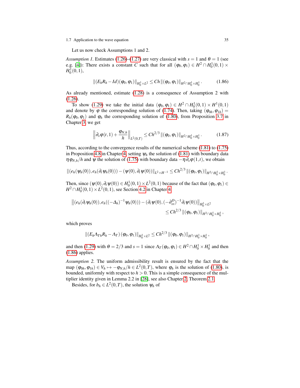#### 1.7 Application to the wave equation 35

Let us now check Assumptions 1 and 2.

*Assumption 1.* Estimates [\(1.26\)](#page-22-0)–[\(1.27\)](#page-22-0) are very classical with  $s = 1$  and  $\theta = 1$  (see e.g. [\[4\]](#page-132-1)): There exists a constant *C* such that for all  $(\varphi_0, \varphi_1) \in H^2 \cap H_0^1(0,1) \times$  $H_0^1(0,1),$ 

<span id="page-42-0"></span>
$$
\|(E_h R_h - Id)(\varphi_0, \varphi_1)\|_{H_0^1 \times L^2} \le Ch \|(\varphi_0, \varphi_1)\|_{H^2 \cap H_0^1 \times H_0^1}.
$$
 (1.86)

As already mentioned, estimate [\(1.28\)](#page-22-0) is a consequence of Assumption 2 with [\(1.26\)](#page-22-0).

To show [\(1.29\)](#page-22-0) we take the initial data  $(\varphi_0, \varphi_1) \in H^2 \cap H_0^1(0,1) \times H^1(0,1)$ and denote by  $\varphi$  the corresponding solution of [\(1.74\)](#page-38-1). Then, taking  $(\varphi_{0h}, \varphi_{1h}) =$  $R_h(\varphi_0, \varphi_1)$  and  $\varphi_h$  the corresponding solution of [\(1.80\)](#page-39-0), from Proposition [3.7](#page-86-0) in Chapter [3,](#page-72-1) we get

$$
\left\|\partial_x\varphi(t,1)+\frac{\varphi_{N,h}}{h}\right\|_{L^2(0,T)} \le Ch^{2/3}\left\|(\varphi_0,\varphi_1)\right\|_{H^2\cap H_0^1\times H_0^1}.\tag{1.87}
$$

Thus, according to the convergence results of the numerical scheme [\(1.81\)](#page-40-0) to [\(1.75\)](#page-38-0) in Proposition [4.8](#page-123-0) in Chapter [4,](#page-92-0) setting  $\psi_h$  the solution of [\(1.81\)](#page-40-0) with boundary data  $\eta \varphi_{N,h}/h$  and  $\psi$  the solution of [\(1.75\)](#page-38-0) with boundary data  $-\eta \partial_x \varphi(1,t)$ , we obtain

$$
\| (e_h(\psi_h(0)), e_h(\partial_t \psi_h(0))) - (\psi(0), \partial_t \psi(0)) \|_{L^2 \times H^{-1}} \leq Ch^{2/3} \| (\varphi_0, \varphi_1) \|_{H^2 \cap H_0^1 \times H_0^1}.
$$

Then, since  $(\psi(0), \partial_t \psi(0)) \in H_0^1(0,1) \times L^2(0,1)$  because of the fact that  $(\varphi_0, \varphi_1) \in$  $H^2 \cap H_0^1(0,1) \times L^2(0,1)$ , see Section [4.2](#page-94-0) in Chapter [4,](#page-92-0)

$$
\| (e_h(\partial_t \psi_h(0)), e_h((-\Delta_h)^{-1} \psi_h(0))) - (\partial_t \psi(0), (-\partial_{xx}^D)^{-1} \partial_t \psi(0)) \|_{H_0^1 \times L^2} \leq Ch^{2/3} \| (\varphi_0, \varphi_1) \|_{H^2 \cap H_0^1 \times H_0^1},
$$

which proves

$$
\| (E_h \Lambda_{Th} R_h - \Lambda_T) (\varphi_0, \varphi_1) \|_{H^1_0 \times L^2} \leq C h^{2/3} \| (\varphi_0, \varphi_1) \|_{H^2 \cap H^1_0 \times H^1_0}
$$

and then [\(1.29\)](#page-22-0) with  $\theta = 2/3$  and  $s = 1$  since  $\Lambda_T(\varphi_0, \varphi_1) \in H^2 \cap H^1_0 \times H^1_0$  and then [\(1.86\)](#page-42-0) applies.

*Assumption 2.* The uniform admissibility result is ensured by the fact that the map  $(\varphi_{0h}, \varphi_{1h}) \in V_h \mapsto -\varphi_{N,h}/h \in L^2(0,T)$ , where  $\varphi_h$  is the solution of [\(1.80\)](#page-39-0), is bounded, uniformly with respect to  $h > 0$ . This is a simple consequence of the multiplier identity given in Lemma 2.2 in [\[28\]](#page-133-3), see also Chapter [2,](#page-62-0) Theorem [2.1.](#page-64-0)

Besides, for  $b_h \in L^2(0,T)$ , the solution  $\psi_h$  of

,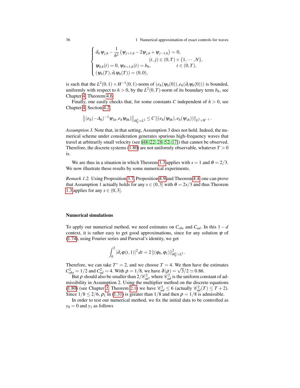36 1 Numerical approximation of exact controls for waves

$$
\begin{cases}\n\partial_{tt}\psi_{j,h} - \frac{1}{h^2} \left( \psi_{j+1,h} - 2\psi_{j,h} + \psi_{j-1,h} \right) = 0, \\
(t,j) \in (0,T) \times \{1,\dots,N\}, \\
\psi_{0,h}(t) = 0, \psi_{N+1,h}(t) = b_h, \quad t \in (0,T), \\
(\psi_h(T), \partial_t \psi_h(T)) = (0,0),\n\end{cases}
$$

is such that the  $L^2(0,1) \times H^{-1}(0,1)$ -norm of  $(e_h(\psi_h(0)), e_h(\partial_t \psi_h(0)))$  is bounded, uniformly with respect to  $h > 0$ , by the  $L^2(0,T)$ -norm of its boundary term  $b_h$ , see Chapter [4,](#page-92-0) Theorem [4.6.](#page-102-0)

Finally, one easily checks that, for some constants *C* independent of  $h > 0$ , see Chapter [4,](#page-92-0) Section [4.2,](#page-94-0)

$$
\left\| (e_h(-\Delta_h)^{-1}\psi_{1h},e_h\psi_{0h})\right\|_{H_0^1\times L^2}\leq C\left\| (e_h(\psi_{0h}),e_h(\psi_{1h}))\right\|_{L^2\times H^{-1}}.
$$

*Assumption 3.* Note that, in that setting, Assumption 3 does not hold. Indeed, the numerical scheme under consideration generates spurious high-frequency waves that travel at arbitrarily small velocity (see [\[48,](#page-134-1) [22,](#page-133-4) [28,](#page-133-3) [52,](#page-134-2) [17\]](#page-133-5)) that cannot be observed. Therefore, the discrete systems [\(1.80\)](#page-39-0) are not uniformly observable, whatever  $T > 0$ is.

We are thus in a situation in which Theorem [1.3](#page-23-0) applies with  $s = 1$  and  $\theta = 2/3$ . We now illustrate these results by some numerical experiments.

<span id="page-43-0"></span>*Remark 1.2.* Using Proposition [3.7,](#page-86-0) Proposition [4.9](#page-123-1) and Theorem [4.4,](#page-99-0) one can prove that Assumption 1 actually holds for any  $s \in (0,3]$  with  $\theta = 2s/3$  and thus Theorem [1.3](#page-23-0) applies for any  $s \in (0,3]$ .

#### Numerical simulations

To apply our numerical method, we need estimates on  $C_{obs}$  and  $C_{ad}$ . In this 1 – *d* context, it is rather easy to get good approximations, since for any solution  $\varphi$  of [\(1.74\)](#page-38-1), using Fourier series and Parseval's identity, we get

$$
\int_0^2 |\partial_x \varphi(t,1)|^2 dt = 2 \|(\varphi_0, \varphi_1)\|_{H_0^1 \times L^2}^2.
$$

Therefore, we can take  $T^* = 2$ , and we choose  $T = 4$ . We then have the estimates Therefore, we can take  $T = 2$ , and we choose  $T = 4$ . We then have t<br>  $C_{obs}^2 = 1/2$  and  $C_{ad}^2 = 4$ . With  $\rho = 1/8$ , we have  $\delta(\rho) = \sqrt{3}/2 \approx 0.86$ .

But  $\rho$  should also be smaller than  $2/\mathcal{C}_{ad}^2$ , where  $\mathcal{C}_{ad}^2$  is the uniform constant of admissibility in Assumption 2. Using the multiplier method on the discrete equations [\(1.80\)](#page-39-0) (see Chapter [2,](#page-62-0) Theorem [2.1\)](#page-64-0) we have  $\mathcal{C}_{ad}^2 \leq 6$  (actually  $\mathcal{C}_{ad}^2(T) \leq T + 2$ ). Since  $1/8 \le 2/6$ ,  $\rho_1$  in [\(1.31\)](#page-22-1) is greater than  $1/8$  and then  $\rho = 1/8$  is admissible.

In order to test our numerical method, we fix the initial data to be controlled as  $y_0 = 0$  and  $y_1$  as follows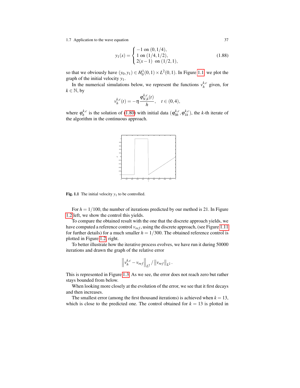1.7 Application to the wave equation 37

<span id="page-44-1"></span>
$$
y_1(x) = \begin{cases} -1 \text{ on } (0,1/4), \\ 1 \text{ on } (1/4,1/2), \\ 2(x-1) \text{ on } (1/2,1), \end{cases}
$$
(1.88)

so that we obviously have  $(y_0, y_1) \in H_0^1(0, 1) \times L^2(0, 1)$ . In Figure [1.1,](#page-44-0) we plot the graph of the initial velocity *y*1.

In the numerical simulations below, we represent the functions  $v_h^{k,c}$  $h^{\prime c}$  given, for  $k \in \mathbb{N}$ , by

$$
v_h^{k,c}(t) = -\eta \, \frac{\varphi_{N,h}^{k,c}(t)}{h}, \quad t \in (0,4),
$$

where  $\varphi_h^{k,c}$  $h_h^{k,c}$  is the solution of [\(1.80\)](#page-39-0) with initial data ( $\varphi_{0h}^{k,c}$  $\theta_{0h}^{k,c}, \varphi_{1h}^{k,c}$  $\binom{k,c}{1h}$ , the *k*-th iterate of the algorithm in the continuous approach.



<span id="page-44-0"></span>Fig. 1.1 The initial velocity  $y_1$  to be controlled.

For  $h = 1/100$ , the number of iterations predicted by our method is 21. In Figure [1.2](#page-45-0) left, we show the control this yields.

To compare the obtained result with the one that the discrete approach yields, we have computed a reference control  $v_{ref}$ , using the discrete approach, (see Figure [1.11](#page-52-0) for further details) for a much smaller  $h = 1/300$ . The obtained reference control is plotted in Figure [1.2,](#page-45-0) right.

To better illustrate how the iterative process evolves, we have run it during 50000 iterations and drawn the graph of the relative error

$$
\left\|v_h^{k,c} - v_{ref}\right\|_{L^2} / \left\|v_{ref}\right\|_{L^2}.
$$

This is represented in Figure [1.3.](#page-45-1) As we see, the error does not reach zero but rather stays bounded from below.

When looking more closely at the evolution of the error, we see that it first decays and then increases.

The smallest error (among the first thousand iterations) is achieved when  $k = 13$ , which is close to the predicted one. The control obtained for  $k = 13$  is plotted in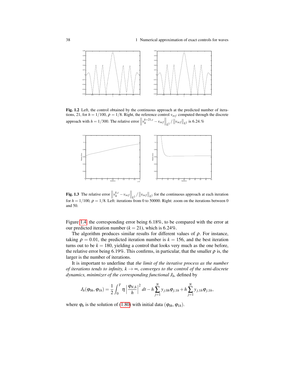

<span id="page-45-0"></span>Fig. 1.2 Left, the control obtained by the continuous approach at the predicted number of iterations, 21, for  $h = 1/100$ ,  $\rho = 1/8$ . Right, the reference control  $v_{ref}$  computed through the discrete approach with  $h = 1/300$ . The relative error  $\left\| v_h^{k=21,c} - v_{ref} \right\|_{L^2} / \left\| v_{ref} \right\|_{L^2}$  is 6.24.%



<span id="page-45-1"></span>**Fig. 1.3** The relative error  $\left\|v_h^{k,c} - v_{ref}\right\|_{L^2} / \left\|v_{ref}\right\|_{L^2}$  for the continuous approach at each iteration for  $h = 1/100$ ,  $\rho = 1/8$ . Left: iterations from 0 to 50000. Right: zoom on the iterations between 0 and 50.

Figure [1.4,](#page-46-0) the corresponding error being 6.18%, to be compared with the error at our predicted iteration number  $(k = 21)$ , which is 6.24%.

The algorithm produces similar results for different values of  $\rho$ . For instance, taking  $\rho = 0.01$ , the predicted iteration number is  $k = 156$ , and the best iteration turns out to be  $k = 180$ , yielding a control that looks very much as the one before, the relative error being 6.19%. This confirms, in particular, that the smaller  $\rho$  is, the larger is the number of iterations.

It is important to underline that *the limit of the iterative process as the number of iterations tends to infinity,*  $k \rightarrow \infty$ *, converges to the control of the semi-discrete dynamics, minimizer of the corresponding functional Jh,* defined by

$$
J_h(\varphi_{0h},\varphi_{1h}) = \frac{1}{2} \int_0^T \eta \left| \frac{\varphi_{N,h}}{h} \right|^2 dt - h \sum_{j=1}^N y_{j,0h} \varphi_{j,1h} + h \sum_{j=1}^N y_{j,1h} \varphi_{j,1h},
$$

where  $\varphi_h$  is the solution of [\(1.80\)](#page-39-0) with initial data ( $\varphi_{0h}, \varphi_{1h}$ ).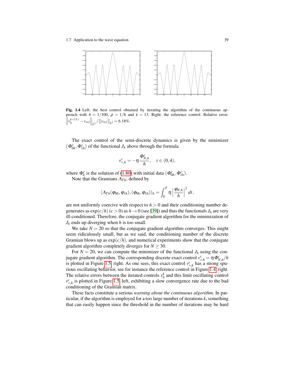

<span id="page-46-0"></span>Fig. 1.4 Left: the best control obtained by iterating the algorithm of the continuous approach with  $h = 1/100$ ,  $\rho = 1/8$  and  $k = 13$ . Right: the reference control. Relative error:  $\left\| v_h^{k=13,c} - v_{ref} \right\|_{L^2} / \left\| v_{ref} \right\|_{L^2} = 6.18\%.$ 

The exact control of the semi-discrete dynamics is given by the minimizer  $(\Phi_{0h}^c, \Phi_{1h}^c)$  of the functional *J<sub>h</sub>* above through the formula

$$
v_{*,h}^c = -\eta \frac{\Phi_{N,h}^c}{h}, \quad t \in (0,4),
$$

where  $\Phi_h^c$  is the solution of [\(1.80\)](#page-39-0) with initial data  $(\Phi_{0h}^c, \Phi_{1h}^c)$ .

Note that the Gramians  $\Lambda_{Th}$ , defined by

$$
\langle \Lambda_{Th}(\varphi_{0h},\varphi_{1h}),(\varphi_{0h},\varphi_{1h})\rangle_h=\int_0^T\eta\left|\frac{\varphi_{N,h}}{h}\right|^2dt,
$$

are not uniformly coercive with respect to  $h > 0$  and their conditioning number degenerates as  $\exp(c/h)$  ( $c > 0$ ) as  $h \to 0$  (see [\[39\]](#page-133-6)) and thus the functionals  $J_h$  are very ill-conditioned. Therefore, the conjugate gradient algorithm for the minimization of *J<sup>h</sup>* ends up diverging when *h* is too small.

We take  $N = 20$  so that the conjugate gradient algorithm converges. This might seem ridiculously small, but as we said, the conditioning number of the discrete Gramian blows up as  $exp(c/h)$ , and numerical experiments show that the conjugate gradient algorithm completely diverges for  $N \geq 30$ .

For  $N = 20$ , we can compute the minimizer of the functional  $J_h$  using the conjugate gradient algorithm. The corresponding discrete exact control  $v_{*,h}^c = \eta \Phi_{N,h}^c/h$ is plotted in Figure [1.5,](#page-47-0) right. As one sees, this exact control  $v_{*,h}^c$  has a strong spurious oscillating behavior, see for instance the reference control in Figure [1.4,](#page-46-0) right. The relative errors between the iterated controls  $v_h^k$  and this limit oscillating control  $v_{*,h}^c$  is plotted in Figure [1.5,](#page-47-0) left, exhibiting a slow convergence rate due to the bad conditioning of the Gramian matrix.

These facts constitute a serious *warning about the continuous algorithm.* In particular, if the algorithm is employed for a too large number of iterations *k*, something that can easily happen since the threshold in the number of iterations may be hard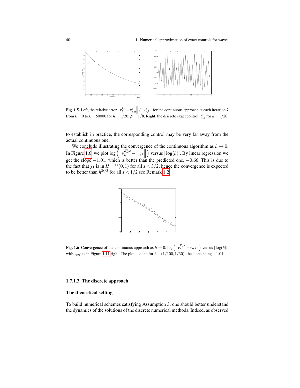

<span id="page-47-0"></span>**Fig. 1.5** Left, the relative error  $\left\|v_h^{k,c} - v_{*,h}^c\right\| / \left\|v_{*,h}^c\right\|$  for the continuous approach at each iteration k from  $k = 0$  to  $k = 50000$  for  $h = 1/20$ ,  $\rho = 1/8$ . Right, the discrete exact control  $v_{*,h}^c$ 

to establish in practice, the corresponding control may be very far away from the actual continuous one.

We conclude illustrating the convergence of the continuous algorithm as  $h \to 0$ . In Figure [1.6,](#page-47-1) we plot  $\log \left( \left\| v_h^{K_h^c,c} - v_{ref} \right\| \right)$ ) versus  $|\log(h)|$ . By linear regression we get the slope −1.01, which is better than the predicted one, −0.66. This is due to the fact that  $y_1$  is in  $H^{-1+s}(0,1)$  for all  $s < 3/2$ , hence the convergence is expected to be better than  $h^{2s/3}$  for all  $s < 1/2$  see Remark [1.2.](#page-43-0)



<span id="page-47-1"></span>**Fig. 1.6** Convergence of the continuous approach as  $h \to 0$ : log( $\left\| \frac{K_h^{K_h^c,c}}{h_h} - v_{ref} \right\|$  $\big)$  versus  $|\log(h)|$ , with *v<sub>ref</sub>* as in Figure [1.11](#page-52-0) right. The plot is done for  $h \in (1/100, 1/30)$ , the slope being  $-1.01$ .

#### 1.7.1.3 The discrete approach

#### The theoretical setting

To build numerical schemes satisfying Assumption 3, one should better understand the dynamics of the solutions of the discrete numerical methods. Indeed, as observed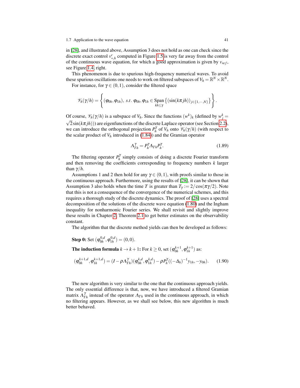#### 1.7 Application to the wave equation 41

in [\[28\]](#page-133-3), and illustrated above, Assumption 3 does not hold as one can check since the discrete exact control  $v_{*,h}^c$  computed in Figure [1.5](#page-47-0) is very far away from the control of the continuous wave equation, for which a good approximation is given by  $v_{ref}$ , see Figure [1.4,](#page-46-0) right.

This phenomenon is due to spurious high-frequency numerical waves. To avoid these spurious oscillations one needs to work on filtered subspaces of  $V_h = \mathbb{R}^N \times \mathbb{R}^N$ . For instance, for  $\gamma \in (0,1)$ , consider the filtered space

$$
\mathscr{V}_h(\gamma/h) = \left\{ (\varphi_{0h}, \varphi_{1h}), \, s.t. \, \varphi_{0h}, \varphi_{1h} \in \mathrm{Span}_{kh \leq \gamma} \left\{ (\sin(k\pi jh))_{j \in \{1, \cdots, N\}} \right\} \right\}.
$$

Of course,  $\mathcal{V}_h(\gamma/h)$  is a subspace of  $V_h$ . Since the functions  $(w^k)_k$  (defined by  $w_j^k = \sqrt{\frac{h}{\epsilon}}$  $\sqrt{2} \sin(k\pi jh)$ )) are eigenfunctions of the discrete Laplace operator (see Section [2.2\)](#page-63-0), we can introduce the orthogonal projection  $P_h^{\gamma}$  of  $V_h$  onto  $\mathcal{V}_h(\gamma/h)$  (with respect to the scalar product of  $V_h$  introduced in [\(1.84\)](#page-41-0)) and the Gramian operator

$$
\Lambda_{Th}^{\gamma} = P_h^{\gamma} \Lambda_{Th} P_h^{\gamma}.
$$
\n(1.89)

The filtering operator  $P_h^{\gamma}$  simply consists of doing a discrete Fourier transform and then removing the coefficients corresponding to frequency numbers *k* larger than  $\gamma/h$ .

Assumptions 1 and 2 then hold for any  $\gamma \in (0,1)$ , with proofs similar to those in the continuous approach. Furthermore, using the results of [\[28\]](#page-133-3), it can be shown that Assumption 3 also holds when the time *T* is greater than  $T_\gamma := 2/\cos(\pi \gamma/2)$ . Note that this is not a consequence of the convergence of the numerical schemes, and this requires a thorough study of the discrete dynamics. The proof of [\[28\]](#page-133-3) uses a spectral decomposition of the solutions of the discrete wave equation [\(1.80\)](#page-39-0) and the Ingham inequality for nonharmonic Fourier series. We shall revisit and slightly improve these results in Chapter [2,](#page-62-0) Theorem [2.1](#page-64-0) to get better estimates on the observability constant.

The algorithm that the discrete method yields can then be developed as follows:

**Step 0:** Set  $(\varphi_{0h}^{0,d})$  $\int_{0}^{0,d}, \varphi_{1h}^{0,d}$  $b_{1h}^{0,a}$ ) = (0,0).

**The induction formula**  $k \to k+1$ : For  $k \ge 0$ , set  $(\varphi_{0h}^{k+1}, \varphi_{1h}^{k+1})$  as:

$$
(\varphi_{0h}^{k+1,d}, \varphi_{1h}^{k+1,d}) = (I - \rho \Lambda_{Th}^{\gamma})(\varphi_{0h}^{k,d}, \varphi_{1h}^{k,d}) - \rho P_h^{\gamma}((-\Delta_h)^{-1}y_{1h}, -y_{0h}).
$$
 (1.90)

The new algorithm is very similar to the one that the continuous approach yields. The only essential difference is that, now, we have introduced a filtered Gramian matrix  $\Lambda_{Th}^{\gamma}$  instead of the operator  $\Lambda_{Th}$  used in the continuous approach, in which no filtering appears. However, as we shall see below, this new algorithm is much better behaved.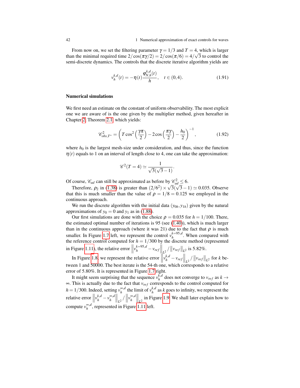From now on, we set the filtering parameter  $\gamma = 1/3$  and  $T = 4$ , which is larger than the minimal required time  $2/\cos(\pi \gamma/2) = 2/\cos(\pi/6) = 4/\sqrt{3}$  to control the semi-discrete dynamics. The controls that the discrete iterative algorithm yields are

$$
v_h^{k,d}(t) = -\eta(t) \frac{\varphi_{N,h}^{k,d}(t)}{h}, \quad t \in (0,4). \tag{1.91}
$$

#### Numerical simulations

We first need an estimate on the constant of uniform observability. The most explicit one we are aware of is the one given by the multiplier method, given hereafter in Chapter [2,](#page-62-0) Theorem [2.1,](#page-64-0) which yields:

$$
\mathscr{C}_{obs,T^*}^2 = \left(T\cos^2\left(\frac{\gamma\pi}{2}\right) - 2\cos\left(\frac{\pi\gamma}{2}\right) - \frac{h_0}{2}\right)^{-1},\tag{1.92}
$$

where  $h_0$  is the largest mesh-size under consideration, and thus, since the function  $\eta(t)$  equals to 1 on an interval of length close to 4, one can take the approximation:

$$
\mathscr{C}^2(T=4) \simeq \frac{1}{\sqrt{3}(\sqrt{3}-1)}.
$$

Of course,  $\mathcal{C}_{ad}$  can still be approximated as before by  $\mathcal{C}_{ad}^2 \leq 6$ .

Therefore,  $\rho_2$  in [\(1.38\)](#page-24-0) is greater than  $\left(2/6^2\right) \times \sqrt{3}(\sqrt{3}-1) \simeq 0.035$ . Observe that this is much smaller than the value of  $\rho = 1/8 = 0.125$  we employed in the continuous approach.

We run the discrete algorithm with the initial data  $(y_{0h}, y_{1h})$  given by the natural approximations of  $y_0 = 0$  and  $y_1$  as in [\(1.88\)](#page-44-1).

Our first simulations are done with the choice  $\rho = 0.035$  for  $h = 1/100$ . There, the estimated optimal number of iterations is 95 (see [\(1.40\)](#page-25-1)), which is much larger than in the continuous approach (where it was 21) due to the fact that  $\rho$  is much smaller. In Figure [1.7](#page-50-0) left, we represent the control  $v_h^{k=95,d}$ . When compared with the reference control computed for  $h = 1/300$  by the discrete method (represented in Figure [1.11\)](#page-52-0), the relative error  $\left\| v_h^{k=95,d} - v_{ref} \right\|_{L^2} / \left\| v_{ref} \right\|_{L^2}$  is 5.82%.

In Figure [1.8,](#page-50-1) we represent the relative error  $\left\|v_h^{k,d} - v_{ref}\right\|_{L^2} / \left\|v_{ref}\right\|_{L^2}$  for *k* between 1 and 50000. The best iterate is the 54-th one, which corresponds to a relative error of 5.80%. It is represented in Figure [1.7](#page-50-0) right.

It might seem surprising that the sequence  $v_h^{k,d}$  $\alpha_h^{k,d}$  does not converge to  $v_{ref}$  as  $k \rightarrow$ ∞. This is actually due to the fact that *v*<sub>ref</sub> corresponds to the control computed for  $h = 1/300$ . Indeed, setting  $v_h^{\infty,d}$  the limit of  $v_h^{k,d}$  $h_h^{k,a}$  as *k* goes to infinity, we represent the relative error  $\left\|v_h^{k,d} - v_h^{\infty,d}\right\|_{L^2} / \left\|v_h^{\infty,d}\right\|_{L^2}$  in Figure [1.9.](#page-51-0) We shall later explain how to compute  $v_h^{\infty,d}$ , represented in Figure [1.11](#page-52-0) left.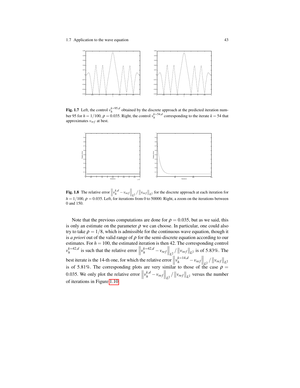

<span id="page-50-0"></span>Fig. 1.7 Left, the control  $v_h^{k=95,d}$  obtained by the discrete approach at the predicted iteration number 95 for  $h = 1/100$ ,  $\rho = 0.035$ . Right, the control  $v_h^{k=54,d}$  corresponding to the iterate  $k = 54$  that approximates  $v_{ref}$  at best.



<span id="page-50-1"></span>**Fig. 1.8** The relative error  $\left\| v_h^{k,d} - v_{ref} \right\|_{L^2} / \left\| v_{ref} \right\|_{L^2}$  for the discrete approach at each iteration for  $h = 1/100$ ,  $\rho = 0.035$ . Left, for iterations from 0 to 50000. Right, a zoom on the iterations between 0 and 150.

Note that the previous computations are done for  $\rho = 0.035$ , but as we said, this is only an estimate on the parameter  $\rho$  we can choose. In particular, one could also try to take  $\rho = 1/8$ , which is admissible for the continuous wave equation, though it is *a priori* out of the valid range of  $\rho$  for the semi-discrete equation according to our estimates. For  $h = 100$ , the estimated iteration is then 42. The corresponding control  $v_h^{k=42,d}$  is such that the relative error  $\left\|v_h^{k=42,d} - v_{ref}\right\|_{L^2} / \left\|v_{ref}\right\|_{L^2}$  is of 5.83%. The best iterate is the 14-th one, for which the relative error  $\left\|v_h^{k=14,d} - v_{ref}\right\|_{L^2} / \left\|v_{ref}\right\|_{L^2}$ is of 5.81%. The corresponding plots are very similar to those of the case  $\rho =$ 0.035. We only plot the relative error  $\left\|v_h^{k,d} - v_{ref}\right\|_{L^2} / \left\|v_{ref}\right\|_{L^2}$  versus the number of iterations in Figure [1.10.](#page-51-1)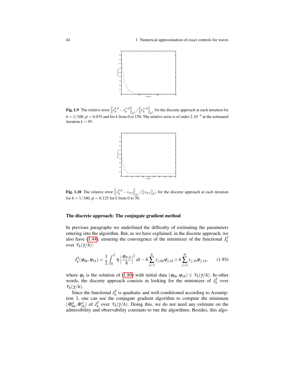

<span id="page-51-0"></span>**Fig. 1.9** The relative error  $\left\|v_h^{k,d} - v_h^{\infty,d}\right\|_{L^2} / \left\|v_h^{\infty,d}\right\|_{L^2}$  for the discrete approach at each iteration for  $h = 1/100$ ,  $\rho = 0.035$  and for *k* from 0 to 150. The relative error is of order 2.10<sup>-4</sup> at the estimated iteration  $k = 95$ .



<span id="page-51-1"></span>**Fig. 1.10** The relative error  $\left\| v_h^{k,d} - v_{ref} \right\|_{L^2} / \left\| v_{ref} \right\|_{L^2}$  for the discrete approach at each iteration for  $h = 1/100$ ,  $\rho = 0.125$  for  $k$  from 0 to 50.

#### The discrete approach: The conjugate gradient method

In previous paragraphs we underlined the difficulty of estimating the parameters entering into the algorithm. But, as we have explained, in the discrete approach, we also have [\(1.44\)](#page-25-2), ensuring the convergence of the minimizer of the functional  $J_h^{\gamma}$ over V*h*(γ/*h*):

$$
J_h^{\gamma}(\varphi_{0h}, \varphi_{1h}) = \frac{1}{2} \int_0^T \eta \left| \frac{\varphi_{N,h}}{h} \right|^2 dt - h \sum_{j=1}^N y_{j,0h} \varphi_{j,1h} + h \sum_{j=1}^N y_{j,1h} \varphi_{j,1h}, \qquad (1.93)
$$

where  $\varphi_h$  is the solution of [\(1.80\)](#page-39-0) with initial data  $(\varphi_{0h}, \varphi_{1h}) \in \mathcal{V}_h(\gamma/h)$ . In other words, the discrete approach consists in looking for the minimizer of  $J_h^{\gamma}$  over V*h*(γ/*h*).

Since the functional  $J_h^{\gamma}$  is quadratic and well-conditioned according to Assumption 3, one can use the conjugate gradient algorithm to compute the minimum  $(\Phi_{0h}^d, \Phi_{1h}^d)$  of  $J_h^{\gamma}$  over  $\mathcal{V}_h(\gamma/h)$ . Doing this, we do not need any estimate on the admissibility and observability constants to run the algorithms. Besides, this algo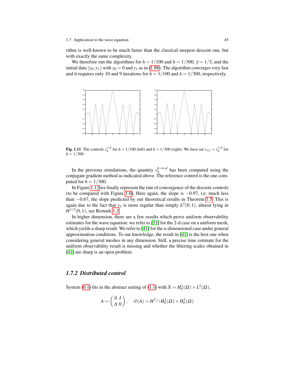rithm is well-known to be much faster than the classical steepest descent one, but with exactly the same complexity.

We therefore run the algorithms for  $h = 1/100$  and  $h = 1/300$ ,  $\gamma = 1/3$ , and the initial data  $(y_0, y_1)$  with  $y_0 = 0$  and  $y_1$  as in [\(1.88\)](#page-44-1). The algorithm converges very fast and it requires only 10 and 9 iterations for  $h = 1/100$  and  $h = 1/300$ , respectively.



<span id="page-52-0"></span>**Fig. 1.11** The controls  $v_h^{\infty,d}$  for  $h = 1/100$  (left) and  $h = 1/300$  (right). We have set  $v_{ref} = v_h^{\infty,d}$  for  $h = 1/300$ .

In the previous simulations, the quantity  $v_h^{k=\infty,d}$  has been computed using the conjugate gradient method as indicated above. The reference control is the one computed for  $h = 1/300$ .

In Figure [1.12](#page-53-0) we finally represent the rate of convergence of the discrete controls (to be compared with Figure [1.6\)](#page-47-1). Here again, the slope is −0.97, i.e. much less than −0.67, the slope predicted by our theoretical results in Theorem [1.5.](#page-25-0) This is again due to the fact that  $y_1$  is more regular than simply  $L^2(0,1)$ , almost lying in  $H^{1/2}(0,1)$ , see Remark [1.2.](#page-43-0)

In higher dimension, there are a few results which prove uniform observability estimates for the wave equation: we refer to [\[51\]](#page-134-3) for the 2-d case on a uniform mesh, which yields a sharp result. We refer to [\[41\]](#page-134-4) for the *n*-dimensional case under general approximation conditions. To our knowledge, the result in [\[41\]](#page-134-4) is the best one when considering general meshes in any dimension. Still, a precise time estimate for the uniform observability result is missing and whether the filtering scales obtained in [\[41\]](#page-134-4) are sharp is an open problem.

### <span id="page-52-1"></span>*1.7.2 Distributed control*

System [\(0.1\)](#page-8-0) fits in the abstract setting of [\(1.1\)](#page-14-0) with  $X = H_0^1(\Omega) \times L^2(\Omega)$ ,

$$
A = \begin{pmatrix} 0 & I \\ \Delta & 0 \end{pmatrix}, \quad \mathscr{D}(A) = H^2 \cap H_0^1(\Omega) \times H_0^1(\Omega)
$$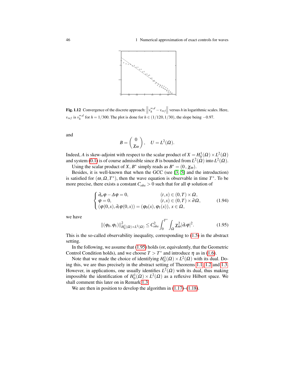

<span id="page-53-0"></span>**Fig. 1.12** Convergence of the discrete approach:  $\left\|v_h^{\infty,d} - v_{ref}\right\|$  versus *h* in logarithmic scales. Here,  $v_{ref}$  is  $v_h^{\infty,d}$  for  $h = 1/300$ . The plot is done for  $h \in (1/120,1/30)$ , the slope being −0.97.

and

$$
B=\begin{pmatrix} 0\\ \chi_{\omega} \end{pmatrix}, \quad U=L^2(\Omega).
$$

Indeed, *A* is skew-adjoint with respect to the scalar product of  $X = H_0^1(\Omega) \times L^2(\Omega)$ and system [\(0.1\)](#page-8-0) is of course admissible since *B* is bounded from  $L^2(\tilde{\Omega})$  into  $L^2(\Omega)$ . Using the scalar product of *X*,  $B^*$  simply reads as  $B^* = (0, \chi_{\omega})$ .

Besides, it is well-known that when the GCC (see [\[3,](#page-132-2) [5\]](#page-132-3) and the introduction) is satisfied for  $(\omega, \Omega, T^*)$ , then the wave equation is observable in time  $T^*$ . To be more precise, there exists a constant  $C_{obs} > 0$  such that for all  $\varphi$  solution of

$$
\begin{cases} \n\partial_{tt} \varphi - \Delta \varphi = 0, & (t, x) \in (0, T) \times \Omega, \\ \n\varphi = 0, & (t, x) \in (0, T) \times \partial \Omega, \\ \n(\varphi(0, x), \partial_t \varphi(0, x)) = (\varphi_0(x), \varphi_1(x)), \, x \in \Omega, \n\end{cases} \tag{1.94}
$$

we have

<span id="page-53-1"></span>
$$
\|(\varphi_0, \varphi_1)\|_{H_0^1(\Omega) \times L^2(\Omega)}^2 \le C_{obs}^2 \int_0^{T^*} \int_{\Omega} \chi^2_{\omega} |\partial_t \varphi|^2.
$$
 (1.95)

This is the so-called observability inequality, corresponding to [\(1.5\)](#page-16-1) in the abstract setting.

In the following, we assume that [\(1.95\)](#page-53-1) holds (or, equivalently, that the Geometric Control Condition holds), and we choose  $T > T^*$  and introduce  $\eta$  as in [\(1.6\)](#page-16-2).

Note that we made the choice of identifying  $H_0^1(\Omega) \times L^2(\Omega)$  with its dual. Doing this, we are thus precisely in the abstract setting of Theorems [1.1,](#page-20-0) [1.2](#page-22-2) and [1.3.](#page-23-0) However, in applications, one usually identifies  $L^2(\Omega)$  with its dual, thus making impossible the identification of  $H_0^1(\Omega) \times L^2(\Omega)$  as a reflexive Hilbert space. We shall comment this later on in Remark [1.3.](#page-54-0)

We are then in position to develop the algorithm in  $(1.17)$ – $(1.18)$ .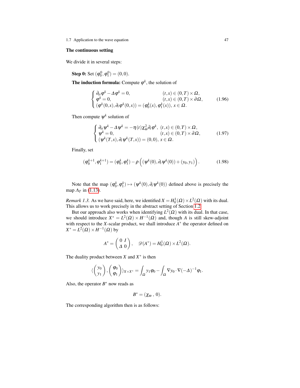1.7 Application to the wave equation 47

#### The continuous setting

We divide it in several steps:

**Step 0:** Set  $(\varphi_0^0, \varphi_1^0) = (0, 0)$ .

**The induction formula:** Compute  $\varphi^k$ , the solution of

<span id="page-54-1"></span>
$$
\begin{cases} \n\partial_{tt} \varphi^k - \Delta \varphi^k = 0, & (t, x) \in (0, T) \times \Omega, \\ \n\varphi^k = 0, & (t, x) \in (0, T) \times \partial \Omega, \\ \n(\varphi^k(0, x), \partial_t \varphi^k(0, x)) = (\varphi_0^k(x), \varphi_1^k(x)), & x \in \Omega. \n\end{cases} \tag{1.96}
$$

Then compute  $\psi^k$  solution of

$$
\begin{cases} \partial_{tt} \psi^k - \Delta \psi^k = -\eta(t) \chi^2_{\omega} \partial_t \varphi^k, \ (t, x) \in (0, T) \times \Omega, \\ \psi^k = 0, & (t, x) \in (0, T) \times \partial \Omega, \\ (\psi^k(T, x), \partial_t \psi^k(T, x)) = (0, 0), \ x \in \Omega. \end{cases}
$$
 (1.97)

Finally, set

<span id="page-54-2"></span>
$$
(\varphi_0^{k+1}, \varphi_1^{k+1}) = (\varphi_0^k, \varphi_1^k) - \rho \left( (\psi^k(0), \partial_t \psi^k(0)) + (y_0, y_1) \right). \tag{1.98}
$$

Note that the map  $(\varphi_0^k, \varphi_1^k) \mapsto (\psi^k(0), \partial_t \psi^k(0))$  defined above is precisely the map  $\Lambda_T$  in [\(1.13\)](#page-19-0).

<span id="page-54-0"></span>*Remark 1.3.* As we have said, here, we identified  $X = H_0^1(\Omega) \times L^2(\Omega)$  with its dual. This allows us to work precisely in the abstract setting of Section [1.2.](#page-19-1)

But our approach also works when identifying  $L^2(\Omega)$  with its dual. In that case, we should introduce  $X^* = L^2(\Omega) \times H^{-1}(\Omega)$  and, though *A* is still skew-adjoint with respect to the *X*-scalar product, we shall introduce *A*<sup>∗</sup> the operator defined on  $X^* = L^2(\Omega) \times H^{-1}(\Omega)$  by

$$
A^* = \begin{pmatrix} 0 & I \\ \Delta & 0 \end{pmatrix}, \quad \mathscr{D}(A^*) = H_0^1(\Omega) \times L^2(\Omega).
$$

The duality product between  $X$  and  $X^*$  is then

$$
\langle \begin{pmatrix} y_0 \\ y_1 \end{pmatrix}, \begin{pmatrix} \varphi_0 \\ \varphi_1 \end{pmatrix} \rangle_{X \times X^*} = \int_{\Omega} y_1 \varphi_0 - \int_{\Omega} \nabla y_0 \cdot \nabla (-\Delta)^{-1} \varphi_1.
$$

Also, the operator  $B^*$  now reads as

$$
B^*=(\chi_\omega\;,\;0).
$$

The corresponding algorithm then is as follows: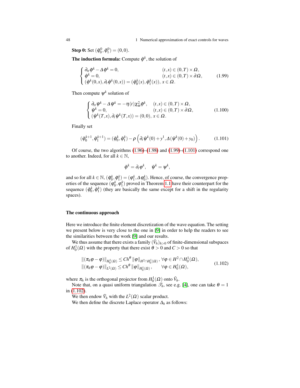**Step 0:** Set  $(\tilde{\varphi}_0^0, \tilde{\varphi}_1^0) = (0, 0)$ .

**The induction formula:** Compute  $\tilde{\varphi}^k$ , the solution of

<span id="page-55-0"></span>
$$
\begin{cases} \n\partial_{tt} \tilde{\varphi}^k - \Delta \tilde{\varphi}^k = 0, & (t, x) \in (0, T) \times \Omega, \\ \n\tilde{\varphi}^k = 0, & (t, x) \in (0, T) \times \partial \Omega, \\ \n(\tilde{\varphi}^k(0, x), \partial_t \tilde{\varphi}^k(0, x)) = (\tilde{\varphi}_0^k(x), \tilde{\varphi}_1^k(x)), \, x \in \Omega. \n\end{cases} \tag{1.99}
$$

Then compute  $\psi^k$  solution of

$$
\begin{cases} \partial_{tt} \tilde{\psi}^k - \Delta \tilde{\psi}^k = -\eta(t) \chi^2_{\omega} \tilde{\varphi}^k, & (t, x) \in (0, T) \times \Omega, \\ \tilde{\psi}^k = 0, & (t, x) \in (0, T) \times \partial \Omega, \\ (\tilde{\psi}^k(T, x), \partial_t \tilde{\psi}^k(T, x)) = (0, 0), x \in \Omega. \end{cases}
$$
(1.100)

Finally set

<span id="page-55-1"></span>
$$
(\tilde{\varphi}_0^{k+1}, \tilde{\varphi}_1^{k+1}) = (\tilde{\varphi}_0^k, \tilde{\varphi}_1^k) - \rho \left( \partial_t \tilde{\psi}^k(0) + y^1, \Delta(\tilde{\psi}^k(0) + y_0) \right). \tag{1.101}
$$

Of course, the two algorithms  $(1.96)$ – $(1.98)$  and  $(1.99)$ – $(1.101)$  correspond one to another. Indeed, for all  $k \in \mathbb{N}$ ,

$$
\tilde{\varphi}^k = \partial_t \varphi^k, \quad \tilde{\psi}^k = \psi^k,
$$

and so for all  $k \in \mathbb{N}$ ,  $(\tilde{\varphi}_0^k, \tilde{\varphi}_1^k) = (\varphi_1^k, \Delta \varphi_0^k)$ . Hence, of course, the convergence properties of the sequence  $(\varphi_0^k, \varphi_1^k)$  proved in Theorem [1.1](#page-20-0) have their counterpart for the sequence  $(\tilde{\varphi}_0^k, \tilde{\varphi}_1^k)$  (they are basically the same except for a shift in the regularity spaces).

#### The continuous approach

Here we introduce the finite element discretization of the wave equation. The setting we present below is very close to the one in [\[9\]](#page-132-0) in order to help the readers to see the similarities between the work [\[9\]](#page-132-0) and our results.

We thus assume that there exists a family  $(\tilde{V}_h)_{h>0}$  of finite-dimensional subspaces of  $H_0^1(\Omega)$  with the property that there exist  $\theta > 0$  and  $C > 0$  so that

<span id="page-55-2"></span>
$$
\begin{aligned}\n\|(\pi_h \varphi - \varphi)\|_{H_0^1(\Omega)} &\leq Ch^\theta \|\varphi\|_{H^2 \cap H_0^1(\Omega)}, \ \forall \varphi \in H^2 \cap H_0^1(\Omega), \\
\|(\pi_h \varphi - \varphi)\|_{L^2(\Omega)} &\leq Ch^\theta \|\varphi\|_{H_0^1(\Omega)}, \qquad \forall \varphi \in H_0^1(\Omega),\n\end{aligned} \tag{1.102}
$$

where  $\pi_h$  is the orthogonal projector from  $H_0^1(\Omega)$  onto  $\tilde{V}_h$ .

Note that, on a quasi uniform triangulation  $\mathcal{T}_h$ , see e.g. [\[4\]](#page-132-1), one can take  $\theta = 1$ in [\(1.102\)](#page-55-2).

We then endow  $\tilde{V}_h$  with the  $L^2(\Omega)$  scalar product.

We then define the discrete Laplace operator ∆*<sup>h</sup>* as follows: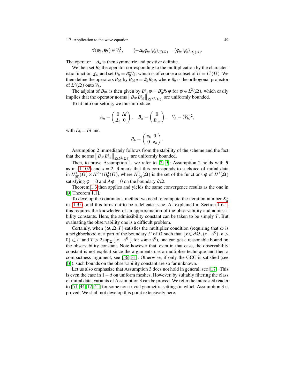1.7 Application to the wave equation 10 and 10 and 10 and 10 and 10 and 10 and 10 and 10 and 10 and 10 and 10 and 10 and 10 and 10 and 10 and 10 and 10 and 10 and 10 and 10 and 10 and 10 and 10 and 10 and 10 and 10 and 10

$$
\forall (\varphi_h, \psi_h) \in V_h^2, \qquad \langle -\Delta_h \varphi_h, \psi_h \rangle_{L^2(\Omega)} = \langle \varphi_h, \psi_h \rangle_{H_0^1(\Omega)}.
$$

The operator  $-\Delta_h$  is then symmetric and positive definite.

We then set  $B_0$  the operator corresponding to the multiplication by the characteristic function  $\chi_{\omega}$  and set  $U_h = B_0^* \tilde{V}_h$ , which is of course a subset of  $U = L^2(\Omega)$ . We then define the operators  $B_{0h}$  by  $B_{0h}u = \tilde{\pi}_h B_0 u$ , where  $\tilde{\pi}_h$  is the orthogonal projector of  $L^2(\Omega)$  onto  $\tilde{V}_h$ .

The adjoint of  $B_{0h}$  is then given by  $B_{0h}^* \varphi = B_0^* \tilde{\pi}_h \varphi$  for  $\varphi \in L^2(\Omega)$ , which easily implies that the operator norms  $||B_{0h}B_{0h}^*||_{\mathfrak{L}(L^2(\Omega))}$  are uniformly bounded.

To fit into our setting, we thus introduce

$$
A_h = \begin{pmatrix} 0 & Id \\ \Delta_h & 0 \end{pmatrix}, \quad B_h = \begin{pmatrix} 0 \\ B_{0h} \end{pmatrix}, \quad V_h = (\tilde{V}_h)^2,
$$

with  $E_h = Id$  and

$$
R_h = \left(\begin{array}{cc} \pi_h & 0 \\ 0 & \pi_h \end{array}\right).
$$

Assumption 2 immediately follows from the stability of the scheme and the fact that the norms  $||B_{0h}B_{0h}^*||_{\mathfrak{L}(L^2(\Omega))}$  are uniformly bounded.

Then, to prove Assumption 1, we refer to [\[2,](#page-132-4) [9\]](#page-132-0): Assumption 2 holds with  $\theta$ as in  $(1.102)$  and  $s = 2$ . Remark that this corresponds to a choice of initial data in  $H^3_{(0)}(\Omega) \times H^2 \cap H^1_0(\Omega)$ , where  $H^3_{(0)}(\Omega)$  is the set of the functions  $\varphi$  of  $H^3(\Omega)$ satisfying  $\varphi = 0$  and  $\Delta \varphi = 0$  on the boundary  $\partial \Omega$ .

Theorem [1.3](#page-23-0) then applies and yields the same convergence results as the one in [\[9,](#page-132-0) Theorem 1.1].

To develop the continuous method we need to compute the iteration number  $K_h^c$ in [\(1.35\)](#page-23-1), and this turns out to be a delicate issue. As explained in Section [1.6.1,](#page-33-0) this requires the knowledge of an approximation of the observability and admissibility constants. Here, the admissibility constant can be taken to be simply *T*. But evaluating the observability one is a difficult problem.

Certainly, when  $(\omega, \Omega, T)$  satisfies the multiplier condition (requiring that  $\omega$  is a neighborhood of a part of the boundary  $\Gamma$  of  $\Omega$  such that  $\{x \in \partial\Omega, (x - x^0) \cdot n \}$  $0$ }  $\subset \Gamma$  and  $T > 2 \sup_{\Omega} \{ |x - x^0| \}$  for some  $x^0$ ), one can get a reasonable bound on the observability constant. Note however that, even in that case, the observability constant is not explicit since the arguments use a multiplier technique and then a compactness argument, see [\[36,](#page-133-2) [31\]](#page-133-7). Otherwise, if only the GCC is satisfied (see [\[3\]](#page-132-2)), such bounds on the observability constant are so far unknown.

Let us also emphasize that Assumption 3 does not hold in general, see [\[17\]](#page-133-5). This is even the case in 1−*d* on uniform meshes. However, by suitably filtering the class of initial data, variants of Assumption 3 can be proved. We refer the interested reader to [\[51,](#page-134-3) [44,](#page-134-5) [12,](#page-132-5) [41\]](#page-134-4) for some non-trivial geometric settings in which Assumption 3 is proved. We shall not develop this point extensively here.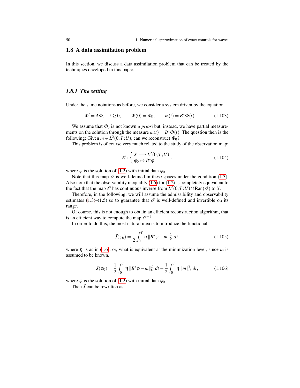### 1.8 A data assimilation problem

In this section, we discuss a data assimilation problem that can be treated by the techniques developed in this paper.

### *1.8.1 The setting*

Under the same notations as before, we consider a system driven by the equation

<span id="page-57-1"></span>
$$
\Phi' = A\Phi, \quad t \ge 0, \qquad \Phi(0) = \Phi_0, \qquad m(t) = B^* \Phi(t).
$$
 (1.103)

We assume that  $\Phi_0$  is not known *a priori* but, instead, we have partial measurements on the solution through the measure  $m(t) = B^* \Phi(t)$ . The question then is the following: Given  $m \in L^2(0,T;U)$ , can we reconstruct  $\Phi_0$ ?

This problem is of course very much related to the study of the observation map:

$$
\mathscr{O}: \left\{ \begin{array}{l} X \longrightarrow L^2(0, T; U) \\ \varphi_0 \mapsto B^* \varphi \end{array} \right., \tag{1.104}
$$

where  $\varphi$  is the solution of [\(1.2\)](#page-15-1) with initial data  $\varphi_0$ .

Note that this map  $\mathcal O$  is well-defined in these spaces under the condition [\(1.3\)](#page-15-0). Also note that the observability inequality [\(1.5\)](#page-16-1) for [\(1.2\)](#page-15-1) is completely equivalent to the fact that the map  $\mathscr O$  has continuous inverse from  $L^2(0,T;U) \cap \text{Ran}(\mathscr O)$  to *X*.

Therefore, in the following, we will assume the admissibility and observability estimates [\(1.3\)](#page-15-0)–[\(1.5\)](#page-16-1) so to guarantee that  $\mathcal O$  is well-defined and invertible on its range.

Of course, this is not enough to obtain an efficient reconstruction algorithm, that is an efficient way to compute the map  $\mathscr{O}^{-1}$ .

In order to do this, the most natural idea is to introduce the functional

$$
\tilde{J}(\varphi_0) = \frac{1}{2} \int_0^T \eta \, \|B^* \varphi - m\|_U^2 \, dt,\tag{1.105}
$$

where  $\eta$  is as in [\(1.6\)](#page-16-2), or, what is equivalent at the minimization level, since *m* is assumed to be known,

<span id="page-57-0"></span>
$$
\tilde{J}(\varphi_0) = \frac{1}{2} \int_0^T \eta \, \|B^* \varphi - m\|_U^2 \, dt - \frac{1}{2} \int_0^T \eta \, \|m\|_U^2 \, dt,\tag{1.106}
$$

where  $\varphi$  is the solution of [\(1.2\)](#page-15-1) with initial data  $\varphi_0$ .

Then  $\tilde{J}$  can be rewritten as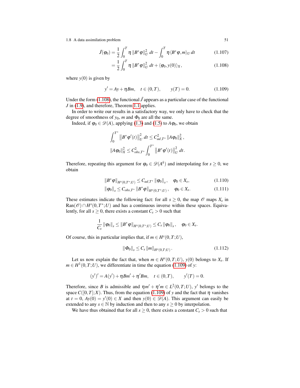1.8 A data assimilation problem 51

$$
\tilde{J}(\varphi_0) = \frac{1}{2} \int_0^T \eta \, \|B^* \varphi\|_U^2 \, dt - \int_0^T \eta \, \langle B^* \varphi, m \rangle_U \, dt \tag{1.107}
$$

<span id="page-58-0"></span>
$$
= \frac{1}{2} \int_0^T \eta \, \|B^* \varphi\|_U^2 \, dt + \langle \varphi_0, y(0) \rangle_X, \tag{1.108}
$$

where  $y(0)$  is given by

<span id="page-58-1"></span>
$$
y'=Ay+\eta Bm, \quad t \in (0,T), \qquad y(T)=0.
$$
 (1.109)

Under the form [\(1.108\)](#page-58-0), the functional  $\tilde{J}$  appears as a particular case of the functional *J* in [\(1.9\)](#page-16-0), and therefore, Theorem [1.1](#page-20-0) applies.

In order to write our results in a satisfactory way, we only have to check that the degree of smoothness of  $y_0$ , *m* and  $\Phi_0$  are all the same.

Indeed, if  $\varphi_0 \in \mathcal{D}(A)$ , applying [\(1.3\)](#page-15-0) and [\(1.5\)](#page-16-1) to  $A\varphi_0$ , we obtain

$$
\int_0^{T^*} \|B^* \varphi'(t)\|_{U}^2 dt \leq C_{ad,T^*}^2 \|A \varphi_0\|_{X}^2,
$$
  

$$
\|A \varphi_0\|_{X}^2 \leq C_{obs,T^*}^2 \int_0^{T^*} \|B^* \varphi'(t)\|_{U}^2 dt.
$$

Therefore, repeating this argument for  $\varphi_0 \in \mathcal{D}(A^k)$  and interpolating for  $s \geq 0$ , we obtain

$$
||B^*\varphi||_{H^s(0,T^*,U)} \leq C_{ad,T^*} ||\varphi_0||_s, \quad \varphi_0 \in X_s,
$$
\n(1.110)

$$
\|\varphi_0\|_{s} \le C_{obs,T^*} \|B^*\varphi\|_{H^s(0,T^*;U)}, \quad \varphi_0 \in X_s. \tag{1.111}
$$

These estimates indicate the following fact: for all  $s \geq 0$ , the map  $\mathcal O$  maps  $X_s$  in  $\text{Ran}(\mathcal{O}) \cap H^s(0,T^*;U)$  and has a continuous inverse within these spaces. Equivalently, for all  $s \geq 0$ , there exists a constant  $C_s > 0$  such that

$$
\frac{1}{C_s}\left\|\varphi_0\right\|_s\leq\left\|B^*\varphi\right\|_{H^s(0,T^*,U)}\leq C_s\left\|\varphi_0\right\|_s,\quad \varphi_0\in X_s.
$$

Of course, this in particular implies that, if  $m \in H<sup>s</sup>(0,T;U)$ ,

<span id="page-58-2"></span>
$$
\|\Phi_0\|_{s} \le C_s \|m\|_{H^s(0,T;U)}.
$$
\n(1.112)

Let us now explain the fact that, when  $m \in H^s(0,T;U)$ ,  $y(0)$  belongs to  $X_s$ . If  $m \in H^1(0,T;U)$ , we differentiate in time the equation [\(1.109\)](#page-58-1) of *y*:

$$
(y')' = A(y') + \eta Bm' + \eta' Bm
$$
,  $t \in (0, T)$ ,  $y'(T) = 0$ .

Therefore, since *B* is admissible and  $\eta m' + \eta' m \in L^2(0,T;U)$ , y' belongs to the space  $C([0,T];X)$ . Thus, from the equation [\(1.109\)](#page-58-1) of *y* and the fact that  $\eta$  vanishes at  $t = 0$ ,  $Ay(0) = y'(0) \in X$  and then  $y(0) \in \mathcal{D}(A)$ . This argument can easily be extended to any  $s \in \mathbb{N}$  by induction and then to any  $s \ge 0$  by interpolation.

We have thus obtained that for all  $s \geq 0$ , there exists a constant  $C_s > 0$  such that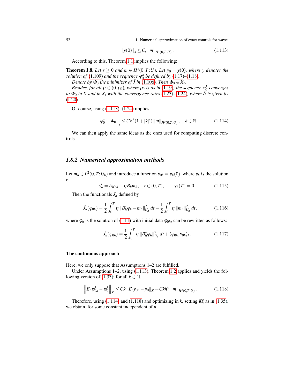52 1 Numerical approximation of exact controls for waves

<span id="page-59-0"></span>
$$
||y(0)||_{s} \leq C_{s} ||m||_{H^{s}(0,T;U)}.
$$
\n(1.113)

According to this, Theorem [1.1](#page-20-0) implies the following:

**Theorem 1.8.** Let  $s \geq 0$  and  $m \in H<sup>s</sup>(0,T;U)$ . Let  $y_0 = y(0)$ , where y denotes the *solution of* [\(1.109\)](#page-58-1) *and the sequence*  $\varphi_0^k$  *be defined by* [\(1.17\)](#page-20-1)–[\(1.18\)](#page-20-2).

*Denote by*  $\Phi_0$  *the minimizer of*  $\tilde{J}$  *in* [\(1.106\)](#page-57-0)*. Then*  $\Phi_0 \in X_s$ *.* 

*Besides, for all*  $\rho \in (0, \rho_0)$ *, where*  $\rho_0$  *is as in* [\(1.19\)](#page-20-3)*, the sequence*  $\varphi_0^k$  *converges to*  $\Phi_0$  *in X and in X<sub>s</sub> with the convergence rates* [\(1.23\)](#page-21-0)–[\(1.24\)](#page-21-1)*, where*  $\delta$  *is given by* [\(1.20\)](#page-21-2)*.*

Of course, using [\(1.113\)](#page-59-0), [\(1.24\)](#page-21-1) implies:

<span id="page-59-1"></span>
$$
\left\| \boldsymbol{\varphi}_0^k - \boldsymbol{\Phi}_0 \right\|_s \le C \delta^k (1 + |k|^s) \left\| m \right\|_{H^s(0,T;U)}, \quad k \in \mathbb{N}.
$$
 (1.114)

We can then apply the same ideas as the ones used for computing discrete controls.

### *1.8.2 Numerical approximation methods*

Let  $m_h \in L^2(0, T; U_h)$  and introduce a function  $y_{0h} = y_h(0)$ , where  $y_h$  is the solution of

<span id="page-59-3"></span>
$$
y'_h = A_h y_h + \eta B_h m_h, \quad t \in (0, T), \qquad y_h(T) = 0.
$$
 (1.115)

Then the functionals  $\tilde{J}_h$  defined by

<span id="page-59-4"></span>
$$
\tilde{J}_h(\varphi_{0h}) = \frac{1}{2} \int_0^T \eta \, \|B_h^* \varphi_h - m_h\|_{U_h}^2 \, dt - \frac{1}{2} \int_0^T \eta \, \|m_h\|_{U_h}^2 \, dt,\tag{1.116}
$$

where  $\varphi_h$  is the solution of [\(1.11\)](#page-18-1) with initial data  $\varphi_{0h}$ , can be rewritten as follows:

$$
\tilde{J}_h(\varphi_{0h}) = \frac{1}{2} \int_0^T \eta \, \|B_h^* \varphi_h\|_{U_h}^2 \, dt + \langle \varphi_{0h}, y_{0h} \rangle_h. \tag{1.117}
$$

#### The continuous approach

Here, we only suppose that Assumptions 1–2 are fulfilled.

Under Assumptions 1–2, using [\(1.113\)](#page-59-0), Theorem [1.2](#page-22-2) applies and yields the fol-lowing version of [\(1.33\)](#page-23-2): for all  $k \in \mathbb{N}$ ,

<span id="page-59-2"></span>
$$
\left\| E_h \varphi_{0h}^k - \varphi_0^k \right\|_X \leq C k \left\| E_h y_{0h} - y_0 \right\|_X + C k h^{\theta} \left\| m \right\|_{H^s(0,T;U)}.
$$
 (1.118)

Therefore, using [\(1.114\)](#page-59-1) and [\(1.118\)](#page-59-2) and optimizing in *k*, setting  $K_h^c$  as in [\(1.35\)](#page-23-1), we obtain, for some constant independent of *h*,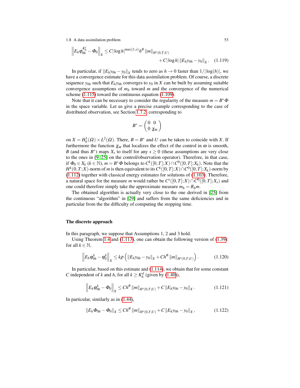1.8 A data assimilation problem 53

$$
\left\|E_h \varphi_{0h}^{K_h^c} - \Phi_0\right\|_X \le C |\log h|^{\max\{1,s\}} h^{\theta} \left\|m\right\|_{H^s(0,T;U)} + C |\log h| \left\|E_h y_{0h} - y_0\right\|_X. \quad (1.119)
$$

In particular, if  $||E_h y_{0h} - y_0||_X$  tends to zero as  $h \to 0$  faster than  $1/|\log(h)|$ , we have a convergence estimate for this data assimilation problem. Of course, a discrete sequence  $y_{0h}$  such that  $E_h y_{0h}$  converges to  $y_0$  in  $X$  can be built by assuming suitable convergence assumptions of *m<sup>h</sup>* toward *m* and the convergence of the numerical scheme [\(1.115\)](#page-59-3) toward the continuous equation [\(1.109\)](#page-58-1).

Note that it can be necessary to consider the regularity of the measure  $m = B^* \Phi$ in the space variable. Let us give a precise example corresponding to the case of distributed observation, see Section [1.7.2,](#page-52-1) corresponding to

$$
B^*=\left(\begin{matrix} 0&0\\0&\boldsymbol{\chi}_{\boldsymbol{\omega}}\end{matrix}\right)
$$

on  $X = H_0^1(\Omega) \times L^2(\Omega)$ . There,  $B = B^*$  and *U* can be taken to coincide with *X*. If furthermore the function  $\chi_{\omega}$  that localizes the effect of the control in  $\omega$  is smooth, *B* (and thus  $B^*$ ) maps  $X_s$  to itself for any  $s \ge 0$  (these assumptions are very close to the ones in [\[9,](#page-132-0) [25\]](#page-133-8) on the control/observation operator). Therefore, in that case, if  $\Phi_0 \in X_k$  ( $k \in \mathbb{N}$ ),  $m = B^* \Phi$  belongs to  $C^k([0,T];X) \cap C^0([0,T];X_k)$ . Note that the  $H^k(0,T;X)$ -norm of *m* is then equivalent to its  $C^k([0,T];X)\cap C^0([0,T];X_k)$ -norm by [\(1.112\)](#page-58-2) together with classical energy estimates for solutions of [\(1.103\)](#page-57-1). Therefore, a natural space for the measure *m* would rather be  $C^s([0,T];X)\cap C^0([0,T];X_s)$  and one could therefore simply take the approximate measure  $m_h = R_h m$ .

The obtained algorithm is actually very close to the one derived in [\[25\]](#page-133-8) from the continuous "algorithm" in [\[29\]](#page-133-9) and suffers from the same deficiencies and in particular from the the difficulty of computing the stopping time.

#### The discrete approach

In this paragraph, we suppose that Assumptions 1, 2 and 3 hold.

Using Theorem [1.4](#page-24-1) and [\(1.113\)](#page-59-0), one can obtain the following version of [\(1.39\)](#page-25-3): for all  $k \in \mathbb{N}$ ,

$$
\left\| E_h \varphi_{0h}^k - \varphi_0^k \right\|_X \le k\rho \left( \left\| E_h y_{0h} - y_0 \right\|_X + C h^{\theta} \left\| m \right\|_{H^s(0,T;U)} \right). \tag{1.120}
$$

In particular, based on this estimate and [\(1.114\)](#page-59-1), we obtain that for some constant *C* independent of *k* and *h*, for all  $k \geq K_h^d$  (given by [\(1.40\)](#page-25-1)),

$$
\left\| E_h \varphi_{0h}^k - \Phi_0 \right\|_X \le Ch^{\theta} \left\| m \right\|_{H^s(0,T;U)} + C \left\| E_h y_{0h} - y_0 \right\|_X. \tag{1.121}
$$

In particular, similarly as in [\(1.44\)](#page-25-2),

$$
||E_h \Phi_{0h} - \Phi_0||_X \le Ch^{\theta} ||m||_{H^s(0,T;U)} + C ||E_h y_{0h} - y_0||_X, \qquad (1.122)
$$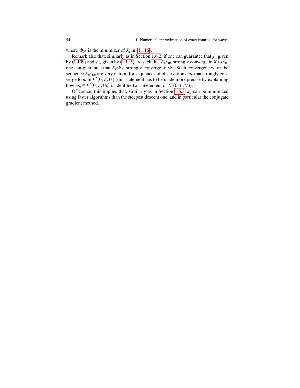where  $\Phi_{0h}$  is the minimizer of  $\tilde{J}_h$  in [\(1.116\)](#page-59-4).

Remark also that, similarly as in Section [1.6.2,](#page-34-0) if one can guarantee that *y*<sup>0</sup> given by [\(1.109\)](#page-58-1) and  $y_{0h}$  given by [\(1.115\)](#page-59-3) are such that  $E_h y_{0h}$  strongly converge in *X* to  $y_0$ , one can guarantee that  $E_h \Phi_{0h}$  strongly converge to  $\Phi_0$ . Such convergences for the sequence  $E_h y_{0h}$  are very natural for sequences of observations  $m_h$  that strongly converge to *m* in  $L^2(0,T;U)$  (this statement has to be made more precise by explaining how  $m_h \in L^2(0,T;U_h)$  is identified as an element of  $L^2(0,T;U)$ ).

Of course, this implies that, similarly as in Section [1.6.3,](#page-36-0)  $\tilde{J}_h$  can be minimized using faster algorithms than the steepest descent one, and in particular the conjugate gradient method.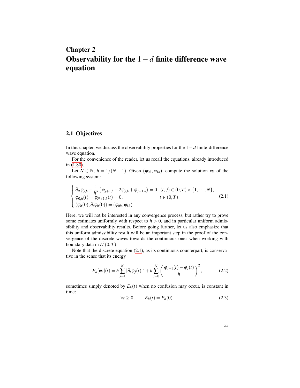# <span id="page-62-0"></span>Chapter 2 Observability for the 1−*d* finite difference wave equation

### 2.1 Objectives

In this chapter, we discuss the observability properties for the 1−*d* finite-difference wave equation.

For the convenience of the reader, let us recall the equations, already introduced in [\(1.80\)](#page-39-0).

Let  $N \in \mathbb{N}$ ,  $h = 1/(N + 1)$ . Given  $(\varphi_{0h}, \varphi_{1h})$ , compute the solution  $\varphi_h$  of the following system:

<span id="page-62-1"></span>
$$
\begin{cases}\n\partial_{tt}\varphi_{j,h} - \frac{1}{h^2} \left( \varphi_{j+1,h} - 2\varphi_{j,h} + \varphi_{j-1,h} \right) = 0, & (t,j) \in (0,T) \times \{1, \dots, N\}, \\
\varphi_{0,h}(t) = \varphi_{N+1,h}(t) = 0, & t \in (0,T), \\
(\varphi_h(0), \partial_t \varphi_h(0)) = (\varphi_{0h}, \varphi_{1h}).\n\end{cases}
$$
\n(2.1)

Here, we will not be interested in any convergence process, but rather try to prove some estimates uniformly with respect to  $h > 0$ , and in particular uniform admissibility and observability results. Before going further, let us also emphasize that this uniform admissibility result will be an important step in the proof of the convergence of the discrete waves towards the continuous ones when working with boundary data in  $L^2(0,T)$ .

Note that the discrete equation [\(2.1\)](#page-62-1), as its continuous counterpart, is conservative in the sense that its energy

<span id="page-62-2"></span>
$$
E_h[\varphi_h](t) = h \sum_{j=1}^N |\partial_t \varphi_j(t)|^2 + h \sum_{j=0}^N \left( \frac{\varphi_{j+1}(t) - \varphi_j(t)}{h} \right)^2, \tag{2.2}
$$

sometimes simply denoted by  $E_h(t)$  when no confusion may occur, is constant in time:

$$
\forall t \ge 0, \qquad E_h(t) = E_h(0). \tag{2.3}
$$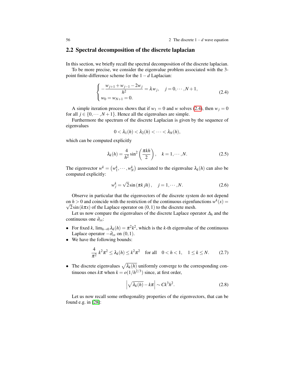56 2 The discrete 1−*d* wave equation

### <span id="page-63-0"></span>2.2 Spectral decomposition of the discrete laplacian

In this section, we briefly recall the spectral decomposition of the discrete laplacian.

To be more precise, we consider the eigenvalue problem associated with the 3 point finite-difference scheme for the 1−*d* Laplacian:

<span id="page-63-1"></span>
$$
\begin{cases}\n-\frac{w_{j+1} + w_{j-1} - 2w_j}{h^2} = \lambda w_j, & j = 0, \dots, N+1, \\
w_0 = w_{N+1} = 0.\n\end{cases}
$$
\n(2.4)

A simple iteration process shows that if  $w_1 = 0$  and w solves [\(2.4\)](#page-63-1), then  $w_i = 0$ for all  $j \in \{0, \dots, N+1\}$ . Hence all the eigenvalues are simple.

Furthermore the spectrum of the discrete Laplacian is given by the sequence of eigenvalues

$$
0<\lambda_1(h)<\lambda_2(h)<\cdots<\lambda_N(h),
$$

which can be computed explicitly

$$
\lambda_k(h) = \frac{4}{h^2} \sin^2\left(\frac{\pi k h}{2}\right), \quad k = 1, \cdots, N. \tag{2.5}
$$

The eigenvector  $w^k = (w_1^k, \dots, w_N^k)$  associated to the eigenvalue  $\lambda_k(h)$  can also be computed explicitly:

$$
w_j^k = \sqrt{2}\sin(\pi k j h), \quad j = 1, \cdots, N. \tag{2.6}
$$

Observe in particular that the eigenvectors of the discrete system do not depend on  $h > 0$  and coincide with the restriction of the continuous eigenfunctions  $w^k(x) = \sqrt{a^k + b^k}$  $\sqrt{2}$  sin( $k\pi x$ ) of the Laplace operator on (0, 1) to the discrete mesh.

Let us now compare the eigenvalues of the discrete Laplace operator ∆*<sup>h</sup>* and the continuous one ∂*xx*:

- For fixed *k*,  $\lim_{h\to 0} \lambda_k(h) = \pi^2 k^2$ , which is the *k*-th eigenvalue of the continuous Laplace operator  $-\partial_{xx}$  on  $(0,1)$ .
- We have the following bounds:

$$
\frac{4}{\pi^2} k^2 \pi^2 \le \lambda_k(h) \le k^2 \pi^2 \quad \text{for all} \quad 0 < h < 1, \quad 1 \le k \le N. \tag{2.7}
$$

• The discrete eigenvalues  $\sqrt{\lambda_k(h)}$  uniformly converge to the corresponding continuous ones  $k\pi$  when  $k = o(1/h^{2/3})$  since, at first order,

<span id="page-63-2"></span>
$$
\left| \sqrt{\lambda_k(h)} - k\pi \right| \sim Ck^3h^2. \tag{2.8}
$$

Let us now recall some orthogonality properties of the eigenvectors, that can be found e.g. in [\[28\]](#page-133-3):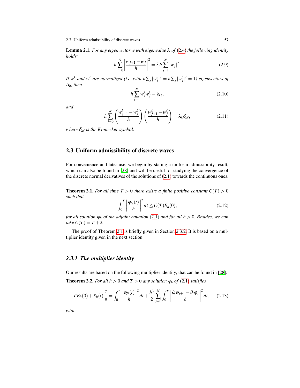2.3 Uniform admissibility of discrete waves 57

Lemma 2.1. *For any eigenvector w with eigenvalue* λ *of* [\(2.4\)](#page-63-1) *the following identity holds:*

$$
h\sum_{j=0}^{N} \left| \frac{w_{j+1} - w_j}{h} \right|^2 = \lambda h \sum_{j=1}^{N} |w_j|^2.
$$
 (2.9)

*If*  $w^k$  and  $w^{\ell}$  are normalized (i.e. with  $h\sum_j |w_j^k|^2 = h\sum_j |w_j^{\ell}|^2 = 1$ ) eigenvectors of ∆*h, then*

$$
h\sum_{j=1}^{N} w_j^k w_j^\ell = \delta_{k\ell},\tag{2.10}
$$

*and*

$$
h\sum_{j=0}^{N}\left(\frac{w_{j+1}^{k}-w_{j}^{k}}{h}\right)\left(\frac{w_{j+1}^{l}-w_{j}^{l}}{h}\right)=\lambda_{k}\delta_{k\ell},
$$
\n(2.11)

 $\omega$ *where*  $\delta_{k\ell}$  is the Kronecker symbol.

# 2.3 Uniform admissibility of discrete waves

For convenience and later use, we begin by stating a uniform admissibility result, which can also be found in [\[28\]](#page-133-3) and will be useful for studying the convergence of the discrete normal derivatives of the solutions of [\(2.1\)](#page-62-1) towards the continuous ones.

<span id="page-64-0"></span>**Theorem 2.1.** For all time  $T > 0$  there exists a finite positive constant  $C(T) > 0$ *such that*

<span id="page-64-1"></span>
$$
\int_0^T \left| \frac{\varphi_N(t)}{h} \right|^2 dt \le C(T) E_h(0), \tag{2.12}
$$

*for all solution*  $\varphi_h$  *of the adjoint equation* [\(2.1\)](#page-62-1) *and for all h* > 0*. Besides, we can take*  $C(T) = T + 2$ *.* 

The proof of Theorem [2.1](#page-64-0) is briefly given in Section [2.3.2.](#page-65-0) It is based on a multiplier identity given in the next section.

# *2.3.1 The multiplier identity*

Our results are based on the following multiplier identity, that can be found in [\[28\]](#page-133-3):

**Theorem 2.2.** *For all h* > 0 *and*  $T$  > 0 *any solution*  $\varphi_h$  *of* [\(2.1\)](#page-62-1) *satisfies* 

<span id="page-64-2"></span>
$$
TE_h(0) + X_h(t)\Big|_0^T = \int_0^T \left| \frac{\varphi_N(t)}{h} \right|^2 dt + \frac{h^3}{2} \sum_{j=0}^N \int_0^T \left| \frac{\partial_t \varphi_{j+1} - \partial_t \varphi_j}{h} \right|^2 dt, \quad (2.13)
$$

*with*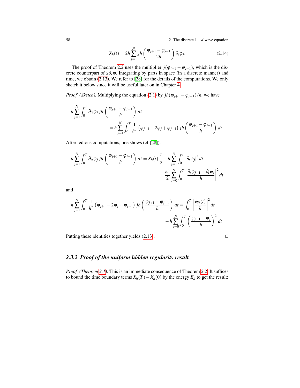58 2 The discrete 1−*d* wave equation

$$
X_h(t) = 2h \sum_{j=1}^N jh\left(\frac{\varphi_{j+1} - \varphi_{j-1}}{2h}\right) \partial_t \varphi_j.
$$
 (2.14)

The proof of Theorem [2.2](#page-64-1) uses the multiplier  $j(\varphi_{j+1} - \varphi_{j-1})$ , which is the discrete counterpart of  $x \partial_x \varphi$ . Integrating by parts in space (in a discrete manner) and time, we obtain [\(2.13\)](#page-64-2). We refer to [\[28\]](#page-133-3) for the details of the computations. We only sketch it below since it will be useful later on in Chapter [4.](#page-92-0)

*Proof (Sketch)*. Multiplying the equation [\(2.1\)](#page-62-1) by  $jh(\varphi_{j+1} - \varphi_{j-1})/h$ , we have

$$
h\sum_{j=1}^{N}\int_{0}^{T}\partial_{tt}\varphi_{j} jh\left(\frac{\varphi_{j+1}-\varphi_{j-1}}{h}\right) dt
$$
  
=  $h\sum_{j=1}^{N}\int_{0}^{T}\frac{1}{h^{2}}\left(\varphi_{j+1}-2\varphi_{j}+\varphi_{j-1}\right) jh\left(\frac{\varphi_{j+1}-\varphi_{j-1}}{h}\right) dt.$ 

After tedious computations, one shows (cf [\[28\]](#page-133-3)):

$$
h\sum_{j=1}^{N}\int_{0}^{T}\partial_{tt}\varphi_{j}jh\left(\frac{\varphi_{j+1}-\varphi_{j-1}}{h}\right)dt=X_{h}(t)\Big|_{0}^{T}+h\sum_{j=1}^{N}\int_{0}^{T}|\partial_{t}\varphi_{j}|^{2}dt
$$

$$
-\frac{h^{3}}{2}\sum_{j=0}^{N}\int_{0}^{T}\left|\frac{\partial_{t}\varphi_{j+1}-\partial_{t}\varphi_{j}}{h}\right|^{2}dt
$$

and

$$
h\sum_{j=1}^{N} \int_{0}^{T} \frac{1}{h^{2}} \left(\varphi_{j+1} - 2\varphi_{j} + \varphi_{j-1}\right) jh\left(\frac{\varphi_{j+1} - \varphi_{j-1}}{h}\right) dt = \int_{0}^{T} \left|\frac{\varphi_{N}(t)}{h}\right|^{2} dt - h\sum_{j=0}^{N} \int_{0}^{T} \left(\frac{\varphi_{j+1} - \varphi_{j}}{h}\right)^{2} dt.
$$

Putting these identities together yields  $(2.13)$ .

# <span id="page-65-0"></span>*2.3.2 Proof of the uniform hidden regularity result*

*Proof (Theorem [2.1\)](#page-64-0).* This is an immediate consequence of Theorem [2.2.](#page-64-1) It suffices to bound the time boundary terms  $X_h(T) - X_h(0)$  by the energy  $E_h$  to get the result: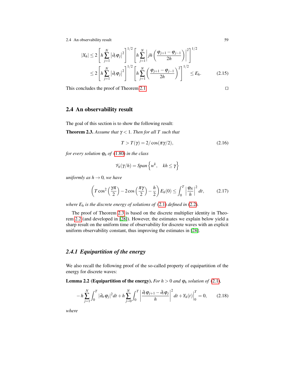2.4 An observability result 59

$$
|X_h| \le 2 \left[ h \sum_{j=1}^N |\partial_t \varphi_j|^2 \right]^{1/2} \left[ h \sum_{j=1}^N \left| j h \left( \frac{\varphi_{j+1} - \varphi_{j-1}}{2h} \right) \right|^2 \right]^{1/2}
$$
  

$$
\le 2 \left[ h \sum_{j=1}^N |\partial_t \varphi_j|^2 \right]^{1/2} \left[ h \sum_{j=1}^N \left( \frac{\varphi_{j+1} - \varphi_{j-1}}{2h} \right)^2 \right]^{1/2} \le E_h.
$$
 (2.15)

This concludes the proof of Theorem [2.1.](#page-64-0)  $\Box$ 

### 2.4 An observability result

The goal of this section is to show the following result:

**Theorem 2.3.** Assume that  $\gamma$  < 1. Then for all T such that

<span id="page-66-0"></span>
$$
T > T(\gamma) = 2/\cos(\pi \gamma/2),\tag{2.16}
$$

*for every solution*  $\varphi_h$  *of* [\(1.80\)](#page-39-0) *in the class* 

$$
\mathscr{V}_h(\gamma/h) = \mathrm{Span}\left\{w^k, \quad kh \leq \gamma\right\}
$$

*uniformly as*  $h \rightarrow 0$ *, we have* 

$$
\left(T\cos^2\left(\frac{\gamma\pi}{2}\right) - 2\cos\left(\frac{\pi\gamma}{2}\right) - \frac{h}{2}\right)E_h(0) \le \int_0^T \left|\frac{\varphi_N}{h}\right|^2 dt, \tag{2.17}
$$

*where*  $E_h$  *is the discrete energy of solutions of* [\(2.1\)](#page-62-1) *defined in* [\(2.2\)](#page-62-2)*.* 

The proof of Theorem [2.3](#page-66-0) is based on the discrete multiplier identity in Theorem [2.2](#page-64-1) (and developed in [\[28\]](#page-133-3)). However, the estimates we explain below yield a sharp result on the uniform time of observability for discrete waves with an explicit uniform observability constant, thus improving the estimates in [\[28\]](#page-133-3).

# *2.4.1 Equipartition of the energy*

We also recall the following proof of the so-called property of equipartition of the energy for discrete waves:

<span id="page-66-1"></span>**Lemma 2.2** (Equipartition of the energy). *For*  $h > 0$  *and*  $\varphi_h$  *solution of* [\(2.1\)](#page-62-1)*,* 

$$
-h\sum_{j=1}^{N}\int_{0}^{T}|\partial_{tt}\varphi_{j}|^{2}dt+h\sum_{j=0}^{N}\int_{0}^{T}\left|\frac{\partial_{t}\varphi_{j+1}-\partial_{t}\varphi_{j}}{h}\right|^{2}dt+Y_{h}(t)\Big|_{0}^{T}=0, \qquad (2.18)
$$

*where*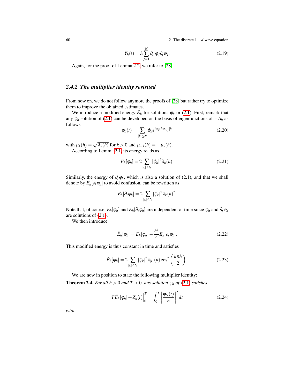60 2 The discrete 1−*d* wave equation

$$
Y_h(t) = h \sum_{j=1}^{N} \partial_{tt} \varphi_j \partial_t \varphi_j.
$$
 (2.19)

Again, for the proof of Lemma [2.2,](#page-66-1) we refer to [\[28\]](#page-133-3).

# *2.4.2 The multiplier identity revisited*

From now on, we do not follow anymore the proofs of [\[28\]](#page-133-3) but rather try to optimize them to improve the obtained estimates.

We introduce a modified energy  $\tilde{E}_h$  for solutions  $\varphi_h$  or [\(2.1\)](#page-62-1). First, remark that any  $\varphi_h$  solution of [\(2.1\)](#page-62-1) can be developed on the basis of eigenfunctions of  $-\Delta_h$  as follows

$$
\varphi_h(t) = \sum_{|k| \le N} \hat{\varphi}_k e^{i\mu_k(h)t} w^{|k|} \tag{2.20}
$$

with  $\mu_k(h) = \sqrt{\lambda_k(h)}$  for  $k > 0$  and  $\mu_{-k}(h) = -\mu_k(h)$ . According to Lemma [2.1,](#page-63-2) its energy reads as

<span id="page-67-1"></span>
$$
E_h[\varphi_h] = 2 \sum_{|k| \le N} |\hat{\varphi}_k|^2 \lambda_k(h). \tag{2.21}
$$

.

Similarly, the energy of  $\partial_t \varphi_h$ , which is also a solution of [\(2.1\)](#page-62-1), and that we shall denote by  $E_h[\partial_t \varphi_h]$  to avoid confusion, can be rewritten as

$$
E_h[\partial_t \varphi_h] = 2 \sum_{|k| \le N} |\hat{\varphi}_k|^2 \lambda_k(h)^2
$$

Note that, of course,  $E_h[\varphi_h]$  and  $E_h[\partial_t \varphi_h]$  are independent of time since  $\varphi_h$  and  $\partial_t \varphi_h$ are solutions of [\(2.1\)](#page-62-1).

We then introduce

$$
\tilde{E}_h[\varphi_h] = E_h[\varphi_h] - \frac{h^2}{4} E_h[\partial_t \varphi_h].
$$
\n(2.22)

This modified energy is thus constant in time and satisfies

<span id="page-67-2"></span>
$$
\tilde{E}_h[\varphi_h] = 2 \sum_{|k| \le N} |\hat{\varphi}_k|^2 \lambda_{|k|}(h) \cos^2\left(\frac{k\pi h}{2}\right). \tag{2.23}
$$

We are now in position to state the following multiplier identity:

**Theorem 2.4.** *For all h* > 0 *and*  $T$  > 0, *any solution*  $\varphi_h$  *of* [\(2.1\)](#page-62-1) *satisfies* 

<span id="page-67-0"></span>
$$
T\tilde{E}_h[\varphi_h]+Z_h(t)\Big|_0^T=\int_0^T\left|\frac{\varphi_N(t)}{h}\right|^2dt\tag{2.24}
$$

*with*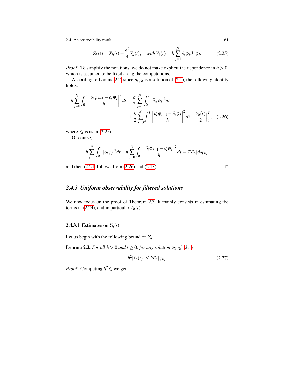#### 2.4 An observability result 61

<span id="page-68-0"></span>
$$
Z_h(t) = X_h(t) + \frac{h^2}{4} Y_h(t), \quad \text{with } Y_h(t) = h \sum_{j=1}^N \partial_t \varphi_j \partial_{tt} \varphi_j. \tag{2.25}
$$

*Proof.* To simplify the notations, we do not make explicit the dependence in  $h > 0$ , which is assumed to be fixed along the computations.

According to Lemma [2.2,](#page-66-1) since  $\partial_t \varphi_h$  is a solution of [\(2.1\)](#page-62-1), the following identity holds:

$$
h\sum_{j=0}^{N}\int_{0}^{T}\left|\frac{\partial_{t}\varphi_{j+1}-\partial_{t}\varphi_{j}}{h}\right|^{2}dt = \frac{h}{2}\sum_{j=1}^{N}\int_{0}^{T}|\partial_{tt}\varphi_{j}|^{2}dt + \frac{h}{2}\sum_{j=0}^{N}\int_{0}^{T}\left|\frac{\partial_{t}\varphi_{j+1}-\partial_{t}\varphi_{j}}{h}\right|^{2}dt - \frac{Y_{h}(t)}{2}\Big|_{0}^{T}, \quad (2.26)
$$

where  $Y_h$  is as in [\(2.25\)](#page-68-0).

Of course,

$$
h\sum_{j=1}^N\int_0^T|\partial_t\varphi_j|^2dt+h\sum_{j=0}^N\int_0^T\left|\frac{\partial_t\varphi_{j+1}-\partial_t\varphi_j}{h}\right|^2dt=TE_h[\partial_t\varphi_h],
$$

and then  $(2.24)$  follows from  $(2.26)$  and  $(2.13)$ .

<span id="page-68-1"></span>

# *2.4.3 Uniform observability for filtered solutions*

We now focus on the proof of Theorem [2.3.](#page-66-0) It mainly consists in estimating the terms in [\(2.24\)](#page-67-0), and in particular  $Z_h(t)$ .

### **2.4.3.1 Estimates on**  $Y_h(t)$

Let us begin with the following bound on  $Y_h$ :

**Lemma 2.3.** *For all h* > 0 *and*  $t \ge 0$ *, for any solution*  $\varphi_h$  *of* [\(2.1\)](#page-62-1)*,* 

<span id="page-68-2"></span>
$$
h^2|Y_h(t)| \le hE_h[\varphi_h].\tag{2.27}
$$

*Proof.* Computing  $h^2 Y_h$  we get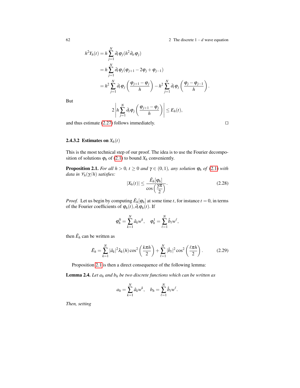#### 62 2 The discrete 1−*d* wave equation

.

$$
h^{2}Y_{h}(t) = h \sum_{j=1}^{N} \partial_{t} \varphi_{j} (h^{2} \partial_{tt} \varphi_{j})
$$
  
=  $h \sum_{j=1}^{N} \partial_{t} \varphi_{j} (\varphi_{j+1} - 2\varphi_{j} + \varphi_{j-1})$   
=  $h^{2} \sum_{j=1}^{N} \partial_{t} \varphi_{j} \left( \frac{\varphi_{j+1} - \varphi_{j}}{h} \right) - h^{2} \sum_{j=1}^{N} \partial_{t} \varphi_{j} \left( \frac{\varphi_{j} - \varphi_{j-1}}{h} \right)$ 

But

$$
2\left|h\sum_{j=1}^N\partial_t\varphi_j\left(\frac{\varphi_{j+1}-\varphi_j}{h}\right)\right|\leq E_h(t),
$$

and thus estimate  $(2.27)$  follows immediately.  $\square$ 

# **2.4.3.2 Estimates on**  $X_h(t)$

This is the most technical step of our proof. The idea is to use the Fourier decomposition of solutions  $\varphi_h$  of [\(2.1\)](#page-62-1) to bound  $X_h$  conveniently.

<span id="page-69-0"></span>**Proposition 2.1.** *For all*  $h > 0$ ,  $t \ge 0$  *and*  $\gamma \in (0,1)$ *, any solution*  $\varphi_h$  *of* [\(2.1\)](#page-62-1) *with data in*  $\mathcal{V}_h(\gamma/h)$  *satisfies:* 

<span id="page-69-2"></span>
$$
|X_h(t)| \le \frac{\tilde{E}_h[\varphi_h]}{\cos\left(\frac{\gamma\pi}{2}\right)}.\tag{2.28}
$$

*Proof.* Let us begin by computing  $\tilde{E}_h[\varphi_h]$  at some time *t*, for instance  $t = 0$ , in terms of the Fourier coefficients of  $\varphi_h(t)$ ,  $\partial_t \varphi_h(t)$ . If

$$
\pmb{\varphi}_h^0 = \sum_{k=1}^N \hat{a}_k w^k, \quad \pmb{\varphi}_h^1 = \sum_{\ell=1}^N \hat{b}_\ell w^\ell,
$$

then  $\tilde{E}_h$  can be written as

$$
\tilde{E}_h = \sum_{k=1}^N |\hat{a}_k|^2 \lambda_k(h) \cos^2\left(\frac{k\pi h}{2}\right) + \sum_{\ell=1}^N |\hat{b}_\ell|^2 \cos^2\left(\frac{\ell\pi h}{2}\right). \tag{2.29}
$$

Proposition [2.1](#page-69-0) is then a direct consequence of the following lemma:

<span id="page-69-1"></span>Lemma 2.4. *Let a<sup>h</sup> and b<sup>h</sup> be two discrete functions which can be written as*

$$
a_h = \sum_{k=1}^N \hat{a}_k w^k, \quad b_h = \sum_{\ell=1}^N \hat{b}_\ell w^\ell.
$$

*Then, setting*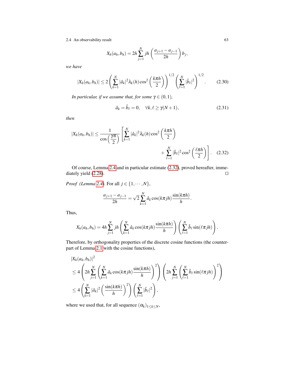#### 2.4 An observability result 63

$$
X_h(a_h, b_h) = 2h \sum_{j=1}^N jh\left(\frac{a_{j+1} - a_{j-1}}{2h}\right) b_j,
$$

*we have*

<span id="page-70-1"></span>
$$
|X_h(a_h, b_h)| \leq 2\left(\sum_{k=1}^N |\hat{a}_k|^2 \lambda_k(h) \cos^2\left(\frac{k\pi h}{2}\right)\right)^{1/2} \left(\sum_{\ell=1}^N |\hat{b}_\ell|^2\right)^{1/2}.\tag{2.30}
$$

*In particular, if we assume that, for some*  $\gamma \in (0,1)$ *,* 

<span id="page-70-2"></span><span id="page-70-0"></span>
$$
\hat{a}_k = \hat{b}_\ell = 0, \quad \forall k, \ell \ge \gamma(N+1), \tag{2.31}
$$

*then*

$$
|X_h(a_h, b_h)| \leq \frac{1}{\cos\left(\frac{\gamma\pi}{2}\right)} \left[\sum_{k=1}^N |\hat{a}_k|^2 \lambda_k(h) \cos^2\left(\frac{k\pi h}{2}\right) + \sum_{\ell=1}^N |\hat{b}_\ell|^2 \cos^2\left(\frac{\ell\pi h}{2}\right) \right].
$$
 (2.32)

Of course, Lemma [2.4](#page-69-1) and in particular estimate [\(2.32\)](#page-70-0), proved hereafter, immediately yield  $(2.28)$ .

*Proof (Lemma [2.4\)](#page-69-1).* For all  $j \in \{1, \dots, N\}$ ,

$$
\frac{a_{j+1} - a_{j-1}}{2h} = \sqrt{2} \sum_{k=1}^{N} \hat{a}_k \cos(k\pi j h) \frac{\sin(k\pi h)}{h}.
$$

Thus,

$$
X_h(a_h,b_h) = 4h\sum_{j=1}^N jh\left(\sum_{k=1}^N \hat{a}_k \cos(k\pi jh)\frac{\sin(k\pi h)}{h}\right)\left(\sum_{\ell=1}^N \hat{b}_\ell \sin(\ell \pi jh)\right).
$$

Therefore, by orthogonality properties of the discrete cosine functions (the counterpart of Lemma [2.1](#page-63-2) with the cosine functions),

$$
\begin{split} &|X_h(a_h, b_h)|^2\\ &\leq 4\left(2h\sum_{j=1}^N\left(\sum_{k=1}^N\hat{a}_k\cos(k\pi jh)\frac{\sin(k\pi h)}{h}\right)^2\right)\left(2h\sum_{j=1}^N\left(\sum_{\ell=1}^N\hat{b}_\ell\sin(\ell\pi jh)\right)^2\right)\\ &\leq 4\left(\sum_{k=1}^N|\hat{a}_k|^2\left(\frac{\sin(k\pi h)}{h}\right)^2\right)\left(\sum_{\ell=1}^N|\hat{b}_\ell|^2\right),\end{split}
$$

where we used that, for all sequence  $(\alpha_k)_{1 \leq k \leq N}$ ,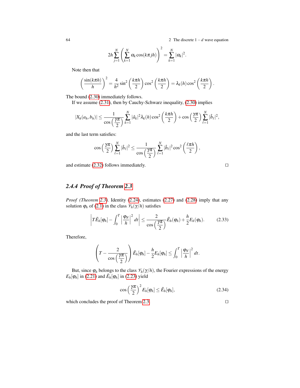64 2 The discrete 1−*d* wave equation

$$
2h\sum_{j=1}^N\left(\sum_{k=1}^N\alpha_k\cos(k\pi jh)\right)^2=\sum_{k=1}^N|\alpha_k|^2.
$$

Note then that

$$
\left(\frac{\sin(k\pi h)}{h}\right)^2 = \frac{4}{h^2}\sin^2\left(\frac{k\pi h}{2}\right)\cos^2\left(\frac{k\pi h}{2}\right) = \lambda_k(h)\cos^2\left(\frac{k\pi h}{2}\right).
$$

The bound [\(2.30\)](#page-70-1) immediately follows.

If we assume [\(2.31\)](#page-70-2), then by Cauchy-Schwarz inequality, [\(2.30\)](#page-70-1) implies

$$
|X_h(a_h,b_h)| \leq \frac{1}{\cos\left(\frac{\gamma\pi}{2}\right)}\sum_{k=1}^N |\hat{a}_k|^2\lambda_k(h)\cos^2\left(\frac{k\pi h}{2}\right) + \cos\left(\frac{\gamma\pi}{2}\right)\sum_{\ell=1}^N |\hat{b}_\ell|^2,
$$

and the last term satisfies:

$$
\cos\left(\frac{\gamma\pi}{2}\right)\sum_{\ell=1}^N|\hat{b}_\ell|^2\leq \frac{1}{\cos\left(\frac{\gamma\pi}{2}\right)}\sum_{\ell=1}^N|\hat{b}_\ell|^2\cos^2\left(\frac{\ell\pi h}{2}\right),
$$

and estimate [\(2.32\)](#page-70-0) follows immediately.  $\square$ 

# *2.4.4 Proof of Theorem [2.3](#page-66-0)*

*Proof (Theorem [2.3\)](#page-66-0).* Identity [\(2.24\)](#page-67-0), estimates [\(2.27\)](#page-68-2) and [\(2.28\)](#page-69-2) imply that any solution  $\varphi_h$  of [\(2.1\)](#page-62-1) in the class  $\mathcal{V}_h(\gamma/h)$  satisfies

$$
\left|T\tilde{E}_h[\varphi_h]-\int_0^T\left|\frac{\varphi_N}{h}\right|^2dt\right|\leq\frac{2}{\cos\left(\frac{\gamma\pi}{2}\right)}\tilde{E}_h(\varphi_h)+\frac{h}{2}E_h(\varphi_h). \hspace{1cm} (2.33)
$$

Therefore,

$$
\left(T-\frac{2}{\cos\left(\frac{\gamma\pi}{2}\right)}\right)\tilde{E}_h[\varphi_h]-\frac{h}{2}E_h[\varphi_h]\leq \int_0^T\left|\frac{\varphi_N}{h}\right|^2dt.
$$

But, since  $\varphi_h$  belongs to the class  $\mathcal{V}_h(\gamma/h)$ , the Fourier expressions of the energy  $E_h[\varphi_h]$  in [\(2.21\)](#page-67-1) and  $\tilde{E}_h[\varphi_h]$  in [\(2.23\)](#page-67-2) yield

$$
\cos\left(\frac{\gamma\pi}{2}\right)^2 E_h[\varphi_h] \le \tilde{E}_h[\varphi_h],\tag{2.34}
$$

which concludes the proof of Theorem [2.3.](#page-66-0)  $\Box$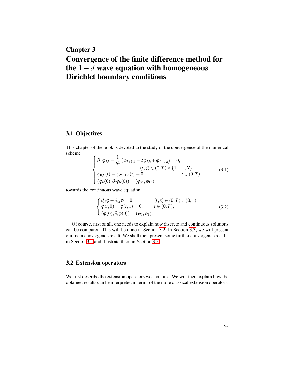# <span id="page-72-3"></span>Chapter 3 Convergence of the finite difference method for the 1−*d* wave equation with homogeneous Dirichlet boundary conditions

#### 3.1 Objectives

This chapter of the book is devoted to the study of the convergence of the numerical scheme

<span id="page-72-1"></span>
$$
\begin{cases}\n\partial_{tt}\varphi_{j,h} - \frac{1}{h^2} \left( \varphi_{j+1,h} - 2\varphi_{j,h} + \varphi_{j-1,h} \right) = 0, \\
(t, j) \in (0, T) \times \{1, \dots, N\}, \\
\varphi_{0,h}(t) = \varphi_{N+1,h}(t) = 0, \quad t \in (0, T), \\
(\varphi_h(0), \partial_t \varphi_h(0)) = (\varphi_{0h}, \varphi_{1h}),\n\end{cases}
$$
\n(3.1)

towards the continuous wave equation

<span id="page-72-2"></span>
$$
\begin{cases} \n\partial_{tt} \varphi - \partial_{xx} \varphi = 0, & (t, x) \in (0, T) \times (0, 1), \\ \n\varphi(t, 0) = \varphi(t, 1) = 0, & t \in (0, T), \\ \n(\varphi(0), \partial_t \varphi(0)) = (\varphi_0, \varphi_1). \n\end{cases} \tag{3.2}
$$

Of course, first of all, one needs to explain how discrete and continuous solutions can be compared. This will be done in Section [3.2.](#page-72-0) In Section [3.3,](#page-77-0) we will present our main convergence result. We shall then present some further convergence results in Section [3.4](#page-83-0) and illustrate them in Section [3.5.](#page-88-0)

#### <span id="page-72-0"></span>3.2 Extension operators

We first describe the extension operators we shall use. We will then explain how the obtained results can be interpreted in terms of the more classical extension operators.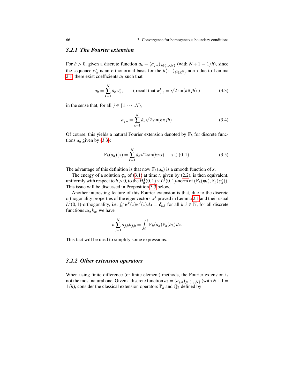#### *3.2.1 The Fourier extension*

For *h* > 0, given a discrete function  $a_h = (a_{j,h})_{j \in \{1, \cdot, N\}}$  (with  $N + 1 = 1/h$ ), since the sequence  $w_h^k$  is an orthonormal basis for the  $h\langle \cdot, \cdot \rangle_{\ell^2(\mathbb{R}^N)}$ -norm due to Lemma [2.1,](#page-63-0) there exist coefficients  $\hat{a}_k$  such that

<span id="page-73-0"></span>
$$
a_h = \sum_{k=1}^{N} \hat{a}_k w_h^k, \qquad \text{(recall that } w_{j,h}^k = \sqrt{2} \sin(k\pi j h) \text{)}
$$
(3.3)

in the sense that, for all  $j \in \{1, \dots, N\}$ ,

<span id="page-73-2"></span>
$$
a_{j,h} = \sum_{k=1}^{N} \hat{a}_k \sqrt{2} \sin(k\pi j h).
$$
 (3.4)

Of course, this yields a natural Fourier extension denoted by  $\mathbb{F}_h$  for discrete functions  $a_h$  given by [\(3.3\)](#page-73-0):

<span id="page-73-1"></span>
$$
\mathbb{F}_h(a_h)(x) = \sum_{k=1}^N \hat{a}_k \sqrt{2} \sin(k\pi x), \quad x \in (0, 1).
$$
 (3.5)

The advantage of this definition is that now  $\mathbb{F}_h(a_h)$  is a smooth function of *x*.

The energy of a solution  $\varphi_h$  of [\(3.1\)](#page-72-1) at time *t*, given by [\(2.2\)](#page-62-0), is then equivalent, uniformly with respect to  $h > 0$ , to the  $H_0^1(0,1) \times L^2(0,1)$ -norm of  $(\mathbb{F}_h(\varphi_h), \mathbb{F}_h(\varphi'_h))$ . This issue will be discussed in Proposition [3.3](#page-77-1) below.

Another interesting feature of this Fourier extension is that, due to the discrete orthogonality properties of the eigenvectors *w <sup>k</sup>* proved in Lemma [2.1](#page-63-0) and their usual  $L^2(0,1)$ -orthogonality, i.e.  $\int_0^1 w^k(x)w^\ell(x) dx = \delta_{k,\ell}$  for all  $k,\ell \in \mathbb{N}$ , for all discrete functions  $a_h$ ,  $b_h$ , we have

$$
h\sum_{j=1}^N a_{j,h}b_{j,h} = \int_0^1 \mathbb{F}_h(a_h)\mathbb{F}_h(b_h) dx.
$$

This fact will be used to simplify some expressions.

#### *3.2.2 Other extension operators*

When using finite difference (or finite element) methods, the Fourier extension is not the most natural one. Given a discrete function  $a_h = (a_{j,h})_{j \in \{1, \cdot, N\}}$  (with  $N+1 =$  $1/h$ , consider the classical extension operators  $\mathbb{P}_h$  and  $\mathbb{Q}_h$  defined by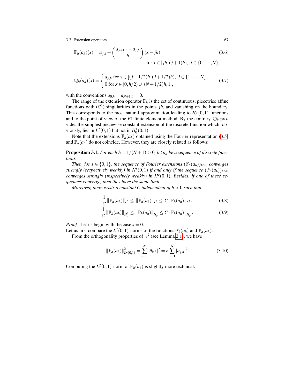#### 3.2 Extension operators 67

$$
\mathbb{P}_h(a_h)(x) = a_{j,h} + \left(\frac{a_{j+1,h} - a_{j,h}}{h}\right)(x - jh),
$$
\n
$$
\text{for } x \in [jh, (j+1)h), j \in \{0, \cdots, N\},
$$
\n(3.6)

$$
\mathbb{Q}_h(a_h)(x) = \begin{cases} a_{j,h} \text{ for } x \in [(j-1/2)h, (j+1/2)h), j \in \{1, \cdots, N\}, \\ 0 \text{ for } x \in [0, h/2) \cup [(N+1/2)h, 1], \end{cases}
$$
(3.7)

with the conventions  $a_{0,h} = a_{N+1,h} = 0$ .

The range of the extension operator  $\mathbb{P}_h$  is the set of continuous, piecewise affine functions with  $(C<sup>1</sup>)$  singularities in the points *jh*, and vanishing on the boundary. This corresponds to the most natural approximation leading to  $H_0^1(0,1)$  functions and to the point of view of the *P*1 finite element method. By the contrary,  $\mathbb{Q}_h$  provides the simplest piecewise constant extension of the discrete function which, obviously, lies in  $L^2(0,1)$  but not in  $H_0^1(0,1)$ .

Note that the extensions  $\mathbb{F}_h(a_h)$  obtained using the Fourier representation [\(3.5\)](#page-73-1) and  $\mathbb{P}_h(a_h)$  do not coincide. However, they are closely related as follows:

**Proposition 3.1.** *For each*  $h = 1/(N+1) > 0$ , let  $a_h$  be a sequence of discrete func*tions.*

*Then, for s*  $\in$  {0,1}*, the sequence of Fourier extensions*  $(\mathbb{F}_h(a_h))_{h>0}$  *converges strongly (respectively weakly) in*  $H^s(0,1)$  *if and only if the sequence*  $(\mathbb{P}_h(a_h))_{h>0}$ *converges strongly (respectively weakly) in H<sup>s</sup>* (0,1)*. Besides, if one of these sequences converge, then they have the same limit.*

*Moreover, there exists a constant C independent of h* > 0 *such that*

<span id="page-74-0"></span>
$$
\frac{1}{C} \left\| \mathbb{F}_h(a_h) \right\|_{L^2} \leq \left\| \mathbb{P}_h(a_h) \right\|_{L^2} \leq C \left\| \mathbb{F}_h(a_h) \right\|_{L^2}, \tag{3.8}
$$

$$
\frac{1}{C} \left\| \mathbb{F}_h(a_h) \right\|_{H_0^1} \leq \left\| \mathbb{P}_h(a_h) \right\|_{H_0^1} \leq C \left\| \mathbb{F}_h(a_h) \right\|_{H_0^1}.
$$
\n(3.9)

*Proof.* Let us begin with the case  $s = 0$ .

Let us first compare the  $L^2(0,1)$ -norms of the functions  $\mathbb{F}_h(a_h)$  and  $\mathbb{P}_h(a_h)$ .

From the orthogonality properties of  $w<sup>k</sup>$  (see Lemma [2.1\)](#page-63-0), we have

$$
\|\mathbb{F}_h(a_h)\|_{L^2(0,1)}^2 = \sum_{k=1}^N |\hat{a}_{k,h}|^2 = h \sum_{j=1}^N |a_{j,h}|^2.
$$
 (3.10)

Computing the  $L^2(0,1)$ -norm of  $\mathbb{P}_h(a_h)$  is slightly more technical: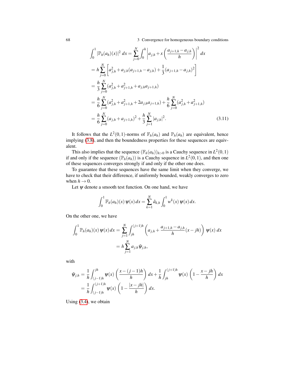68 3 Convergence for homogeneous boundary conditions

$$
\int_{0}^{1} |\mathbb{P}_{h}(a_{h})(x)|^{2} dx = \sum_{j=0}^{N} \int_{0}^{h} \left| a_{j,h} + x \left( \frac{a_{j+1,h} - a_{j,h}}{h} \right) \right|^{2} dx
$$
  
\n
$$
= h \sum_{j=0}^{N} \left[ a_{j,h}^{2} + a_{j,h}(a_{j+1,h} - a_{j,h}) + \frac{1}{3} (a_{j+1,h} - a_{j,h})^{2} \right]
$$
  
\n
$$
= \frac{h}{3} \sum_{j=0}^{N} (a_{j,h}^{2} + a_{j+1,h}^{2} + a_{j,h}a_{j+1,h})
$$
  
\n
$$
= \frac{h}{6} \sum_{j=0}^{N} (a_{j,h}^{2} + a_{j+1,h}^{2} + 2a_{j,h}a_{j+1,h}) + \frac{h}{6} \sum_{j=0}^{N} (a_{j,h}^{2} + a_{j+1,h}^{2})
$$
  
\n
$$
= \frac{h}{6} \sum_{j=0}^{N} (a_{j,h} + a_{j+1,h})^{2} + \frac{h}{3} \sum_{j=1}^{N} |a_{j,h}|^{2}.
$$
 (3.11)

It follows that the  $L^2(0,1)$ -norms of  $\mathbb{F}_h(a_h)$  and  $\mathbb{P}_h(a_h)$  are equivalent, hence implying [\(3.8\)](#page-74-0), and then the boundedness properties for these sequences are equivalent.

This also implies that the sequence  $(\mathbb{F}_h(a_h))_{h>0}$  is a Cauchy sequence in  $L^2(0,1)$ if and only if the sequence  $(\mathbb{P}_h(a_h))$  is a Cauchy sequence in  $L^2(0,1)$ , and then one of these sequences converges strongly if and only if the other one does.

To guarantee that these sequences have the same limit when they converge, we have to check that their difference, if uniformly bounded, weakly converges to zero when  $h \to 0$ .

Let  $\psi$  denote a smooth test function. On one hand, we have

$$
\int_0^1 \mathbb{F}_h(a_h)(x) \, \psi(x) \, dx = \sum_{k=1}^N \hat{a}_{k,h} \int_0^1 w^k(x) \, \psi(x) \, dx.
$$

On the other one, we have

$$
\int_0^1 \mathbb{P}_h(a_h)(x) \, \psi(x) \, dx = \sum_{j=1}^N \int_{jh}^{(j+1)h} \left( a_{j,h} + \frac{a_{j+1,h} - a_{j,h}}{h} (x - jh) \right) \, \psi(x) \, dx
$$
\n
$$
= h \sum_{j=1}^N a_{j,h} \tilde{\psi}_{j,h},
$$

with

$$
\tilde{\psi}_{j,h} = \frac{1}{h} \int_{(j-1)h}^{jh} \psi(x) \left( \frac{x - (j-1)h}{h} \right) dx + \frac{1}{h} \int_{jh}^{(j+1)h} \psi(x) \left( 1 - \frac{x - jh}{h} \right) dx \n= \frac{1}{h} \int_{(j-1)h}^{(j+1)h} \psi(x) \left( 1 - \frac{|x - jh|}{h} \right) dx.
$$

Using [\(3.4\)](#page-73-2), we obtain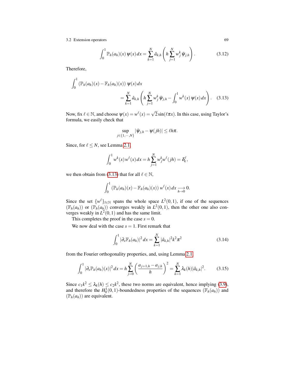#### 3.2 Extension operators 69

$$
\int_0^1 \mathbb{P}_h(a_h)(x) \, \psi(x) \, dx = \sum_{k=1}^N \hat{a}_{k,h} \left( h \sum_{j=1}^N w_j^k \, \tilde{\psi}_{j,h} \right). \tag{3.12}
$$

Therefore,

$$
\int_0^1 (\mathbb{P}_h(a_h)(x) - \mathbb{F}_h(a_h)(x)) \psi(x) dx
$$
  
= 
$$
\sum_{k=1}^N \hat{a}_{k,h} \left( h \sum_{j=1}^N w_j^k \tilde{\psi}_{j,h} - \int_0^1 w^k(x) \psi(x) dx \right).
$$
 (3.13)

Now, fix  $\ell \in \mathbb{N}$ , and choose  $\psi(x) = w^{\ell}(x) = \sqrt{2} \sin(\ell \pi x)$ . In this case, using Taylor's formula, we easily check that

$$
\sup_{j\in\{1,\cdots,N\}}|\tilde{\psi}_{j,h}-\psi(jh)|\leq \ell h\pi.
$$

Since, for  $\ell \leq N$ , see Lemma [2.1,](#page-63-0)

$$
\int_0^1 w^k(x) w^\ell(x) dx = h \sum_{j=1}^N w_j^k w^\ell(jh) = \delta_k^\ell,
$$

we then obtain from [\(3.13\)](#page-76-0) that for all  $\ell \in \mathbb{N}$ ,

$$
\int_0^1 \left( \mathbb{P}_h(a_h)(x) - \mathbb{F}_h(a_h)(x) \right) w^{\ell}(x) dx \longrightarrow_{h \to 0} 0.
$$

Since the set  $\{w^{\ell}\}_{\ell \in \mathbb{N}}$  spans the whole space  $L^2(0,1)$ , if one of the sequences  $(\mathbb{F}_h(a_h))$  or  $(\mathbb{P}_h(a_h))$  converges weakly in  $L^2(0,1)$ , then the other one also converges weakly in  $L^2(0,1)$  and has the same limit.

This completes the proof in the case  $s = 0$ .

We now deal with the case  $s = 1$ . First remark that

$$
\int_0^1 |\partial_x \mathbb{F}_h(a_h)|^2 dx = \sum_{k=1}^N |\hat{a}_{k,h}|^2 k^2 \pi^2
$$
\n(3.14)

from the Fourier orthogonality properties, and, using Lemma [2.1,](#page-63-0)

$$
\int_0^1 |\partial_x \mathbb{P}_h(a_h)(x)|^2 dx = h \sum_{j=0}^N \left( \frac{a_{j+1,h} - a_{j,h}}{h} \right)^2 = \sum_{k=1}^N \lambda_k(h) |\hat{a}_{k,h}|^2.
$$
 (3.15)

Since  $c_1 k^2 \leq \lambda_k(h) \leq c_2 k^2$ , these two norms are equivalent, hence implying [\(3.9\)](#page-74-0), and therefore the  $H_0^1(0,1)$ -boundedness properties of the sequences  $(\mathbb{F}_h(a_h))$  and  $(\mathbb{P}_h(a_h))$  are equivalent.

<span id="page-76-0"></span>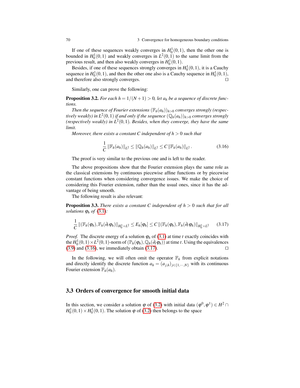If one of these sequences weakly converges in  $H_0^1(0,1)$ , then the other one is bounded in  $H_0^1(0,1)$  and weakly converges in  $L^2(0,1)$  to the same limit from the previous result, and then also weakly converges in  $H_0^1(0,1)$ .

Besides, if one of these sequences strongly converges in  $H_0^1(0,1)$ , it is a Cauchy sequence in  $H_0^1(0,1)$ , and then the other one also is a Cauchy sequence in  $H_0^1(0,1)$ , and therefore also strongly converges.  $\Box$ 

Similarly, one can prove the following:

**Proposition 3.2.** For each  $h = 1/(N+1) > 0$ , let  $a_h$  be a sequence of discrete func*tions.*

*Then the sequence of Fourier extensions*  $(\mathbb{F}_h(a_h))_{h>0}$  *converges strongly (respectively weakly) in L*<sup>2</sup> (0,1) *if and only if the sequence* (Q*h*(*ah*))*h*><sup>0</sup> *converges strongly (respectively weakly) in*  $L^2(0,1)$ *. Besides, when they converge, they have the same limit.*

*Moreover, there exists a constant C independent of h* > 0 *such that*

<span id="page-77-2"></span><span id="page-77-1"></span>
$$
\frac{1}{C} \left\| \mathbb{F}_h(a_h) \right\|_{L^2} \leq \left\| \mathbb{Q}_h(a_h) \right\|_{L^2} \leq C \left\| \mathbb{F}_h(a_h) \right\|_{L^2}.
$$
 (3.16)

The proof is very similar to the previous one and is left to the reader.

The above propositions show that the Fourier extension plays the same role as the classical extensions by continuous piecewise affine functions or by piecewise constant functions when considering convergence issues. We make the choice of considering this Fourier extension, rather than the usual ones, since it has the advantage of being smooth.

The following result is also relevant:

**Proposition 3.3.** *There exists a constant C independent of h* > 0 *such that for all solutions*  $\varphi_h$  *of* [\(3.1\)](#page-72-1):

<span id="page-77-3"></span>
$$
\frac{1}{C} \left\| \left( \mathbb{F}_h(\varphi_h), \mathbb{F}_h(\partial_t \varphi_h) \right\|_{H_0^1 \times L^2} \le E_h[\varphi_h] \le C \left\| \left( \mathbb{F}_h(\varphi_h), \mathbb{F}_h(\partial_t \varphi_h) \right\|_{H_0^1 \times L^2} \right\| \tag{3.17}
$$

*Proof.* The discrete energy of a solution  $\varphi_h$  of [\(3.1\)](#page-72-1) at time *t* exactly coincides with the  $H_0^1(0,1) \times L^2(0,1)$ -norm of  $(\mathbb{P}_h(\varphi_h), \mathbb{Q}_h(\partial_t \varphi_h))$  at time *t*. Using the equivalences  $(3.9)$  and  $(3.16)$ , we immediately obtain  $(3.17)$ .

In the following, we will often omit the operator  $\mathbb{F}_h$  from explicit notations and directly identify the discrete function  $a_h = (a_{j,h})_{j \in \{1,\dots,N\}}$  with its continuous Fourier extension  $\mathbb{F}_h(a_h)$ .

#### <span id="page-77-0"></span>3.3 Orders of convergence for smooth initial data

In this section, we consider a solution  $\varphi$  of [\(3.2\)](#page-72-2) with initial data  $(\varphi^0, \varphi^1) \in H^2 \cap$  $H_0^1(0,1) \times H_0^1(0,1)$ . The solution  $\varphi$  of [\(3.2\)](#page-72-2) then belongs to the space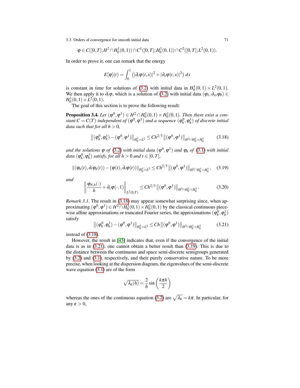3.3 Orders of convergence for smooth initial data 71

$$
\varphi \in C([0,T];H^2\cap H_0^1(0,1))\cap C^1([0,T];H_0^1(0,1))\cap C^2([0,T];L^2(0,1)).
$$

In order to prove it, one can remark that the energy

<span id="page-78-3"></span>
$$
E[\varphi](t) = \int_0^1 (|\partial_t \varphi(t,x)|^2 + |\partial_x \varphi(t,x)|^2) dx
$$

is constant in time for solutions of [\(3.2\)](#page-72-2) with initial data in  $H_0^1(0,1) \times L^2(0,1)$ . We then apply it to  $\partial_t \varphi$ , which is a solution of [\(3.2\)](#page-72-2) with initial data  $(\varphi_1, \partial_{xx}\varphi_0) \in$  $H_0^1(0,1) \times L^2(0,1).$ 

The goal of this section is to prove the following result:

**Proposition 3.4.** Let  $(\varphi^0, \varphi^1) \in H^2 \cap H^1_0(0,1) \times H^1_0(0,1)$ . Then there exist a con*stant*  $C = C(T)$  *independent of*  $(\varphi^0, \varphi^1)$  *and a sequence*  $(\varphi^0_h, \varphi^1_h)$  *of discrete initial data such that for all*  $h > 0$ *,* 

<span id="page-78-0"></span>
$$
\left\|(\varphi_h^0, \varphi_h^1) - (\varphi^0, \varphi^1)\right\|_{H_0^1 \times L^2} \le Ch^{2/3} \left\|(\varphi^0, \varphi^1)\right\|_{H^2 \cap H_0^1 \times H_0^1} \tag{3.18}
$$

and the solutions  $\varphi$  of [\(3.2\)](#page-72-2) with initial data  $(\varphi^0, \varphi^1)$  and  $\varphi_h$  of [\(3.1\)](#page-72-1) with initial *data*  $(\varphi_h^0, \varphi_h^1)$  *satisfy, for all h* > 0 *and t*  $\in [0, T]$ *,* 

<span id="page-78-2"></span>
$$
\|(\varphi_h(t), \partial_t \varphi_h(t)) - (\varphi(t), \partial_t \varphi(t))\|_{H_0^1 \times L^2} \leq Ch^{2/3} \left\|(\varphi^0, \varphi^1)\right\|_{H^2 \cap H_0^1 \times H_0^1}, \quad (3.19)
$$

*and*

<span id="page-78-4"></span>
$$
\left\| \frac{\varphi_{N,h}(\cdot)}{h} + \partial_x \varphi(\cdot, 1) \right\|_{L^2(0,T)} \le C h^{2/3} \left\| (\varphi^0, \varphi^1) \right\|_{H^2 \cap H_0^1 \times H_0^1}.
$$
 (3.20)

*Remark 3.1.* The result in [\(3.18\)](#page-78-0) may appear somewhat surprising since, when approximating  $(\varphi^0, \varphi^1) \in H^2 \cap H_0^1(0,1) \times H_0^1(0,1)$  by the classical continuous piecewise affine approximations or truncated Fourier series, the approximations  $(\varphi_h^0, \varphi_h^1)$ satisfy

<span id="page-78-1"></span>
$$
\left\|(\varphi_h^0, \varphi_h^1) - (\varphi^0, \varphi^1)\right\|_{H_0^1 \times L^2} \le Ch \left\|(\varphi^0, \varphi^1)\right\|_{H^2 \cap H_0^1 \times H_0^1} \tag{3.21}
$$

instead of [\(3.18\)](#page-78-0).

However, the result in [\[45\]](#page-134-0) indicates that, even if the convergence of the initial data is as in [\(3.21\)](#page-78-1), one cannot obtain a better result than [\(3.19\)](#page-78-2). This is due to the distance between the continuous and space semi-discrete semigroups generated by [\(3.2\)](#page-72-2) and [\(3.1\)](#page-72-1), respectively, and their purely conservative nature. To be more precise, when looking at the dispersion diagram, the eigenvalues of the semi-discrete wave equation [\(3.1\)](#page-72-1) are of the form

$$
\sqrt{\lambda_k(h)} = \frac{2}{h} \sin\left(\frac{k\pi h}{2}\right)
$$

whereas the ones of the continuous equation [\(3.2\)](#page-72-2) are  $\sqrt{\lambda_k} = k\pi$ . In particular, for any  $\varepsilon > 0$ ,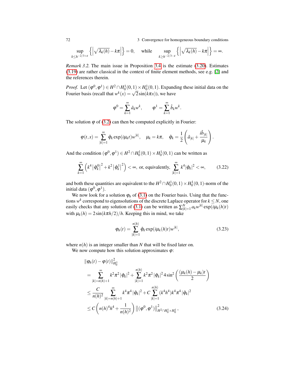72 3 Convergence for homogeneous boundary conditions

$$
\sup_{k \leq h^{-2/3+\epsilon}} \left\{ \left| \sqrt{\lambda_k(h)} - k\pi \right| \right\} = 0, \quad \text{while} \quad \sup_{k \geq h^{-2/3-\epsilon}} \left\{ \left| \sqrt{\lambda_k(h)} - k\pi \right| \right\} = \infty.
$$

*Remark 3.2.* The main issue in Proposition [3.4](#page-78-3) is the estimate [\(3.20\)](#page-78-4). Estimates [\(3.19\)](#page-78-2) are rather classical in the context of finite element methods, see e.g. [\[2\]](#page-132-0) and the references therein.

*Proof.* Let  $(\varphi^0, \varphi^1) \in H^2 \cap H_0^1(0,1) \times H_0^1(0,1)$ . Expanding these initial data on the Froof. Let  $(\psi^*, \psi^*) \in H^{-1}H_0(0, 1) \times H_0(0, 1)$ . Expand<br>Fourier basis (recall that  $w^k(x) = \sqrt{2} \sin(k\pi x)$ ), we have

$$
\varphi^0 = \sum_{k=1}^{\infty} \hat{a}_k w^k, \qquad \varphi^1 = \sum_{k=1}^{\infty} \hat{b}_k w^k.
$$

The solution  $\varphi$  of [\(3.2\)](#page-72-2) can then be computed explicitly in Fourier:

$$
\varphi(t,x)=\sum_{|k|=1}^{\infty}\hat{\varphi}_k\exp(i\mu_kt)w^{|k|},\quad \mu_k=k\pi,\quad \hat{\varphi}_k=\frac{1}{2}\left(\hat{a}_{|k|}+\frac{i\hat{b}_{|k|}}{\mu_k}\right).
$$

And the condition  $(\varphi^0, \varphi^1) \in H^2 \cap H_0^1(0,1) \times H_0^1(0,1)$  can be written as

<span id="page-79-1"></span>
$$
\sum_{k=1}^{\infty} \left( k^4 \left| \hat{\varphi}_k^0 \right|^2 + k^2 \left| \hat{\varphi}_k^1 \right|^2 \right) < \infty, \text{ or, equivalently, } \sum_{|k|=1}^{\infty} k^4 \left| \hat{\varphi}_k \right|^2 < \infty,
$$
\n(3.22)

and both these quantities are equivalent to the  $H^2 \cap H^1_0(0,1) \times H^1_0(0,1)$ -norm of the initial data  $(\varphi^0, \varphi^1)$ .

We now look for a solution  $\varphi_h$  of [\(3.1\)](#page-72-1) on the Fourier basis. Using that the functions  $w^k$  correspond to eigensolutions of the discrete Laplace operator for  $k \leq N$ , one easily checks that any solution of [\(3.1\)](#page-72-1) can be written as  $\sum_{|k|=1}^{N} a_k w^{|k|} \exp(i\mu_k(h)t)$ with  $\mu_k(h) = 2 \sin(k\pi h/2)/h$ . Keeping this in mind, we take

$$
\varphi_h(t) = \sum_{|k|=1}^{n(h)} \hat{\varphi}_k \exp(i\mu_k(h)t) w^{|k|}, \qquad (3.23)
$$

where  $n(h)$  is an integer smaller than  $N$  that will be fixed later on.

We now compute how this solution approximates  $\varphi$ :

<span id="page-79-0"></span>
$$
\|\varphi_h(t) - \varphi(t)\|_{H_0^1}^2
$$
\n
$$
= \sum_{|k|=n(h)+1}^{\infty} k^2 \pi^2 |\varphi_k|^2 + \sum_{|k|=1}^{n(h)} k^2 \pi^2 |\varphi_k|^2 4 \sin^2 \left( \frac{(\mu_k(h) - \mu_k)t}{2} \right)
$$
\n
$$
\leq \frac{C}{n(h)^2} \sum_{|k|=n(h)+1}^{\infty} k^4 \pi^4 |\varphi_k|^2 + C \sum_{|k|=1}^{n(h)} (k^4 h^4) k^4 \pi^4 |\varphi_k|^2
$$
\n
$$
\leq C \left( n(h)^4 h^4 + \frac{1}{n(h)^2} \right) \| (\varphi^0, \varphi^1) \|_{H^2 \cap H_0^1 \times H_0^1}^2, \tag{3.24}
$$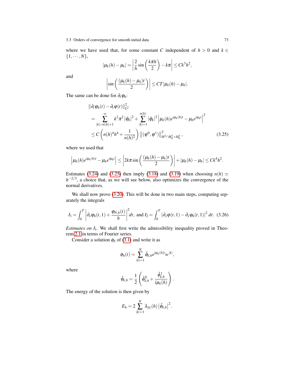where we have used that, for some constant *C* independent of  $h > 0$  and  $k \in$  $\{1,\cdots,N\},\$ 

$$
|\mu_k(h) - \mu_k| = \left|\frac{2}{h}\sin\left(\frac{k\pi h}{2}\right) - k\pi\right| \leq Ck^3h^2,
$$

and

$$
\left|\sin\left(\frac{(\mu_k(h)-\mu_k)t}{2}\right)\right|\leq CT|\mu_k(h)-\mu_k|.
$$

The same can be done for  $\partial_t \varphi_h$ :

<span id="page-80-0"></span>
$$
\|\partial_t \varphi_h(t) - \partial_t \varphi(t)\|_{L^2}^2
$$
\n
$$
= \sum_{|k|=n(h)+1}^{\infty} k^2 \pi^2 |\varphi_k|^2 + \sum_{|k|=1}^{n(h)} |\varphi_k|^2 \left| \mu_k(h) e^{i\mu_k(h)t} - \mu_k e^{i\mu_k t} \right|^2
$$
\n
$$
\leq C \left( n(h)^4 h^4 + \frac{1}{n(h)^2} \right) \left\| (\varphi^0, \varphi^1) \right\|_{H^2 \cap H_0^1 \times H_0^1}^2, \tag{3.25}
$$

where we used that

$$
\left|\mu_k(h)e^{i\mu_k(h)t}-\mu_k e^{i\mu_k t}\right|\leq \left|2k\pi\sin\left(\frac{(\mu_k(h)-\mu_k)t}{2}\right)\right|+|\mu_k(h)-\mu_k|\leq Ck^4h^2.
$$

Estimates [\(3.24\)](#page-79-0) and [\(3.25\)](#page-80-0) then imply [\(3.18\)](#page-78-0) and [\(3.19\)](#page-78-2) when choosing  $n(h) \simeq$ *h*<sup>−2/3</sup>, a choice that, as we will see below, also optimizes the convergence of the normal derivatives.

We shall now prove [\(3.20\)](#page-78-4). This will be done in two main steps, computing separately the integrals

<span id="page-80-1"></span>
$$
I_1 = \int_0^T \left| \partial_x \varphi_h(t,1) + \frac{\varphi_{N,h}(t)}{h} \right|^2 dt, \text{ and } I_2 = \int_0^T \left| \partial_x \varphi(t,1) - \partial_x \varphi_h(t,1) \right|^2 dt. \tag{3.26}
$$

*Estimates on I*<sub>1</sub>. We shall first write the admissibility inequality proved in Theorem [2.1](#page-64-0) in terms of Fourier series.

Consider a solution  $\phi_h$  of [\(3.1\)](#page-72-1) and write it as

$$
\phi_h(t) = \sum_{|k|=1}^N \hat{\phi}_{k,h} e^{i\mu_k(h)t} w^{|k|},
$$

where

$$
\hat{\phi}_{k,h} = \frac{1}{2} \left( \hat{\phi}_{k,h}^0 + \frac{\hat{\phi}_{k,h}^1}{i \mu_k(h)} \right).
$$

The energy of the solution is then given by

$$
E_h = 2 \sum_{|k|=1}^{N} \lambda_{|k|}(h) |\hat{\phi}_{k,h}|^2.
$$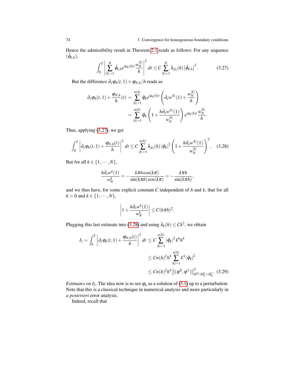,

Hence the admissibility result in Theorem [2.1](#page-64-0) reads as follows: For any sequence  $(\hat{\phi}_{k,h}),$ 

<span id="page-81-0"></span>
$$
\int_0^T \left| \sum_{|k|=1}^N \hat{\phi}_{k,h} e^{i\mu_k(h)t} \frac{w_N^{|k|}}{h} \right|^2 dt \le C \sum_{|k|=1}^N \lambda_{|k|}(h) |\hat{\phi}_{k,h}|^2.
$$
 (3.27)

But the difference  $\partial_x \varphi_h(t,1) + \varphi_{N,h}/h$  reads as

$$
\partial_x \varphi_h(t,1) + \frac{\varphi_{N,h}}{h}(t) = \sum_{|k|=1}^{n(h)} \hat{\varphi}_k e^{i\mu_k(h)t} \left( \partial_x w^{|k|}(1) + \frac{w_N^{|k|}}{h} \right)
$$
  
= 
$$
\sum_{|k|=1}^{n(h)} \hat{\varphi}_k \left( 1 + \frac{h \partial_x w^{|k|}(1)}{w_N^{|k|}} \right) e^{i\mu_k(h)t} \frac{w_N^{|k|}}{h}.
$$

Thus, applying [\(3.27\)](#page-81-0), we get

<span id="page-81-1"></span>
$$
\int_0^T \left| \partial_x \varphi_h(t,1) + \frac{\varphi_{N,h}(t)}{h} \right|^2 dt \le C \sum_{|k|=1}^{n(h)} \lambda_{|k|}(h) |\hat{\varphi}_k|^2 \left( 1 + \frac{h \partial_x w^{|k|}(1)}{w_N^{|k|}} \right)^2.
$$
 (3.28)

But for all  $k \in \{1, \cdots, N\}$ ,

$$
\frac{h\partial_x w^k(1)}{w_N^k} = -\frac{k\pi h \cos(k\pi)}{\sin(k\pi h)\cos(k\pi)} = -\frac{k\pi h}{\sin(k\pi h)}
$$

and we thus have, for some explicit constant *C* independent of *h* and *k*, that for all *h* > 0 and  $k \in \{1, \dots, N\}$ ,

$$
\left|1+\frac{h\partial_x w^k(1)}{w_N^k}\right| \leq C(k\pi h)^2.
$$

Plugging this last estimate into [\(3.28\)](#page-81-1) and using  $\lambda_k(h) \leq Ck^2$ , we obtain

<span id="page-81-2"></span>
$$
I_{1} = \int_{0}^{T} \left| \partial_{x} \varphi_{h}(t,1) + \frac{\varphi_{N,h}(t)}{h} \right|^{2} dt \leq C \sum_{|k|=1}^{n(h)} |\hat{\varphi}_{k}|^{2} k^{6} h^{4}
$$
  

$$
\leq C n(h)^{2} h^{4} \sum_{|k|=1}^{n(h)} k^{4} |\hat{\varphi}_{k}|^{2}
$$
  

$$
\leq C n(h)^{2} h^{4} ||(\varphi^{0}, \varphi^{1})||_{H^{2} \cap H_{0}^{1} \times H_{0}^{1}}^{2} . (3.29)
$$

*Estimates on*  $I_2$ *. The idea now is to see*  $\varphi_h$  *as a solution of [\(3.1\)](#page-72-1) up to a perturbation.* Note that this is a classical technique in numerical analysis and more particularly in *a posteriori* error analysis.

Indeed, recall that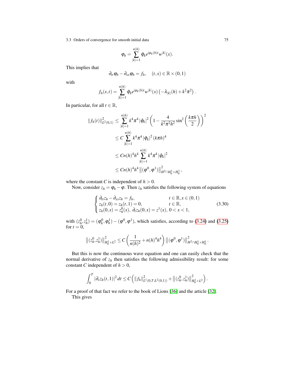3.3 Orders of convergence for smooth initial data 75

$$
\varphi_h = \sum_{|k|=1}^{n(h)} \hat{\varphi}_k e^{i\mu_k(h)t} w^{|k|}(x).
$$

This implies that

$$
\partial_{tt} \varphi_h - \partial_{xx} \varphi_h = f_h, \quad (t, x) \in \mathbb{R} \times (0, 1)
$$

with

$$
f_h(x,t) = \sum_{|k|=1}^{n(h)} \hat{\varphi}_k e^{i\mu_k(h)t} w^{|k|}(x) \left(-\lambda_{|k|}(h) + k^2 \pi^2\right).
$$

In particular, for all  $t \in \mathbb{R}$ ,

$$
\begin{split} \|f_h(t)\|_{L^2(0,1)}^2 &\leq \sum_{|k|=1}^{n(h)} k^4 \pi^4 |\hat{\varphi}_k|^2 \left(1 - \frac{4}{k^2 \pi^2 h^2} \sin^2\left(\frac{k \pi h}{2}\right)\right)^2 \\ &\leq C \sum_{|k|=1}^{n(h)} k^4 \pi^4 |\hat{\varphi}_k|^2 (k \pi h)^4 \\ &\leq C n(h)^4 h^4 \sum_{|k|=1}^{n(h)} k^4 \pi^4 |\hat{\varphi}_k|^2 \\ &\leq C n(h)^4 h^4 \left\|(\varphi^0, \varphi^1)\right\|_{H^2 \cap H_0^1 \times H_0^1}^2, \end{split}
$$

where the constant *C* is independent of  $h > 0$ .

Now, consider  $z_h = \varphi_h - \varphi$ . Then  $z_h$  satisfies the following system of equations

$$
\begin{cases}\n\partial_{tt}z_h - \partial_{xx}z_h = f_h, & t \in \mathbb{R}, x \in (0,1) \\
z_h(t,0) = z_h(t,1) = 0, & t \in \mathbb{R}, \\
z_h(0,x) = z_h^0(x), & \partial_t z_h(0,x) = z^1(x), 0 < x < 1,\n\end{cases} \tag{3.30}
$$

with  $(z_h^0, z_h^1) = (\varphi_h^0, \varphi_h^1) - (\varphi^0, \varphi^1)$ , which satisfies, according to [\(3.24\)](#page-79-0) and [\(3.25\)](#page-80-0) for  $t = 0$ ,

$$
\left\|\left(z_h^0, z_h^1\right)\right\|_{H_0^1 \times L^2}^2 \le C \left(\frac{1}{n(h)^2} + n(h)^4 h^4\right) \left\|\left(\phi^0, \phi^1\right)\right\|_{H^2 \cap H_0^1 \times H_0^1}^2.
$$

But this is now the continuous wave equation and one can easily check that the normal derivative of  $z_h$  then satisfies the following admissibility result: for some constant *C* independent of  $h > 0$ ,

$$
\int_0^T |\partial_x z_h(t,1)|^2 dt \leq C \left( ||f_h||^2_{L^1(0,T;L^2(0,1))} + ||(z_h^0, z_h^1)||^2_{H_0^1 \times L^2} \right).
$$

For a proof of that fact we refer to the book of Lions [\[36\]](#page-133-0) and the article [\[32\]](#page-133-1). This gives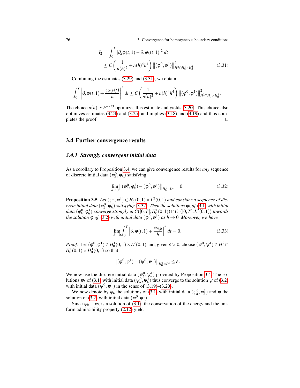76 3 Convergence for homogeneous boundary conditions

<span id="page-83-1"></span>
$$
I_2 = \int_0^T |\partial_x \varphi(t, 1) - \partial_x \varphi_h(t, 1)|^2 dt
$$
  
 
$$
\leq C \left( \frac{1}{n(h)^2} + n(h)^4 h^4 \right) ||(\varphi^0, \varphi^1)||^2_{H^2 \cap H_0^1 \times H_0^1}.
$$
 (3.31)

Combining the estimates [\(3.29\)](#page-81-2) and [\(3.31\)](#page-83-1), we obtain

$$
\int_0^T \left| \partial_x \varphi(t,1) + \frac{\varphi_{N,h}(t)}{h} \right|^2 dt \le C \left( \frac{1}{n(h)^2} + n(h)^4 h^4 \right) \left\| (\varphi^0, \varphi^1) \right\|_{H^2 \cap H_0^1 \times H_0^1}^2.
$$

The choice  $n(h) \simeq h^{-2/3}$  optimizes this estimate and yields [\(3.20\)](#page-78-4). This choice also optimizes estimates [\(3.24\)](#page-79-0) and [\(3.25\)](#page-80-0) and implies [\(3.18\)](#page-78-0) and [\(3.19\)](#page-78-2) and thus completes the proof.  $\Box$ 

#### <span id="page-83-0"></span>3.4 Further convergence results

#### *3.4.1 Strongly convergent initial data*

As a corollary to Proposition [3.4,](#page-78-3) we can give convergence results for *any* sequence of discrete initial data  $(\varphi_h^0, \varphi_h^1)$  satisfying

<span id="page-83-2"></span>
$$
\lim_{h \to 0} \left\| (\varphi_h^0, \varphi_h^1) - (\varphi^0, \varphi^1) \right\|_{H_0^1 \times L^2} = 0.
$$
\n(3.32)

<span id="page-83-3"></span>**Proposition 3.5.** Let  $(\varphi^0, \varphi^1) \in H_0^1(0,1) \times L^2(0,1)$  and consider a sequence of dis**c c** *c* **p** *co*<sub>*h*</sub> *ch*<sup>*h*</sup> *c c<sub><i>h*</sub> *c*<sub>*h*</sub><sup>*h*</sup> *c*<sub>*h*</sub><sup>*d*</sup> *c*<sub>*n*</sub><sup>*d*</sup> *cn*<sup>*d*</sup> *cn*<sup>*d*</sup> *cn*<sup>*d*</sup> *cn*<sup>*d*</sup> *c<sub><i>n*</sub>*<i>d cg*<sup>*h*</sup> *c<sub><i>h*</sub></sub>*d cg*<sup>*h*</sup> *c<sub><i>h*</sub>*d*<sup>*d*</sup> *c<sub><i>n*</sub>*<i>d*  $data$   $(\varphi_h^0, \varphi_h^1)$  converge strongly in  $C([0,T];H_0^1(0,1))\cap C^1([0,T];L^2(0,1))$  towards the solution  $\varphi$  of [\(3.2\)](#page-72-2) with initial data  $(\varphi^0, \varphi^1)$  as  $h \to 0$ . Moreover, we have

$$
\lim_{h \to 0} \int_0^T \left| \partial_x \varphi(t, 1) + \frac{\varphi_{N,h}}{h} \right|^2 dt = 0.
$$
\n(3.33)

*Proof.* Let  $(\varphi^0, \varphi^1) \in H_0^1(0, 1) \times L^2(0, 1)$  and, given  $\varepsilon > 0$ , choose  $(\psi^0, \psi^1) \in H^2 \cap$  $H_0^1(0,1) \times H_0^1(0,1)$  so that

$$
\left\|(\boldsymbol{\varphi}^0,\boldsymbol{\varphi}^1) - (\boldsymbol{\psi}^0,\boldsymbol{\psi}^1)\right\|_{H_0^1 \times L^2} \leq \varepsilon.
$$

We now use the discrete initial data  $(\psi_h^0, \psi_h^1)$  provided by Proposition [3.4.](#page-78-3) The solutions  $\psi_h$  of [\(3.1\)](#page-72-1) with initial data  $(\psi_h^0, \psi_h^1)$  thus converge to the solution  $\psi$  of [\(3.2\)](#page-72-2) with initial data  $(\psi^0, \psi^1)$  in the sense of [\(3.19\)](#page-78-2)–[\(3.20\)](#page-78-4).

We now denote by  $\varphi_h$  the solutions of [\(3.1\)](#page-72-1) with initial data  $(\varphi_h^0, \varphi_h^1)$  and  $\varphi$  the solution of [\(3.2\)](#page-72-2) with initial data  $(\varphi^0, \varphi^1)$ .

Since  $\varphi_h - \psi_h$  is a solution of [\(3.1\)](#page-72-1), the conservation of the energy and the uniform admissibility property [\(2.12\)](#page-64-1) yield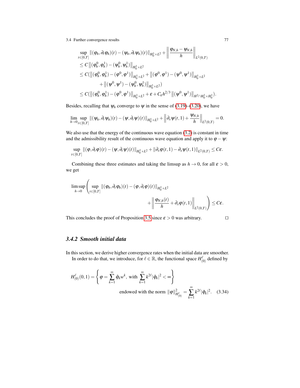3.4 Further convergence results 77

$$
\sup_{t\in[0,T]}\|(\varphi_h,\partial_t\varphi_h)(t)-(\psi_h,\partial_t\psi_h)(t)\|_{H_0^1\times L^2}+\left\|\frac{\varphi_{N,h}-\psi_{N,h}}{h}\right\|_{L^2(0,T)}\\ \leq C\|(\varphi_h^0,\varphi_h^1)-(\psi_h^0,\psi_h^1)\|_{H_0^1\times L^2}\\ \leq C(\big\|(\varphi_h^0,\varphi_h^1)-(\varphi^0,\varphi^1)\big\|_{H_0^1\times L^2}+\big\|(\varphi^0,\varphi^1)-(\psi^0,\psi^1)\big\|_{H_0^1\times L^2}\\ +\big\|(\psi^0,\psi^1)-(\psi_h^0,\psi_h^1)\big\|_{H_0^1\times L^2})\\ \leq C(\big\|(\varphi_h^0,\varphi_h^1)-(\varphi^0,\varphi^1)\big\|_{H_0^1\times L^2}+\epsilon+C_\epsilon h^{2/3}\,\big\|(\psi^0,\psi^1)\big\|_{H^2\cap H_0^1\times H_0^1}).
$$

Besides, recalling that  $\psi_h$  converge to  $\psi$  in the sense of [\(3.19\)](#page-78-2)–[\(3.20\)](#page-78-4), we have

$$
\lim_{h\to 0}\sup_{t\in[0,T]}\left\|\left(\psi_h,\partial_t\psi_h\right)(t)-\left(\psi,\partial_t\psi\right)(t)\right\|_{H_0^1\times L^2}+\left\|\partial_x\psi(t,1)+\frac{\psi_{N,h}}{h}\right\|_{L^2(0,T)}=0.
$$

We also use that the energy of the continuous wave equation [\(3.2\)](#page-72-2) is constant in time and the admissibility result of the continuous wave equation and apply it to  $\varphi - \psi$ :

$$
\sup_{t\in[0,T]}\|(\varphi,\partial_t\varphi)(t)-(\psi,\partial_t\psi)(t)\|_{H^1_0\times L^2}+\|\partial_x\varphi(t,1)-\partial_x\psi(t,1)\|_{L^2(0,T)}\leq C\epsilon.
$$

Combining these three estimates and taking the limsup as  $h \to 0$ , for all  $\varepsilon > 0$ , we get

$$
\begin{aligned}\n&\limsup_{h\to 0}\left(\sup_{t\in[0,T]}\left\|(\varphi_h,\partial_t\varphi_h)(t)-(\varphi,\partial_t\varphi)(t)\right\|_{H_0^1\times L^2}\\
&+\left\|\frac{\varphi_{N,h}(t)}{h}+\partial_x\varphi(t,1)\right\|_{L^2(0,T)}\right)\leq C\epsilon.\n\end{aligned}
$$

This concludes the proof of Proposition [3.5](#page-83-3) since  $\varepsilon > 0$  was arbitrary.

#### *3.4.2 Smooth initial data*

In this section, we derive higher convergence rates when the initial data are smoother. In order to do that, we introduce, for  $\ell \in \mathbb{R}$ , the functional space  $H^{\ell}_{(0)}$  defined by

<span id="page-84-0"></span>
$$
H_{(0)}^{\ell}(0,1) = \left\{ \varphi = \sum_{k=1}^{\infty} \hat{\varphi}_k w^k, \text{ with } \sum_{k=1}^{\infty} k^{2\ell} |\hat{\varphi}_k|^2 < \infty \right\}
$$
  
endowed with the norm  $||\varphi||_{H_{(0)}^{\ell}}^2 = \sum_{k=1}^{\infty} k^{2\ell} |\hat{\varphi}_k|^2$ . (3.34)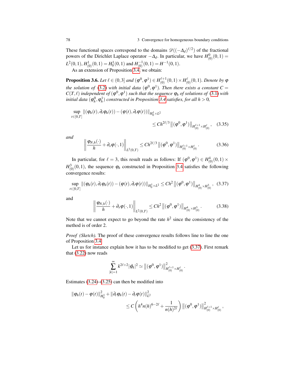These functional spaces correspond to the domains  $\mathscr{D}((-\Delta_d)^{\ell/2})$  of the fractional powers of the Dirichlet Laplace operator  $-\Delta_d$ . In particular, we have  $H^0_{(0)}(0,1)$  =  $L^2(0,1), H^1_{(0)}(0,1) = H^1_0(0,1)$  and  $H^{-1}_{(0)}(0,1) = H^{-1}(0,1)$ .

As an extension of Proposition [3.4,](#page-78-3) we obtain:

<span id="page-85-3"></span>**Proposition 3.6.** Let  $\ell \in (0,3]$  and  $(\varphi^0, \varphi^1) \in H^{\ell+1}_{(0)}(0,1) \times H^{\ell}_{(0)}(0,1)$ *. Denote by* φ *the solution of* [\(3.2\)](#page-72-2) with initial data  $(\varphi^0, \varphi^1)$ . Then there exists a constant  $C =$  $C(T, \ell)$  independent of  $(\varphi^0, \varphi^1)$  such that the sequence  $\varphi_h$  of solutions of [\(3.1\)](#page-72-1) with initial data  $(\varphi_h^0, \varphi_h^1)$  constructed in Proposition [3.4](#page-78-3) satisfies, for all  $h > 0$ ,

$$
\sup_{t\in[0,T]} \|(\varphi_h(t), \partial_t \varphi_h(t)) - (\varphi(t), \partial_t \varphi(t))\|_{H_0^1 \times L^2} \leq Ch^{2\ell/3} \|(\varphi^0, \varphi^1)\|_{H_{(0)}^{\ell+1} \times H_{(0)}^{\ell}}, \quad (3.35)
$$

*and*

<span id="page-85-2"></span><span id="page-85-1"></span>
$$
\left\| \frac{\varphi_{N,h}(\cdot)}{h} + \partial_x \varphi(\cdot, 1) \right\|_{L^2(0,T)} \le Ch^{2\ell/3} \left\| (\varphi^0, \varphi^1) \right\|_{H_{(0)}^{\ell+1} \times H_{(0)}^{\ell}}.
$$
 (3.36)

In particular, for  $\ell = 3$ , this result reads as follows: If  $(\varphi^0, \varphi^1) \in H^4_{(0)}(0,1) \times$  $H_{(0)}^3(0,1)$ , the sequence  $\varphi_h$  constructed in Proposition [3.4](#page-78-3) satisfies the following convergence results:

<span id="page-85-0"></span>
$$
\sup_{t\in[0,T]}\|(\varphi_h(t),\partial_t\varphi_h(t))-(\varphi(t),\partial_t\varphi(t))\|_{H_0^1\times L^2}\leq Ch^2\left\|(\varphi^0,\varphi^1)\right\|_{H_{(0)}^4\times H_{(0)}^3},\quad(3.37)
$$

and

$$
\left\| \frac{\varphi_{N,h}(\cdot)}{h} + \partial_x \varphi(\cdot, 1) \right\|_{L^2(0,T)} \le Ch^2 \left\| (\varphi^0, \varphi^1) \right\|_{H^4_{(0)} \times H^3_{(0)}}.
$$
 (3.38)

Note that we cannot expect to go beyond the rate  $h^2$  since the consistency of the method is of order 2.

*Proof* (*Sketch*). The proof of these convergence results follows line to line the one of Proposition [3.4.](#page-78-3)

Let us for instance explain how it has to be modified to get [\(3.37\)](#page-85-0). First remark that [\(3.22\)](#page-79-1) now reads

$$
\sum_{|k|=1}^{\infty} k^{2\ell+2} |\hat{\phi_k}|^2 \simeq ||(\phi^0, \phi^1)||^2_{H_{(0)}^{\ell+1} \times H_{(0)}^{\ell}}.
$$

Estimates  $(3.24)$ – $(3.25)$  can then be modified into

$$
\begin{aligned} \|\varphi_h(t) - \varphi(t)\|_{H_0^1}^2 + \|\partial_t \varphi_h(t) - \partial_t \varphi(t)\|_{L^2}^2 \\ &\leq C \left( h^4 n(h)^{6-2\ell} + \frac{1}{n(h)^{2\ell}} \right) \left\| (\varphi^0, \varphi^1) \right\|_{H_{(0)}^{\ell+1} \times H_{(0)}^{\ell}}^2, \end{aligned}
$$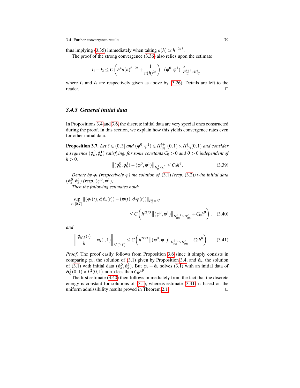#### 3.4 Further convergence results 79

thus implying [\(3.35\)](#page-85-1) immediately when taking  $n(h) \simeq h^{-2/3}$ .

The proof of the strong convergence [\(3.36\)](#page-85-2) also relies upon the estimate

$$
I_1 + I_2 \leq C \left( h^4 n(h)^{6-2\ell} + \frac{1}{n(h)^{2\ell}} \right) \left\| (\boldsymbol{\varphi}^0, \boldsymbol{\varphi}^1) \right\|_{H_{(0)}^{\ell+1} \times H_{(0)}^{\ell}},
$$

where  $I_1$  and  $I_2$  are respectively given as above by  $(3.26)$ . Details are left to the reader.  $\Box$ 

#### *3.4.3 General initial data*

In Propositions [3.4](#page-78-3) and [3.6,](#page-85-3) the discrete initial data are very special ones constructed during the proof. In this section, we explain how this yields convergence rates even for other initial data.

<span id="page-86-2"></span>**Proposition 3.7.** Let  $\ell \in (0,3]$  and  $(\varphi^0, \varphi^1) \in H_{(0)}^{\ell+1}(0,1) \times H_{(0)}^{\ell}(0,1)$  and consider  $a$  sequence  $(\phi_h^0, \phi_h^1)$  satisfying, for some constants  $C_0 > 0$  and  $\theta > 0$  independent of  $h > 0$ ,

<span id="page-86-0"></span>
$$
\left\|(\phi_h^0, \phi_h^1) - (\phi^0, \phi^1)\right\|_{H_0^1 \times L^2} \le C_0 h^\theta. \tag{3.39}
$$

*Denote by*  $\phi_h$  *(respectively*  $\phi$ *) the solution of* [\(3.1\)](#page-72-1) *(resp.* [\(3.2\)](#page-72-2)*)* with initial data  $(\phi_h^0, \phi_h^1)$  (resp.  $(\phi^0, \phi^1)$ ).

*Then the following estimates hold:*

$$
\sup_{t \in [0,T]} \| (\phi_h(t), \partial_t \phi_h(t)) - (\varphi(t), \partial_t \varphi(t)) \|_{H_0^1 \times L^2} \leq C \left( h^{2\ell/3} \left\| (\varphi^0, \varphi^1) \right\|_{H_{(0)}^{\ell+1} \times H_{(0)}^{\ell}} + C_0 h^{\theta} \right), \quad (3.40)
$$

*and*

<span id="page-86-1"></span>
$$
\left\| \frac{\phi_{N,h}(\cdot)}{h} + \varphi_x(\cdot,1) \right\|_{L^2(0,T)} \le C \left( h^{2\ell/3} \left\| (\varphi^0, \varphi^1) \right\|_{H_{(0)}^{\ell+1} \times H_{(0)}^{\ell}} + C_0 h^{\theta} \right). \tag{3.41}
$$

*Proof.* The proof easily follows from Proposition [3.6](#page-85-3) since it simply consists in comparing  $\varphi_h$ , the solution of [\(3.1\)](#page-72-1) given by Proposition [3.4,](#page-78-3) and  $\varphi_h$ , the solution of [\(3.1\)](#page-72-1) with initial data  $(\phi_h^0, \phi_h^1)$ . But  $\phi_h - \phi_h$  solves (3.1) with an initial data of  $H_0^1(0,1) \times L^2(0,1)$ -norm less than  $C_0 h^{\theta}$ .

The first estimate [\(3.40\)](#page-86-0) then follows immediately from the fact that the discrete energy is constant for solutions of [\(3.1\)](#page-72-1), whereas estimate [\(3.41\)](#page-86-1) is based on the uniform admissibility results proved in Theorem [2.1.](#page-64-0)  $\Box$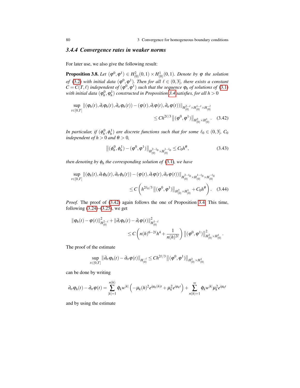#### *3.4.4 Convergence rates in weaker norms*

For later use, we also give the following result:

**Proposition 3.8.** Let  $(\varphi^{0}, \varphi^{1}) \in H^{2}_{(0)}(0, 1) \times H^{1}_{(0)}(0, 1)$ . Denote by  $\varphi$  the solution *of* [\(3.2\)](#page-72-2) with initial data  $(\varphi^0, \varphi^1)$ . Then for all  $\ell \in (0,3]$ , there exists a constant  $C = C(T, \ell)$  independent of  $(\varphi^0, \varphi^1)$  such that the sequence  $\varphi_h$  of solutions of [\(3.1\)](#page-72-1) with initial data  $(\varphi_h^0, \varphi_h^1)$  constructed in Proposition [3.4](#page-78-3) satisfies, for all  $h>0$ 

$$
\sup_{t\in[0,T]} \|(\varphi_h(t), \partial_t \varphi_h(t), \partial_{tt} \varphi_h(t)) - (\varphi(t), \partial_t \varphi(t), \partial_{tt} \varphi(t))\|_{H^{2-\ell}_{(0)}\times H^{1-\ell}_{(0)}\times H^{-\ell}_{(0)}} \n\le Ch^{2\ell/3} \|(\varphi^0, \varphi^1)\|_{H^2_{(0)}\times H^1_{(0)}}.
$$
\n(3.42)

*In particular, if*  $(\phi_h^0, \phi_h^1)$  *are discrete functions such that for some*  $\ell_0 \in (0,3]$ *, C*<sub>0</sub> *independent of h*  $> 0$  *and*  $\theta$   $> 0$ *,* 

<span id="page-87-2"></span><span id="page-87-1"></span><span id="page-87-0"></span>
$$
\left\|(\phi_h^0, \phi_h^1) - (\phi^0, \phi^1)\right\|_{H_{(0)}^{2-\ell_0} \times H_{(0)}^{1-\ell_0}} \le C_0 h^{\theta},\tag{3.43}
$$

*then denoting by*  $\phi_h$  *the corresponding solution of* [\(3.1\)](#page-72-1)*, we have* 

$$
\sup_{t \in [0,T]} \| (\phi_h(t), \partial_t \phi_h(t), \partial_{tt} \phi_h(t)) - (\varphi(t), \partial_t \varphi(t), \partial_{tt} \varphi(t)) \|_{H^{2-\ell_0}_{(0)} \times H^{1-\ell_0}_{(0)} \times H^{-(\ell_0)}_{(0)}} \n\leq C \left( h^{2\ell_0/3} \| (\varphi^0, \varphi^1) \|_{H^2_{(0)} \times H^1_{(0)}} + C_0 h^{\theta} \right). \tag{3.44}
$$

*Proof.* The proof of [\(3.42\)](#page-87-0) again follows the one of Proposition [3.4.](#page-78-3) This time, following  $(3.24)$ – $(3.25)$ , we get

$$
\|\varphi_h(t) - \varphi(t)\|_{H_{(0)}^{2-\ell}}^2 + \|\partial_t \varphi_h(t) - \partial_t \varphi(t)\|_{H_{(0)}^{1-\ell}}^2
$$
  
 
$$
\leq C \left( n(h)^{6-2\ell} h^4 + \frac{1}{n(h)^{2\ell}} \right) \left\| (\varphi^0, \varphi^1) \right\|_{H_{(0)}^2 \times H_{(0)}^1}^2.
$$

The proof of the estimate

$$
\sup_{t\in[0,T]}\|\partial_{tt}\varphi_h(t)-\partial_{tt}\varphi(t)\|_{H_{(0)}^{-\ell}}\leq Ch^{2\ell/3}\left\|(\varphi^0,\varphi^1)\right\|_{H_{(0)}^2\times H_{(0)}^1}
$$

can be done by writing

$$
\partial_{tt} \varphi_h(t) - \partial_{tt} \varphi(t) = \sum_{|k|=1}^{n(h)} \hat{\varphi}_k w^{|k|} \left( -\mu_k(h)^2 e^{i\mu_k(h)t} + \mu_k^2 e^{i\mu_k t} \right) + \sum_{n(h)+1}^{\infty} \hat{\varphi}_k w^{|k|} \mu_k^2 e^{i\mu_k t}
$$

and by using the estimate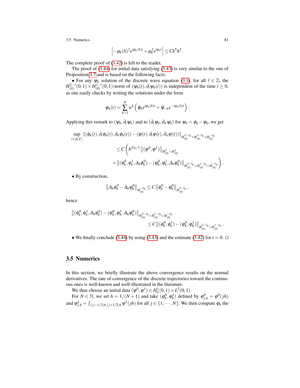3.5 Numerics 81

$$
\left| -\mu_k(h)^2 e^{i\mu_k(h)t} + \mu_k^2 e^{i\mu_k t} \right| \leq Ck^5 h^2
$$

.

The complete proof of [\(3.42\)](#page-87-0) is left to the reader.

The proof of [\(3.44\)](#page-87-1) for initial data satisfying [\(3.43\)](#page-87-2) is very similar to the one of Proposition [3.7](#page-86-2) and is based on the following facts:

• For any  $\psi_h$  solution of the discrete wave equation [\(3.1\)](#page-72-1), for all  $\ell \in \mathbb{Z}$ , the  $H_{(0)}^{2-\ell}(0,1) \times H_{(0)}^{1-\ell}(0,1)$ -norm of  $(\psi_h(t),\partial_t \psi_h(t))$  is independent of the time  $t \ge 0$ , as one easily checks by writing the solutions under the form

$$
\psi_h(t)=\sum_{k=1}^N w^k\left(\hat{\psi}_k e^{i\mu_k(h)t}+\hat{\psi}_{-k} e^{-i\mu_k(h)t}\right).
$$

Applying this remark to  $(\psi_h, \partial_t \psi_h)$  and to  $(\partial_t \psi_h, \partial_t \psi_h)$  for  $\psi_h = \phi_h - \phi_h$ , we get

$$
\sup_{t\in[0,T]} \|(\phi_h(t),\partial_t \phi_h(t),\partial_{tt} \phi_h(t)) - (\varphi(t),\partial_t \varphi(t),\partial_{tt} \varphi(t))\|_{H_{(0)}^{2-\ell_0}\times H_{(0)}^{1-\ell_0}\times H_{(0)}^{-\ell_0}}\n\leq C\left(h^{2\ell_0/3} \left\|(\varphi^0,\varphi^1)\right\|_{H_{(0)}^2\times H_{(0)}^1}\n+ \left\|(\phi_h^0,\phi_h^1,\Delta_h\phi_h^0) - (\varphi_h^0,\varphi_h^1,\Delta_h\phi_h^0)\right\|_{H_{(0)}^{2-\ell_0}\times H_{(0)}^{1-\ell_0}\times H_{(0)}^{-\ell_0}}\right).
$$

• By construction,

$$
\left\| \Delta_h \phi_h^0 - \Delta_h \phi_h^0 \right\|_{H^{-\ell_0}_{(0)}} \leq C \left\| \phi_h^0 - \phi_h^0 \right\|_{H^{2-\ell_0}_{(0)}},
$$

hence

$$
\begin{aligned} \left\|(\phi_h^0,\phi_h^1,\varDelta_h\phi_h^0)-(\phi_h^0,\phi_h^1,\varDelta_h\phi_h^0)\right\|_{H_{(0)}^{2-\ell_0}\times H_{(0)}^{-\ell_0}\times H_{(0)}^{-\ell_0}}\\ &\leq C\left\|(\phi_h^0,\phi_h^1)-(\phi_h^0,\phi_h^1)\right\|_{H_{(0)}^{2-\ell_0}\times H_{(0)}^{1-\ell_0}}.\end{aligned}
$$

• We finally conclude [\(3.44\)](#page-87-1) by using [\(3.43\)](#page-87-2) and the estimate [\(3.42\)](#page-87-0) for  $t = 0$ .  $\Box$ 

#### <span id="page-88-0"></span>3.5 Numerics

In this section, we briefly illustrate the above convergence results on the normal derivatives. The rate of convergence of the discrete trajectories toward the continuous ones is well-known and well-illustrated in the literature.

We thus choose an initial data  $(\varphi^0, \varphi^1) \in H_0^1(0,1) \times L^2(0,1)$ .

For  $N \in \mathbb{N}$ , we set  $h = 1/(N+1)$  and take  $(\varphi_h^0, \varphi_h^1)$  defined by  $\varphi_{j,h}^0 = \varphi^0(jh)$ and  $\varphi_{j,h}^1 = \int_{((j-1/2)h, (j+1/2)h} \varphi^1(jh)$  for all  $j \in \{1, \dots, N\}$ . We then compute  $\varphi_h$  the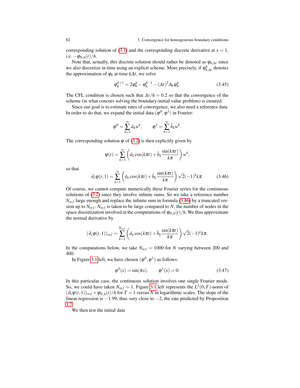corresponding solution of  $(3.1)$  and the corresponding discrete derivative at  $x = 1$ , i.e.  $-\varphi_{N,h}(t)/h$ .

Note that, actually, this discrete solution should rather be denoted as  $\varphi_{h,\Delta t}$  since we also discretize in time using an explicit scheme. More precisely, if  $\varphi_{h,\Delta t}^k$  denotes the approximation of  $\varphi_h$  at time  $k\Delta t$ , we solve

$$
\varphi_h^{k+1} = 2\varphi_h^k - \varphi_h^{k-1} - (\Delta t)^2 \Delta_h \varphi_h^k. \tag{3.45}
$$

The CFL condition is chosen such that  $\Delta t/h = 0.2$  so that the convergence of the scheme (in what concurs solving the boundary-initial value problem) is ensured.

Since our goal is to estimate rates of convergence, we also need a reference data. In order to do that, we expand the initial data  $(\varphi^0, \varphi^1)$  in Fourier:

$$
\varphi^0 = \sum_{k=1}^{\infty} \hat{a}_k w^k, \qquad \varphi^1 = \sum_{k=1}^{\infty} \hat{b}_k w^k.
$$

The corresponding solution  $\varphi$  of [\(3.2\)](#page-72-2) is then explicitly given by

 $\overline{\phantom{a}}$ 

$$
\varphi(t) = \sum_{k=1}^{\infty} \left( \hat{a}_k \cos(k\pi t) + \hat{b}_k \frac{\sin(k\pi t)}{k\pi} \right) w^k,
$$

so that

<span id="page-89-0"></span>
$$
\partial_x \varphi(t,1) = \sum_{k=1}^{\infty} \left( \hat{a}_k \cos(k\pi t) + \hat{b}_k \frac{\sin(k\pi t)}{k\pi} \right) \sqrt{2} (-1)^k k\pi.
$$
 (3.46)

Of course, we cannot compute numerically these Fourier series for the continuous solutions of [\(3.2\)](#page-72-2) since they involve infinite sums. So we take a reference number  $N_{ref}$  large enough and replace the infinite sum in formula [\(3.46\)](#page-89-0) by a truncated version up to  $N_{ref}$ .  $N_{ref}$  is taken to be large compared to N, the number of nodes in the space discretization involved in the computations of  $\varphi_{N,h}(t)/h$ . We thus approximate the normal derivative by

$$
(\partial_x \varphi(t,1))_{ref} = \sum_{k=1}^{N_{ref}} \left( \hat{a}_k \cos(k\pi t) + \hat{b}_k \frac{\sin(k\pi t)}{k\pi} \right) \sqrt{2} (-1)^k k\pi.
$$

In the computations below, we take  $N_{ref} = 1000$  for *N* varying between 200 and 400.

In Figure [3.1](#page-90-0) left, we have chosen  $(\varphi^0, \varphi^1)$  as follows:

<span id="page-89-1"></span>
$$
\varphi^{0}(x) = \sin(\pi x), \qquad \varphi^{1}(x) = 0.
$$
 (3.47)

In this particular case, the continuous solution involves one single Fourier mode. So, we could have taken  $N_{ref} = 1$ . Figure [3.1](#page-90-0) left represents the  $L^2(0,T)$ -norm of  $(\partial_x \varphi(t,1))_{ref} + \varphi_{N,h}(t)/h$  for  $T = 1$  versus *N* in logarithmic scales. The slope of the linear regression is −1.99, thus very close to −2, the rate predicted by Proposition [3.7.](#page-86-2)

We then test the initial data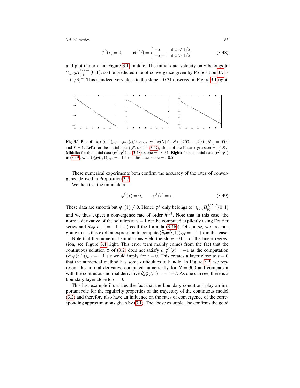3.5 Numerics 83

<span id="page-90-1"></span>
$$
\varphi^{0}(x) = 0, \qquad \varphi^{1}(x) = \begin{cases} -x & \text{if } x < 1/2, \\ -x + 1 & \text{if } x > 1/2, \end{cases}
$$
(3.48)

and plot the error in Figure [3.1,](#page-90-0) middle. The initial data velocity only belongs to  $∩_ {\varepsilon > 0} H_{(0)}^{1/2-ε}$  $(0, 0)$  so the predicted rate of convergence given by Proposition [3.7](#page-86-2) is  $-(1/3)^{-}$ . This is indeed very close to the slope  $-0.31$  observed in Figure [3.1](#page-90-0) right.



<span id="page-90-0"></span>**Fig. 3.1** Plot of  $|(\partial_x \varphi(t, 1))_{ref} + \varphi_{N,h}(t)/h|_{L^2(0,T)}$  vs log(*N*) for *N* ∈ {200, ⋅⋅⋅ ,400}, *N<sub>ref</sub>* = 1000 and *T* = 1. Left: for the initial data  $(\varphi^0, \varphi^1)$  in [\(3.47\)](#page-89-1), slope of the linear regression = -1.99. **Middle:** for the initial data  $(\varphi^0, \varphi^1)$  in [\(3.48\)](#page-90-1), slope = -0.31. **Right:** for the initial data  $(\varphi^0, \varphi^1)$ in [\(3.49\)](#page-90-2), with  $(\partial_x \varphi(t,1))_{ref} = -1 + t$  in this case, slope = −0.5.

These numerical experiments both confirm the accuracy of the rates of convergence derived in Proposition [3.7.](#page-86-2)

We then test the initial data

<span id="page-90-2"></span>
$$
\varphi^{0}(x) = 0, \qquad \varphi^{1}(x) = x. \tag{3.49}
$$

These data are smooth but  $\varphi^1(1) \neq 0$ . Hence  $\varphi^1$  only belongs to  $\cap_{\varepsilon > 0} H_{(0)}^{1/2-\varepsilon}$  $\binom{1}{0}^{1/2-\epsilon}(0,1)$ and we thus expect a convergence rate of order  $h^{1/3}$ . Note that in this case, the normal derivative of the solution at  $x = 1$  can be computed explicitly using Fourier series and  $\partial_x \varphi(t,1) = -1 + t$  (recall the formula [\(3.46\)](#page-89-0)). Of course, we are thus going to use this explicit expression to compute  $(\partial_x \varphi(t,1))_{ref} = -1 + t$  in this case.

Note that the numerical simulations yield the slope −0.5 for the linear regression, see Figure [3.1](#page-90-0) right. This error term mainly comes from the fact that the continuous solution  $\varphi$  of [\(3.2\)](#page-72-2) does not satisfy  $\partial_x \varphi^0(x) = -1$  as the computation  $(\partial_x \varphi(t,1))_{ref} = -1 + t$  would imply for  $t = 0$ . This creates a layer close to  $t = 0$ that the numerical method has some difficulties to handle. In Figure [3.2,](#page-91-0) we represent the normal derivative computed numerically for  $N = 300$  and compare it with the continuous normal derivative  $\partial_x \varphi(t,1) = -1 + t$ . As one can see, there is a boundary layer close to  $t = 0$ .

This last example illustrates the fact that the boundary conditions play an important role for the regularity properties of the trajectory of the continuous model [\(3.2\)](#page-72-2) and therefore also have an influence on the rates of convergence of the corresponding approximations given by [\(3.1\)](#page-72-1). The above example also confirms the good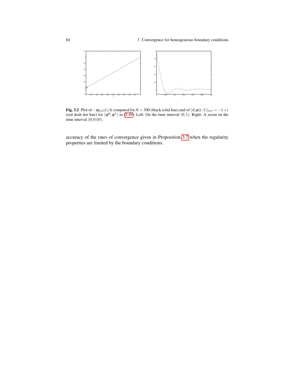

<span id="page-91-0"></span>Fig. 3.2 Plot of  $-\varphi_{N,h}(t)/h$  computed for  $N = 300$  (black solid line) and of  $(\partial_x \varphi(t,1))_{ref} = -1 + t$ (red dash dot line) for  $(\varphi^0, \varphi^1)$  in [\(3.49\)](#page-90-2). Left: On the time interval  $(0, 1)$ . Right: A zoom on the time interval  $(0, 0.03)$ .

accuracy of the rates of convergence given in Proposition [3.7](#page-86-2) when the regularity properties are limited by the boundary conditions.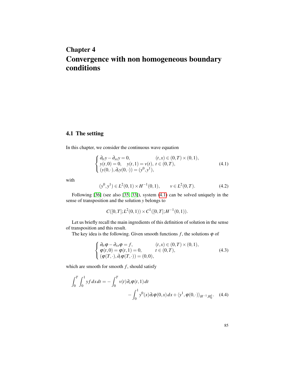# <span id="page-92-2"></span>Chapter 4 Convergence with non homogeneous boundary conditions

## 4.1 The setting

In this chapter, we consider the continuous wave equation

<span id="page-92-0"></span>
$$
\begin{cases}\n\partial_{tt}y - \partial_{xx}y = 0, & (t, x) \in (0, T) \times (0, 1), \\
y(t, 0) = 0, & y(t, 1) = v(t), \ t \in (0, T), \\
(y(0, \cdot), \partial_t y(0, \cdot)) = (y^0, y^1),\n\end{cases}
$$
\n(4.1)

with

$$
(y0, y1) \in L2(0, 1) \times H-1(0, 1), \qquad v \in L2(0, T).
$$
 (4.2)

Following [\[36\]](#page-133-0) (see also [\[35,](#page-133-2) [33\]](#page-133-3)), system [\(4.1\)](#page-92-0) can be solved uniquely in the sense of transposition and the solution *y* belongs to

$$
C([0,T];L^2(0,1)) \times C^1([0,T];H^{-1}(0,1)).
$$

Let us briefly recall the main ingredients of this definition of solution in the sense of transposition and this result.

The key idea is the following. Given smooth functions  $f$ , the solutions  $\varphi$  of

<span id="page-92-3"></span><span id="page-92-1"></span>
$$
\begin{cases} \n\partial_{tt} \varphi - \partial_{xx} \varphi = f, & (t, x) \in (0, T) \times (0, 1), \\ \n\varphi(t, 0) = \varphi(t, 1) = 0, & t \in (0, T), \\ \n(\varphi(T, \cdot), \partial_t \varphi(T, \cdot)) = (0, 0), \n\end{cases} \tag{4.3}
$$

which are smooth for smooth  $f$ , should satisfy

$$
\int_0^T \int_0^1 y f \, dx \, dt = -\int_0^T v(t) \partial_x \varphi(t,1) \, dt
$$
\n
$$
- \int_0^1 y^0(x) \partial_t \varphi(0,x) \, dx + \langle y^1, \varphi(0, \cdot) \rangle_{H^{-1},H_0^1}.\tag{4.4}
$$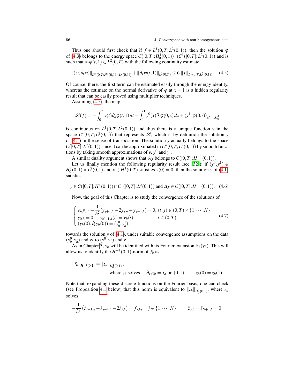Thus one should first check that if  $f \in L^1(0,T;L^2(0,1))$ , then the solution  $\varphi$ of [\(4.3\)](#page-92-1) belongs to the energy space  $C([0,T];H_0^1(0,1)) \cap C^1([0,T];L^2(0,1))$  and is such that  $\partial_x \varphi(t,1) \in L^2(0,T)$  with the following continuity estimate:

<span id="page-93-0"></span>
$$
\|(\varphi,\partial_t\varphi)\|_{L^\infty(0,T;H_0^1(0,1)\times L^2(0,1))} + \|\partial_x\varphi(t,1)\|_{L^2(0,T)} \leq C \|f\|_{L^1(0,T;L^2(0,1))}. \quad (4.5)
$$

Of course, there, the first term can be estimated easily through the energy identity, whereas the estimate on the normal derivative of  $\varphi$  at  $x = 1$  is a hidden regularity result that can be easily proved using multiplier techniques.

Assuming [\(4.5\)](#page-93-0), the map

$$
\mathscr{L}(f) = -\int_0^T v(t)\partial_x \varphi(t,1) dt - \int_0^1 y^0(x)\partial_t \varphi(0,x) dx + \langle y^1, \varphi(0,\cdot) \rangle_{H^{-1},H_0^1}
$$

is continuous on  $L^1(0,T; L^2(0,1))$  and thus there is a unique function *y* in the space  $L^{\infty}(0,T;L^2(0,1))$  that represents  $\mathscr{L}$ , which is by definition the solution *y* of [\(4.1\)](#page-92-0) in the sense of transposition. The solution *y* actually belongs to the space  $C([0,T]; L^2(0,1))$  since it can be approximated in  $L^{\infty}(0,T; L^2(0,1))$  by smooth functions by taking smooth approximations of  $v$ ,  $y^0$  and  $y^1$ .

A similar duality argument shows that  $\partial_t y$  belongs to  $C([0,T]; H^{-1}(0,1))$ .

Let us finally mention the following regularity result (see [\[32\]](#page-133-1)): if  $(y^0, y^1) \in$  $H_0^1(0,1) \times L^2(0,1)$  and  $v \in H^1(0,T)$  satisfies  $v(0) = 0$ , then the solution *y* of [\(4.1\)](#page-92-0) satisfies

$$
y \in C([0, T]; H^1(0, 1)) \cap C^1([0, T]; L^2(0, 1))
$$
 and  $\Delta y \in C([0, T]; H^{-1}(0, 1))$ . (4.6)

Now, the goal of this Chapter is to study the convergence of the solutions of

<span id="page-93-1"></span>
$$
\begin{cases}\n\partial_{tt}y_{j,h} - \frac{1}{h^2}(y_{j+1,h} - 2y_{j,h} + y_{j-1,h}) = 0, (t, j) \in (0, T) \times \{1, \dots, N\}, \\
y_{0,h} = 0, \quad y_{N+1,h}(t) = v_h(t), \quad t \in (0, T), \\
(y_h(0), \partial_t y_h(0)) = (y_h^0, y_h^1),\n\end{cases}
$$
\n(4.7)

towards the solution *y* of [\(4.1\)](#page-92-0), under suitable convergence assumptions on the data  $(y_h^0, y_h^1)$  and  $v_h$  to  $(y^0, y^1)$  and  $v$ .

As in Chapter [3,](#page-72-3)  $y_h$  will be identified with its Fourier extension  $\mathbb{F}_h(y_h)$ . This will allow us to identify the  $H^{-1}(0,1)$ -norm of  $f_h$  as

$$
||f_h||_{H^{-1}(0,1)} = ||z_h||_{H_0^1(0,1)},
$$
  
where  $z_h$  solves  $-\partial_{xx}z_h = f_h$  on  $(0,1)$ ,  $z_h(0) = z_h(1)$ .

Note that, expanding these discrete functions on the Fourier basis, one can check (see Proposition [4.1](#page-94-0) below) that this norm is equivalent to  $\|\tilde{z}_h\|_{H_0^1(0,1)}$ , where  $\tilde{z}_h$ solves

$$
-\frac{1}{h^2}(\tilde{z}_{j+1,h}+\tilde{z}_{j-1,h}-2\tilde{z}_{j,h})=f_{j,h}, \quad j\in\{1,\cdots,N\}, \qquad \tilde{z}_{0,h}=\tilde{z}_{N+1,h}=0.
$$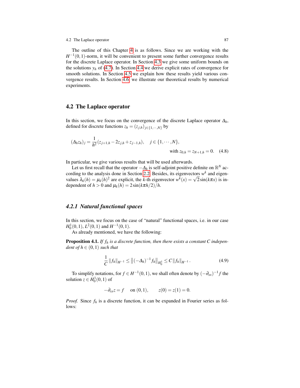#### 4.2 The Laplace operator 87

The outline of this Chapter [4](#page-92-2) is as follows. Since we are working with the  $H^{-1}(0,1)$ -norm, it will be convenient to present some further convergence results for the discrete Laplace operator. In Section [4.3](#page-102-0) we give some uniform bounds on the solutions  $y_h$  of [\(4.7\)](#page-93-1). In Section [4.4](#page-111-0) we derive explicit rates of convergence for smooth solutions. In Section [4.5](#page-122-0) we explain how these results yield various convergence results. In Section [4.6,](#page-124-0) we illustrate our theoretical results by numerical experiments.

#### 4.2 The Laplace operator

In this section, we focus on the convergence of the discrete Laplace operator  $\Delta_h$ , defined for discrete functions  $z_h = (z_{j,h})_{j \in \{1, \dots, N\}}$  by

$$
(\Delta_h z_h)_j = \frac{1}{h^2} (z_{j+1,h} - 2z_{j,h} + z_{j-1,h}), \quad j \in \{1, \cdots, N\},
$$
  
with  $z_{0,h} = z_{N+1,h} = 0$ . (4.8)

In particular, we give various results that will be used afterwards.

Let us first recall that the operator  $-\Delta_h$  is self-adjoint positive definite on  $\mathbb{R}^N$  ac-cording to the analysis done in Section [2.2.](#page-63-1) Besides, its eigenvectors  $w^k$  and eigencording to the analysis done in Section 2.2. Besides, its eigenvectors *w*<sup>2</sup> and eigenvalues  $\lambda_k(h) = \mu_k(h)^2$  are explicit, the *k*-th eigenvector  $w^k(x) = \sqrt{2} \sin(k\pi x)$  is independent of  $h > 0$  and  $\mu_k(h) = 2\sin(k\pi h/2)/h$ .

#### *4.2.1 Natural functional spaces*

In this section, we focus on the case of "natural" functional spaces, i.e. in our case  $H_0^1(0,1)$ ,  $L^2(0,1)$  and  $H^{-1}(0,1)$ .

As already mentioned, we have the following:

Proposition 4.1. *If f<sup>h</sup> is a discrete function, then there exists a constant C independent of*  $h \in (0,1)$  *such that* 

<span id="page-94-0"></span>
$$
\frac{1}{C} \|f_h\|_{H^{-1}} \le \|(-\Delta_h)^{-1} f_h\|_{H_0^1} \le C \|f_h\|_{H^{-1}}.
$$
\n(4.9)

To simplify notations, for  $f \in H^{-1}(0,1)$ , we shall often denote by  $(-\partial_{xx})^{-1}f$  the solution  $z \in H_0^1(0,1)$  of

$$
-\partial_{xx}z = f \quad \text{on } (0,1), \quad z(0) = z(1) = 0.
$$

*Proof.* Since  $f_h$  is a discrete function, it can be expanded in Fourier series as follows: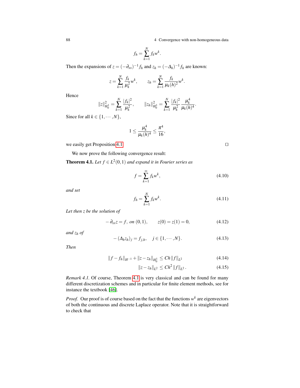88 4 Convergence with non-homogeneous data

$$
f_h = \sum_{k=1}^N f_k w^k.
$$

Then the expansions of  $z = (-\partial_{xx})^{-1} f_h$  and  $z_h = (-\Delta_h)^{-1} f_h$  are known:

$$
z = \sum_{k=1}^{N} \frac{f_k}{\mu_k^2} w^k, \qquad z_h = \sum_{k=1}^{N} \frac{f_k}{\mu_k(h)^2} w^k.
$$

Hence

$$
||z||_{H_0^1}^2 = \sum_{k=1}^N \frac{|f_k|^2}{\mu_k^2}
$$
,  $||z_h||_{H_0^1}^2 = \sum_{k=1}^N \frac{|f_k|^2}{\mu_k^2} \frac{\mu_k^4}{\mu_k(h)^4}$ .

Since for all  $k \in \{1, \dots, N\}$ ,

$$
1\leq \frac{\mu_k^4}{\mu_k(h)^4}\leq \frac{\pi^4}{16},
$$

we easily get Proposition [4.1.](#page-94-0)  $\Box$ 

We now prove the following convergence result:

**Theorem 4.1.** Let  $f \in L^2(0,1)$  and expand it in Fourier series as

<span id="page-95-0"></span>
$$
f = \sum_{k=1}^{\infty} f_k w^k,
$$
\n(4.10)

*and set*

<span id="page-95-2"></span>
$$
f_h = \sum_{k=1}^{N} f_k w^k.
$$
 (4.11)

*Let then z be the solution of*

<span id="page-95-3"></span>
$$
-\partial_{xx}z = f, \text{ on } (0,1), \qquad z(0) = z(1) = 0, \tag{4.12}
$$

*and z<sup>h</sup> of*

$$
-(\Delta_h z_h)_j = f_{j,h}, \quad j \in \{1, \cdots, N\}.
$$
\n
$$
(4.13)
$$

*Then*

<span id="page-95-1"></span>
$$
||f - f_h||_{H^{-1}} + ||z - z_h||_{H_0^1} \le Ch ||f||_{L^2}
$$
\n(4.14)

$$
||z - z_h||_{L^2} \le Ch^2 ||f||_{L^2}.
$$
\n(4.15)

*Remark 4.1.* Of course, Theorem [4.1](#page-95-0) is very classical and can be found for many different discretization schemes and in particular for finite element methods, see for instance the textbook [\[46\]](#page-134-1).

*Proof.* Our proof is of course based on the fact that the functions  $w^k$  are eigenvectors of both the continuous and discrete Laplace operator. Note that it is straightforward to check that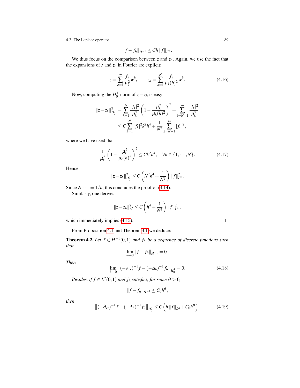#### 4.2 The Laplace operator 89

$$
||f - f_h||_{H^{-1}} \le Ch ||f||_{L^2}.
$$

We thus focus on the comparison between  $z$  and  $z_h$ . Again, we use the fact that the expansions of *z* and *z<sup>h</sup>* in Fourier are explicit:

$$
z = \sum_{k=1}^{\infty} \frac{f_k}{\mu_k^2} w^k, \qquad z_h = \sum_{k=1}^N \frac{f_k}{\mu_k(h)^2} w^k.
$$
 (4.16)

Now, computing the  $H_0^1$ -norm of  $z - z_h$  is easy:

$$
||z - z_h||_{H_0^1}^2 = \sum_{k=1}^N \frac{|f_k|^2}{\mu_k^2} \left(1 - \frac{\mu_k^2}{\mu_k(h)^2}\right)^2 + \sum_{k=N+1}^\infty \frac{|f_k|^2}{\mu_k^2}
$$
  
 
$$
\leq C \sum_{k=1}^N |f_k|^2 k^2 h^4 + \frac{1}{N^2} \sum_{k=N+1}^\infty |f_k|^2,
$$

where we have used that

<span id="page-96-2"></span>
$$
\frac{1}{\mu_k^2} \left( 1 - \frac{\mu_k^2}{\mu_k(h)^2} \right)^2 \le Ck^2 h^4, \quad \forall k \in \{1, \cdots, N\}.
$$
 (4.17)

Hence

$$
||z-z_h||_{H_0^1}^2 \leq C\left(N^2h^4+\frac{1}{N^2}\right)||f||_{L^2}^2.
$$

Since  $N + 1 = 1/h$ , this concludes the proof of [\(4.14\)](#page-95-1).

Similarly, one derives

$$
||z-z_h||_{L^2}^2 \leq C\left(h^4 + \frac{1}{N^4}\right) ||f||_{L^2}^2,
$$

which immediately implies  $(4.15)$ .

From Proposition [4.1](#page-94-0) and Theorem [4.1](#page-95-0) we deduce:

**Theorem 4.2.** Let  $f \in H^{-1}(0,1)$  and  $f_h$  be a sequence of discrete functions such *that*

<span id="page-96-0"></span>
$$
\lim_{h \to 0} \|f - f_h\|_{H^{-1}} = 0.
$$

*Then*

$$
\lim_{h \to 0} \left\| (-\partial_{xx})^{-1} f - (-\Delta_h)^{-1} f_h \right\|_{H_0^1} = 0.
$$
\n(4.18)

*Besides, if*  $f \in L^2(0,1)$  *and*  $f_h$  *satisfies, for some*  $\theta > 0$ *,* 

$$
||f - f_h||_{H^{-1}} \leq C_0 h^{\theta},
$$

*then*

<span id="page-96-1"></span>
$$
\left\|(-\partial_{xx})^{-1}f - (-\Delta_h)^{-1}f_h\right\|_{H_0^1} \le C\left(h\left\|f\right\|_{L^2} + C_0h^{\theta}\right). \tag{4.19}
$$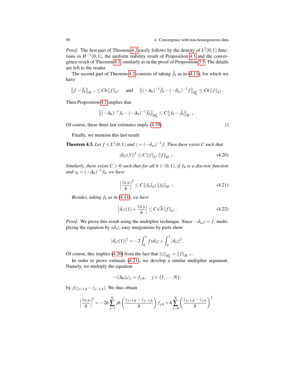90 4 Convergence with non-homogeneous data

*Proof.* The first part of Theorem [4.2](#page-96-0) easily follows by the density of  $L^2(0,1)$  functions in  $H^{-1}(0,1)$ , the uniform stability result of Proposition [4.1](#page-94-0) and the convergence result of Theorem [4.1,](#page-95-0) similarly as in the proof of Proposition [3.5.](#page-83-3) The details are left to the reader.

The second part of Theorem [4.2](#page-96-0) consists of taking  $\tilde{f}_h$  as in [\(4.11\)](#page-95-2), for which we have

$$
||f - \tilde{f}_h||_{H^{-1}} \le Ch ||f||_{L^2}
$$
 and  $||(-\Delta_h)^{-1}\tilde{f}_h - (-\partial_{xx})^{-1}f||_{H_0^1} \le Ch ||f||_{L^2}$ .

Then Proposition [4.1](#page-94-0) implies that

$$
\left\|(-\Delta_h)^{-1} f_h - (-\Delta_h)^{-1} \tilde{f}_h\right\|_{H_0^1} \leq C \left\|f_h - \tilde{f}_h\right\|_{H^{-1}}.
$$

Of course, these three last estimates imply  $(4.19)$ .

Finally, we mention this last result:

**Theorem 4.3.** Let  $f \in L^2(0,1)$  and  $z = (-\partial_{xx})^{-1}f$ . Then there exists C such that

<span id="page-97-3"></span><span id="page-97-0"></span>
$$
|\partial_x z(1)|^2 \le C \|f\|_{L^2} \|f\|_{H^{-1}}.
$$
\n(4.20)

*Similarly, there exists*  $C > 0$  *such that for all*  $h \in (0,1)$ *, if*  $f_h$  *is a discrete function*  $and z_h = (-\Delta_h)^{-1} f_h$ *, we have* 

<span id="page-97-1"></span>
$$
\left|\frac{z_{N,h}}{h}\right|^2 \le C \|f_h\|_{L^2} \|f_h\|_{H^{-1}}.
$$
\n(4.21)

*Besides, taking f<sup>h</sup> as in* [\(4.11\)](#page-95-2)*, we have*

<span id="page-97-2"></span>
$$
\left| \partial_x z(1) + \frac{z_{N,h}}{h} \right| \le C \sqrt{h} \| f \|_{L^2} \,. \tag{4.22}
$$

*Proof.* We prove this result using the multiplier technique. Since  $-\partial_{xx}z = f$ , multiplying the equation by *x*∂*xz*, easy integrations by parts show

$$
|\partial_x z(1)|^2 = -2\int_0^1 f x \partial_x z + \int_0^1 |\partial_x z|^2.
$$

Of course, this implies [\(4.20\)](#page-97-0) from the fact that  $||z||_{H_0^1} = ||f||_{H^{-1}}$ .

In order to prove estimate  $(4.21)$ , we develop a similar multiplier argument. Namely, we multiply the equation

$$
-(\Delta_h z_h)_j = f_{j,h}, \quad j \in \{1, \cdots, N\},\
$$

by  $j(z_{i+1,h} - z_{i-1,h})$ . We thus obtain

$$
\left|\frac{z_{N,h}}{h}\right|^2 = -2h\sum_{j=1}^N jh\left(\frac{z_{j+1,h}-z_{j-1,h}}{h}\right)f_{j,h} + h\sum_{j=0}^N\left(\frac{z_{j+1,h}-z_{j,h}}{h}\right)^2.
$$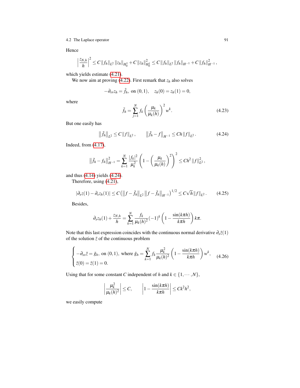4.2 The Laplace operator 91

Hence

$$
\left|\frac{z_{N,h}}{h}\right|^2 \leq C\left\|f_h\right\|_{L^2} \left\|z_h\right\|_{H_0^1} + C\left\|z_h\right\|_{H_0^1}^2 \leq C\left\|f_h\right\|_{L^2} \left\|f_h\right\|_{H^{-1}} + C\left\|f_h\right\|_{H^{-1}}^2,
$$

which yields estimate [\(4.21\)](#page-97-1).

We now aim at proving [\(4.22\)](#page-97-2). First remark that *z<sup>h</sup>* also solves

$$
-\partial_{xx}z_h = \tilde{f}_h, \text{ on } (0,1), \quad z_h(0) = z_h(1) = 0,
$$

where

<span id="page-98-2"></span>
$$
\tilde{f}_h = \sum_{j=1}^N f_k \left( \frac{\mu_k}{\mu_k(h)} \right)^2 w^k.
$$
\n(4.23)

But one easily has

<span id="page-98-0"></span>
$$
\left\|\tilde{f}_h\right\|_{L^2} \le C\left\|f\right\|_{L^2}, \qquad \left\|\tilde{f}_h - f\right\|_{H^{-1}} \le Ch\left\|f\right\|_{L^2}.
$$
 (4.24)

Indeed, from [\(4.17\)](#page-96-2),

$$
\left\|\tilde{f}_h - f_h\right\|_{H^{-1}}^2 = \sum_{k=1}^N \frac{|f_k|^2}{\mu_k^2} \left(1 - \left(\frac{\mu_k}{\mu_k(h)}\right)^2\right)^2 \leq Ch^2 \|f\|_{L^2}^2,
$$

and thus [\(4.14\)](#page-95-1) yields [\(4.24\)](#page-98-0).

Therefore, using [\(4.21\)](#page-97-1),

<span id="page-98-1"></span>
$$
|\partial_x z(1) - \partial_x z_h(1)| \le C \left( \left\| f - \tilde{f}_h \right\|_{L^2} \left\| f - \tilde{f}_h \right\|_{H^{-1}} \right)^{1/2} \le C \sqrt{h} \left\| f \right\|_{L^2}.
$$
 (4.25)

Besides,

$$
\partial_x z_h(1) + \frac{z_{N,h}}{h} = \sum_{k=1}^N \frac{f_k}{\mu_k(h)^2} (-1)^k \left(1 - \frac{\sin(k\pi h)}{k\pi h}\right) k\pi.
$$

Note that this last expression coincides with the continuous normal derivative  $\partial_x z(1)$ of the solution ˜*z* of the continuous problem

<span id="page-98-3"></span>
$$
\begin{cases}\n-\partial_{xx}\tilde{z} = \tilde{g}_h, \text{ on } (0,1), \text{ where } \tilde{g}_h = \sum_{k=1}^N f_k \frac{\mu_k^2}{\mu_k(h)^2} \left(1 - \frac{\sin(k\pi h)}{k\pi h}\right) w^k, \\
\tilde{z}(0) = \tilde{z}(1) = 0.\n\end{cases} (4.26)
$$

Using that for some constant *C* independent of *h* and  $k \in \{1, \dots, N\}$ ,

$$
\left|\frac{\mu_k^2}{\mu_k(h)^2}\right| \leq C, \qquad \left|1 - \frac{\sin(k\pi h)}{k\pi h}\right| \leq Ck^2h^2,
$$

we easily compute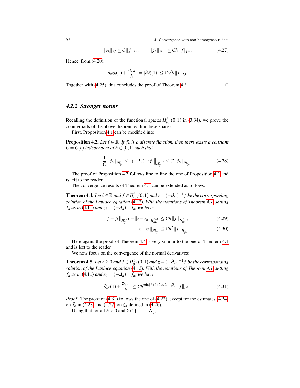92 4 Convergence with non-homogeneous data

<span id="page-99-3"></span>
$$
\|\tilde{g}_h\|_{L^2} \le C \|f\|_{L^2}, \qquad \|\tilde{g}_h\|_{H^{-1}} \le Ch \|f\|_{L^2}.
$$
 (4.27)

Hence, from [\(4.20\)](#page-97-0),

$$
\left|\partial_x z_h(1) + \frac{z_{N,h}}{h}\right| = |\partial_x \tilde{z}(1)| \leq C\sqrt{h} ||f||_{L^2}.
$$

Together with [\(4.25\)](#page-98-1), this concludes the proof of Theorem [4.3.](#page-97-3)  $\Box$ 

#### *4.2.2 Stronger norms*

Recalling the definition of the functional spaces  $H^{\ell}_{(0)}(0,1)$  in [\(3.34\)](#page-84-0), we prove the counterparts of the above theorem within these spaces.

First, Proposition [4.1](#page-94-0) can be modified into:

<span id="page-99-0"></span>**Proposition 4.2.** *Let*  $\ell \in \mathbb{R}$ *. If*  $f_h$  *is a discrete function, then there exists a constant*  $C = C(\ell)$  *independent of h*  $\in$  (0, 1) *such that* 

$$
\frac{1}{C} \|f_h\|_{H^{\ell}_{(0)}} \le \|(-\Delta_h)^{-1} f_h\|_{H^{\ell-2}_{(0)}} \le C \|f_h\|_{H^{\ell}_{(0)}}.
$$
\n(4.28)

The proof of Proposition [4.2](#page-99-0) follows line to line the one of Proposition [4.1](#page-94-0) and is left to the reader.

The convergence results of Theorem [4.1](#page-95-0) can be extended as follows:

<span id="page-99-1"></span>**Theorem 4.4.** Let  $\ell \in \mathbb{R}$  and  $f \in H^{\ell}_{(0)}(0,1)$  and  $z = (-\partial_{xx})^{-1}f$  be the corresponding *solution of the Laplace equation* [\(4.12\)](#page-95-3)*. With the notations of Theorem [4.1,](#page-95-0) setting f*<sup>*h*</sup> *as in* [\(4.11\)](#page-95-2) *and*  $z_h = (-\Delta_h)^{-1} f_h$ *, we have* 

$$
||f - f_h||_{H_{(0)}^{\ell-1}} + ||z - z_h||_{H_{(0)}^{\ell+1}} \le Ch ||f||_{H_{(0)}^{\ell}},
$$
\n(4.29)

<span id="page-99-4"></span>
$$
||z - z_h||_{H^{\ell}_{(0)}} \le Ch^2 ||f||_{H^{\ell}_{(0)}}.
$$
\n(4.30)

Here again, the proof of Theorem [4.4](#page-99-1) is very similar to the one of Theorem [4.1](#page-95-0) and is left to the reader.

We now focus on the convergence of the normal derivatives:

**Theorem 4.5.** Let  $\ell \ge 0$  and  $f \in H^{\ell}_{(0)}(0,1)$  and  $z = (-\partial_{xx})^{-1}f$  be the corresponding *solution of the Laplace equation* [\(4.12\)](#page-95-3)*. With the notations of Theorem [4.1,](#page-95-0) setting f*<sup>*h*</sup> *as in* [\(4.11\)](#page-95-2) *and*  $z_h = (-\Delta_h)^{-1} f_h$ *, we have* 

<span id="page-99-2"></span>
$$
\left| \partial_x z(1) + \frac{z_{N,h}}{h} \right| \le Ch^{\min\{\ell + 1/2, \ell/2 + 1, 2\}} \left\| f \right\|_{H^{\ell}_{(0)}}. \tag{4.31}
$$

*Proof.* The proof of [\(4.31\)](#page-99-2) follows the one of [\(4.22\)](#page-97-2), except for the estimates [\(4.24\)](#page-98-0) on  $\tilde{f}_h$  in [\(4.23\)](#page-98-2) and [\(4.27\)](#page-99-3) on  $\tilde{g}_h$  defined in [\(4.26\)](#page-98-3).

Using that for all  $h > 0$  and  $k \in \{1, \dots, N\}$ ,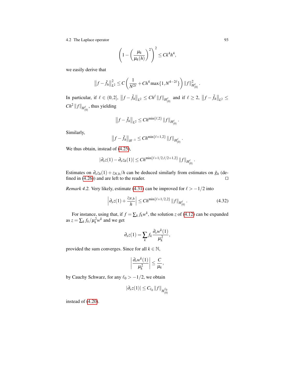4.2 The Laplace operator 93

$$
\left(1-\left(\frac{\mu_k}{\mu_k(h)}\right)^2\right)^2 \leq Ck^4h^4,
$$

we easily derive that

$$
\left\|f-\tilde{f}_h\right\|_{L^2}^2 \le C\left(\frac{1}{N^{2\ell}} + Ch^4 \max\{1,N^{4-2\ell}\}\right) \|f\|_{H^{\ell}_{(0)}}^2.
$$

*In particular, if*  $\ell \in (0,2]$ *,*  $||f - \tilde{f}_h||_{L^2} \leq Ch^{\ell} ||f||_{H^{\ell}_{(0)}}$  *and if*  $\ell \geq 2$ *,*  $||f - \tilde{f}_h||_{L^2} \leq$  $Ch^2 \|f\|_{H_{(0)}^\ell}$ , thus yielding

$$
\left\|f-\tilde{f}_h\right\|_{L^2} \leq Ch^{\min\{\ell,2\}}\left\|f\right\|_{H_{(0)}^{\ell}}.
$$

Similarly,

$$
\left\|f-\tilde{f}_h\right\|_{H^{-1}} \leq Ch^{\min\{\ell+1,2\}}\left\|f\right\|_{H^{\ell}_{(0)}}.
$$

We thus obtain, instead of [\(4.25\)](#page-98-1),

$$
|\partial_x z(1) - \partial_x z_h(1)| \leq Ch^{\min\{\ell+1/2,\ell/2+1,2\}} \|f\|_{H^{\ell}_{(0)}}.
$$

Estimates on  $\partial_x z_h(1) + z_{N,h}/h$  can be deduced similarly from estimates on  $\tilde{g}_h$  (de-fined in [\(4.26\)](#page-98-3)) and are left to the reader.  $\square$ 

*Remark 4.2.* Very likely, estimate [\(4.31\)](#page-99-2) can be improved for  $\ell > -1/2$  into

$$
\left| \partial_x z(1) + \frac{z_{N,h}}{h} \right| \leq Ch^{\min\{\ell+1/2,2\}} \left\| f \right\|_{H^{\ell}_{(0)}}. \tag{4.32}
$$

For instance, using that, if  $f = \sum_k f_k w^k$ , the solution *z* of [\(4.12\)](#page-95-3) can be expanded as  $z = \sum_k f_k / \mu_k^2 w^k$  and we get

$$
\partial_x z(1) = \sum_k f_k \frac{\partial_x w^k(1)}{\mu_k^2},
$$

provided the sum converges. Since for all  $k \in \mathbb{N}$ ,

$$
\left|\frac{\partial_x w^k(1)}{\mu_k^2}\right| \leq \frac{C}{\mu_k},
$$

by Cauchy Schwarz, for any  $\ell_0 > -1/2$ , we obtain

$$
|\partial_x z(1)| \le C_{\ell_0} \|f\|_{H_{(0)}^{\ell_0}}
$$

instead of [\(4.20\)](#page-97-0).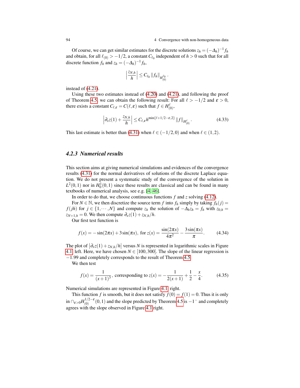Of course, we can get similar estimates for the discrete solutions  $z_h = (-\Delta_h)^{-1} f_h$ and obtain, for all  $\ell_{(0)} > -1/2$ , a constant  $C_{\ell_0}$  independent of  $h > 0$  such that for all discrete function  $f_h$  and  $z_h = (-\Delta_h)^{-1} f_h$ ,

$$
\left|\frac{z_{N,h}}{h}\right|\leq C_{\ell_0}\left\|f_h\right\|_{H_{(0)}^{\ell_0}}.
$$

instead of [\(4.21\)](#page-97-1).

Using these two estimates instead of [\(4.20\)](#page-97-0) and [\(4.21\)](#page-97-1), and following the proof of Theorem [4.5,](#page-99-4) we can obtain the following result: For all  $\ell > -1/2$  and  $\varepsilon > 0$ , there exists a constant  $C_{\ell, \varepsilon} = C(\ell, \varepsilon)$  such that  $f \in H^{\ell}_{(0)},$ 

$$
\left|\partial_{x}z(1)+\frac{z_{N,h}}{h}\right| \leq C_{\ell,\varepsilon}h^{\min\{\ell+1/2-\varepsilon,2\}}\left\|f\right\|_{H_{(0)}^{\ell}}.\tag{4.33}
$$

This last estimate is better than [\(4.31\)](#page-99-2) when  $\ell \in (-1/2,0)$  and when  $\ell \in (1,2)$ .

#### *4.2.3 Numerical results*

This section aims at giving numerical simulations and evidences of the convergence results [\(4.31\)](#page-99-2) for the normal derivatives of solutions of the discrete Laplace equation. We do not present a systematic study of the convergence of the solution in  $L^2(0,1)$  nor in  $H_0^1(0,1)$  since these results are classical and can be found in many textbooks of numerical analysis, see e.g. [\[4,](#page-132-1) [46\]](#page-134-1).

In order to do that, we choose continuous functions *f* and *z* solving [\(4.12\)](#page-95-3).

For  $N \in \mathbb{N}$ , we then discretize the source term f into  $f_h$  simply by taking  $f_h(j)$ *f*(*jh*) for *j* ∈ {1, ··· ,*N*} and compute  $z_h$  the solution of  $-\Delta_h z_h = f_h$  with  $z_{0,h} =$  $z_{N+1,h} = 0$ . We then compute  $\partial_x z(1) + z_{N,h}/h$ .

Our first test function is

<span id="page-101-0"></span>
$$
f(x) = -\sin(2\pi x) + 3\sin(\pi x), \text{ for } z(x) = \frac{\sin(2\pi x)}{4\pi^2} - \frac{3\sin(\pi x)}{\pi}.
$$
 (4.34)

The plot of  $|\partial_x z(1) + z_{N,h}/h|$  versus *N* is represented in logarithmic scales in Figure [4.1,](#page-102-1) left. Here, we have chosen  $N \in [100, 300]$ . The slope of the linear regression is −1.99 and completely corresponds to the result of Theorem [4.5.](#page-99-4)

We then test

<span id="page-101-1"></span>
$$
f(x) = \frac{1}{(x+1)^3}
$$
, corresponding to  $z(x) = -\frac{1}{2(x+1)} + \frac{1}{2} - \frac{x}{4}$ . (4.35)

Numerical simulations are represented in Figure [4.1,](#page-102-1) right.

This function *f* is smooth, but it does not satisfy  $f(0) = f(1) = 0$ . Thus it is only in  $\cap_{\varepsilon > 0} H^{1/2-\varepsilon}_{(0)}$  $(0,1)$  and the slope predicted by Theorem [4.5](#page-99-4) is  $-1^-$  and completely agrees with the slope observed in Figure [4.1](#page-102-1) right.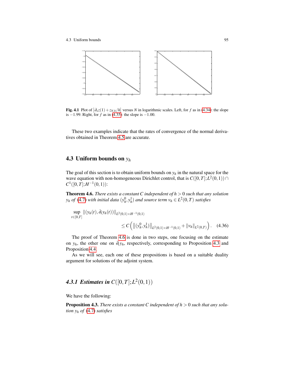4.3 Uniform bounds 95



<span id="page-102-1"></span>Fig. 4.1 Plot of  $\left|\frac{\partial_x z}{\partial t}\right| + \frac{z_N h}{h}\right|$  versus *N* in logarithmic scales. Left, for *f* as in [\(4.34\)](#page-101-0): the slope is −1.99. Right, for *f* as in [\(4.35\)](#page-101-1): the slope is −1.00.

These two examples indicate that the rates of convergence of the normal derivatives obtained in Theorem [4.5](#page-99-4) are accurate.

### <span id="page-102-0"></span>4.3 Uniform bounds on *y<sup>h</sup>*

The goal of this section is to obtain uniform bounds on  $y_h$  in the natural space for the wave equation with non-homogeneous Dirichlet control, that is  $C([0,T]; L^2(0,1)) \cap$  $C^1([0,T];H^{-1}(0,1))$ :

<span id="page-102-2"></span>Theorem 4.6. *There exists a constant C independent of h* > 0 *such that any solution*  $y_h$  *of* [\(4.7\)](#page-93-1) *with initial data*  $(y_h^0, y_h^1)$  *and source term*  $v_h \in L^2(0,T)$  *satisfies* 

$$
\sup_{t \in [0,T]} \|(y_h(t), \partial_t y_h(t))\|_{L^2(0,1) \times H^{-1}(0,1)} \leq C \left( \|(y_h^0, y_h^1)\|_{L^2(0,1) \times H^{-1}(0,1)} + \|v_h\|_{L^2(0,T)} \right). \tag{4.36}
$$

The proof of Theorem [4.6](#page-102-2) is done in two steps, one focusing on the estimate on  $y_h$ , the other one on  $\partial_t y_h$ , respectively, corresponding to Proposition [4.3](#page-102-3) and Proposition [4.4.](#page-106-0)

As we will see, each one of these propositions is based on a suitable duality argument for solutions of the adjoint system.

## **4.3.1 Estimates in**  $C([0, T]; L^2(0, 1))$

<span id="page-102-3"></span>We have the following:

**Proposition 4.3.** *There exists a constant C independent of h* > 0 *such that any solution y<sup>h</sup> of* [\(4.7\)](#page-93-1) *satisfies*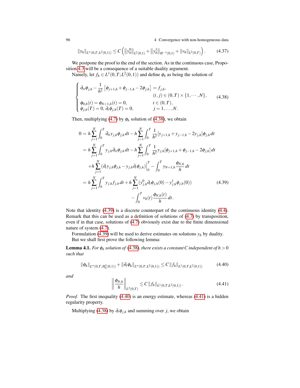96 4 Convergence with non-homogeneous data

<span id="page-103-5"></span>
$$
||y_h||_{L^{\infty}(0,T;L^2(0,1))} \leq C \left( ||y_h^0||_{L^2(0,1)} + ||y_h^1||_{H^{-1}(0,1)} + ||y_h||_{L^2(0,T)} \right).
$$
 (4.37)

We postpone the proof to the end of the section. As in the continuous case, Proposition [4.3](#page-102-3) will be a consequence of a suitable duality argument.

Namely, let  $f_h \in L^1(0,T;L^2(0,1))$  and define  $\phi_h$  as being the solution of

<span id="page-103-0"></span>
$$
\begin{cases}\n\partial_{tt}\phi_{j,h} - \frac{1}{h^2} \left[ \phi_{j+1,h} + \phi_{j-1,h} - 2\phi_{j,h} \right] = f_{j,h}, & (t,j) \in (0,T) \times \{1, \cdots, N\}, \\
\phi_{0,h}(t) = \phi_{N+1,h}(t) = 0, & t \in (0,T), \\
\phi_{j,h}(T) = 0, & \partial_t \phi_{j,h}(T) = 0, & j = 1, \ldots, N.\n\end{cases}
$$
\n(4.38)

Then, multiplying [\(4.7\)](#page-93-1) by  $\phi_h$  solution of [\(4.38\)](#page-103-0), we obtain

<span id="page-103-1"></span>
$$
0 = h \sum_{j=1}^{N} \int_{0}^{T} \partial_{tt} y_{j,h} \phi_{j,h} dt - h \sum_{j=1}^{N} \int_{0}^{T} \frac{1}{h^{2}} [y_{j+1,h} + y_{j-1,h} - 2y_{j,h}] \phi_{j,h} dt
$$
  
\n
$$
= h \sum_{j=1}^{N} \int_{0}^{T} y_{j,h} \partial_{tt} \phi_{j,h} dt - h \sum_{j=1}^{N} \int_{0}^{T} \frac{1}{h^{2}} y_{j,h} [\phi_{j+1,h} + \phi_{j-1,h} - 2\phi_{j,h}] dt
$$
  
\n
$$
+ h \sum_{j=1}^{N} (\partial_{t} y_{j,h} \phi_{j,h} - y_{j,h} \partial_{t} \phi_{j,h}) \Big|_{0}^{T} - \int_{0}^{T} y_{N+1,h} \frac{\phi_{N,h}}{h} dt
$$
  
\n
$$
= h \sum_{j=1}^{N} \int_{0}^{T} y_{j,h} f_{j,h} dt + h \sum_{j=1}^{N} (y_{j,h}^{0} \partial_{t} \phi_{j,h} (0) - y_{j,h}^{1} \phi_{j,h} (0))
$$
  
\n
$$
- \int_{0}^{T} v_{h}(t) \frac{\phi_{N,h}(t)}{h} dt.
$$
 (4.39)

Note that identity [\(4.39\)](#page-103-1) is a discrete counterpart of the continuous identity [\(4.4\)](#page-92-3). Remark that this can be used as a definition of solutions of [\(4.7\)](#page-93-1) by transposition, even if in that case, solutions of [\(4.7\)](#page-93-1) obviously exist due to the finite dimensional nature of system [\(4.7\)](#page-93-1).

Formulation [\(4.39\)](#page-103-1) will be used to derive estimates on solutions  $y_h$  by duality. But we shall first prove the following lemma:

**Lemma 4.1.** *For*  $\phi_h$  *solution of* [\(4.38\)](#page-103-0)*, there exists a constant C independent of*  $h > 0$ *such that*

<span id="page-103-2"></span>
$$
\|\phi_h\|_{L^\infty(0,T;H_0^1(0,1))} + \|\partial_t \phi_h\|_{L^\infty(0,T;L^2(0,1))} \le C \|f_h\|_{L^1(0,T;L^2(0,1))}
$$
(4.40)

*and*

<span id="page-103-4"></span><span id="page-103-3"></span>
$$
\left\| \frac{\phi_{N,h}}{h} \right\|_{L^2(0,T)} \le C \left\| f_h \right\|_{L^1(0,T;L^2(0,1))} . \tag{4.41}
$$

*Proof.* The first inequality [\(4.40\)](#page-103-2) is an energy estimate, whereas [\(4.41\)](#page-103-3) is a hidden regularity property.

Multiplying [\(4.38\)](#page-103-0) by  $\partial_t \phi_{j,h}$  and summing over *j*, we obtain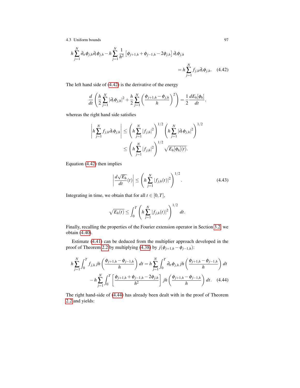4.3 Uniform bounds 97

$$
h \sum_{j=1}^{N} \partial_{tt} \phi_{j,h} \partial_t \phi_{j,h} - h \sum_{j=1}^{N} \frac{1}{h^2} \left[ \phi_{j+1,h} + \phi_{j-1,h} - 2\phi_{j,h} \right] \partial_t \phi_{j,h}
$$
  
=  $h \sum_{j=1}^{N} f_{j,h} \partial_t \phi_{j,h}.$  (4.42)

The left hand side of [\(4.42\)](#page-104-0) is the derivative of the energy

<span id="page-104-0"></span>
$$
\frac{d}{dt}\left(\frac{h}{2}\sum_{j=1}^N|\partial_t\phi_{j,h}|^2+\frac{h}{2}\sum_{j=1}^N\left(\frac{\phi_{j+1,h}-\phi_{j,h}}{h}\right)^2\right)=\frac{1}{2}\frac{dE_h[\phi_h]}{dt},
$$

whereas the right hand side satisfies

$$
\left| h \sum_{j=1}^{N} f_{j,h} \partial_t \phi_{j,h} \right| \leq \left( h \sum_{j=1}^{N} |f_{j,h}|^2 \right)^{1/2} \left( h \sum_{j=1}^{N} |\partial_t \phi_{j,h}|^2 \right)^{1/2}
$$
  

$$
\leq \left( h \sum_{j=1}^{N} |f_{j,h}|^2 \right)^{1/2} \sqrt{E_h[\phi_h](t)}.
$$

Equation [\(4.42\)](#page-104-0) then implies

<span id="page-104-2"></span>
$$
\left|\frac{d\sqrt{E_h}}{dt}(t)\right| \le \left(h\sum_{j=1}^N |f_{j,h}(t)|^2\right)^{1/2}.\tag{4.43}
$$

Integrating in time, we obtain that for all  $t \in [0, T]$ ,

<span id="page-104-1"></span>
$$
\sqrt{E_h(t)} \leq \int_0^T \left( h \sum_{j=1}^N |f_{j,h}(t)|^2 \right)^{1/2} dt.
$$

Finally, recalling the properties of the Fourier extension operator in Section [3.2,](#page-72-0) we obtain [\(4.40\)](#page-103-2).

Estimate [\(4.41\)](#page-103-3) can be deduced from the multiplier approach developed in the proof of Theorem [2.2](#page-64-2) by multiplying [\(4.38\)](#page-103-0) by  $j(\phi_{j+1,h} - \phi_{j-1,h})$ :

$$
h\sum_{j=1}^{N} \int_{0}^{T} f_{j,h} jh\left(\frac{\phi_{j+1,h} - \phi_{j-1,h}}{h}\right) dt = h\sum_{j=1}^{N} \int_{0}^{T} \partial_{tt} \phi_{j,h} jh\left(\frac{\phi_{j+1,h} - \phi_{j-1,h}}{h}\right) dt - h\sum_{j=1}^{N} \int_{0}^{T} \left[\frac{\phi_{j+1,h} + \phi_{j-1,h} - 2\phi_{j,h}}{h^2}\right] jh\left(\frac{\phi_{j+1,h} - \phi_{j-1,h}}{h}\right) dt. \quad (4.44)
$$

The right hand-side of [\(4.44\)](#page-104-1) has already been dealt with in the proof of Theorem [2.2](#page-64-2) and yields: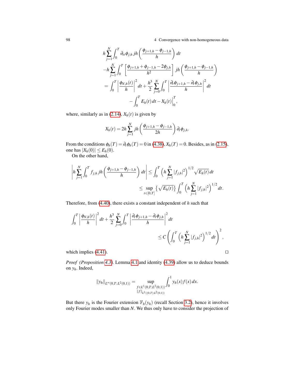98 4 Convergence with non-homogeneous data

$$
h \sum_{j=1}^{N} \int_{0}^{T} \partial_{tt} \phi_{j,h} jh\left(\frac{\phi_{j+1,h} - \phi_{j-1,h}}{h}\right) dt
$$
  
\n
$$
-h \sum_{j=1}^{N} \int_{0}^{T} \left[ \frac{\phi_{j+1,h} + \phi_{j-1,h} - 2\phi_{j,h}}{h^2} \right] jh\left(\frac{\phi_{j+1,h} - \phi_{j-1,h}}{h}\right)
$$
  
\n
$$
= \int_{0}^{T} \left| \frac{\phi_{N,h}(t)}{h} \right|^{2} dt + \frac{h^3}{2} \sum_{j=0}^{N} \int_{0}^{T} \left| \frac{\partial_{t} \phi_{j+1,h} - \partial_{t} \phi_{j,h}}{h} \right|^{2} dt
$$
  
\n
$$
- \int_{0}^{T} E_{h}(t) dt - X_{h}(t) \Big|_{0}^{T},
$$

where, similarly as in  $(2.14)$ ,  $X_h(t)$  is given by

$$
X_h(t) = 2h\sum_{j=1}^N jh\left(\frac{\phi_{j+1,h} - \phi_{j-1,h}}{2h}\right)\partial_t\phi_{j,h}.
$$

From the conditions  $\phi_h(T) = \partial_t \phi_h(T) = 0$  in [\(4.38\)](#page-103-0),  $X_h(T) = 0$ . Besides, as in [\(2.15\)](#page-66-0), one has  $|X_h(0)| \le E_h(0)$ .

On the other hand,

$$
\left| h \sum_{j=1}^{N} \int_{0}^{T} f_{j,h} \, jh\left(\frac{\phi_{j+1,h} - \phi_{j-1,h}}{h}\right) \, dt \right| \leq \int_{0}^{T} \left( h \sum_{j=1}^{N} |f_{j,h}|^{2} \right)^{1/2} \sqrt{E_h(t)} \, dt
$$
\n
$$
\leq \sup_{t \in [0,T]} \left\{ \sqrt{E_h(t)} \right\} \int_{0}^{T} \left( h \sum_{j=1}^{N} |f_{j,h}|^{2} \right)^{1/2} \, dt.
$$

Therefore, from [\(4.40\)](#page-103-2), there exists a constant independent of *h* such that

$$
\int_0^T \left| \frac{\phi_{N,h}(t)}{h} \right|^2 dt + \frac{h^3}{2} \sum_{j=0}^N \int_0^T \left| \frac{\partial_t \phi_{j+1,h} - \partial_t \phi_{j,h}}{h} \right|^2 dt
$$
  

$$
\leq C \left( \int_0^T \left( h \sum_{j=1}^N |f_{j,h}|^2 \right)^{1/2} dt \right)^2,
$$

which implies  $(4.41)$ .

*Proof (Proposition [4.3\)](#page-102-3).* Lemma [4.1](#page-103-4) and identity [\(4.39\)](#page-103-1) allow us to deduce bounds on *yh*. Indeed,

$$
||y_h||_{L^{\infty}(0,T;L^2(0,1))} = \sup_{\substack{f \in L^1(0,T;L^2(0,1)) \\ ||f||_{L^1((0,T;L^2(0,1))})}} \int_0^1 y_h(x)f(x) dx.
$$

But there  $y_h$  is the Fourier extension  $\mathbb{F}_h(y_h)$  (recall Section [3.2\)](#page-72-0), hence it involves only Fourier modes smaller than *N*. We thus only have to consider the projection of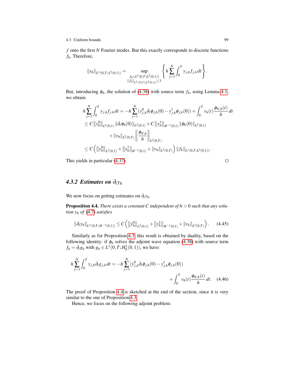#### 4.3 Uniform bounds 99

*f* onto the first *N* Fourier modes. But this exactly corresponds to discrete functions *fh*. Therefore,

$$
||y_h||_{L^{\infty}(0,T;L^2(0,1))} = \sup_{\substack{f_h \in L^1(0,T;L^2(0,1)) \\ ||f_h||_{L^1((0,T);L^2(0,1))} \leq 1}} \left\{ h \sum_{j=1}^N \int_0^T y_{j,h} f_{j,h} dt \right\}.
$$

But, introducing  $\phi_h$ , the solution of [\(4.38\)](#page-103-0) with source term  $f_h$ , using Lemma [4.1,](#page-103-4) we obtain:

$$
h\sum_{j=1}^{N}\int_{0}^{T}y_{j,h}f_{j,h}dt = -h\sum_{j=1}^{N}(y_{j,h}^{0}\partial_{t}\phi_{j,h}(0)-y_{j,h}^{1}\phi_{j,h}(0)) + \int_{0}^{T}v_{h}(t)\frac{\phi_{N,h}(t)}{h}dt
$$
  
\n
$$
\leq C\|y_{h}^{0}\|_{L^{2}(0,1)}\|\partial_{t}\phi_{h}(0)\|_{L^{2}(0,1)} + C\|y_{h}^{1}\|_{H^{-1}(0,1)}\|\phi_{h}(0)\|_{L^{2}(0,1)}
$$
  
\n
$$
+\|v_{h}\|_{L^{2}(0,T)}\left\|\frac{\phi_{N,h}}{h}\right\|_{L^{2}(0,T)}
$$
  
\n
$$
\leq C\left(\|y_{h}^{0}\|_{L^{2}(0,1)}+\|y_{h}^{1}\|_{H^{-1}(0,1)}+\|v_{h}\|_{L^{2}(0,T)}\right)\|f_{h}\|_{L^{1}(0,T;L^{2}(0,1))}.
$$

This yields in particular  $(4.37)$ .

# *4.3.2 Estimates on* ∂*ty<sup>h</sup>*

<span id="page-106-0"></span>We now focus on getting estimates on ∂*tyh*.

Proposition 4.4. *There exists a constant C independent of h* > 0 *such that any solution y<sup>h</sup> of* [\(4.7\)](#page-93-1) *satisfies*

$$
\|\partial_t y_h\|_{L^\infty(0,T;H^{-1}(0,1))} \le C \left( \|y_h^0\|_{L^2(0,1)} + \|y_h^1\|_{H^{-1}(0,1)} + \|y_h\|_{L^2(0,T)} \right). \tag{4.45}
$$

Similarly as for Proposition [4.3,](#page-102-3) this result is obtained by duality, based on the following identity: if  $\phi_h$  solves the adjoint wave equation [\(4.38\)](#page-103-0) with source term  $f_h = \partial_t g_h$  with  $g_h \in L^1(0, T; H_0^1(0, 1))$ , we have:

$$
h\sum_{j=1}^{N} \int_{0}^{T} y_{j,h} \partial_{t} g_{j,h} dt = -h \sum_{j=1}^{N} (y_{j,h}^{0} \partial_{t} \phi_{j,h}(0) - y_{j,h}^{1} \phi_{j,h}(0)) + \int_{0}^{T} v_{h}(t) \frac{\phi_{N,h}(t)}{h} dt.
$$
 (4.46)

The proof of Proposition [4.4](#page-106-0) is sketched at the end of the section, since it is very similar to the one of Proposition [4.3.](#page-102-3)

Hence, we focus on the following adjoint problem: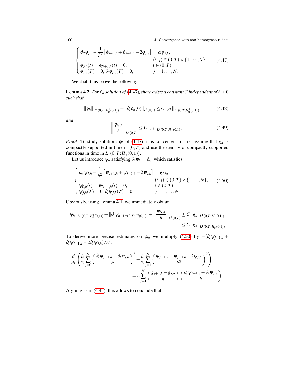100 4 Convergence with non-homogeneous data

<span id="page-107-0"></span>
$$
\begin{cases}\n\partial_{tt}\phi_{j,h} - \frac{1}{h^2} \left[ \phi_{j+1,h} + \phi_{j-1,h} - 2\phi_{j,h} \right] = \partial_t g_{j,h}, & (t,j) \in (0,T) \times \{1, \cdots, N\}, \\
\phi_{0,h}(t) = \phi_{N+1,h}(t) = 0, & t \in (0,T), \\
\phi_{j,h}(T) = 0, & \partial_t \phi_{j,0}(T) = 0, & j = 1, \ldots, N.\n\end{cases}
$$
\n(4.47)

We shall thus prove the following:

**Lemma 4.2.** *For*  $\phi_h$  *solution of* [\(4.47\)](#page-107-0)*, there exists a constant C independent of*  $h > 0$ *such that*

$$
\|\phi_h\|_{L^{\infty}(0,T;H_0^1(0,1))} + \|\partial_t \phi_h(0)\|_{L^2(0,1)} \le C \|g_h\|_{L^1(0,T;H_0^1(0,1))}
$$
(4.48)

*and*

$$
\left\| \frac{\phi_{N,h}}{h} \right\|_{L^2(0,T)} \le C \left\| g_h \right\|_{L^1(0,T;H_0^1(0,1))}.
$$
\n(4.49)

*Proof.* To study solutions  $\phi_h$  of [\(4.47\)](#page-107-0), it is convenient to first assume that  $g_h$  is compactly supported in time in  $(0,T)$  and use the density of compactly supported functions in time in  $L^1(0,T;H^1_0(0,1)).$ 

Let us introduce  $\psi_h$  satisfying  $\partial_t \psi_h = \phi_h$ , which satisfies

<span id="page-107-1"></span>
$$
\begin{cases}\n\partial_{tt} \psi_{j,h} - \frac{1}{h^2} \left[ \psi_{j+1,h} + \psi_{j-1,h} - 2 \psi_{j,h} \right] = g_{j,h}, & (t,j) \in (0,T) \times \{1,\ldots,N\}, & (4.50) \\
\psi_{0,h}(t) = \psi_{N+1,h}(t) = 0, & t \in (0,T), \\
\psi_{j,h}(T) = 0, & \partial_t \psi_{j,h}(T) = 0, & j = 1,\ldots,N.\n\end{cases}
$$
\n(4.50)

Obviously, using Lemma [4.1,](#page-103-4) we immediately obtain

$$
\|\psi_h\|_{L^{\infty}(0,T;H_0^1(0,1))} + \|\partial_t \psi_h\|_{L^{\infty}(0,T;L^2(0,1))} + \left\|\frac{\psi_{N,h}}{h}\right\|_{L^2(0,T)} \leq C \|g_h\|_{L^1(0,T;L^2(0,1))}
$$
  
\$\leq C \|g\_h\|\_{L^1(0,T;H\_0^1(0,1))}.

To derive more precise estimates on  $\phi_h$ , we multiply [\(4.50\)](#page-107-1) by  $-(\partial_t \psi_{j+1,h} +$  $\partial_t \psi_{j-1,h} - 2\partial_t \psi_{j,h}$ )/*h*<sup>2</sup>:

$$
\frac{d}{dt}\left(\frac{h}{2}\sum_{j=0}^{N}\left(\frac{\partial_{t}\psi_{j+1,h}-\partial_{t}\psi_{j,h}}{h}\right)^{2}+\frac{h}{2}\sum_{j=1}^{N}\left(\frac{\psi_{j+1,h}+\psi_{j-1,h}-2\psi_{j,h}}{h^{2}}\right)^{2}\right) = h\sum_{j=1}^{N}\left(\frac{g_{j+1,h}-g_{j,h}}{h}\right)\left(\frac{\partial_{t}\psi_{j+1,h}-\partial_{t}\psi_{j,h}}{h}\right).
$$

Arguing as in [\(4.43\)](#page-104-2), this allows to conclude that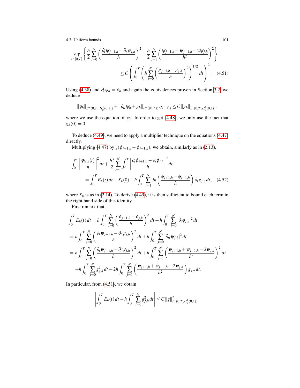4.3 Uniform bounds 101

$$
\sup_{t \in [0,T]} \left\{ \frac{h}{2} \sum_{j=0}^{N} \left( \frac{\partial_t \psi_{j+1,h} - \partial_t \psi_{j,h}}{h} \right)^2 + \frac{h}{2} \sum_{j=1}^{N} \left( \frac{\psi_{j+1,h} + \psi_{j-1,h} - 2\psi_{j,h}}{h^2} \right)^2 \right\}
$$
  
 
$$
\leq C \left( \int_0^T \left( h \sum_{j=0}^{N} \left( \frac{g_{j+1,h} - g_{j,h}}{h} \right)^2 \right)^{1/2} dt \right)^2.
$$
 (4.51)

Using [\(4.38\)](#page-103-0) and  $\partial_t \psi_h = \phi_h$  and again the equivalences proven in Section [3.2,](#page-72-0) we deduce

$$
\|\phi_h\|_{L^{\infty}(0,T;\,H_0^1(0,1))}+\|\partial_{tt}\psi_h+g_h\|_{L^{\infty}((0,T);L^2(0,1))}\leq C\|g_h\|_{L^1(0,T;H_0^1(0,1))},
$$

where we use the equation of  $\psi_h$ . In order to get [\(4.48\)](#page-107-0), we only use the fact that  $g_h(0) = 0.$ 

To deduce [\(4.49\)](#page-107-1), we need to apply a multiplier technique on the equations [\(4.47\)](#page-107-2) directly.

Multiplying [\(4.47\)](#page-107-2) by  $j(\phi_{j+1,h} - \phi_{j-1,h})$ , we obtain, similarly as in [\(2.13\)](#page-64-0),

$$
\int_0^T \left| \frac{\phi_{N,h}(t)}{h} \right|^2 dt + \frac{h^3}{2} \sum_{j=0}^N \int_0^T \left| \frac{\partial_t \phi_{j+1,h} - \partial_t \phi_{j,h}}{h} \right|^2 dt
$$
  
= 
$$
\int_0^T E_h(t) dt - X_h(0) - h \int_0^T \sum_{j=1}^N j h\left(\frac{\phi_{j+1,h} - \phi_{j-1,h}}{h}\right) \partial_t g_{j,h} dt, \quad (4.52)
$$

where  $X_h$  is as in [\(2.14\)](#page-65-0). To derive [\(4.49\)](#page-107-1), it is then sufficient to bound each term in the right hand side of this identity.

First remark that

$$
\int_{0}^{T} E_{h}(t) dt = h \int_{0}^{T} \sum_{j=0}^{N} \left( \frac{\phi_{j+1,h} - \phi_{j,h}}{h} \right)^{2} dt + h \int_{0}^{T} \sum_{j=0}^{N} |\partial_{t} \phi_{j,h}|^{2} dt
$$
  
\n
$$
= h \int_{0}^{T} \sum_{j=0}^{N} \left( \frac{\partial_{t} \psi_{j+1,h} - \partial_{t} \psi_{j,h}}{h} \right)^{2} dt + h \int_{0}^{T} \sum_{j=0}^{N} |\partial_{tt} \psi_{j,h}|^{2} dt
$$
  
\n
$$
= h \int_{0}^{T} \sum_{j=0}^{N} \left( \frac{\partial_{t} \psi_{j+1,h} - \partial_{t} \psi_{j,h}}{h} \right)^{2} dt + h \int_{0}^{T} \sum_{j=1}^{N} \left( \frac{\psi_{j+1,h} + \psi_{j-1,h} - 2\psi_{j,h}}{h^{2}} \right)^{2} dt
$$
  
\n
$$
+ h \int_{0}^{T} \sum_{j=0}^{N} g_{j,h}^{2} dt + 2h \int_{0}^{T} \sum_{j=1}^{N} \left( \frac{\psi_{j+1,h} + \psi_{j-1,h} - 2\psi_{j,h}}{h^{2}} \right) g_{j,h} dt.
$$

In particular, from [\(4.51\)](#page-108-0), we obtain

$$
\left| \int_0^T E_h(t) dt - h \int_0^T \sum_{j=0}^N g_{j,h}^2 dt \right| \leq C ||g||_{L^1(0,T;H_0^1(0,1))}^2.
$$

<span id="page-108-1"></span><span id="page-108-0"></span>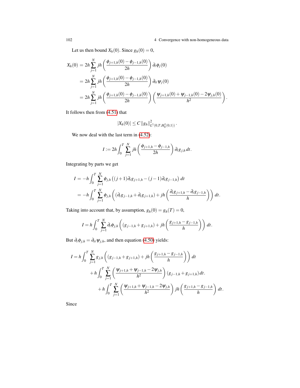Let us then bound  $X_h(0)$ . Since  $g_h(0) = 0$ ,

$$
X_h(0) = 2h \sum_{j=1}^{N} jh\left(\frac{\phi_{j+1,h}(0) - \phi_{j-1,h}(0)}{2h}\right) \partial_t \phi_j(0)
$$
  
=  $2h \sum_{j=1}^{N} jh\left(\frac{\phi_{j+1,h}(0) - \phi_{j-1,h}(0)}{2h}\right) \partial_{tt} \psi_j(0)$   
=  $2h \sum_{j=1}^{N} jh\left(\frac{\phi_{j+1,h}(0) - \phi_{j-1,h}(0)}{2h}\right) \left(\frac{\psi_{j+1,h}(0) + \psi_{j-1,h}(0) - 2\psi_{j,h}(0)}{h^2}\right).$ 

It follows then from [\(4.51\)](#page-108-0) that

$$
|X_h(0)| \leq C \|g_h\|_{L^1(0,T;H_0^1(0,1))}^2.
$$

We now deal with the last term in  $(4.52)$ :

$$
I := 2h \int_0^T \sum_{j=1}^N jh\left(\frac{\phi_{j+1,h} - \phi_{j-1,h}}{2h}\right) \partial_t g_{j,h} dt.
$$

Integrating by parts we get

$$
I = -h \int_0^T \sum_{j=1}^N \phi_{j,h} \left( (j+1) \partial_t g_{j+1,h} - (j-1) \partial_t g_{j-1,h} \right) dt
$$
  
=  $-h \int_0^T \sum_{j=1}^N \phi_{j,h} \left( (\partial_t g_{j-1,h} + \partial_t g_{j+1,h}) + jh \left( \frac{\partial_t g_{j+1,h} - \partial_t g_{j-1,h}}{h} \right) \right) dt.$ 

Taking into account that, by assumption,  $g_h(0) = g_h(T) = 0$ ,

$$
I = h \int_0^T \sum_{j=1}^N \partial_t \phi_{j,h} \left( (g_{j-1,h} + g_{j+1,h}) + j h \left( \frac{g_{j+1,h} - g_{j-1,h}}{h} \right) \right) dt.
$$

But  $\partial_t \phi_{j,h} = \partial_{tt} \psi_{j,h}$ , and then equation [\(4.50\)](#page-107-3) yields:

$$
I = h \int_0^T \sum_{j=1}^N g_{j,h} \left( (g_{j-1,h} + g_{j+1,h}) + jh \left( \frac{g_{j+1,h} - g_{j-1,h}}{h} \right) \right) dt
$$
  
+ 
$$
h \int_0^T \sum_{j=1}^N \left( \frac{\psi_{j+1,h} + \psi_{j-1,h} - 2\psi_{j,h}}{h^2} \right) (g_{j-1,h} + g_{j+1,h}) dt.
$$
  
+ 
$$
h \int_0^T \sum_{j=1}^N \left( \frac{\psi_{j+1,h} + \psi_{j-1,h} - 2\psi_{j,h}}{h^2} \right) jh \left( \frac{g_{j+1,h} - g_{j-1,h}}{h} \right) dt.
$$

Since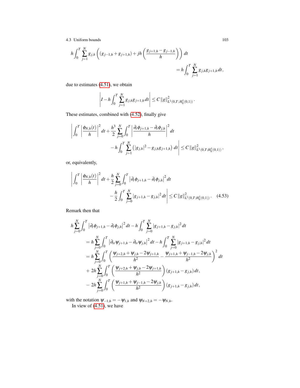4.3 Uniform bounds 103

$$
h \int_0^T \sum_{j=1}^N g_{j,h} \left( (g_{j-1,h} + g_{j+1,h}) + jh \left( \frac{g_{j+1,h} - g_{j-1,h}}{h} \right) \right) dt
$$
  
= 
$$
h \int_0^T \sum_{j=1}^N g_{j,h} g_{j+1,h} dt,
$$

due to estimates [\(4.51\)](#page-108-0), we obtain

$$
\left|I-h\int_0^T\sum_{j=1}^N g_{j,h}g_{j+1,h}dt\right|\leq C\left\|g\right\|_{L^1(0,T;H^1_0(0,1))}^2.
$$

These estimates, combined with [\(4.52\)](#page-108-1), finally give

$$
\left| \int_0^T \left| \frac{\phi_{N,h}(t)}{h} \right|^2 dt + \frac{h^3}{2} \sum_{j=0}^N \int_0^T \left| \frac{\partial_t \phi_{j+1,h} - \partial_t \phi_{j,h}}{h} \right|^2 dt - h \int_0^T \sum_{j=1}^N \left( |g_{j,h}|^2 - g_{j,h} g_{j+1,h} \right) dt \right| \leq C ||g||^2_{L^1(0,T;H^1_0(0,1))},
$$

or, equivalently,

<span id="page-110-0"></span>
$$
\left| \int_0^T \left| \frac{\phi_{N,h}(t)}{h} \right|^2 dt + \frac{h}{2} \sum_{j=0}^N \int_0^T \left| \partial_t \phi_{j+1,h} - \partial_t \phi_{j,h} \right|^2 dt - \frac{h}{2} \int_0^T \sum_{j=0}^N |g_{j+1,h} - g_{j,h}|^2 dt \right| \le C \|g\|_{L^1(0,T;H_0^1(0,1))}^2. \tag{4.53}
$$

Remark then that

$$
h\sum_{j=0}^{N}\int_{0}^{T}|\partial_{t}\phi_{j+1,h}-\partial_{t}\phi_{j,h}|^{2}dt-h\int_{0}^{T}\sum_{j=0}^{N}|g_{j+1,h}-g_{j,h}|^{2}dt
$$
  
\n
$$
=h\sum_{j=0}^{N}\int_{0}^{T}|\partial_{tt}\psi_{j+1,h}-\partial_{tt}\psi_{j,h}|^{2}dt-h\int_{0}^{T}\sum_{j=0}^{N}|g_{j+1,h}-g_{j,h}|^{2}dt
$$
  
\n
$$
=h\sum_{j=0}^{N}\int_{0}^{T}\left(\frac{\psi_{j+2,h}+\psi_{j,h}-2\psi_{j+1,h}}{h^{2}}-\frac{\psi_{j+1,h}+\psi_{j-1,h}-2\psi_{j,h}}{h^{2}}\right)^{2}dt
$$
  
\n
$$
+2h\sum_{j=0}^{N}\int_{0}^{T}\left(\frac{\psi_{j+2,h}+\psi_{j,h}-2\psi_{j+1,h}}{h^{2}}\right)(g_{j+1,h}-g_{j,h})dt,
$$
  
\n
$$
-2h\sum_{j=0}^{N}\int_{0}^{T}\left(\frac{\psi_{j+1,h}+\psi_{j-1,h}-2\psi_{j,h}}{h^{2}}\right)(g_{j+1,h}-g_{j,h})dt,
$$

with the notation  $\psi_{-1,h} = -\psi_{1,h}$  and  $\psi_{N+2,h} = -\psi_{N,h}$ . In view of [\(4.51\)](#page-108-0), we have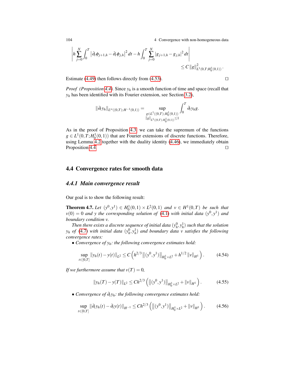$$
\left| h \sum_{j=0}^{N} \int_{0}^{T} \left| \partial_{t} \phi_{j+1,h} - \partial_{t} \phi_{j,h} \right|^{2} dt - h \int_{0}^{T} \sum_{j=0}^{N} |g_{j+1,h} - g_{j,h}|^{2} dt \right| \leq C \left\| g \right\|_{L^{1}(0,T;H_{0}^{1}(0,1))}^{2}.
$$

Estimate [\(4.49\)](#page-107-1) then follows directly from [\(4.53\)](#page-110-0).  $\Box$ 

*Proof (Proposition [4.4\)](#page-106-0).* Since *y<sup>h</sup>* is a smooth function of time and space (recall that  $y_h$  has been identified with its Fourier extension, see Section [3.2\)](#page-72-0),

$$
\|\partial_t y_h\|_{L^{\infty}((0,T);H^{-1}(0,1))} = \sup_{\substack{g \in L^1((0,T);H^1_0(0,1))\\ \|g\|_{L^1((0,T);H^1_0(0,1))} \le 1}} \int_0^T \partial_t y_h g.
$$

As in the proof of Proposition [4.3,](#page-102-0) we can take the supremum of the functions  $g \in L^1(0,T;H_0^1(0,1))$  that are Fourier extensions of discrete functions. Therefore, using Lemma [4.2](#page-107-4) together with the duality identity [\(4.46\)](#page-106-1), we immediately obtain Proposition [4.4.](#page-106-0)  $\Box$ 

## 4.4 Convergence rates for smooth data

## *4.4.1 Main convergence result*

<span id="page-111-2"></span>Our goal is to show the following result:

**Theorem 4.7.** Let  $(y^0, y^1) \in H_0^1(0,1) \times L^2(0,1)$  and  $v \in H^1(0,T)$  be such that  $v(0) = 0$  and y the corresponding solution of [\(4.1\)](#page-92-0) with initial data  $(y^0, y^1)$  and *boundary condition v.*

Then there exists a discrete sequence of initial data  $(y^0_h, y^1_h)$  such that the solution  $y_h$  *of* [\(4.7\)](#page-93-0) *with initial data*  $(y_h^0, y_h^1)$  *and boundary data v satisfies the following convergence rates:*

• *Convergence of yh: the following convergence estimates hold:*

<span id="page-111-0"></span>
$$
\sup_{t\in[0,T]}\|y_h(t)-y(t)\|_{L^2}\leq C\left(h^{2/3}\left\|(y^0,y^1)\right\|_{H_0^1\times L^2}+h^{1/2}\left\|v\right\|_{H^1}\right). \tag{4.54}
$$

*If we furthermore assume that*  $v(T) = 0$ *,* 

<span id="page-111-3"></span>
$$
||y_h(T) - y(T)||_{L^2} \le Ch^{2/3} \left( \left\| (y^0, y^1) \right\|_{H_0^1 \times L^2} + \left\| v \right\|_{H^1} \right). \tag{4.55}
$$

• *Convergence of* ∂*tyh: the following convergence estimates hold:*

<span id="page-111-1"></span>
$$
\sup_{t\in[0,T]}\|\partial_t y_h(t) - \partial_t y(t)\|_{H^{-1}} \leq Ch^{2/3}\left(\left\|(y^0, y^1)\right\|_{H_0^1 \times L^2} + \|\nu\|_{H^1}\right). \tag{4.56}
$$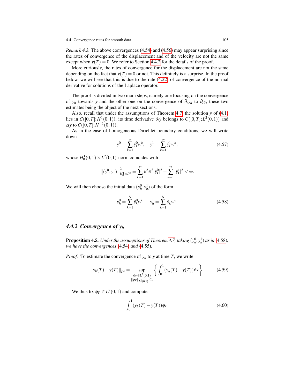*Remark 4.3.* The above convergences [\(4.54\)](#page-111-0) and [\(4.56\)](#page-111-1) may appear surprising since the rates of convergence of the displacement and of the velocity are not the same except when  $v(T) = 0$ . We refer to Section [4.4.2](#page-112-0) for the details of the proof.

More curiously, the rates of convergence for the displacement are not the same depending on the fact that  $v(T) = 0$  or not. This definitely is a surprise. In the proof below, we will see that this is due to the rate [\(4.22\)](#page-97-0) of convergence of the normal derivative for solutions of the Laplace operator.

The proof is divided in two main steps, namely one focusing on the convergence of *y<sub>h</sub>* towards *y* and the other one on the convergence of  $\partial_t y_h$  to  $\partial_t y$ , these two estimates being the object of the next sections.

Also, recall that under the assumptions of Theorem [4.7,](#page-111-2) the solution *y* of [\(4.1\)](#page-92-0) lies in  $C([0,T];H^1(0,1))$ , its time derivative  $\partial_t y$  belongs to  $C([0,T];L^2(0,1))$  and  $\Delta y$  to  $C([0,T];H^{-1}(0,1)).$ 

As in the case of homogeneous Dirichlet boundary conditions, we will write down

$$
y^{0} = \sum_{k=1}^{\infty} \hat{y}_{k}^{0} w^{k}, \quad y^{1} = \sum_{k=1}^{\infty} \hat{y}_{k}^{1} w^{k}, \tag{4.57}
$$

whose  $H_0^1(0,1) \times L^2(0,1)$ -norm coincides with

$$
\left\| (y^0, y^1) \right\|_{H_0^1 \times L^2}^2 = \sum_{k=1}^{\infty} k^2 \pi^2 |\hat{y}_k^0|^2 + \sum_{k=1}^{\infty} |\hat{y}_k^1|^2 < \infty.
$$

We will then choose the initial data  $(y_h^0, y_h^1)$  of the form

<span id="page-112-1"></span>
$$
y_h^0 = \sum_{k=1}^N \hat{y}_k^0 w^k, \quad y_h^1 = \sum_{k=1}^N \hat{y}_k^1 w^k.
$$
 (4.58)

# <span id="page-112-0"></span>*4.4.2 Convergence of y<sup>h</sup>*

<span id="page-112-3"></span>**Proposition 4.5.** *Under the assumptions of Theorem [4.7,](#page-111-2) taking*  $(y_h^0, y_h^1)$  *as in* [\(4.58\)](#page-112-1)*, we have the convergences* [\(4.54\)](#page-111-0) *and* [\(4.55\)](#page-111-3)*.*

*Proof.* To estimate the convergence of  $y_h$  to  $y$  at time  $T$ , we write

<span id="page-112-2"></span>
$$
||y_h(T) - y(T)||_{L^2} = \sup_{\substack{\phi_T \in L^2(0,1) \\ ||\phi_T||_{L^2(0,1)} \le 1}} \left\{ \int_0^1 (y_h(T) - y(T)) \phi_T \right\}.
$$
 (4.59)

We thus fix  $\phi_T \in L^2(0,1)$  and compute

$$
\int_0^1 (y_h(T) - y(T)) \phi_T.
$$
 (4.60)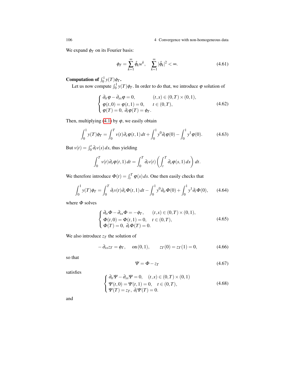We expand  $\phi_T$  on its Fourier basis:

$$
\phi_T = \sum_{k=1}^{\infty} \hat{\phi}_k w^k, \quad \sum_{k=1}^{\infty} |\hat{\phi}_k|^2 < \infty. \tag{4.61}
$$

**Computation of**  $\int_0^1 y(T) \phi_T$ .

Let us now compute  $\int_0^1 y(T) \phi_T$ . In order to do that, we introduce  $\varphi$  solution of

$$
\begin{cases} \n\partial_{tt} \varphi - \partial_{xx} \varphi = 0, & (t, x) \in (0, T) \times (0, 1), \\ \n\varphi(t, 0) = \varphi(t, 1) = 0, & t \in (0, T), \\ \n\varphi(T) = 0, & \partial_t \varphi(T) = \varphi_T. \n\end{cases} \tag{4.62}
$$

Then, multiplying  $(4.1)$  by  $\varphi$ , we easily obtain

$$
\int_0^1 y(T)\phi_T = \int_0^T v(t)\partial_x\phi(t,1)dt + \int_0^1 y^0\partial_t\phi(0) - \int_0^1 y^1\phi(0). \tag{4.63}
$$

But  $v(t) = \int_0^t \partial_t v(s) ds$ , thus yielding

$$
\int_0^T v(t)\partial_x\varphi(t,1) dt = \int_0^T \partial_t v(t) \left(\int_t^T \partial_x\varphi(s,1) ds\right) dt.
$$

We therefore introduce  $\Phi(t) = \int_t^T \phi(s) ds$ . One then easily checks that

<span id="page-113-0"></span>
$$
\int_0^1 y(T)\phi_T = \int_0^T \partial_t v(t)\partial_x \Phi(t,1) dt - \int_0^1 y^0 \partial_{tt} \Phi(0) + \int_0^1 y^1 \partial_t \Phi(0), \qquad (4.64)
$$

where  $\Phi$  solves

$$
\begin{cases} \n\partial_{tt} \Phi - \partial_{xx} \Phi = -\phi_T, & (t, x) \in (0, T) \times (0, 1), \\ \n\Phi(t, 0) = \Phi(t, 1) = 0, & t \in (0, T), \\ \n\Phi(T) = 0, & \partial_t \Phi(T) = 0. \n\end{cases} \tag{4.65}
$$

We also introduce  $z_T$  the solution of

<span id="page-113-1"></span>
$$
-\partial_{xx}z_T = \phi_T, \quad \text{on } (0,1), \qquad z_T(0) = z_T(1) = 0,\tag{4.66}
$$

so that

$$
\Psi = \Phi - z_T \tag{4.67}
$$

satisfies

<span id="page-113-2"></span>
$$
\begin{cases} \partial_{tt} \Psi - \partial_{xx} \Psi = 0, & (t, x) \in (0, T) \times (0, 1) \\ \Psi(t, 0) = \Psi(t, 1) = 0, & t \in (0, T), \\ \Psi(T) = z_T, & \partial_t \Psi(T) = 0. \end{cases}
$$
(4.68)

and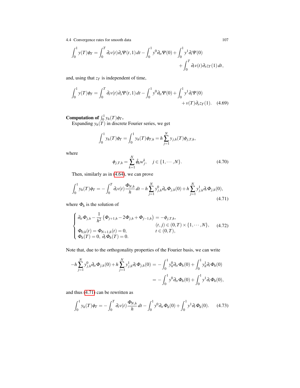4.4 Convergence rates for smooth data 107

$$
\int_0^1 y(T)\phi_T = \int_0^T \partial_t v(t)\partial_x \Psi(t,1) dt - \int_0^1 y^0 \partial_{tt} \Psi(0) + \int_0^1 y^1 \partial_t \Psi(0) + \int_0^T \partial_t v(t)\partial_x z_T(1) dt,
$$

and, using that *z<sup>T</sup>* is independent of time,

$$
\int_0^1 y(T)\phi_T = \int_0^T \partial_t v(t)\partial_x \Psi(t,1) dt - \int_0^1 y^0 \partial_{tt} \Psi(0) + \int_0^1 y^1 \partial_t \Psi(0) + v(T)\partial_x z_T(1).
$$
 (4.69)

**Computation of**  $\int_0^1 y_h(T) \phi_T$ .

Expanding *yh*(*T*) in discrete Fourier series, we get

$$
\int_0^1 y_h(T)\phi_T = \int_0^1 y_h(T)\phi_{T,h} = h\sum_{j=1}^N y_{j,h}(T)\phi_{j,T,h},
$$

where

<span id="page-114-2"></span>
$$
\phi_{j,T,h} = \sum_{k=1}^{N} \hat{\phi}_k w_j^k, \quad j \in \{1, \cdots, N\}.
$$
\n(4.70)

Then, similarly as in [\(4.64\)](#page-113-0), we can prove

<span id="page-114-0"></span>
$$
\int_0^1 y_h(T)\phi_T = -\int_0^T \partial_t v(t) \frac{\Phi_{N,h}}{h} dt - h \sum_{j=1}^N y_{j,h}^0 \partial_{tt} \Phi_{j,h}(0) + h \sum_{j=1}^N y_{j,h}^1 \partial_t \Phi_{j,h}(0),
$$
\n(4.71)

where  $\Phi_h$  is the solution of

$$
\begin{cases}\n\partial_{tt}\Phi_{j,h} - \frac{1}{h^2} \left( \Phi_{j+1,h} - 2\Phi_{j,h} + \Phi_{j-1,h} \right) = -\phi_{j,T,h}, \\
(t,j) \in (0,T) \times \{1, \dots, N\}, \\
\Phi_{0,h}(t) = \Phi_{N+1,h}(t) = 0, \\
\Phi_h(T) = 0, \ \partial_t \Phi_h(T) = 0.\n\end{cases} \tag{4.72}
$$

Note that, due to the orthogonality properties of the Fourier basis, we can write

$$
-h\sum_{j=1}^{N} y_{j,h}^{0} \partial_{tt} \Phi_{j,h}(0) + h\sum_{j=1}^{N} y_{j,h}^{1} \partial_{t} \Phi_{j,h}(0) = -\int_{0}^{1} y_{h}^{0} \partial_{tt} \Phi_{h}(0) + \int_{0}^{1} y_{h}^{1} \partial_{t} \Phi_{h}(0)
$$
  
= 
$$
-\int_{0}^{1} y^{0} \partial_{tt} \Phi_{h}(0) + \int_{0}^{1} y^{1} \partial_{t} \Phi_{h}(0),
$$

and thus [\(4.71\)](#page-114-0) can be rewritten as

$$
\int_0^1 y_h(T)\phi_T = -\int_0^T \partial_t v(t) \frac{\Phi_{N,h}}{h} dt - \int_0^1 y^0 \partial_{tt} \Phi_h(0) + \int_0^1 y^1 \partial_t \Phi_h(0). \tag{4.73}
$$

<span id="page-114-1"></span>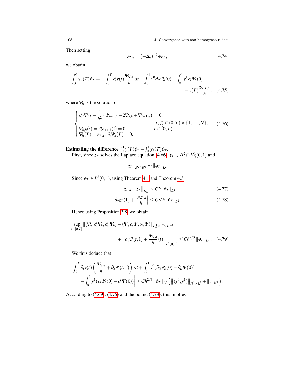Then setting

<span id="page-115-2"></span><span id="page-115-0"></span>
$$
z_{T,h} = (-\Delta_h)^{-1} \phi_{T,h},
$$
\n(4.74)

we obtain

$$
\int_0^1 y_h(T)\phi_T = -\int_0^T \partial_t v(t) \frac{\Psi_{N,h}}{h} dt - \int_0^1 y^0 \partial_{tt} \Psi_h(0) + \int_0^1 y^1 \partial_t \Psi_h(0) - v(T) \frac{z_{N,T,h}}{h}, \quad (4.75)
$$

where  $\Psi_h$  is the solution of

<span id="page-115-3"></span>
$$
\begin{cases}\n\partial_{tt} \Psi_{j,h} - \frac{1}{h^2} \left( \Psi_{j+1,h} - 2\Psi_{j,h} + \Psi_{j-1,h} \right) = 0, \\
(t,j) \in (0,T) \times \{1, \cdots, N\}, \\
\Psi_{0,h}(t) = \Psi_{N+1,h}(t) = 0, \\
\Psi_h(T) = z_{T,h}, \ \partial_t \Psi_h(T) = 0.\n\end{cases} \tag{4.76}
$$

Estimating the difference  $\int_0^1 y(T) \phi_T - \int_0^1 y_h(T) \phi_T$ . First, since  $z_T$  solves the Laplace equation [\(4.66\)](#page-113-1),  $z_T \in H^2 \cap H_0^1(0,1)$  and

$$
||z_T||_{H^2 \cap H_0^1} \simeq ||\phi_T||_{L^2}.
$$

Since  $\phi_T \in L^2(0,1)$ , using Theorem [4.1](#page-95-0) and Theorem [4.3,](#page-97-1)

<span id="page-115-1"></span>
$$
||z_{T,h} - z_T||_{H_0^1} \le Ch ||\phi_T||_{L^2},
$$
\n(4.77)

$$
\left|\partial_x z_T(1) + \frac{z_{N,T,h}}{h}\right| \le C\sqrt{h} \left\|\phi_T\right\|_{L^2}.
$$
\n(4.78)

Hence using Proposition [3.8,](#page-87-0) we obtain

$$
\sup_{t\in[0,T]}\|(\Psi_h,\partial_t\Psi_h,\partial_{tt}\Psi_h)-(\Psi,\partial_t\Psi,\partial_{tt}\Psi)\|_{H_0^1\times L^2\times H^{-1}}+\left\|\partial_x\Psi(t,1)+\frac{\Psi_{N,h}}{h}(t)\right\|_{L^2(0,T)}\le Ch^{2/3}\|\phi_T\|_{L^2}.\tag{4.79}
$$

We thus deduce that

$$
\left| \int_0^T \partial_t v(t) \left( \frac{\Psi_{N,h}}{h} + \partial_x \Psi(t,1) \right) dt + \int_0^1 y^0 (\partial_{tt} \Psi_h(0) - \partial_{tt} \Psi(0)) - \int_0^1 y^1 (\partial_t \Psi_h(0) - \partial_t \Psi(0)) \right| \leq Ch^{2/3} \|\phi_T\|_{L^2} \left( \left\| (y^0, y^1) \right\|_{H_0^1 \times L^2} + \|\nu\|_{H^1} \right).
$$

According to [\(4.69\)](#page-114-1), [\(4.75\)](#page-115-0) and the bound [\(4.78\)](#page-115-1), this implies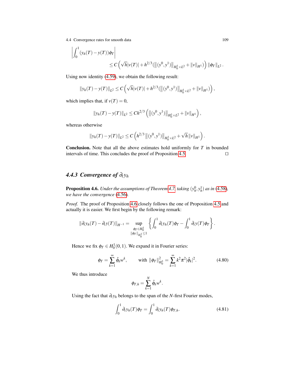4.4 Convergence rates for smooth data 109

$$
\left| \int_0^1 (y_h(T) - y(T)) \phi_T \right|
$$
  
 
$$
\leq C \left( \sqrt{h} |\nu(T)| + h^{2/3} ( \| (y^0, y^1) \|_{H_0^1 \times L^2} + \| \nu \|_{H^1} ) \right) \| \phi_T \|_{L^2}.
$$

Using now identity [\(4.59\)](#page-112-2), we obtain the following result:

$$
||y_h(T)-y(T)||_{L^2}\leq C\left(\sqrt{h}|v(T)|+h^{2/3}(\left\|(y^0,y^1)\right\|_{H_0^1\times L^2}+\|v\|_{H^1})\right),
$$

which implies that, if  $v(T) = 0$ ,

$$
||y_h(T)-y(T)||_{L^2}\leq Ch^{2/3}\left(||(y^0, y^1)||_{H_0^1\times L^2}+||v||_{H^1}\right),\,
$$

whereas otherwise

$$
||y_h(T) - y(T)||_{L^2} \leq C\left(h^{2/3} ||(y^0, y^1)||_{H_0^1 \times L^2} + \sqrt{h} ||v||_{H^1}\right).
$$

Conclusion. Note that all the above estimates hold uniformly for *T* in bounded intervals of time. This concludes the proof of Proposition [4.5.](#page-112-3)  $\Box$ 

# *4.4.3 Convergence of* ∂*ty<sup>h</sup>*

<span id="page-116-0"></span>**Proposition 4.6.** *Under the assumptions of Theorem [4.7,](#page-111-2) taking*  $(y_h^0, y_h^1)$  *as in* [\(4.58\)](#page-112-1)*, we have the convergence* [\(4.56\)](#page-111-1)*.*

*Proof.* The proof of Proposition [4.6](#page-116-0) closely follows the one of Proposition [4.5](#page-112-3) and actually it is easier. We first begin by the following remark:

$$
\|\partial_t y_h(T) - \partial_t y(T)\|_{H^{-1}} = \sup_{\substack{\phi_T \in H_0^1 \\ \|\phi_T\|_{H_0^1} \le 1}} \left\{ \int_0^1 \partial_t y_h(T) \phi_T - \int_0^1 \partial_t y(T) \phi_T \right\}.
$$

Hence we fix  $\phi_T \in H_0^1(0,1)$ . We expand it in Fourier series:

$$
\phi_T = \sum_{k=1}^{\infty} \hat{\phi}_k w^k, \quad \text{with } \|\phi_T\|_{H_0^1}^2 = \sum_{k=1}^{\infty} k^2 \pi^2 |\hat{\phi}_k|^2. \quad (4.80)
$$

We thus introduce

$$
\phi_{T,h} = \sum_{k=1}^N \hat{\phi}_k w^k.
$$

Using the fact that ∂*ty<sup>h</sup>* belongs to the span of the *N*-first Fourier modes,

<span id="page-116-1"></span>
$$
\int_0^1 \partial_t y_h(T) \phi_T = \int_0^1 \partial_t y_h(T) \phi_{T,h}.
$$
\n(4.81)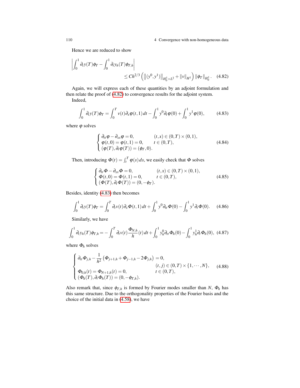Hence we are reduced to show

$$
\left| \int_0^1 \partial_t y(T) \phi_T - \int_0^1 \partial_t y_h(T) \phi_{T,h} \right| \leq Ch^{2/3} \left( \| (y^0, y^1) \|_{H_0^1 \times L^2} + \| v \|_{H^1} \right) \| \phi_T \|_{H_0^1}.
$$
 (4.82)

Again, we will express each of these quantities by an adjoint formulation and then relate the proof of [\(4.82\)](#page-117-0) to convergence results for the adjoint system. Indeed,

<span id="page-117-1"></span>
$$
\int_0^1 \partial_t y(T) \phi_T = \int_0^T v(t) \partial_x \phi(t,1) dt - \int_0^1 y^0 \partial_t \phi(0) + \int_0^1 y^1 \phi(0), \tag{4.83}
$$

where  $\varphi$  solves

<span id="page-117-0"></span>
$$
\begin{cases} \n\partial_{tt} \varphi - \partial_{xx} \varphi = 0, & (t, x) \in (0, T) \times (0, 1), \\ \n\varphi(t, 0) = \varphi(t, 1) = 0, & t \in (0, T), \\ \n(\varphi(T), \partial_t \varphi(T)) = (\varphi_T, 0). \n\end{cases} \tag{4.84}
$$

Then, introducing  $\Phi(t) = \int_t^T \phi(s) ds$ , we easily check that  $\Phi$  solves

$$
\begin{cases} \n\partial_{tt} \Phi - \partial_{xx} \Phi = 0, & (t, x) \in (0, T) \times (0, 1), \\
\Phi(t, 0) = \Phi(t, 1) = 0, & t \in (0, T), \\
(\Phi(T), \partial_t \Phi(T)) = (0, -\phi_T). & (4.85)\n\end{cases}
$$

Besides, identity [\(4.83\)](#page-117-1) then becomes

<span id="page-117-2"></span>
$$
\int_0^1 \partial_t y(T) \phi_T = \int_0^T \partial_t v(t) \partial_x \Phi(t,1) dt + \int_0^1 y^0 \partial_{tt} \Phi(0) - \int_0^1 y^1 \partial_t \Phi(0). \quad (4.86)
$$

Similarly, we have

$$
\int_0^1 \partial_t y_h(T) \phi_{T,h} = -\int_0^T \partial_t v(t) \frac{\Phi_{N,h}}{h}(t) dt + \int_0^1 y_h^0 \partial_{tt} \Phi_h(0) - \int_0^1 y_h^1 \partial_t \Phi_h(0), \tag{4.87}
$$

where  $\Phi_h$  solves

$$
\begin{cases}\n\partial_{tt}\Phi_{j,h} - \frac{1}{h^2} \left( \Phi_{j+1,h} + \Phi_{j-1,h} - 2\Phi_{j,h} \right) = 0, \\
(t,j) \in (0,T) \times \{1, \dots, N\}, \\
\Phi_{0,h}(t) = \Phi_{N+1,h}(t) = 0, \\
(\Phi_h(T), \partial_t \Phi_h(T)) = (0, -\phi_{T,h}).\n\end{cases} \tag{4.88}
$$

Also remark that, since  $\phi_{T,h}$  is formed by Fourier modes smaller than *N*,  $\Phi_h$  has this same structure. Due to the orthogonality properties of the Fourier basis and the choice of the initial data in [\(4.58\)](#page-112-1), we have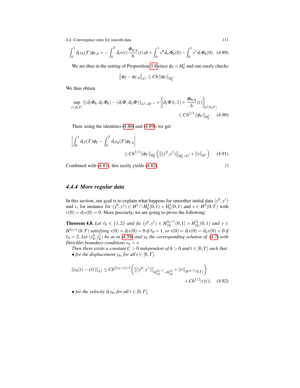4.4 Convergence rates for smooth data 111

<span id="page-118-0"></span>
$$
\int_0^1 \partial_t y_h(T) \phi_{T,h} = -\int_0^T \partial_t v(t) \frac{\Phi_{N,h}}{h}(t) dt + \int_0^1 y^0 \partial_{tt} \Phi_h(0) - \int_0^1 y^1 \partial_t \Phi_h(0). \tag{4.89}
$$

We are thus in the setting of Proposition [3.8](#page-87-0) since  $\phi_T \in H_0^1$  and one easily checks

.

$$
\left\|\phi_T-\phi_{T,h}\right\|_{L^2}\leq Ch\left\|\phi_T\right\|_{H_0^1}
$$

We thus obtain

$$
\sup_{t\in[0,T]}\|(\partial_t\Phi_h,\partial_{tt}\Phi_h)-(\partial_t\Phi,\partial_{tt}\Phi)\|_{L^2\times H^{-1}}+\left\|\partial_x\Phi(t,1)+\frac{\Phi_{N,h}}{h}(t)\right\|_{L^2(0,T)}\le Ch^{2/3}\|\phi_T\|_{H_0^1}.
$$
 (4.90)

Then, using the identities [\(4.86\)](#page-117-2) and [\(4.89\)](#page-118-0), we get

$$
\left| \int_0^1 \partial_t y(T) \phi_T - \int_0^T \partial_t y_h(T) \phi_{T,h} \right|
$$
  
 
$$
\leq Ch^{2/3} \left\| \phi_T \right\|_{H_0^1} \left( \left\| (y^0, y^1) \right\|_{H_0^1 \times L^2} + \left\| v \right\|_{H^1} \right). \quad (4.91)
$$

Combined with  $(4.81)$ , this easily yields  $(4.82)$ .

<span id="page-118-1"></span>

# *4.4.4 More regular data*

In this section, our goal is to explain what happens for smoother initial data  $(y^0, y^1)$ and *v*, for instance for  $(y^0, y^1) \in H^2 \cap H_0^1(0, 1) \times H_0^1(0, 1)$  and  $v \in H^2(0, T)$  with  $v(0) = \partial_t v(0) = 0$ . More precisely, we are going to prove the following:

<span id="page-118-2"></span>**Theorem 4.8.** Let  $\ell_0 \in \{1,2\}$  and fix  $(y^0, y^1) \in H_{(0)}^{\ell_0+1}(0,1) \times H_{(0)}^{\ell_0}(0,1)$  and  $v \in$  $H^{\ell_0+1}(0,T)$  *satisfying*  $v(0) = \partial_t v(0) = 0$  *if*  $\ell_0 = 1$ *, or*  $v(0) = \partial_t v(0) = \partial_{tt} v(0) = 0$  *if*  $\ell_0 = 2$ *. Let*  $(y_h^0, y_h^1)$  *be as in* [\(4.58\)](#page-112-1) *and*  $y_h$  *the corresponding solution of* [\(4.7\)](#page-93-0) *with Dirichlet boundary conditions*  $v_h = v$ .

*Then there exists a constant*  $C > 0$  *independent of*  $h > 0$  *and*  $t \in [0, T]$  *such that* • *for the displacement y<sub>h</sub>*, *for all*  $t \in [0, T]$ *,* 

$$
||y_h(t) - y(t)||_{L^2} \le Ch^{2(\ell_0 + 1)/3} \left( ||(y^0, y^1)||_{H_{(0)}^{\ell_0 + 1} \times H_{(0)}^{\ell_0}} + ||v||_{H^{\ell_0 + 1}(0,T)} \right) + Ch^{1/2}|v(t)|. \quad (4.92)
$$

• *for the velocity*  $\partial_t y_h$ *, for all*  $t \in [0, T]$ *,*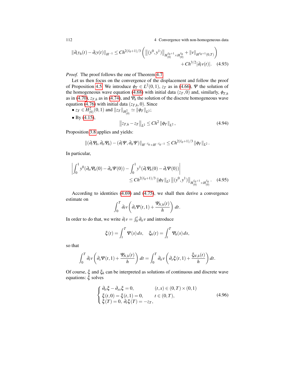$$
\|\partial_t y_h(t) - \partial_t y(t)\|_{H^{-1}} \le C h^{2(\ell_0 + 1)/3} \left( \left\| (y^0, y^1) \right\|_{H_{(0)}^{\ell_0 + 1} \times H_{(0)}^{\ell_0}} + \left\| v \right\|_{H^{\ell_0 + 1}(0,T)} \right) + Ch^{3/2} |\partial_t v(t)|. \tag{4.93}
$$

*Proof.* The proof follows the one of Theorem [4.7.](#page-111-2)

Let us then focus on the convergence of the displacement and follow the proof of Proposition [4.5.](#page-112-3) We introduce  $\phi_T \in L^2(0,1)$ ,  $z_T$  as in [\(4.66\)](#page-113-1),  $\Psi$  the solution of the homogeneous wave equation [\(4.68\)](#page-113-2) with initial data  $(z_T, 0)$  and, similarly,  $\phi_{T,h}$ as in [\(4.70\)](#page-114-2),  $z_{T,h}$  as in [\(4.74\)](#page-115-2), and  $\Psi_h$  the solution of the discrete homogeneous wave equation [\(4.76\)](#page-115-3) with initial data  $(z_{T,h},0)$ . Since

- $z_T \in H^2_{(0)}(0,1)$  and  $||z_T||_{H^2_{(0)}} \simeq ||\phi_T||_{L^2}$ ;
- By  $(4.15)$ ,

<span id="page-119-2"></span><span id="page-119-0"></span>
$$
\|z_{T,h} - z_T\|_{L^2} \le Ch^2 \|\phi_T\|_{L^2},\tag{4.94}
$$

Proposition [3.8](#page-87-0) applies and yields:

$$
\left\| \left( \partial_t \Psi_h, \partial_{tt} \Psi_h \right) - \left( \partial_t \Psi, \partial_{tt} \Psi \right) \right\|_{H^{-\ell_0} \times H^{-\ell_0 - 1}} \leq Ch^{2(\ell_0 + 1)/3} \left\| \phi_T \right\|_{L^2}.
$$

In particular,

$$
\left| \int_0^1 y^0 (\partial_{tt} \Psi_h(0) - \partial_{tt} \Psi(0)) - \int_0^1 y^1 (\partial_t \Psi_h(0) - \partial_t \Psi(0)) \right|
$$
  
 
$$
\leq Ch^{2(\ell_0+1)/3} \|\phi_T\|_{L^2} \left\| (y^0, y^1) \right\|_{H_{(0)}^{\ell_0+1} \times H_{(0)}^{\ell_0}}.
$$
 (4.95)

According to identities [\(4.69\)](#page-114-1) and [\(4.75\)](#page-115-0), we shall then derive a convergence estimate on

<span id="page-119-1"></span>
$$
\int_0^T \partial_t v \left( \partial_x \Psi(t,1) + \frac{\Psi_{N,h}(t)}{h} \right) dt.
$$

In order to do that, we write  $\partial_t v = \int_0^t \partial_{tt} v$  and introduce

$$
\xi(t) = \int_t^T \Psi(s) \, ds, \quad \xi_h(t) = \int_t^T \Psi_h(s) \, ds,
$$

so that

$$
\int_0^T \partial_t v \left( \partial_x \Psi(t,1) + \frac{\Psi_{N,h}(t)}{h} \right) dt = \int_0^T \partial_{tt} v \left( \partial_x \xi(t,1) + \frac{\xi_{N,h}(t)}{h} \right) dt.
$$

Of course, ξ and ξ*<sup>h</sup>* can be interpreted as solutions of continuous and discrete wave equations: ξ solves

$$
\begin{cases} \n\partial_{tt} \xi - \partial_{xx} \xi = 0, & (t, x) \in (0, T) \times (0, 1) \\ \n\xi(t, 0) = \xi(t, 1) = 0, & t \in (0, T), \\ \n\xi(T) = 0, & \partial_t \xi(T) = -z_T, \n\end{cases} \tag{4.96}
$$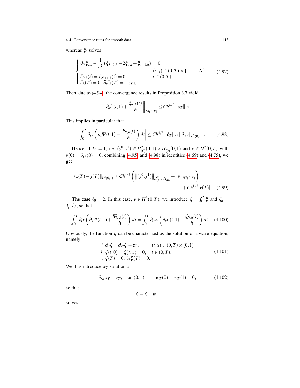4.4 Convergence rates for smooth data 113

whereas ξ*<sup>h</sup>* solves

$$
\begin{cases}\n\partial_{tt}\xi_{j,h} - \frac{1}{h^2} \left( \xi_{j+1,h} - 2\xi_{j,h} + \xi_{j-1,h} \right) = 0, \\
\xi_{0,h}(t) = \xi_{N+1,h}(t) = 0, \\
\xi_h(T) = 0, \ \partial_t \xi_h(T) = -z_{T,h}.\n\end{cases} \quad (t,j) \in (0,T) \times \{1, \cdots, N\}, \quad (4.97)
$$

Then, due to [\(4.94\)](#page-119-0), the convergence results in Proposition [3.7](#page-86-0) yield

$$
\left\|\partial_x \xi(t,1) + \frac{\xi_{N,h}(t)}{h}\right\|_{L^2(0,T)} \leq Ch^{4/3} \left\|\phi_T\right\|_{L^2}.
$$

This implies in particular that

<span id="page-120-0"></span>
$$
\left| \int_0^T \partial_t v \left( \partial_x \Psi(t,1) + \frac{\Psi_{N,h}(t)}{h} \right) dt \right| \le C h^{4/3} \left\| \phi_T \right\|_{L^2} \left\| \partial_{tt} v \right\|_{L^2(0,T)}.
$$
 (4.98)

Hence, if  $\ell_0 = 1$ , i.e.  $(y^0, y^1) \in H^2_{(0)}(0, 1) \times H^1_{(0)}(0, 1)$  and  $v \in H^2(0, T)$  with  $v(0) = \partial_t v(0) = 0$ , combining [\(4.95\)](#page-119-1) and [\(4.98\)](#page-120-0) in identities [\(4.69\)](#page-114-1) and [\(4.75\)](#page-115-0), we get

$$
||y_h(T) - y(T)||_{L^2(0,1)} \le Ch^{4/3} \left( ||(y^0, y^1)||_{H^2_{(0)} \times H^1_{(0)}} + ||v||_{H^2(0,T)} \right) + Ch^{1/2} |v(T)|. \quad (4.99)
$$

**The case**  $\ell_0 = 2$ . In this case,  $v \in H^3(0,T)$ , we introduce  $\zeta = \int_t^T \xi$  and  $\zeta_h =$  $\int_t^T \xi_h$ , so that

<span id="page-120-1"></span>
$$
\int_0^T \partial_t v \left( \partial_x \Psi(t,1) + \frac{\Psi_{N,h}(t)}{h} \right) dt = \int_0^T \partial_{ttt} v \left( \partial_x \zeta(t,1) + \frac{\zeta_{N,h}(t)}{h} \right) dt. \quad (4.100)
$$

Obviously, the function  $\zeta$  can be characterized as the solution of a wave equation, namely:

$$
\begin{cases} \n\partial_{tt}\zeta - \partial_{xx}\zeta = z_T, & (t,x) \in (0,T) \times (0,1) \\
\zeta(t,0) = \zeta(t,1) = 0, & t \in (0,T), \\
\zeta(T) = 0, & \partial_t\zeta(T) = 0.\n\end{cases} \tag{4.101}
$$

We thus introduce  $w_T$  solution of

$$
\partial_{xx} w_T = z_T
$$
, on (0, 1),  $w_T(0) = w_T(1) = 0$ , (4.102)

so that

$$
\tilde{\zeta}=\zeta-w_T
$$

solves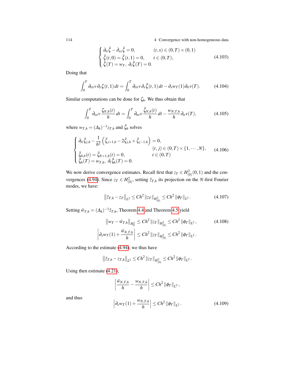$$
\begin{cases}\n\partial_{tt}\tilde{\zeta} - \partial_{xx}\tilde{\zeta} = 0, & (t, x) \in (0, T) \times (0, 1) \\
\tilde{\zeta}(t, 0) = \tilde{\zeta}(t, 1) = 0, & t \in (0, T), \\
\tilde{\zeta}(T) = w_T, & \partial_t \tilde{\zeta}(T) = 0.\n\end{cases}
$$
\n(4.103)

Doing that

<span id="page-121-3"></span>
$$
\int_0^T \partial_{ttt} v \partial_x \zeta(t,1) dt = \int_0^T \partial_{ttt} v \partial_x \tilde{\zeta}(t,1) dt - \partial_x w_T(1) \partial_{tt} v(T). \tag{4.104}
$$

Similar computations can be done for  $\zeta_h$ . We thus obtain that

<span id="page-121-4"></span>
$$
\int_0^T \partial_{ttt} v \frac{\zeta_{N,h}(t)}{h} dt = \int_0^T \partial_{ttt} v \frac{\tilde{\zeta}_{N,h}(t)}{h} dt - \frac{w_{N,T,h}}{h} \partial_{tt} v(T), \tag{4.105}
$$

where  $w_{T,h} = (\Delta_h)^{-1} z_{T,h}$  and  $\tilde{\zeta}_h$  solves

$$
\begin{cases}\n\partial_{tt}\tilde{\zeta}_{j,h} - \frac{1}{h^2} \left( \tilde{\zeta}_{j+1,h} - 2\tilde{\zeta}_{j,h} + \tilde{\zeta}_{j-1,h} \right) = 0, \\
(t,j) \in (0,T) \times \{1, \dots, N\}, \\
\tilde{\zeta}_{0,h}(t) = \tilde{\zeta}_{N+1,h}(t) = 0, \\
\tilde{\zeta}_{h}(T) = w_{T,h}, \ \partial_{t} \tilde{\zeta}_{h}(T) = 0.\n\end{cases}
$$
\n(4.106)

We now derive convergence estimates. Recall first that  $z_T \in H^2_{(0)}(0,1)$  and the con-vergences [\(4.94\)](#page-119-0). Since  $z_T \in H^2_{(0)}$ , setting  $\tilde{z}_{T,h}$  its projection on the *N*-first Fourier modes, we have:

<span id="page-121-0"></span>
$$
\left\|\tilde{z}_{T,h} - z_T\right\|_{L^2} \le Ch^2 \left\|z_T\right\|_{H^2_{(0)}} \le Ch^2 \left\|\phi_T\right\|_{L^2}.
$$
 (4.107)

Setting  $\tilde{w}_{T,h} = (\Delta_h)^{-1} \tilde{z}_{T,h}$ , Theorem [4.4](#page-99-0) and Theorem [4.5](#page-99-1) yield

<span id="page-121-1"></span>
$$
\left\|w_T - \tilde{w}_{T,h}\right\|_{H_0^1} \le Ch^2 \left\|z_T\right\|_{H_{(0)}^2} \le Ch^2 \left\|\phi_T\right\|_{L^2},\tag{4.108}
$$
\n
$$
\left|\partial_x w_T(1) + \frac{\tilde{w}_{N,T,h}}{h}\right| \le Ch^2 \left\|z_T\right\|_{H_{(0)}^2} \le Ch^2 \left\|\phi_T\right\|_{L^2}.
$$

According to the estimate [\(4.94\)](#page-119-0), we thus have

$$
\left\|\tilde{z}_{T,h} - z_{T,h}\right\|_{L^2} \le Ch^2 \left\|z_T\right\|_{H^2_{(0)}} \le Ch^2 \left\|\phi_T\right\|_{L^2}.
$$

Using then estimate [\(4.21\)](#page-97-2),

$$
\left|\frac{\tilde{w}_{N,T,h}}{h}-\frac{w_{N,T,h}}{h}\right|\leq Ch^2\left\|\phi_T\right\|_{L^2},
$$

and thus

<span id="page-121-2"></span>
$$
\left| \partial_x w_T(1) + \frac{w_{N,T,h}}{h} \right| \le Ch^2 \left\| \phi_T \right\|_{L^2}.
$$
 (4.109)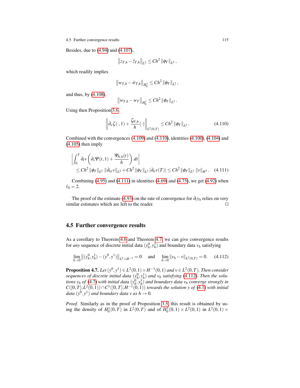4.5 Further convergence results 115

Besides, due to [\(4.94\)](#page-119-0) and [\(4.107\)](#page-121-0),

$$
\left\|z_{T,h}-\tilde{z}_{T,h}\right\|_{L^2}\leq Ch^2\left\|\phi_T\right\|_{L^2},
$$

which readily implies

$$
\left\|w_{T,h} - \tilde{w}_{T,h}\right\|_{H_0^1} \leq C h^2 \left\|\phi_T\right\|_{L^2},
$$

and thus, by [\(4.108\)](#page-121-1),

$$
\|w_{T,h} - w_T\|_{H_0^1} \leq C h^2 \left\|\phi_T\right\|_{L^2}.
$$

Using then Proposition [3.6,](#page-85-0)

<span id="page-122-1"></span><span id="page-122-0"></span>
$$
\left\| \partial_x \zeta(\cdot, 1) + \frac{\zeta_{N,h}}{h}(\cdot) \right\|_{L^2(0,T)} \le Ch^2 \left\| \phi_T \right\|_{L^2}.
$$
 (4.110)

Combined with the convergences [\(4.109\)](#page-121-2) and [\(4.110\)](#page-122-0), identities [\(4.100\)](#page-120-1), [\(4.104\)](#page-121-3) and [\(4.105\)](#page-121-4) then imply

$$
\left| \int_0^T \partial_t v \left( \partial_x \Psi(t,1) + \frac{\Psi_{N,h}(t)}{h} \right) dt \right|
$$
  
 
$$
\leq Ch^2 \|\phi_T\|_{L^2} \|\partial_{ttt} v\|_{L^2} + Ch^2 \|\phi_T\|_{L^2} |\partial_{tt} v(T)| \leq Ch^2 \|\phi_T\|_{L^2} \|v\|_{H^3}.
$$
 (4.111)

Combining  $(4.95)$  and  $(4.111)$  in identities  $(4.69)$  and  $(4.75)$ , we get  $(4.92)$  when  $\ell_0 = 2.$ 

The proof of the estimate [\(4.93\)](#page-119-2) on the rate of convergence for  $\partial_t y_h$  relies on very similar estimates which are left to the reader.  $\Box$ 

## 4.5 Further convergence results

As a corollary to Theorem [4.6](#page-102-1) and Theorem [4.7,](#page-111-2) we can give convergence results for *any* sequence of discrete initial data  $(y_h^0, y_h^1)$  and boundary data  $v_h$  satisfying

<span id="page-122-2"></span>
$$
\lim_{h \to 0} \left\| (y_h^0, y_h^1) - (y^0, y^1) \right\|_{L^2 \times H^{-1}} = 0 \quad \text{and} \quad \lim_{h \to 0} \|v_h - v\|_{L^2(0, T)} = 0. \quad (4.112)
$$

<span id="page-122-3"></span>**Proposition 4.7.** *Let*  $(y^0, y^1)$  ∈  $L^2(0,1) \times H^{-1}(0,1)$  *and*  $v$  ∈  $L^2(0,T)$ *. Then consider sequences of discrete initial data*  $(y_h^0, y_h^1)$  *and*  $v_h$  *satisfying* [\(4.112\)](#page-122-2)*. Then the solutions y<sub>h</sub> of* [\(4.7\)](#page-93-0) *with initial data*  $(y_h^0, y_h^1)$  *and boundary data*  $v_h$  *converge strongly in*  $C([0,T]; L^2(0,1)) ∩ C^1([0,T]; H^{-1}(0,1))$  *towards the solution y of* [\(4.1\)](#page-92-0) *with initial* data  $(y^0, y^1)$  and boundary data v as  $h \to 0$ .

*Proof.* Similarly as in the proof of Proposition [3.5,](#page-83-0) this result is obtained by using the density of  $H_0^1(0,T)$  in  $L^2(0,T)$  and of  $H_0^1(0,1) \times L^2(0,1)$  in  $L^2(0,1) \times$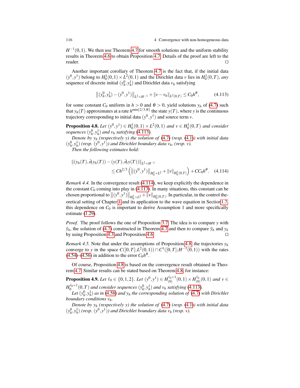$H^{-1}(0,1)$ . We then use Theorem [4.7](#page-111-2) for smooth solutions and the uniform stability results in Theorem [4.6](#page-102-1) to obtain Proposition [4.7.](#page-122-3) Details of the proof are left to the reader.  $\Box$ 

Another important corollary of Theorem [4.7](#page-111-2) is the fact that, if the initial data  $(y^0, y^1)$  belong to  $H_0^1(0,1) \times L^2(0,1)$  and the Dirichlet data *v* lies in  $H_0^1(0,T)$ , *any* sequence of discrete initial  $(y_h^0, y_h^1)$  and Dirichlet data  $v_h$  satisfying

<span id="page-123-1"></span><span id="page-123-0"></span>
$$
\left\| (y_h^0, y_h^1) - (y^0, y^1) \right\|_{L^2 \times H^{-1}} + \left\| v - v_h \right\|_{L^2(0, T)} \le C_0 h^{\theta},\tag{4.113}
$$

for some constant  $C_0$  uniform in  $h > 0$  and  $\theta > 0$ , yield solutions  $y_h$  of [\(4.7\)](#page-93-0) such that  $y_h(T)$  approximates at a rate  $h^{\min\{2/3,\theta\}}$  the state  $y(T)$ , where y is the continuous trajectory corresponding to initial data  $(y^0, y^1)$  and source term *v*.

<span id="page-123-2"></span>**Proposition 4.8.** *Let*  $(y^0, y^1) \in H_0^1(0, 1) \times L^2(0, 1)$  *and*  $v \in H_0^1(0, T)$  *and consider* sequences  $(y_h^0, y_h^1)$  and  $v_h$  satisfying [\(4.113\)](#page-123-0).

*Denote by y<sup>h</sup> (respectively y) the solution of* [\(4.7\)](#page-93-0) *(resp.* [\(4.1\)](#page-92-0)*) with initial data*  $(y_h^0, y_h^1)$  (resp.  $(y^0, y^1)$ ) and Dirichlet boundary data  $v_h$ , (resp. v).

*Then the following estimates hold:*

$$
\begin{aligned} ||(y_h(T), \partial_t y_h(T)) - (y(T), \partial_t y(T))||_{L^2 \times H^{-1}} \\ &\le Ch^{2/3} \left( \left\| (y^0, y^1) \right\|_{H_0^1 \times L^2} + \left\| v \right\|_{H_0^1(0,T)} \right) + CC_0 h^{\theta} . \end{aligned} \tag{4.114}
$$

*Remark 4.4.* In the convergence result [\(4.114\)](#page-123-1), we keep explicitly the dependence in the constant  $C_0$  coming into play in [\(4.113\)](#page-123-0). In many situations, this constant can be chosen proportional to  $\|(y^0, y^1)\|_{H_0^1 \times L^2} + \|v\|_{H_0^1(0,T)}$ . In particular, in the control theoretical setting of Chapter [1](#page-14-0) and its application to the wave equation in Sectio[n1.7,](#page-36-0) this dependence on  $C_0$  is important to derive Assumption 1 and more specifically estimate [\(1.29\)](#page-22-0).

*Proof.* The proof follows the one of Proposition [3.7.](#page-86-0) The idea is to compare *y* with  $\tilde{y}_h$ , the solution of [\(4.7\)](#page-93-0) constructed in Theorem [4.7](#page-111-2) and then to compare  $\tilde{y}_h$  and  $y_h$ by using Proposition [4.3](#page-102-0) and Proposition [4.6.](#page-116-0)  $\Box$ 

*Remark 4.5.* Note that under the assumptions of Proposition [4.8,](#page-123-2) the trajectories *y<sup>h</sup>* converge to *y* in the space  $C([0,T]; L^2(0,1)) \cap C^1([0,T]; H^{-1}(0,1))$  with the rates  $(4.54)$ – $(4.56)$  in addition to the error  $C_0 h^{\theta}$ .

Of course, Proposition [4.8](#page-123-2) is based on the convergence result obtained in Theorem [4.7.](#page-111-2) Similar results can be stated based on Theorem [4.8,](#page-118-2) for instance:

<span id="page-123-3"></span>**Proposition 4.9.** Let  $\ell_0 \in \{0, 1, 2\}$ . Let  $(y^0, y^1) \in H_{(0)}^{\ell_0+1}(0,1) \times H_{(0)}^{\ell_0}(0,1)$  and  $v \in$  $H_0^{\ell_0+1}(0,T)$  *and consider sequences*  $(y_h^0, y_h^1)$  *and*  $v_h$  *satisfying* [\(4.113\)](#page-123-0)*.* 

Let  $(y_h^0, y_h^1)$  as in [\(4.58\)](#page-112-1) and  $y_h$  the corresponding solution of [\(4.7\)](#page-93-0) with Dirichlet *boundary conditions vh.*

*Denote by y<sup>h</sup> (respectively y) the solution of* [\(4.7\)](#page-93-0) *(resp.* [\(4.1\)](#page-92-0)*) with initial data*  $(y_h^0, y_h^1)$  (resp.  $(y^0, y^1)$ ) and Dirichlet boundary data  $v_h$  (resp. v).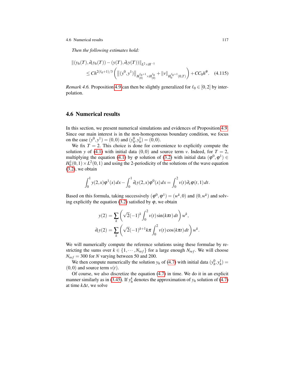#### 4.6 Numerical results 117

*Then the following estimates hold:*

<span id="page-124-0"></span>
$$
\| (y_h(T), \partial_t y_h(T)) - (y(T), \partial_t y(T)) \|_{L^2 \times H^{-1}} \n\leq Ch^{2(\ell_0 + 1)/3} \left( \| (y^0, y^1) \|_{H_{(0)}^{\ell_0 + 1} \times H_{(0)}^{\ell_0}} + \| v \|_{H_0^{\ell_0 + 1}(0,T)} \right) + CC_0 h^{\theta}.
$$
\n(4.115)

<span id="page-124-1"></span>*Remark 4.6.* Proposition [4.9](#page-123-3) can then be slightly generalized for  $\ell_0 \in [0,2]$  by interpolation.

# 4.6 Numerical results

In this section, we present numerical simulations and evidences of Proposition [4.9.](#page-123-3) Since our main interest is in the non-homogeneous boundary condition, we focus on the case  $(y^0, y^1) = (0, 0)$  and  $(y_h^0, y_h^1) = (0, 0)$ .

We fix  $T = 2$ . This choice is done for convenience to explicitly compute the solution *y* of [\(4.1\)](#page-92-0) with initial data (0,0) and source term *v*. Indeed, for  $T = 2$ , multiplying the equation [\(4.1\)](#page-92-0) by  $\varphi$  solution of [\(3.2\)](#page-72-1) with initial data  $(\varphi^0, \varphi^1) \in$  $H_0^1(0,1) \times L^2(0,1)$  and using the 2-periodicity of the solutions of the wave equation [\(3.2\)](#page-72-1), we obtain

$$
\int_0^1 y(2,x)\varphi^1(x) dx - \int_0^1 \partial_t y(2,x)\varphi^0(x) dx = \int_0^2 v(t)\partial_x \varphi(t,1) dt.
$$

Based on this formula, taking successively  $(\varphi^0, \varphi^1) = (w^k, 0)$  and  $(0, w^k)$  and solv-ing explicitly the equation [\(3.2\)](#page-72-1) satisfied by  $\varphi$ , we obtain

$$
y(2) = \sum_{k} \left(\sqrt{2}(-1)^k \int_0^2 v(t) \sin(k\pi t) dt\right) w^k,
$$
  

$$
\partial_t y(2) = \sum_{k} \left(\sqrt{2}(-1)^{k+1} k\pi \int_0^2 v(t) \cos(k\pi t) dt\right) w^k.
$$

We will numerically compute the reference solutions using these formulae by restricting the sums over  $k \in \{1, \dots, N_{ref}\}$  for a large enough  $N_{ref}$ . We will choose  $N_{ref}$  = 300 for *N* varying between 50 and 200.

We then compute numerically the solution  $y_h$  of [\(4.7\)](#page-93-0) with initial data  $(y_h^0, y_h^1)$  =  $(0,0)$  and source term  $v(t)$ .

Of course, we also discretize the equation [\(4.7\)](#page-93-0) in time. We do it in an explicit manner similarly as in [\(3.45\)](#page-89-0). If  $y_h^k$  denotes the approximation of  $y_h$  solution of [\(4.7\)](#page-93-0) at time *k*∆*t*, we solve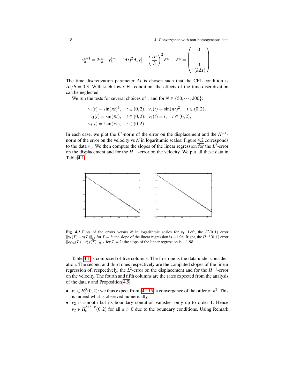$$
y_h^{k+1} = 2y_h^k - y_h^{k-1} - (\Delta t)^2 \Delta_h y_h^k - \left(\frac{\Delta t}{h}\right)^2 F^k, \quad F^k = \begin{pmatrix} 0 \\ \vdots \\ 0 \\ v(k\Delta t) \end{pmatrix}.
$$

The time discretization parameter ∆*t* is chosen such that the CFL condition is  $\Delta t/h = 0.3$ . With such low CFL condition, the effects of the time-discretization can be neglected.

We run the tests for several choices of *v* and for  $N \in \{50, \dots, 200\}$ :

$$
v_1(t) = \sin(\pi t)^3, \quad t \in (0, 2), \quad v_2(t) = \sin(\pi t)^2, \quad t \in (0, 2),
$$
  

$$
v_3(t) = \sin(\pi t), \quad t \in (0, 2), \quad v_4(t) = t, \quad t \in (0, 2),
$$
  

$$
v_5(t) = t \sin(\pi t), \quad t \in (0, 2).
$$

In each case, we plot the  $L^2$ -norm of the error on the displacement and the  $H^{-1}$ norm of the error on the velocity vs *N* in logarithmic scales: Figure [4.2](#page-125-0) corresponds to the data  $v_1$ . We then compute the slopes of the linear regression for the  $L^2$ -error on the displacement and for the  $H^{-1}$ -error on the velocity. We put all these data in Table [4.1.](#page-126-0)



<span id="page-125-0"></span>Fig. 4.2 Plots of the errors versus *N* in logarithmic scales for  $v_1$ . Left, the  $L^2(0,1)$  error  $||y_h(T) - y(T)||_{L^2}$  for *T* = 2: the slope of the linear regression is −1.96. Right, the *H*<sup>-1</sup>(0,1) error  $\|\partial_t y_h(T) - \partial_t y(T)\|_{H^{-1}}$  for *T* = 2: the slope of the linear regression is −1.98.

Table [4.1](#page-126-0) is composed of five columns. The first one is the data under consideration. The second and third ones respectively are the computed slopes of the linear regression of, respectively, the  $L^2$ -error on the displacement and for the  $H^{-1}$ -error on the velocity. The fourth and fifth columns are the rates expected from the analysis of the data *v* and Proposition [4.9:](#page-123-3)

- $v_1 \in H_0^3(0,2)$ : we thus expect from [\(4.115\)](#page-124-0) a convergence of the order of  $h^2$ . This is indeed what is observed numerically.
- $v_2$  is smooth but its boundary condition vanishes only up to order 1. Hence  $v_2 \in H_0^{5/2-\epsilon}(0,2)$  for all  $\varepsilon > 0$  due to the boundary conditions. Using Remark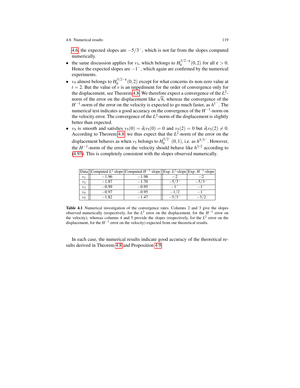### 4.6 Numerical results 119

[4.6,](#page-124-1) the expected slopes are  $-5/3^-$ , which is not far from the slopes computed numerically.

- the same discussion applies for *v*<sub>3</sub>, which belongs to  $H_0^{3/2-\epsilon}(0,2)$  for all  $\epsilon > 0$ . Hence the expected slopes are  $-1^-$ , which again are confirmed by the numerical experiments.
- *v*<sub>4</sub> almost belongs to  $H_0^{3/2-\epsilon}(0,2)$  except for what concerns its non-zero value at  $t = 2$ . But the value of  $\dot{v}$  is an impediment for the order of convergence only for the displacement, see Theorem [4.8.](#page-118-2) We therefore expect a convergence of the  $L^2$ the displacement, see Theorem 4.8. We therefore expect a convergence of the  $L^{\text{-}}$ -<br>norm of the error on the displacement like  $\sqrt{h}$ , whereas the convergence of the  $H^{-1}$ -norm of the error on the velocity is expected to go much faster, as  $h^{1}$ . The numerical test indicates a good accuracy on the convergence of the *H*<sup>-1</sup>-norm on the velocity error. The convergence of the  $L^2$ -norm of the displacement is slightly better than expected.
- *v*<sub>5</sub> is smooth and satisfies  $v_5(0) = \partial_t v_5(0) = 0$  and  $v_5(2) = 0$  but  $\partial_t v_5(2) \neq 0$ . According to Theorem [4.8,](#page-118-2) we thus expect that the  $L^2$ -norm of the error on the displacement behaves as when  $v_5$  belongs to  $H_0^{5/2^-}$  $b_0^{5/2^-}(0,1)$ , i.e. as  $h^{5/3^-}$ . However, the  $H^{-1}$ -norm of the error on the velocity should behave like  $h^{3/2}$  according to [\(4.93\)](#page-119-2). This is completely consistent with the slopes observed numerically.

|       |         | Data  Computed $L^2$ slope Computed $H^{-1}$ slope  Exp. $L^2$ -slope Exp. $H^{-1}$ -slope |  |
|-------|---------|--------------------------------------------------------------------------------------------|--|
| ν1    | $-1.96$ | $-1.98$                                                                                    |  |
| $v_2$ | $-1.87$ | $-1.70$                                                                                    |  |
| ν3    | $-0.99$ | $-0.95$                                                                                    |  |
| $v_4$ | $-0.97$ | $-0.95$                                                                                    |  |
| $v_5$ | -1.82   | $-1.47$                                                                                    |  |

<span id="page-126-0"></span>Table 4.1 Numerical investigation of the convergence rates. Columns 2 and 3 give the slopes observed numerically (respectively, for the  $L^2$  error on the displacement, for the  $H^{-1}$  error on the velocity), whereas columns 4 and 5 provide the slopes (respectively, for the  $L^2$  error on the displacement, for the  $H^{-1}$  error on the velocity) expected from our theoretical results.

In each case, the numerical results indicate good accuracy of the theoretical results derived in Theorem [4.8](#page-118-2) and Proposition [4.9.](#page-123-3)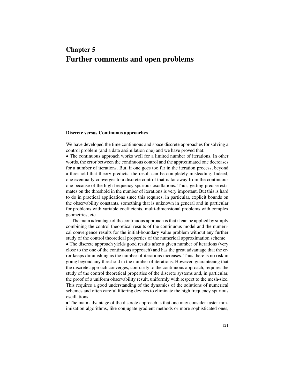# Chapter 5 Further comments and open problems

#### Discrete versus Continuous approaches

oscillations.

We have developed the time continuous and space discrete approaches for solving a control problem (and a data assimilation one) and we have proved that:

• The continuous approach works well for a limited number of iterations. In other words, the error between the continuous control and the approximated one decreases for a number of iterations. But, if one goes too far in the iteration process, beyond a threshold that theory predicts, the result can be completely misleading. Indeed, one eventually converges to a discrete control that is far away from the continuous one because of the high frequency spurious oscillations. Thus, getting precise estimates on the threshold in the number of iterations is very important. But this is hard to do in practical applications since this requires, in particular, explicit bounds on the observability constants, something that is unknown in general and in particular for problems with variable coefficients, multi-dimensional problems with complex geometries, etc.

The main advantage of the continuous approach is that it can be applied by simply combining the control theoretical results of the continuous model and the numerical convergence results for the initial-boundary value problem without any further study of the control theoretical properties of the numerical approximation scheme. • The discrete approach yields good results after a given number of iterations (very close to the one of the continuous approach) and has the great advantage that the error keeps diminishing as the number of iterations increases. Thus there is no risk in going beyond any threshold in the number of iterations. However, guaranteeing that the discrete approach converges, contrarily to the continuous approach, requires the study of the control theoretical properties of the discrete systems and, in particular, the proof of a uniform observability result, uniformly with respect to the mesh-size. This requires a good understanding of the dynamics of the solutions of numerical schemes and often careful filtering devices to eliminate the high frequency spurious

• The main advantage of the discrete approach is that one may consider faster minimization algorithms, like conjugate gradient methods or more sophisticated ones,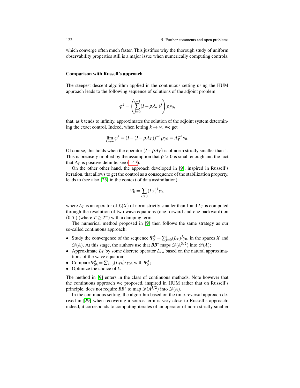which converge often much faster. This justifies why the thorough study of uniform observability properties still is a major issue when numerically computing controls.

#### Comparison with Russell's approach

The steepest descent algorithm applied in the continuous setting using the HUM approach leads to the following sequence of solutions of the adjoint problem

$$
\varphi^k = \left(\sum_{j=0}^{k-1} (I - \rho \Lambda_T)^j\right) \rho y_0,
$$

that, as *k* tends to infinity, approximates the solution of the adjoint system determining the exact control. Indeed, when letting  $k \rightarrow \infty$ , we get

$$
\lim_{k \to \infty} \varphi^k = (I - (I - \rho \Lambda_T))^{-1} \rho y_0 = \Lambda_T^{-1} y_0.
$$

Of course, this holds when the operator  $(I - \rho \Lambda_T)$  is of norm strictly smaller than 1. This is precisely implied by the assumption that  $\rho > 0$  is small enough and the fact that  $\Lambda_T$  is positive definite, see [\(1.47\)](#page-27-0).

On the other other hand, the approach developed in [\[9\]](#page-132-0), inspired in Russell's iteration, that allows to get the control as a consequence of the stabilization property, leads to (see also [\[25\]](#page-133-0) in the context of data assimilation)

$$
\Psi_0 = \sum_{k\geq 0} (L_T)^k y_0,
$$

where  $L_T$  is an operator of  $\mathfrak{L}(X)$  of norm strictly smaller than 1 and  $L_T$  is computed through the resolution of two wave equations (one forward and one backward) on  $(0,T)$  (where  $T \geq T^*$ ) with a damping term.

The numerical method proposed in [\[9\]](#page-132-0) then follows the same strategy as our so-called continuous approach:

- Study the convergence of the sequence  $\Psi_0^k = \sum_{j=0}^k (L_T)^j y_0$ , in the spaces *X* and  $\mathscr{D}(A)$ . At this stage, the authors use that *BB*<sup>\*</sup> maps  $\mathscr{D}(A^{3/2})$  into  $\mathscr{D}(A)$ ;
- Approximate  $L_T$  by some discrete operator  $L_{Th}$  based on the natural approximations of the wave equation;
- Compare  $\Psi_{0h}^k = \sum_{j=0}^k (L_{Th})^j y_{0h}$  with  $\Psi_0^k$ ;
- Optimize the choice of *k*.

The method in [\[9\]](#page-132-0) enters in the class of continuous methods. Note however that the continuous approach we proposed, inspired in HUM rather that on Russell's principle, does not require  $BB^*$  to map  $\mathscr{D}(A^{3/2})$  into  $\mathscr{D}(A)$ .

In the continuous setting, the algorithm based on the time-reversal approach derived in [\[29\]](#page-133-1) when recovering a source term is very close to Russell's approach: indeed, it corresponds to computing iterates of an operator of norm strictly smaller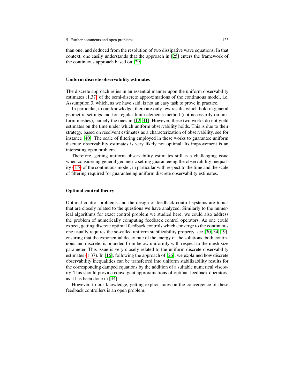than one, and deduced from the resolution of two dissipative wave equations. In that context, one easily understands that the approach in [\[25\]](#page-133-0) enters the framework of the continuous approach based on [\[29\]](#page-133-1).

#### Uniform discrete observability estimates

The discrete approach relies in an essential manner upon the uniform observability estimates [\(1.37\)](#page-24-0) of the semi-discrete approximations of the continuous model, i.e. Assumption 3, which, as we have said, is not an easy task to prove in practice.

In particular, to our knowledge, there are only few results which hold in general geometric settings and for regular finite-elements method (not necessarily on uniform meshes), namely the ones in [\[12,](#page-132-1) [41\]](#page-134-0). However, these two works do not yield estimates on the time under which uniform observability holds. This is due to their strategy, based on resolvent estimates as a characterization of observability, see for instance [\[40\]](#page-133-2). The scale of filtering employed in these works to guarantee uniform discrete observability estimates is very likely not optimal. Its improvement is an interesting open problem.

Therefore, getting uniform observability estimates still is a challenging issue when considering general geometric setting guaranteeing the observability inequality [\(1.5\)](#page-16-0) of the continuous model, in particular with respect to the time and the scale of filtering required for guaranteeing uniform discrete observability estimates.

#### Optimal control theory

Optimal control problems and the design of feedback control systems are topics that are closely related to the questions we have analyzed. Similarly to the numerical algorithms for exact control problem we studied here, we could also address the problem of numerically computing feedback control operators. As one could expect, getting discrete optimal feedback controls which converge to the continuous one usually requires the so-called uniform stabilizability property, see [\[30,](#page-133-3) [34,](#page-133-4) [19\]](#page-133-5), ensuring that the exponential decay rate of the energy of the solutions, both continuous and discrete, is bounded from below uniformly with respect to the mesh-size parameter. This issue is very closely related to the uniform discrete observability estimates [\(1.37\)](#page-24-0). In [\[16\]](#page-132-2), following the approach of [\[26\]](#page-133-6), we explained how discrete observability inequalities can be transferred into uniform stabilizability results for the corresponding damped equations by the addition of a suitable numerical viscosity. This should provide convergent approximations of optimal feedback operators, as it has been done in [\[44\]](#page-134-1).

However, to our knowledge, getting explicit rates on the convergence of these feedback controllers is an open problem.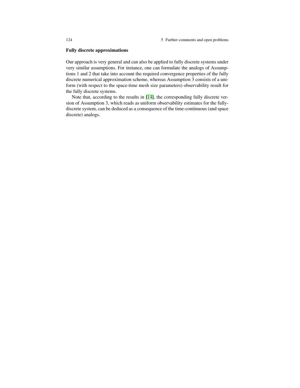124 5 Further comments and open problems

### Fully discrete approximations

Our approach is very general and can also be applied to fully discrete systems under very similar assumptions. For instance, one can formulate the analogs of Assumptions 1 and 2 that take into account the required convergence properties of the fully discrete numerical approximation scheme, whereas Assumption 3 consists of a uniform (with respect to the space-time mesh size parameters) observability result for the fully discrete systems.

Note that, according to the results in [\[14\]](#page-132-3), the corresponding fully discrete version of Assumption 3, which reads as uniform observability estimates for the fullydiscrete system, can be deduced as a consequence of the time-continuous (and space discrete) analogs.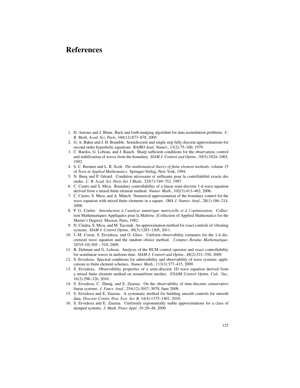# **References**

- 1. D. Auroux and J. Blum. Back and forth nudging algorithm for data assimilation problems. *C. R. Math. Acad. Sci. Paris*, 340(12):873–878, 2005.
- 2. G. A. Baker and J. H. Bramble. Semidiscrete and single step fully discrete approximations for second order hyperbolic equations. *RAIRO Anal. Numér.*, 13(2):75-100, 1979.
- 3. C. Bardos, G. Lebeau, and J. Rauch. Sharp sufficient conditions for the observation, control and stabilization of waves from the boundary. *SIAM J. Control and Optim.*, 30(5):1024–1065, 1992.
- 4. S. C. Brenner and L. R. Scott. *The mathematical theory of finite element methods*, volume 15 of *Texts in Applied Mathematics*. Springer-Verlag, New York, 1994.
- 5. N. Burq and P. Gérard. Condition nécessaire et suffisante pour la contrôlabilité exacte des ondes. *C. R. Acad. Sci. Paris Ser. I Math. ´* , 325(7):749–752, 1997.
- 6. C. Castro and S. Micu. Boundary controllability of a linear semi-discrete 1-d wave equation derived from a mixed finite element method. *Numer. Math.*, 102(3):413–462, 2006.
- 7. C. Castro, S. Micu, and A. Münch. Numerical approximation of the boundary control for the wave equation with mixed finite elements in a square. *IMA J. Numer. Anal.*, 28(1):186–214, 2008.
- 8. P. G. Ciarlet. *Introduction a l'analyse num ` erique matricielle et ´ a l'optimisation `* . Collection Mathématiques Appliquées pour la Maîtrise. [Collection of Applied Mathematics for the Master's Degree]. Masson, Paris, 1982.
- <span id="page-132-0"></span>9. N. Cˆındea, S. Micu, and M. Tucsnak. An approximation method for exact controls of vibrating systems. *SIAM J. Control Optim.*, 49(3):1283–1305, 2011.
- 10. J.-M. Coron, S. Ervedoza, and O. Glass. Uniform observability estimates for the 1-d discretized wave equation and the random choice method. *Comptes Rendus Mathematique*,  $347(9-10):505 - 510, 2009.$
- 11. B. Dehman and G. Lebeau. Analysis of the HUM control operator and exact controllability for semilinear waves in uniform time. *SIAM J. Control and Optim.*, 48(2):521–550, 2009.
- <span id="page-132-1"></span>12. S. Ervedoza. Spectral conditions for admissibility and observability of wave systems: applications to finite element schemes. *Numer. Math.*, 113(3):377–415, 2009.
- 13. S. Ervedoza. Observability properties of a semi-discrete 1D wave equation derived from a mixed finite element method on nonuniform meshes. *ESAIM Control Optim. Calc. Var.*, 16(2):298–326, 2010.
- <span id="page-132-3"></span>14. S. Ervedoza, C. Zheng, and E. Zuazua. On the observability of time-discrete conservative linear systems. *J. Funct. Anal.*, 254(12):3037–3078, June 2008.
- 15. S. Ervedoza and E. Zuazua. A systematic method for building smooth controls for smooth data. *Discrete Contin. Dyn. Syst. Ser. B*, 14(4):1375–1401, 2010.
- <span id="page-132-2"></span>16. S. Ervedoza and E. Zuazua. Uniformly exponentially stable approximations for a class of damped systems. *J. Math. Pures Appl.*, 91:20–48, 2009.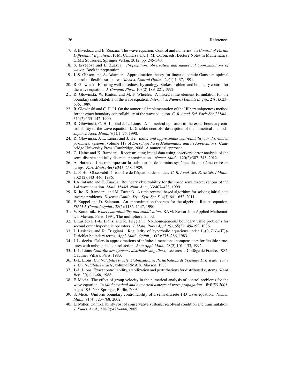#### 126 References

- 17. S. Ervedoza and E. Zuazua. The wave equation: Control and numerics. In *Control of Partial Differential Equations*, P. M. Cannarsa and J. M. Coron, eds, Lecture Notes in Mathematics, CIME Subseries. Springer Verlag, 2012, pp. 245-340.
- 18. S. Ervedoza and E. Zuazua. *Propagation, observation and numerical approximations of waves*. Book in preparation.
- <span id="page-133-5"></span>19. J. S. Gibson and A. Adamian. Approximation theory for linear-quadratic-Gaussian optimal control of flexible structures. *SIAM J. Control Optim.*, 29(1):1–37, 1991.
- 20. R. Glowinski. Ensuring well-posedness by analogy: Stokes problem and boundary control for the wave equation. *J. Comput. Phys.*, 103(2):189–221, 1992.
- 21. R. Glowinski, W. Kinton, and M. F. Wheeler. A mixed finite element formulation for the boundary controllability of the wave equation. *Internat. J. Numer. Methods Engrg.*, 27(3):623– 635, 1989.
- 22. R. Glowinski and C. H. Li. On the numerical implementation of the Hilbert uniqueness method for the exact boundary controllability of the wave equation. *C. R. Acad. Sci. Paris Ser. I Math. ´* , 311(2):135–142, 1990.
- 23. R. Glowinski, C. H. Li, and J.-L. Lions. A numerical approach to the exact boundary controllability of the wave equation. I. Dirichlet controls: description of the numerical methods. *Japan J. Appl. Math.*, 7(1):1–76, 1990.
- 24. R. Glowinski, J.-L. Lions, and J. He. *Exact and approximate controllability for distributed parameter systems*, volume 117 of *Encyclopedia of Mathematics and its Applications*. Cambridge University Press, Cambridge, 2008. A numerical approach.
- <span id="page-133-0"></span>25. G. Haine and K. Ramdani. Reconstructing initial data using observers: error analysis of the semi-discrete and fully discrete approximations. *Numer. Math.*, 120(2):307–343, 2012.
- <span id="page-133-6"></span>26. A. Haraux. Une remarque sur la stabilisation de certains systèmes du deuxième ordre en temps. *Port. Math.*, 46(3):245–258, 1989.
- 27. L. F. Ho. Observabilité frontière de l'équation des ondes. C. R. Acad. Sci. Paris Sér. I Math., 302(12):443–446, 1986.
- 28. J.A. Infante and E. Zuazua. Boundary observability for the space semi discretizations of the 1-d wave equation. *Math. Model. Num. Ann.*, 33:407–438, 1999.
- <span id="page-133-1"></span>29. K. Ito, K. Ramdani, and M. Tucsnak. A time reversal based algorithm for solving initial data inverse problems. *Discrete Contin. Dyn. Syst. Ser. S*, 4(3):641–652, 2011.
- <span id="page-133-3"></span>30. F. Kappel and D. Salamon. An approximation theorem for the algebraic Riccati equation. *SIAM J. Control Optim.*, 28(5):1136–1147, 1990.
- 31. V. Komornik. *Exact controllability and stabilization*. RAM: Research in Applied Mathematics. Masson, Paris, 1994. The multiplier method.
- 32. I. Lasiecka, J.-L. Lions, and R. Triggiani. Nonhomogeneous boundary value problems for second order hyperbolic operators. *J. Math. Pures Appl. (9)*, 65(2):149–192, 1986.
- 33. I. Lasiecka and R. Triggiani. Regularity of hyperbolic equations under *L*2(0, *T*;*L*2(Γ ))- Dirichlet boundary terms. *Appl. Math. Optim.*, 10(3):275–286, 1983.
- <span id="page-133-4"></span>34. I. Lasiecka. Galerkin approximations of infinite-dimensional compensators for flexible structures with unbounded control action. *Acta Appl. Math.*, 28(2):101–133, 1992.
- 35. J.-L. Lions *Contrôle des systèmes distribués singuliers*, Lectures at Collège de France, 1982, Gauthier Villars, Paris, 1983.
- 36. J.-L. Lions. *Controlabilit ˆ e exacte, Stabilisation et Perturbations de Syst ´ emes Distribu ` es. Tome ´ 1. Controlabilit ˆ e exacte ´* , volume RMA 8. Masson, 1988.
- 37. J.-L. Lions. Exact controllability, stabilization and perturbations for distributed systems. *SIAM Rev.*, 30(1):1–68, 1988.
- 38. F. Macia. The effect of group velocity in the numerical analysis of control problems for the ` wave equation. In *Mathematical and numerical aspects of wave propagation—WAVES 2003*, pages 195–200. Springer, Berlin, 2003.
- 39. S. Micu. Uniform boundary controllability of a semi-discrete 1-D wave equation. *Numer. Math.*, 91(4):723–768, 2002.
- <span id="page-133-2"></span>40. L. Miller. Controllability cost of conservative systems: resolvent condition and transmutation. *J. Funct. Anal.*, 218(2):425–444, 2005.